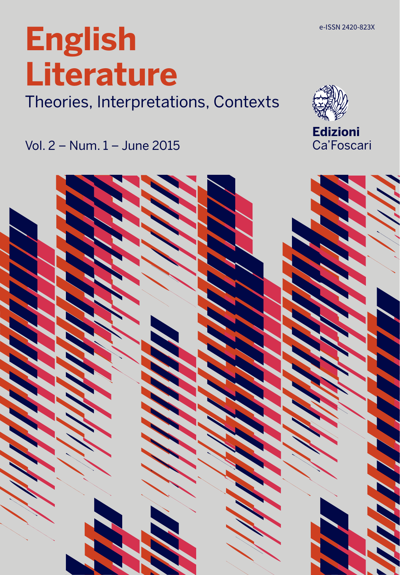Theories, Interpretations, Contexts

Vol. 2 – Num. 1 – June 2015

# **English Literature**

**Edizioni** Ca'Foscari

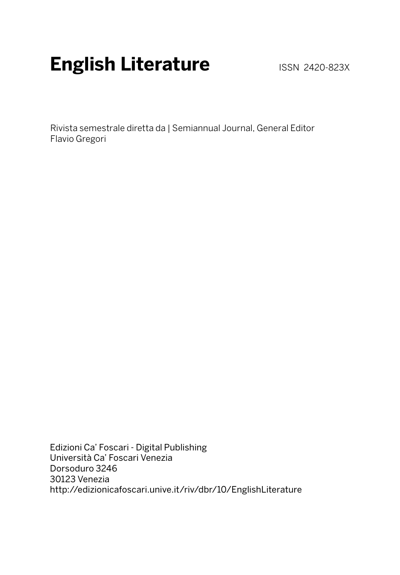## **English Literature ISSN 2420-823X**

Rivista semestrale diretta da | Semiannual Journal, General Editor Flavio Gregori

Edizioni Ca' Foscari - Digital Publishing Università Ca' Foscari Venezia Dorsoduro 3246 30123 Venezia http://edizionicafoscari.unive.it/riv/dbr/10/EnglishLiterature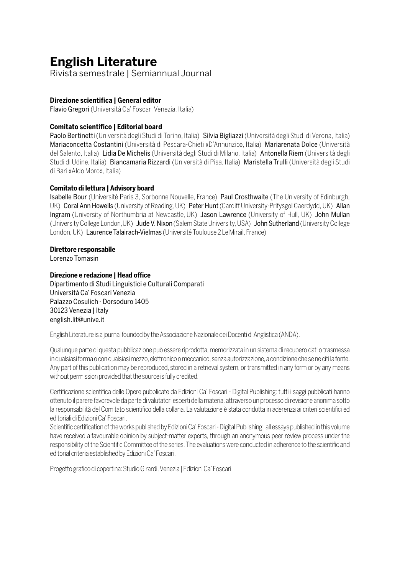## **English Literature**

Rivista semestrale | Semiannual Journal

### **Direzione scientifica | General editor**

Flavio Gregori (Università Ca' Foscari Venezia, Italia)

### **Comitato scientifico | Editorial board**

Paolo Bertinetti (Università degli Studi di Torino, Italia) Silvia Bigliazzi (Università degli Studi di Verona, Italia) Mariaconcetta Costantini (Università di Pescara-Chieti «D'Annunzio», Italia) Mariarenata Dolce (Università del Salento, Italia) Lidia De Michelis (Università degli Studi di Milano, Italia) Antonella Riem (Università degli Studi di Udine, Italia) Biancamaria Rizzardi (Università di Pisa, Italia) Maristella Trulli (Università degli Studi di Bari «Aldo Moro», Italia)

### **Comitato di lettura | Advisory board**

Isabelle Bour (Université Paris 3, Sorbonne Nouvelle, France) Paul Crosthwaite (The University of Edinburgh, UK) Coral Ann Howells (University of Reading, UK) Peter Hunt (Cardiff University-Prifysgol Caerdydd, UK) Allan Ingram (University of Northumbria at Newcastle, UK) Jason Lawrence (University of Hull, UK) John Mullan (University College London, UK) Jude V. Nixon (Salem State University, USA) John Sutherland (University College London, UK) Laurence Talairach-Vielmas (Université Toulouse 2 Le Mirail, France)

#### **Direttore responsabile**

Lorenzo Tomasin

### **Direzione e redazione | Head office**

Dipartimento di Studi Linguistici e Culturali Comparati Università Ca' Foscari Venezia Palazzo Cosulich - Dorsoduro 1405 30123 Venezia | Italy english.lit@unive.it

English Literature is a journal founded by the Associazione Nazionale dei Docenti di Anglistica (ANDA).

Qualunque parte di questa pubblicazione può essere riprodotta, memorizzata in un sistema di recupero dati o trasmessa in qualsiasi forma o con qualsiasi mezzo, elettronico o meccanico, senza autorizzazione, a condizione che se ne citi la fonte. Any part of this publication may be reproduced, stored in a retrieval system, or transmitted in any form or by any means without permission provided that the source is fully credited.

Certificazione scientifica delle Opere pubblicate da Edizioni Ca' Foscari - Digital Publishing: tutti i saggi pubblicati hanno ottenuto il parere favorevole da parte di valutatori esperti della materia, attraverso un processo di revisione anonima sotto la responsabilità del Comitato scientifico della collana. La valutazione è stata condotta in aderenza ai criteri scientifici ed editoriali di Edizioni Ca' Foscari.

Scientific certification of the works published by Edizioni Ca' Foscari - Digital Publishing: all essays published in this volume have received a favourable opinion by subject-matter experts, through an anonymous peer review process under the responsibility of the Scientific Committee of the series. The evaluations were conducted in adherence to the scientific and editorial criteria established by Edizioni Ca' Foscari.

Progetto grafico di copertina: Studio Girardi, Venezia | Edizioni Ca' Foscari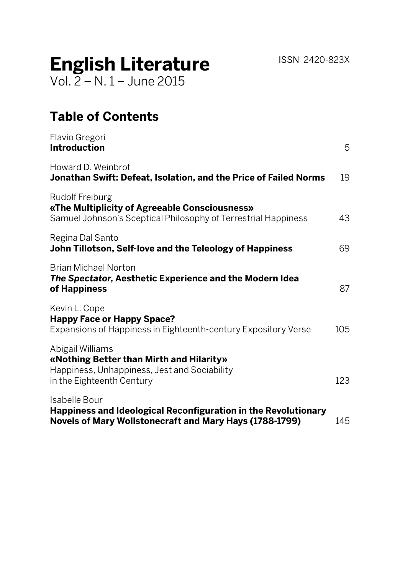ISSN 2420-823X

# **English Literature**

Vol. 2 – N. 1 – June 2015

## **Table of Contents**

| Flavio Gregori<br><b>Introduction</b>                                                                                                      | 5   |
|--------------------------------------------------------------------------------------------------------------------------------------------|-----|
| Howard D. Weinbrot<br>Jonathan Swift: Defeat, Isolation, and the Price of Failed Norms                                                     | 19  |
| Rudolf Freiburg<br>«The Multiplicity of Agreeable Consciousness»<br>Samuel Johnson's Sceptical Philosophy of Terrestrial Happiness         | 43  |
| Regina Dal Santo<br>John Tillotson, Self-love and the Teleology of Happiness                                                               | 69  |
| Brian Michael Norton<br>The Spectator, Aesthetic Experience and the Modern Idea<br>of Happiness                                            | 87  |
| Kevin L. Cope<br><b>Happy Face or Happy Space?</b><br>Expansions of Happiness in Eighteenth-century Expository Verse                       | 105 |
| Abigail Williams<br>«Nothing Better than Mirth and Hilarity»<br>Happiness, Unhappiness, Jest and Sociability<br>in the Eighteenth Century  | 123 |
| Isabelle Bour<br>Happiness and Ideological Reconfiguration in the Revolutionary<br>Novels of Mary Wollstonecraft and Mary Hays (1788-1799) | 145 |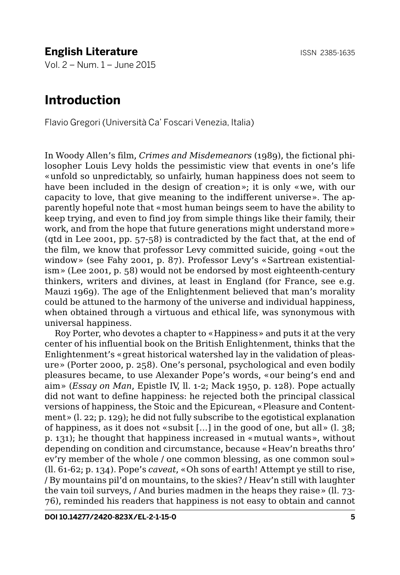## **English Literature ISSN 2385-1635**

Vol. 2 – Num. 1 – June 2015

### **Introduction**

Flavio Gregori (Università Ca' Foscari Venezia, Italia)

In Woody Allen's film, *Crimes and Misdemeanors* (1989), the fictional philosopher Louis Levy holds the pessimistic view that events in one's life «unfold so unpredictably, so unfairly, human happiness does not seem to have been included in the design of creation»; it is only «we, with our capacity to love, that give meaning to the indifferent universe». The apparently hopeful note that «most human beings seem to have the ability to keep trying, and even to find joy from simple things like their family, their work, and from the hope that future generations might understand more» (qtd in Lee 2001, pp. 57-58) is contradicted by the fact that, at the end of the film, we know that professor Levy committed suicide, going «out the window» (see Fahy 2001, p. 87). Professor Levy's «Sartrean existentialism» (Lee 2001, p. 58) would not be endorsed by most eighteenth-century thinkers, writers and divines, at least in England (for France, see e.g. Mauzi 1969). The age of the Enlightenment believed that man's morality could be attuned to the harmony of the universe and individual happiness, when obtained through a virtuous and ethical life, was synonymous with universal happiness.

Roy Porter, who devotes a chapter to «Happiness» and puts it at the very center of his influential book on the British Enlightenment, thinks that the Enlightenment's «great historical watershed lay in the validation of pleasure» (Porter 2000, p. 258). One's personal, psychological and even bodily pleasures became, to use Alexander Pope's words, «our being's end and aim» (*Essay on Man*, Epistle IV, ll. 1-2; Mack 1950, p. 128). Pope actually did not want to define happiness: he rejected both the principal classical versions of happiness, the Stoic and the Epicurean, «Pleasure and Contentment» (l. 22; p. 129); he did not fully subscribe to the egotistical explanation of happiness, as it does not «subsit […] in the good of one, but all» (l. 38; p. 131); he thought that happiness increased in «mutual wants», without depending on condition and circumstance, because «Heav'n breaths thro' ev'ry member of the whole / one common blessing, as one common soul» (ll. 61-62; p. 134). Pope's *caveat*, «Oh sons of earth! Attempt ye still to rise, / By mountains pil'd on mountains, to the skies? / Heav'n still with laughter the vain toil surveys, / And buries madmen in the heaps they raise» (ll. 73- 76), reminded his readers that happiness is not easy to obtain and cannot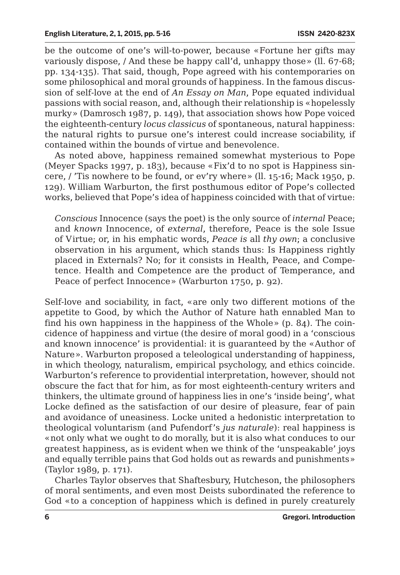be the outcome of one's will-to-power, because «Fortune her gifts may variously dispose, / And these be happy call'd, unhappy those» (ll. 67-68; pp. 134-135). That said, though, Pope agreed with his contemporaries on some philosophical and moral grounds of happiness. In the famous discussion of self-love at the end of *An Essay on Man*, Pope equated individual passions with social reason, and, although their relationship is «hopelessly murky» (Damrosch 1987, p. 149), that association shows how Pope voiced the eighteenth-century *locus classicus* of spontaneous, natural happiness: the natural rights to pursue one's interest could increase sociability, if contained within the bounds of virtue and benevolence.

As noted above, happiness remained somewhat mysterious to Pope (Meyer Spacks 1997, p. 183), because «Fix'd to no spot is Happiness sincere, / 'Tis nowhere to be found, or ev'ry where» (ll. 15-16; Mack 1950, p. 129). William Warburton, the first posthumous editor of Pope's collected works, believed that Pope's idea of happiness coincided with that of virtue:

*Conscious* Innocence (says the poet) is the only source of *internal* Peace; and *known* Innocence, of *external*, therefore, Peace is the sole Issue of Virtue; or, in his emphatic words, *Peace is* all *thy own*; a conclusive observation in his argument, which stands thus: Is Happiness rightly placed in Externals? No; for it consists in Health, Peace, and Competence. Health and Competence are the product of Temperance, and Peace of perfect Innocence» (Warburton 1750, p. 92).

Self-love and sociability, in fact, «are only two different motions of the appetite to Good, by which the Author of Nature hath ennabled Man to find his own happiness in the happiness of the Whole» (p. 84). The coincidence of happiness and virtue (the desire of moral good) in a 'conscious and known innocence' is providential: it is guaranteed by the «Author of Nature». Warburton proposed a teleological understanding of happiness, in which theology, naturalism, empirical psychology, and ethics coincide. Warburton's reference to providential interpretation, however, should not obscure the fact that for him, as for most eighteenth-century writers and thinkers, the ultimate ground of happiness lies in one's 'inside being', what Locke defined as the satisfaction of our desire of pleasure, fear of pain and avoidance of uneasiness. Locke united a hedonistic interpretation to theological voluntarism (and Pufendorf's *jus naturale*): real happiness is «not only what we ought to do morally, but it is also what conduces to our greatest happiness, as is evident when we think of the 'unspeakable' joys and equally terrible pains that God holds out as rewards and punishments» (Taylor 1989, p. 171).

Charles Taylor observes that Shaftesbury, Hutcheson, the philosophers of moral sentiments, and even most Deists subordinated the reference to God «to a conception of happiness which is defined in purely creaturely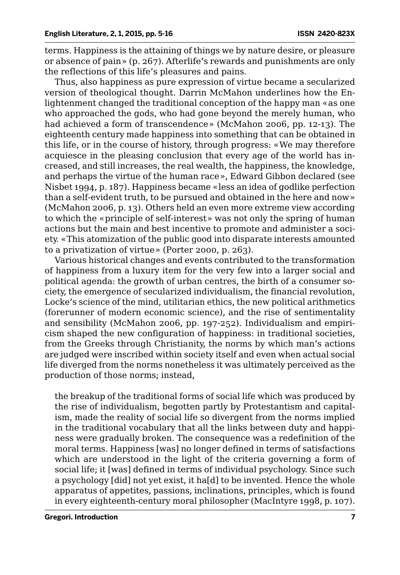terms. Happiness is the attaining of things we by nature desire, or pleasure or absence of pain» (p. 267). Afterlife's rewards and punishments are only the reflections of this life's pleasures and pains.

Thus, also happiness as pure expression of virtue became a secularized version of theological thought. Darrin McMahon underlines how the Enlightenment changed the traditional conception of the happy man «as one who approached the gods, who had gone beyond the merely human, who had achieved a form of transcendence» (McMahon 2006, pp. 12-13). The eighteenth century made happiness into something that can be obtained in this life, or in the course of history, through progress: «We may therefore acquiesce in the pleasing conclusion that every age of the world has increased, and still increases, the real wealth, the happiness, the knowledge, and perhaps the virtue of the human race», Edward Gibbon declared (see Nisbet 1994, p. 187). Happiness became «less an idea of godlike perfection than a self-evident truth, to be pursued and obtained in the here and now» (McMahon 2006, p. 13). Others held an even more extreme view according to which the «principle of self-interest» was not only the spring of human actions but the main and best incentive to promote and administer a society. «This atomization of the public good into disparate interests amounted to a privatization of virtue» (Porter 2000, p. 263).

Various historical changes and events contributed to the transformation of happiness from a luxury item for the very few into a larger social and political agenda: the growth of urban centres, the birth of a consumer society, the emergence of secularized individualism, the financial revolution, Locke's science of the mind, utilitarian ethics, the new political arithmetics (forerunner of modern economic science), and the rise of sentimentality and sensibility (McMahon 2006, pp. 197-252). Individualism and empiricism shaped the new configuration of happiness: in traditional societies, from the Greeks through Christianity, the norms by which man's actions are judged were inscribed within society itself and even when actual social life diverged from the norms nonetheless it was ultimately perceived as the production of those norms; instead,

the breakup of the traditional forms of social life which was produced by the rise of individualism, begotten partly by Protestantism and capitalism, made the reality of social life so divergent from the norms implied in the traditional vocabulary that all the links between duty and happiness were gradually broken. The consequence was a redefinition of the moral terms. Happiness [was] no longer defined in terms of satisfactions which are understood in the light of the criteria governing a form of social life; it [was] defined in terms of individual psychology. Since such a psychology [did] not yet exist, it ha[d] to be invented. Hence the whole apparatus of appetites, passions, inclinations, principles, which is found in every eighteenth-century moral philosopher (MacIntyre 1998, p. 107).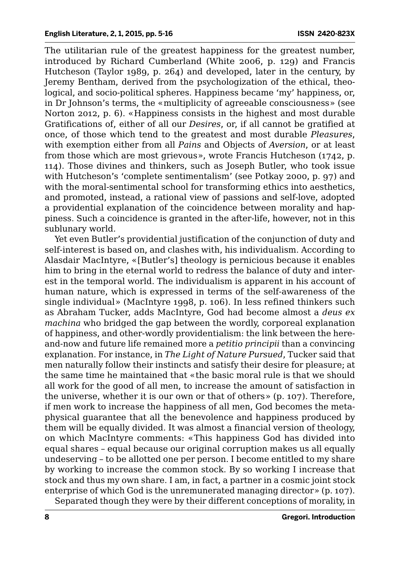The utilitarian rule of the greatest happiness for the greatest number, introduced by Richard Cumberland (White 2006, p. 129) and Francis Hutcheson (Taylor 1989, p. 264) and developed, later in the century, by Jeremy Bentham, derived from the psychologization of the ethical, theological, and socio-political spheres. Happiness became 'my' happiness, or, in Dr Johnson's terms, the «multiplicity of agreeable consciousness» (see Norton 2012, p. 6). «Happiness consists in the highest and most durable Gratifications of, either of all our *Desires*, or, if all cannot be gratified at once, of those which tend to the greatest and most durable *Pleasures*, with exemption either from all *Pains* and Objects of *Aversion*, or at least from those which are most grievous», wrote Francis Hutcheson (1742, p. 114). Those divines and thinkers, such as Joseph Butler, who took issue with Hutcheson's 'complete sentimentalism' (see Potkay 2000, p. 97) and with the moral-sentimental school for transforming ethics into aesthetics, and promoted, instead, a rational view of passions and self-love, adopted a providential explanation of the coincidence between morality and happiness. Such a coincidence is granted in the after-life, however, not in this sublunary world.

Yet even Butler's providential justification of the conjunction of duty and self-interest is based on, and clashes with, his individualism. According to Alasdair MacIntyre, «[Butler's] theology is pernicious because it enables him to bring in the eternal world to redress the balance of duty and interest in the temporal world. The individualism is apparent in his account of human nature, which is expressed in terms of the self-awareness of the single individual» (MacIntyre 1998, p. 106). In less refined thinkers such as Abraham Tucker, adds MacIntyre, God had become almost a *deus ex machina* who bridged the gap between the wordly, corporeal explanation of happiness, and other-wordly providentialism: the link between the hereand-now and future life remained more a *petitio principii* than a convincing explanation. For instance, in *The Light of Nature Pursued*, Tucker said that men naturally follow their instincts and satisfy their desire for pleasure; at the same time he maintained that «the basic moral rule is that we should all work for the good of all men, to increase the amount of satisfaction in the universe, whether it is our own or that of others» (p. 107). Therefore, if men work to increase the happiness of all men, God becomes the metaphysical guarantee that all the benevolence and happiness produced by them will be equally divided. It was almost a financial version of theology, on which MacIntyre comments: «This happiness God has divided into equal shares – equal because our original corruption makes us all equally undeserving – to be allotted one per person. I become entitled to my share by working to increase the common stock. By so working I increase that stock and thus my own share. I am, in fact, a partner in a cosmic joint stock enterprise of which God is the unremunerated managing director» (p. 107).

Separated though they were by their different conceptions of morality, in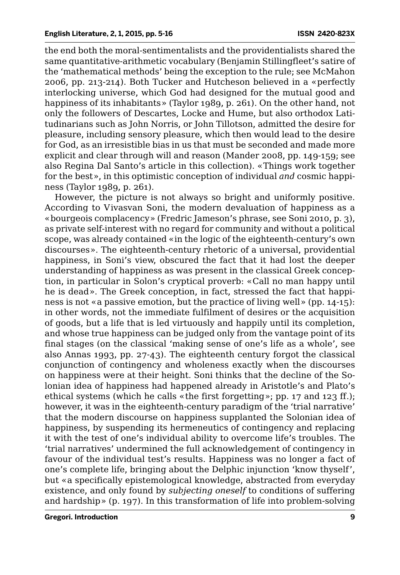the end both the moral-sentimentalists and the providentialists shared the same quantitative-arithmetic vocabulary (Benjamin Stillingfleet's satire of the 'mathematical methods' being the exception to the rule; see McMahon 2006, pp. 213-214). Both Tucker and Hutcheson believed in a «perfectly interlocking universe, which God had designed for the mutual good and happiness of its inhabitants» (Taylor 1989, p. 261). On the other hand, not only the followers of Descartes, Locke and Hume, but also orthodox Latitudinarians such as John Norris, or John Tillotson, admitted the desire for pleasure, including sensory pleasure, which then would lead to the desire for God, as an irresistible bias in us that must be seconded and made more explicit and clear through will and reason (Mander 2008, pp. 149-159; see also Regina Dal Santo's article in this collection). «Things work together for the best», in this optimistic conception of individual *and* cosmic happiness (Taylor 1989, p. 261).

However, the picture is not always so bright and uniformly positive. According to Vivasvan Soni, the modern devaluation of happiness as a «bourgeois complacency» (Fredric Jameson's phrase, see Soni 2010, p. 3), as private self-interest with no regard for community and without a political scope, was already contained «in the logic of the eighteenth-century's own discourses». The eighteenth-century rhetoric of a universal, providential happiness, in Soni's view, obscured the fact that it had lost the deeper understanding of happiness as was present in the classical Greek conception, in particular in Solon's cryptical proverb: «Call no man happy until he is dead». The Greek conception, in fact, stressed the fact that happiness is not «a passive emotion, but the practice of living well» (pp. 14-15): in other words, not the immediate fulfilment of desires or the acquisition of goods, but a life that is led virtuously and happily until its completion, and whose true happiness can be judged only from the vantage point of its final stages (on the classical 'making sense of one's life as a whole', see also Annas 1993, pp. 27-43). The eighteenth century forgot the classical conjunction of contingency and wholeness exactly when the discourses on happiness were at their height. Soni thinks that the decline of the Solonian idea of happiness had happened already in Aristotle's and Plato's ethical systems (which he calls «the first forgetting»; pp. 17 and 123 ff.); however, it was in the eighteenth-century paradigm of the 'trial narrative' that the modern discourse on happiness supplanted the Solonian idea of happiness, by suspending its hermeneutics of contingency and replacing it with the test of one's individual ability to overcome life's troubles. The 'trial narratives' undermined the full acknowledgement of contingency in favour of the individual test's results. Happiness was no longer a fact of one's complete life, bringing about the Delphic injunction 'know thyself', but «a specifically epistemological knowledge, abstracted from everyday existence, and only found by *subjecting oneself* to conditions of suffering and hardship» (p. 197). In this transformation of life into problem-solving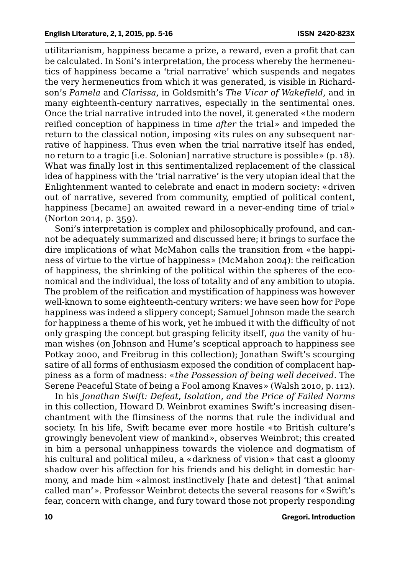utilitarianism, happiness became a prize, a reward, even a profit that can be calculated. In Soni's interpretation, the process whereby the hermeneutics of happiness became a 'trial narrative' which suspends and negates the very hermeneutics from which it was generated, is visible in Richardson's *Pamela* and *Clarissa*, in Goldsmith's *The Vicar of Wakefield*, and in many eighteenth-century narratives, especially in the sentimental ones. Once the trial narrative intruded into the novel, it generated «the modern reified conception of happiness in time *after* the trial» and impeded the return to the classical notion, imposing «its rules on any subsequent narrative of happiness. Thus even when the trial narrative itself has ended, no return to a tragic [i.e. Solonian] narrative structure is possible» (p. 18). What was finally lost in this sentimentalized replacement of the classical idea of happiness with the 'trial narrative' is the very utopian ideal that the Enlightenment wanted to celebrate and enact in modern society: «driven out of narrative, severed from community, emptied of political content, happiness [became] an awaited reward in a never-ending time of trial» (Norton 2014, p. 359).

Soni's interpretation is complex and philosophically profound, and cannot be adequately summarized and discussed here; it brings to surface the dire implications of what McMahon calls the transition from «the happiness of virtue to the virtue of happiness» (McMahon 2004): the reification of happiness, the shrinking of the political within the spheres of the economical and the individual, the loss of totality and of any ambition to utopia. The problem of the reification and mystification of happiness was however well-known to some eighteenth-century writers: we have seen how for Pope happiness was indeed a slippery concept; Samuel Johnson made the search for happiness a theme of his work, yet he imbued it with the difficulty of not only grasping the concept but grasping felicity itself, *qua* the vanity of human wishes (on Johnson and Hume's sceptical approach to happiness see Potkay 2000, and Freibrug in this collection); Jonathan Swift's scourging satire of all forms of enthusiasm exposed the condition of complacent happiness as a form of madness: «*the Possession of being well deceived*. The Serene Peaceful State of being a Fool among Knaves» (Walsh 2010, p. 112).

In his *Jonathan Swift: Defeat, Isolation, and the Price of Failed Norms* in this collection, Howard D. Weinbrot examines Swift's increasing disenchantment with the flimsiness of the norms that rule the individual and society. In his life, Swift became ever more hostile «to British culture's growingly benevolent view of mankind», observes Weinbrot; this created in him a personal unhappiness towards the violence and dogmatism of his cultural and political mileu, a «darkness of vision» that cast a gloomy shadow over his affection for his friends and his delight in domestic harmony, and made him «almost instinctively [hate and detest] 'that animal called man'». Professor Weinbrot detects the several reasons for «Swift's fear, concern with change, and fury toward those not properly responding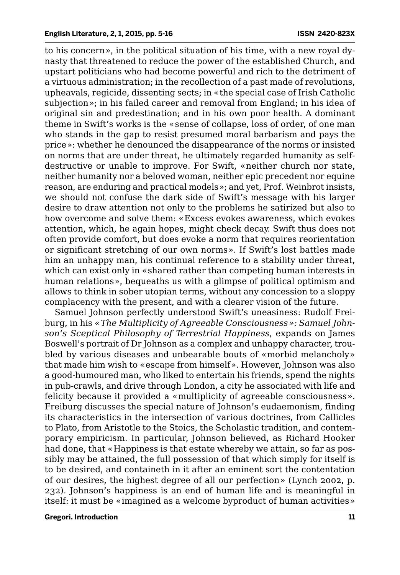to his concern», in the political situation of his time, with a new royal dynasty that threatened to reduce the power of the established Church, and upstart politicians who had become powerful and rich to the detriment of a virtuous administration; in the recollection of a past made of revolutions, upheavals, regicide, dissenting sects; in «the special case of Irish Catholic subjection»; in his failed career and removal from England; in his idea of original sin and predestination; and in his own poor health. A dominant theme in Swift's works is the «sense of collapse, loss of order, of one man who stands in the gap to resist presumed moral barbarism and pays the price»: whether he denounced the disappearance of the norms or insisted on norms that are under threat, he ultimately regarded humanity as selfdestructive or unable to improve. For Swift, «neither church nor state, neither humanity nor a beloved woman, neither epic precedent nor equine reason, are enduring and practical models»; and yet, Prof. Weinbrot insists, we should not confuse the dark side of Swift's message with his larger desire to draw attention not only to the problems he satirized but also to how overcome and solve them: «Excess evokes awareness, which evokes attention, which, he again hopes, might check decay. Swift thus does not often provide comfort, but does evoke a norm that requires reorientation or significant stretching of our own norms». If Swift's lost battles made him an unhappy man, his continual reference to a stability under threat, which can exist only in «shared rather than competing human interests in human relations», bequeaths us with a glimpse of political optimism and allows to think in sober utopian terms, without any concession to a sloppy complacency with the present, and with a clearer vision of the future.

Samuel Johnson perfectly understood Swift's uneasiness: Rudolf Freiburg, in his *«The Multiplicity of Agreeable Consciousness»: Samuel Johnson's Sceptical Philosophy of Terrestrial Happiness*, expands on James Boswell's portrait of Dr Johnson as a complex and unhappy character, troubled by various diseases and unbearable bouts of «morbid melancholy» that made him wish to «escape from himself». However, Johnson was also a good-humoured man, who liked to entertain his friends, spend the nights in pub-crawls, and drive through London, a city he associated with life and felicity because it provided a «multiplicity of agreeable consciousness». Freiburg discusses the special nature of Johnson's eudaemonism, finding its characteristics in the intersection of various doctrines, from Callicles to Plato, from Aristotle to the Stoics, the Scholastic tradition, and contemporary empiricism. In particular, Johnson believed, as Richard Hooker had done, that «Happiness is that estate whereby we attain, so far as possibly may be attained, the full possession of that which simply for itself is to be desired, and containeth in it after an eminent sort the contentation of our desires, the highest degree of all our perfection» (Lynch 2002, p. 232). Johnson's happiness is an end of human life and is meaningful in itself: it must be «imagined as a welcome byproduct of human activities»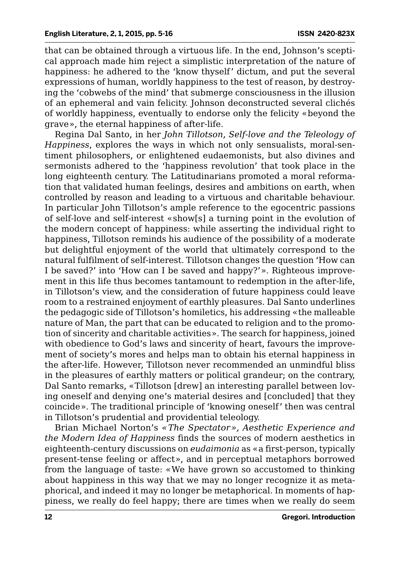that can be obtained through a virtuous life. In the end, Johnson's sceptical approach made him reject a simplistic interpretation of the nature of happiness: he adhered to the 'know thyself' dictum, and put the several expressions of human, worldly happiness to the test of reason, by destroying the 'cobwebs of the mind' that submerge consciousness in the illusion of an ephemeral and vain felicity. Johnson deconstructed several clichés of worldly happiness, eventually to endorse only the felicity «beyond the grave», the eternal happiness of after-life.

Regina Dal Santo, in her *John Tillotson, Self-love and the Teleology of Happiness*, explores the ways in which not only sensualists, moral-sentiment philosophers, or enlightened eudaemonists, but also divines and sermonists adhered to the 'happiness revolution' that took place in the long eighteenth century. The Latitudinarians promoted a moral reformation that validated human feelings, desires and ambitions on earth, when controlled by reason and leading to a virtuous and charitable behaviour. In particular John Tillotson's ample reference to the egocentric passions of self-love and self-interest «show[s] a turning point in the evolution of the modern concept of happiness: while asserting the individual right to happiness, Tillotson reminds his audience of the possibility of a moderate but delightful enjoyment of the world that ultimately correspond to the natural fulfilment of self-interest. Tillotson changes the question 'How can I be saved?' into 'How can I be saved and happy?'». Righteous improvement in this life thus becomes tantamount to redemption in the after-life, in Tillotson's view, and the consideration of future happiness could leave room to a restrained enjoyment of earthly pleasures. Dal Santo underlines the pedagogic side of Tillotson's homiletics, his addressing «the malleable nature of Man, the part that can be educated to religion and to the promotion of sincerity and charitable activities». The search for happiness, joined with obedience to God's laws and sincerity of heart, favours the improvement of society's mores and helps man to obtain his eternal happiness in the after-life. However, Tillotson never recommended an unmindful bliss in the pleasures of earthly matters or political grandeur; on the contrary, Dal Santo remarks, «Tillotson [drew] an interesting parallel between loving oneself and denying one's material desires and [concluded] that they coincide». The traditional principle of 'knowing oneself' then was central in Tillotson's prudential and providential teleology.

Brian Michael Norton's *«The Spectator», Aesthetic Experience and the Modern Idea of Happiness* finds the sources of modern aesthetics in eighteenth-century discussions on *eudaimonia* as «a first-person, typically present-tense feeling or affect», and in perceptual metaphors borrowed from the language of taste: «We have grown so accustomed to thinking about happiness in this way that we may no longer recognize it as metaphorical, and indeed it may no longer be metaphorical. In moments of happiness, we really do feel happy; there are times when we really do seem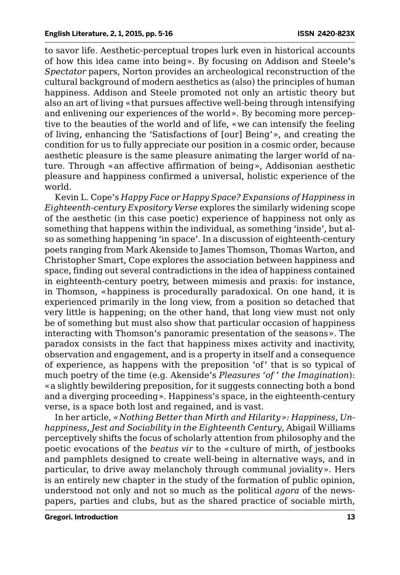to savor life. Aesthetic-perceptual tropes lurk even in historical accounts of how this idea came into being». By focusing on Addison and Steele's *Spectator* papers, Norton provides an archeological reconstruction of the cultural background of modern aesthetics as (also) the principles of human happiness. Addison and Steele promoted not only an artistic theory but also an art of living «that pursues affective well-being through intensifying and enlivening our experiences of the world». By becoming more perceptive to the beauties of the world and of life, «we can intensify the feeling of living, enhancing the 'Satisfactions of [our] Being'», and creating the condition for us to fully appreciate our position in a cosmic order, because aesthetic pleasure is the same pleasure animating the larger world of nature. Through «an affective affirmation of being», Addisonian aesthetic pleasure and happiness confirmed a universal, holistic experience of the world.

Kevin L. Cope's *Happy Face or Happy Space? Expansions of Happiness in Eighteenth-century Expository Verse* explores the similarly widening scope of the aesthetic (in this case poetic) experience of happiness not only as something that happens within the individual, as something 'inside', but also as something happening 'in space'. In a discussion of eighteenth-century poets ranging from Mark Akenside to James Thomson, Thomas Warton, and Christopher Smart, Cope explores the association between happiness and space, finding out several contradictions in the idea of happiness contained in eighteenth-century poetry, between mimesis and praxis: for instance, in Thomson, «happiness is procedurally paradoxical. On one hand, it is experienced primarily in the long view, from a position so detached that very little is happening; on the other hand, that long view must not only be of something but must also show that particular occasion of happiness interacting with Thomson's panoramic presentation of the seasons». The paradox consists in the fact that happiness mixes activity and inactivity, observation and engagement, and is a property in itself and a consequence of experience, as happens with the preposition 'of' that is so typical of much poetry of the time (e.g. Akenside's *Pleasures 'of ' the Imagination*): «a slightly bewildering preposition, for it suggests connecting both a bond and a diverging proceeding». Happiness's space, in the eighteenth-century verse, is a space both lost and regained, and is vast.

In her article, *«Nothing Better than Mirth and Hilarity»: Happiness, Unhappiness, Jest and Sociability in the Eighteenth Century*, Abigail Williams perceptively shifts the focus of scholarly attention from philosophy and the poetic evocations of the *beatus vir* to the «culture of mirth, of jestbooks and pamphlets designed to create well-being in alternative ways, and in particular, to drive away melancholy through communal joviality». Hers is an entirely new chapter in the study of the formation of public opinion, understood not only and not so much as the political *agora* of the newspapers, parties and clubs, but as the shared practice of sociable mirth,

**Gregori. Introduction 13**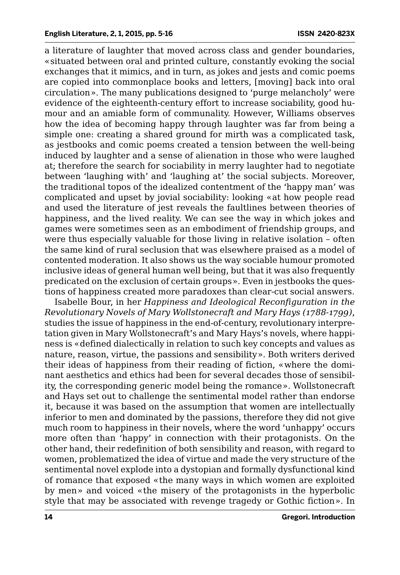a literature of laughter that moved across class and gender boundaries, «situated between oral and printed culture, constantly evoking the social exchanges that it mimics, and in turn, as jokes and jests and comic poems are copied into commonplace books and letters, [moving] back into oral circulation». The many publications designed to 'purge melancholy' were evidence of the eighteenth-century effort to increase sociability, good humour and an amiable form of communality. However, Williams observes how the idea of becoming happy through laughter was far from being a simple one: creating a shared ground for mirth was a complicated task, as jestbooks and comic poems created a tension between the well-being induced by laughter and a sense of alienation in those who were laughed at; therefore the search for sociability in merry laughter had to negotiate between 'laughing with' and 'laughing at' the social subjects. Moreover, the traditional topos of the idealized contentment of the 'happy man' was complicated and upset by jovial sociability: looking «at how people read and used the literature of jest reveals the faultlines between theories of happiness, and the lived reality. We can see the way in which jokes and games were sometimes seen as an embodiment of friendship groups, and were thus especially valuable for those living in relative isolation – often the same kind of rural seclusion that was elsewhere praised as a model of contented moderation. It also shows us the way sociable humour promoted inclusive ideas of general human well being, but that it was also frequently predicated on the exclusion of certain groups». Even in jestbooks the questions of happiness created more paradoxes than clear-cut social answers.

Isabelle Bour, in her *Happiness and Ideological Reconfiguration in the Revolutionary Novels of Mary Wollstonecraft and Mary Hays (1788-1799)*, studies the issue of happiness in the end-of-century, revolutionary interpretation given in Mary Wollstonecraft's and Mary Hays's novels, where happiness is «defined dialectically in relation to such key concepts and values as nature, reason, virtue, the passions and sensibility». Both writers derived their ideas of happiness from their reading of fiction, «where the dominant aesthetics and ethics had been for several decades those of sensibility, the corresponding generic model being the romance». Wollstonecraft and Hays set out to challenge the sentimental model rather than endorse it, because it was based on the assumption that women are intellectually inferior to men and dominated by the passions, therefore they did not give much room to happiness in their novels, where the word 'unhappy' occurs more often than 'happy' in connection with their protagonists. On the other hand, their redefinition of both sensibility and reason, with regard to women, problematized the idea of virtue and made the very structure of the sentimental novel explode into a dystopian and formally dysfunctional kind of romance that exposed «the many ways in which women are exploited by men» and voiced «the misery of the protagonists in the hyperbolic style that may be associated with revenge tragedy or Gothic fiction». In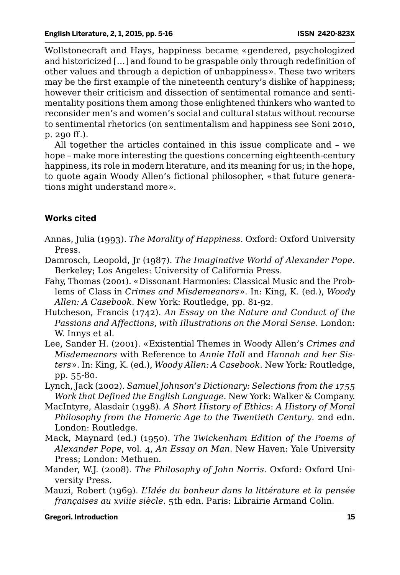Wollstonecraft and Hays, happiness became «gendered, psychologized and historicized […] and found to be graspable only through redefinition of other values and through a depiction of unhappiness». These two writers may be the first example of the nineteenth century's dislike of happiness; however their criticism and dissection of sentimental romance and sentimentality positions them among those enlightened thinkers who wanted to reconsider men's and women's social and cultural status without recourse to sentimental rhetorics (on sentimentalism and happiness see Soni 2010, p. 290 ff.).

All together the articles contained in this issue complicate and – we hope – make more interesting the questions concerning eighteenth-century happiness, its role in modern literature, and its meaning for us; in the hope, to quote again Woody Allen's fictional philosopher, «that future generations might understand more».

### **Works cited**

- Annas, Julia (1993). *The Morality of Happiness*. Oxford: Oxford University Press.
- Damrosch, Leopold, Jr (1987). *The Imaginative World of Alexander Pope*. Berkeley; Los Angeles: University of California Press.
- Fahy, Thomas (2001). «Dissonant Harmonies: Classical Music and the Problems of Class in *Crimes and Misdemeanors*». In: King, K. (ed.), *Woody Allen: A Casebook*. New York: Routledge, pp. 81-92.
- Hutcheson, Francis (1742). *An Essay on the Nature and Conduct of the Passions and Affections, with Illustrations on the Moral Sense*. London: W. Innys et al.
- Lee, Sander H. (2001). «Existential Themes in Woody Allen's *Crimes and Misdemeanors* with Reference to *Annie Hall* and *Hannah and her Sisters*». In: King, K. (ed.), *Woody Allen: A Casebook*. New York: Routledge, pp. 55-80.
- Lynch, Jack (2002). *Samuel Johnson's Dictionary: Selections from the 1755 Work that Defined the English Language*. New York: Walker & Company.
- MacIntyre, Alasdair (1998). *A Short History of Ethics*: *A History of Moral Philosophy from the Homeric Age to the Twentieth Century*. 2nd edn. London: Routledge.
- Mack, Maynard (ed.) (1950). *The Twickenham Edition of the Poems of Alexander Pope*, vol. 4, *An Essay on Man*. New Haven: Yale University Press; London: Methuen.
- Mander, W.J. (2008). *The Philosophy of John Norris*. Oxford: Oxford University Press.
- Mauzi, Robert (1969). *L'Idée du bonheur dans la littérature et la pensée françaises au xviiie siècle*. 5th edn. Paris: Librairie Armand Colin.

**Gregori. Introduction 15**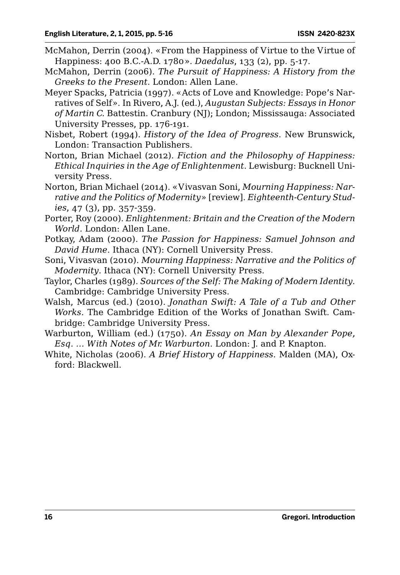- McMahon, Derrin (2004). «From the Happiness of Virtue to the Virtue of Happiness: 400 B.C.-A.D. 1780». *Daedalus*, 133 (2), pp. 5-17.
- McMahon, Derrin (2006). *The Pursuit of Happiness: A History from the Greeks to the Present*. London: Allen Lane.
- Meyer Spacks, Patricia (1997). «Acts of Love and Knowledge: Pope's Narratives of Self». In Rivero, A.J. (ed.), *Augustan Subjects: Essays in Honor of Martin C.* Battestin. Cranbury (NJ); London; Mississauga: Associated University Presses, pp. 176-191.
- Nisbet, Robert (1994). *History of the Idea of Progress*. New Brunswick, London: Transaction Publishers.
- Norton, Brian Michael (2012). *Fiction and the Philosophy of Happiness: Ethical Inquiries in the Age of Enlightenment*. Lewisburg: Bucknell University Press.
- Norton, Brian Michael (2014). «Vivasvan Soni, *Mourning Happiness: Narrative and the Politics of Modernity*» [review]. *Eighteenth-Century Studies*, 47 (3), pp. 357-359.
- Porter, Roy (2000). *Enlightenment: Britain and the Creation of the Modern World*. London: Allen Lane.
- Potkay, Adam (2000). *The Passion for Happiness: Samuel Johnson and David Hume*. Ithaca (NY): Cornell University Press.
- Soni, Vivasvan (2010). *Mourning Happiness: Narrative and the Politics of Modernity*. Ithaca (NY): Cornell University Press.
- Taylor, Charles (1989). *Sources of the Self: The Making of Modern Identity*. Cambridge: Cambridge University Press.
- Walsh, Marcus (ed.) (2010). *Jonathan Swift: A Tale of a Tub and Other Works*. The Cambridge Edition of the Works of Jonathan Swift. Cambridge: Cambridge University Press.
- Warburton, William (ed.) (1750). *An Essay on Man by Alexander Pope, Esq. … With Notes of Mr. Warburton*. London: J. and P. Knapton.
- White, Nicholas (2006). *A Brief History of Happiness*. Malden (MA), Oxford: Blackwell.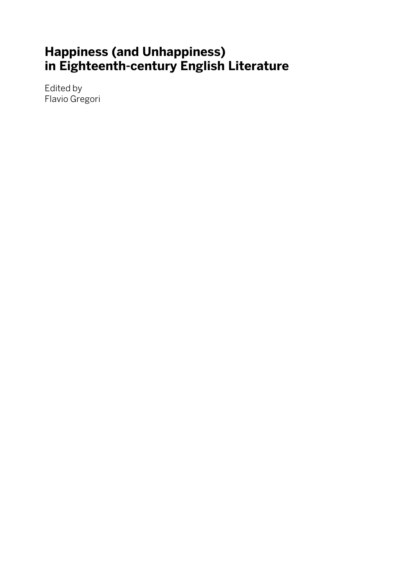## **Happiness (and Unhappiness) in Eighteenth-century English Literature**

Edited by Flavio Gregori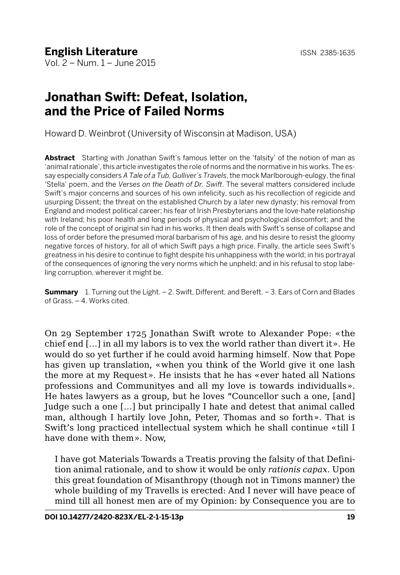## **Jonathan Swift: Defeat, Isolation, and the Price of Failed Norms**

Howard D. Weinbrot (University of Wisconsin at Madison, USA)

**Abstract** Starting with Jonathan Swift's famous letter on the 'falsity' of the notion of man as 'animal rationale', this article investigates the role of norms and the normative in his works. The essay especially considers *A Tale of a Tub, Gulliver's Travels*, the mock Marlborough-eulogy, the final 'Stella' poem, and the *Verses on the Death of Dr. Swift*. The several matters considered include Swift's major concerns and sources of his own infelicity, such as his recollection of regicide and usurping Dissent; the threat on the established Church by a later new dynasty; his removal from England and modest political career; his fear of Irish Presbyterians and the love-hate relationship with Ireland; his poor health and long periods of physical and psychological discomfort; and the role of the concept of original sin had in his works. It then deals with Swift's sense of collapse and loss of order before the presumed moral barbarism of his age, and his desire to resist the gloomy negative forces of history, for all of which Swift pays a high price. Finally, the article sees Swift's greatness in his desire to continue to fight despite his unhappiness with the world; in his portrayal of the consequences of ignoring the very norms which he unpheld; and in his refusal to stop labeling corruption, wherever it might be.

**Summary** 1. Turning out the Light. – 2. Swift, Different, and Bereft. – 3. Ears of Corn and Blades of Grass. – 4. Works cited.

On 29 September 1725 Jonathan Swift wrote to Alexander Pope: «the chief end […] in all my labors is to vex the world rather than divert it». He would do so yet further if he could avoid harming himself. Now that Pope has given up translation, «when you think of the World give it one lash the more at my Request». He insists that he has «ever hated all Nations professions and Communityes and all my love is towards individualls». He hates lawyers as a group, but he loves "Councellor such a one, [and] Judge such a one […] but principally I hate and detest that animal called man, although I hartily love John, Peter, Thomas and so forth». That is Swift's long practiced intellectual system which he shall continue «till I have done with them». Now,

I have got Materials Towards a Treatis proving the falsity of that Definition animal rationale, and to show it would be only *rationis capax*. Upon this great foundation of Misanthropy (though not in Timons manner) the whole building of my Travells is erected: And I never will have peace of mind till all honest men are of my Opinion: by Consequence you are to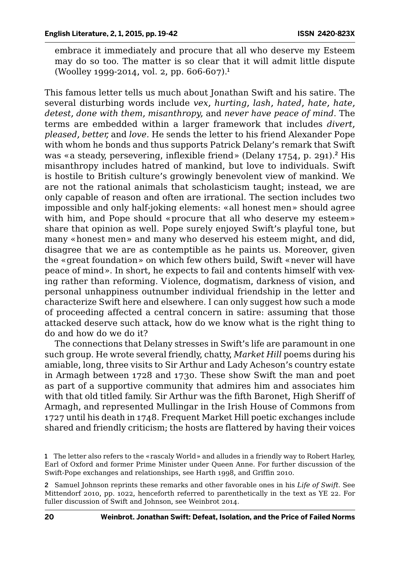embrace it immediately and procure that all who deserve my Esteem may do so too. The matter is so clear that it will admit little dispute (Woolley 1999-2014, vol. 2, pp. 606-607).<sup>1</sup>

This famous letter tells us much about Jonathan Swift and his satire. The several disturbing words include *vex, hurting, lash, hated, hate, hate, detest, done with them, misanthropy,* and *never have peace of mind*. The terms are embedded within a larger framework that includes *divert, pleased, better,* and *love.* He sends the letter to his friend Alexander Pope with whom he bonds and thus supports Patrick Delany's remark that Swift was «a steady, persevering, inflexible friend» (Delany 1754, p. 291).<sup>2</sup> His misanthropy includes hatred of mankind, but love to individuals. Swift is hostile to British culture's growingly benevolent view of mankind. We are not the rational animals that scholasticism taught; instead, we are only capable of reason and often are irrational. The section includes two impossible and only half-joking elements: «all honest men» should agree with him, and Pope should «procure that all who deserve my esteem» share that opinion as well. Pope surely enjoyed Swift's playful tone, but many «honest men» and many who deserved his esteem might, and did, disagree that we are as contemptible as he paints us. Moreover, given the «great foundation» on which few others build, Swift «never will have peace of mind». In short, he expects to fail and contents himself with vexing rather than reforming. Violence, dogmatism, darkness of vision, and personal unhappiness outnumber individual friendship in the letter and characterize Swift here and elsewhere. I can only suggest how such a mode of proceeding affected a central concern in satire: assuming that those attacked deserve such attack, how do we know what is the right thing to do and how do we do it?

The connections that Delany stresses in Swift's life are paramount in one such group. He wrote several friendly, chatty, *Market Hill* poems during his amiable, long, three visits to Sir Arthur and Lady Acheson's country estate in Armagh between 1728 and 1730. These show Swift the man and poet as part of a supportive community that admires him and associates him with that old titled family. Sir Arthur was the fifth Baronet, High Sheriff of Armagh, and represented Mullingar in the Irish House of Commons from 1727 until his death in 1748. Frequent Market Hill poetic exchanges include shared and friendly criticism; the hosts are flattered by having their voices

<sup>1</sup> The letter also refers to the «rascaly World» and alludes in a friendly way to Robert Harley, Earl of Oxford and former Prime Minister under Queen Anne. For further discussion of the Swift-Pope exchanges and relationships, see Harth 1998, and Griffin 2010.

<sup>2</sup> Samuel Johnson reprints these remarks and other favorable ones in his *Life of Swift*. See Mittendorf 2010, pp. 1022, henceforth referred to parenthetically in the text as YE 22. For fuller discussion of Swift and Johnson, see Weinbrot 2014.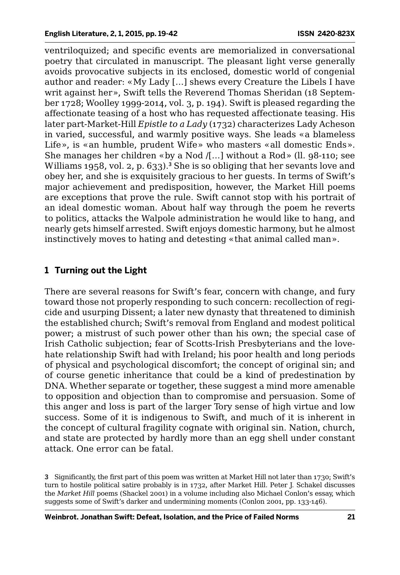ventriloquized; and specific events are memorialized in conversational poetry that circulated in manuscript. The pleasant light verse generally avoids provocative subjects in its enclosed, domestic world of congenial author and reader: «My Lady […] shews every Creature the Libels I have writ against her», Swift tells the Reverend Thomas Sheridan (18 September 1728; Woolley 1999-2014, vol. 3, p. 194). Swift is pleased regarding the affectionate teasing of a host who has requested affectionate teasing. His later part-Market-Hill *Epistle to a Lady* (1732) characterizes Lady Acheson in varied, successful, and warmly positive ways. She leads «a blameless Life», is «an humble, prudent Wife» who masters «all domestic Ends». She manages her children «by a Nod /[…] without a Rod» (ll. 98-110; see Williams 1958, vol. 2, p. 633).<sup>3</sup> She is so obliging that her sevants love and obey her, and she is exquisitely gracious to her guests. In terms of Swift's major achievement and predisposition, however, the Market Hill poems are exceptions that prove the rule. Swift cannot stop with his portrait of an ideal domestic woman. About half way through the poem he reverts to politics, attacks the Walpole administration he would like to hang, and nearly gets himself arrested. Swift enjoys domestic harmony, but he almost instinctively moves to hating and detesting «that animal called man».

### **1 Turning out the Light**

There are several reasons for Swift's fear, concern with change, and fury toward those not properly responding to such concern: recollection of regicide and usurping Dissent; a later new dynasty that threatened to diminish the established church; Swift's removal from England and modest political power; a mistrust of such power other than his own; the special case of Irish Catholic subjection; fear of Scotts-Irish Presbyterians and the lovehate relationship Swift had with Ireland; his poor health and long periods of physical and psychological discomfort; the concept of original sin; and of course genetic inheritance that could be a kind of predestination by DNA. Whether separate or together, these suggest a mind more amenable to opposition and objection than to compromise and persuasion. Some of this anger and loss is part of the larger Tory sense of high virtue and low success. Some of it is indigenous to Swift, and much of it is inherent in the concept of cultural fragility cognate with original sin. Nation, church, and state are protected by hardly more than an egg shell under constant attack. One error can be fatal.

3 Significantly, the first part of this poem was written at Market Hill not later than 1730; Swift's turn to hostile political satire probably is in 1732, after Market Hill. Peter J. Schakel discusses the *Market Hill* poems (Shackel 2001) in a volume including also Michael Conlon's essay, which suggests some of Swift's darker and undermining moments (Conlon 2001, pp. 133-146).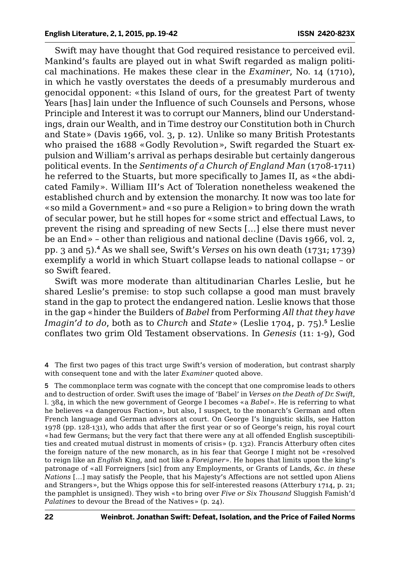Swift may have thought that God required resistance to perceived evil. Mankind's faults are played out in what Swift regarded as malign political machinations. He makes these clear in the *Examiner*, No. 14 (1710), in which he vastly overstates the deeds of a presumably murderous and genocidal opponent: «this Island of ours, for the greatest Part of twenty Years [has] lain under the Influence of such Counsels and Persons, whose Principle and Interest it was to corrupt our Manners, blind our Understandings, drain our Wealth, and in Time destroy our Constitution both in Church and State» (Davis 1966, vol. 3, p. 12). Unlike so many British Protestants who praised the 1688 «Godly Revolution», Swift regarded the Stuart expulsion and William's arrival as perhaps desirable but certainly dangerous political events. In the *Sentiments of a Church of England Man* (1708-1711) he referred to the Stuarts, but more specifically to James II, as «the abdicated Family». William III's Act of Toleration nonetheless weakened the established church and by extension the monarchy. It now was too late for «so mild a Government» and «so pure a Religion» to bring down the wrath of secular power, but he still hopes for «some strict and effectual Laws, to prevent the rising and spreading of new Sects […] else there must never be an End» – other than religious and national decline (Davis 1966, vol. 2, pp. 3 and 5).<sup>4</sup> As we shall see, Swift's *Verses* on his own death (1731; 1739) exemplify a world in which Stuart collapse leads to national collapse – or so Swift feared.

Swift was more moderate than altitudinarian Charles Leslie, but he shared Leslie's premise: to stop such collapse a good man must bravely stand in the gap to protect the endangered nation. Leslie knows that those in the gap «hinder the Builders of *Babel* from Performing *All that they have Imagin'd to do*, both as to *Church* and *State* » (Leslie 1704, p. 75).<sup>5</sup> Leslie conflates two grim Old Testament observations. In *Genesis* (11: 1-9), God

4 The first two pages of this tract urge Swift's version of moderation, but contrast sharply with consequent tone and with the later *Examiner* quoted above.

5 The commonplace term was cognate with the concept that one compromise leads to others and to destruction of order. Swift uses the image of 'Babel' in *Verses on the Death of Dr. Swift*, l. 384, in which the new government of George I becomes «a *Babel*». He is referring to what he believes «a dangerous Faction», but also, I suspect, to the monarch's German and often French language and German advisors at court. On George I's linguistic skills, see Hatton 1978 (pp. 128-131), who adds that after the first year or so of George's reign, his royal court «had few Germans; but the very fact that there were any at all offended English susceptibilities and created mutual distrust in moments of crisis» (p. 132). Francis Atterbury often cites the foreign nature of the new monarch, as in his fear that George I might not be «resolved to reign like an *English* King, and not like a *Foreigner*». He hopes that limits upon the king's patronage of «all Forreigners [sic] from any Employments, or Grants of Lands, *&c. in these Nations* […] may satisfy the People, that his Majesty's Affections are not settled upon Aliens and Strangers», but the Whigs oppose this for self-interested reasons (Atterbury 1714, p. 21; the pamphlet is unsigned). They wish «to bring over *Five or Six Thousand* Sluggish Famish'd *Palatines* to devour the Bread of the Natives» (p. 24).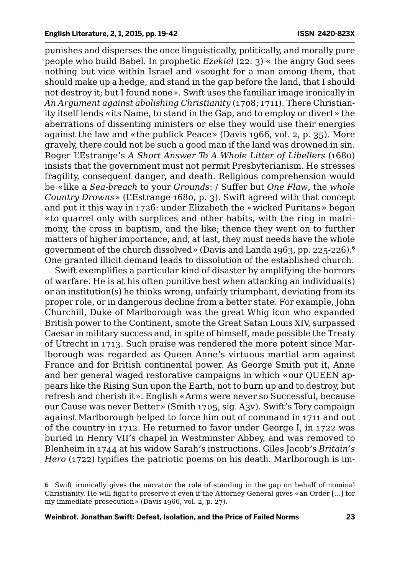punishes and disperses the once linguistically, politically, and morally pure people who build Babel. In prophetic *Ezekiel* (22: 3) « the angry God sees nothing but vice within Israel and «sought for a man among them, that should make up a hedge, and stand in the gap before the land, that I should not destroy it; but I found none». Swift uses the familiar image ironically in *An Argument against abolishing Christianity* (1708; 1711). There Christianity itself lends «its Name, to stand in the Gap, and to employ or divert» the aberrations of dissenting ministers or else they would use their energies against the law and «the publick Peace» (Davis 1966, vol. 2, p. 35). More gravely, there could not be such a good man if the land was drowned in sin. Roger L'Estrange's *A Short Answer To A Whole Litter of Libellers* (1680) insists that the government must not permit Presbyterianism. He stresses fragility, consequent danger, and death. Religious comprehension would be «like a *Sea-breach* to your *Grounds*: / Suffer but *One Flaw*, the *whole Country Drowns*» (L'Estrange 1680, p. 3). Swift agreed with that concept and put it this way in 1726: under Elizabeth the «wicked Puritans» began «to quarrel only with surplices and other habits, with the ring in matrimony, the cross in baptism, and the like; thence they went on to further matters of higher importance, and, at last, they must needs have the whole government of the church dissolved» (Davis and Landa 1963, pp. 225-226).<sup>6</sup> One granted illicit demand leads to dissolution of the established church.

Swift exemplifies a particular kind of disaster by amplifying the horrors of warfare. He is at his often punitive best when attacking an individual(s) or an institution(s) he thinks wrong, unfairly triumphant, deviating from its proper role, or in dangerous decline from a better state. For example, John Churchill, Duke of Marlborough was the great Whig icon who expanded British power to the Continent, smote the Great Satan Louis XIV, surpassed Caesar in military success and, in spite of himself, made possible the Treaty of Utrecht in 1713. Such praise was rendered the more potent since Marlborough was regarded as Queen Anne's virtuous martial arm against France and for British continental power. As George Smith put it, Anne and her general waged restorative campaigns in which «our QUEEN appears like the Rising Sun upon the Earth, not to burn up and to destroy, but refresh and cherish it». English «Arms were never so Successful, because our Cause was never Better» (Smith 1705, sig. A3v). Swift's Tory campaign against Marlborough helped to force him out of command in 1711 and out of the country in 1712. He returned to favor under George I, in 1722 was buried in Henry VII's chapel in Westminster Abbey, and was removed to Blenheim in 1744 at his widow Sarah's instructions. Giles Jacob's *Britain's Hero* (1722) typifies the patriotic poems on his death. Marlborough is im-

<sup>6</sup> Swift ironically gives the narrator the role of standing in the gap on behalf of nominal Christianity. He will fight to preserve it even if the Attorney General gives «an Order […] for my immediate prosecution» (Davis 1966, vol. 2, p. 27).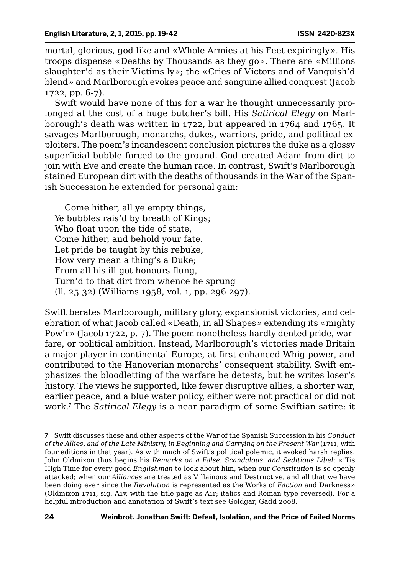mortal, glorious, god-like and «Whole Armies at his Feet expiringly». His troops dispense «Deaths by Thousands as they go». There are «Millions slaughter'd as their Victims ly»; the «Cries of Victors and of Vanquish'd blend» and Marlborough evokes peace and sanguine allied conquest (Jacob 1722, pp. 6-7).

Swift would have none of this for a war he thought unnecessarily prolonged at the cost of a huge butcher's bill. His *Satirical Elegy* on Marlborough's death was written in 1722, but appeared in 1764 and 1765. It savages Marlborough, monarchs, dukes, warriors, pride, and political exploiters. The poem's incandescent conclusion pictures the duke as a glossy superficial bubble forced to the ground. God created Adam from dirt to join with Eve and create the human race. In contrast, Swift's Marlborough stained European dirt with the deaths of thousands in the War of the Spanish Succession he extended for personal gain:

Come hither, all ye empty things, Ye bubbles rais'd by breath of Kings; Who float upon the tide of state, Come hither, and behold your fate. Let pride be taught by this rebuke, How very mean a thing's a Duke; From all his ill-got honours flung, Turn'd to that dirt from whence he sprung (ll. 25-32) (Williams 1958, vol. 1, pp. 296-297).

Swift berates Marlborough, military glory, expansionist victories, and celebration of what Jacob called «Death, in all Shapes» extending its «mighty Pow'r» (Jacob 1722, p. 7). The poem nonetheless hardly dented pride, warfare, or political ambition. Instead, Marlborough's victories made Britain a major player in continental Europe, at first enhanced Whig power, and contributed to the Hanoverian monarchs' consequent stability. Swift emphasizes the bloodletting of the warfare he detests, but he writes loser's history. The views he supported, like fewer disruptive allies, a shorter war, earlier peace, and a blue water policy, either were not practical or did not work.<sup>7</sup> The *Satirical Elegy* is a near paradigm of some Swiftian satire: it

<sup>7</sup> Swift discusses these and other aspects of the War of the Spanish Succession in his *Conduct of the Allies, and of the Late Ministry, in Beginning and Carrying on the Present War* (1711, with four editions in that year). As with much of Swift's political polemic, it evoked harsh replies. John Oldmixon thus begins his *Remarks on a False, Scandalous, and Seditious Libel*: «'Tis High Time for every good *Englishman* to look about him, when our *Constitution* is so openly attacked; when our *Alliances* are treated as Villainous and Destructive, and all that we have been doing ever since the *Revolution* is represented as the Works of *Faction* and Darkness» (Oldmixon 1711, sig. A1v, with the title page as A1r; italics and Roman type reversed). For a helpful introduction and annotation of Swift's text see Goldgar, Gadd 2008.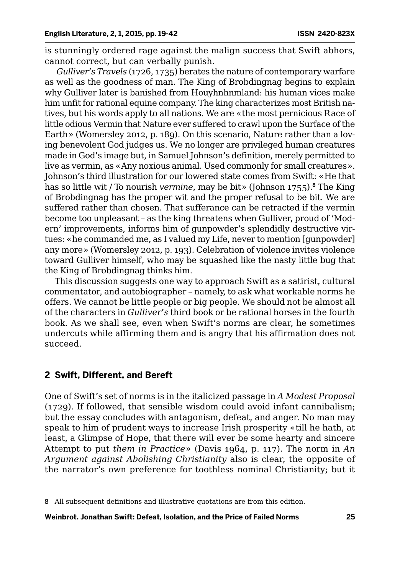is stunningly ordered rage against the malign success that Swift abhors, cannot correct, but can verbally punish.

*Gulliver's Travels* (1726, 1735) berates the nature of contemporary warfare as well as the goodness of man. The King of Brobdingnag begins to explain why Gulliver later is banished from Houyhnhnmland: his human vices make him unfit for rational equine company. The king characterizes most British natives, but his words apply to all nations. We are «the most pernicious Race of little odious Vermin that Nature ever suffered to crawl upon the Surface of the Earth» (Womersley 2012, p. 189). On this scenario, Nature rather than a loving benevolent God judges us. We no longer are privileged human creatures made in God's image but, in Samuel Johnson's definition, merely permitted to live as vermin, as «Any noxious animal. Used commonly for small creatures». Johnson's third illustration for our lowered state comes from Swift: «He that has so little wit / To nourish *vermine*, may be bit» (Johnson 1755).<sup>8</sup> The King of Brobdingnag has the proper wit and the proper refusal to be bit. We are suffered rather than chosen. That sufferance can be retracted if the vermin become too unpleasant – as the king threatens when Gulliver, proud of 'Modern' improvements, informs him of gunpowder's splendidly destructive virtues: «he commanded me, as I valued my Life, never to mention [gunpowder] any more» (Womersley 2012, p. 193). Celebration of violence invites violence toward Gulliver himself, who may be squashed like the nasty little bug that the King of Brobdingnag thinks him.

This discussion suggests one way to approach Swift as a satirist, cultural commentator, and autobiographer – namely, to ask what workable norms he offers. We cannot be little people or big people. We should not be almost all of the characters in *Gulliver's* third book or be rational horses in the fourth book. As we shall see, even when Swift's norms are clear, he sometimes undercuts while affirming them and is angry that his affirmation does not succeed.

### **2 Swift, Different, and Bereft**

One of Swift's set of norms is in the italicized passage in *A Modest Proposal* (1729). If followed, that sensible wisdom could avoid infant cannibalism; but the essay concludes with antagonism, defeat, and anger. No man may speak to him of prudent ways to increase Irish prosperity «till he hath, at least, a Glimpse of Hope, that there will ever be some hearty and sincere Attempt to put *them in Practice*» (Davis 1964, p. 117). The norm in *An Argument against Abolishing Christianity* also is clear, the opposite of the narrator's own preference for toothless nominal Christianity; but it

<sup>8</sup> All subsequent definitions and illustrative quotations are from this edition.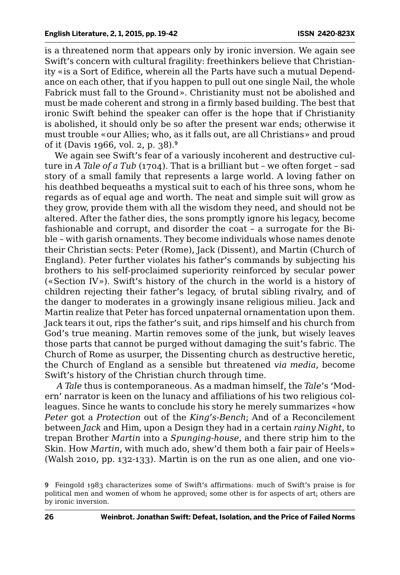is a threatened norm that appears only by ironic inversion. We again see Swift's concern with cultural fragility: freethinkers believe that Christianity «is a Sort of Edifice, wherein all the Parts have such a mutual Dependance on each other, that if you happen to pull out one single Nail, the whole Fabrick must fall to the Ground». Christianity must not be abolished and must be made coherent and strong in a firmly based building. The best that ironic Swift behind the speaker can offer is the hope that if Christianity is abolished, it should only be so after the present war ends; otherwise it must trouble «our Allies; who, as it falls out, are all Christians» and proud of it (Davis 1966, vol. 2, p. 38).<sup>9</sup>

We again see Swift's fear of a variously incoherent and destructive culture in *A Tale of a Tub* (1704). That is a brilliant but - we often forget - sad story of a small family that represents a large world. A loving father on his deathbed bequeaths a mystical suit to each of his three sons, whom he regards as of equal age and worth. The neat and simple suit will grow as they grow, provide them with all the wisdom they need, and should not be altered. After the father dies, the sons promptly ignore his legacy, become fashionable and corrupt, and disorder the coat – a surrogate for the Bible – with garish ornaments. They become individuals whose names denote their Christian sects: Peter (Rome), Jack (Dissent), and Martin (Church of England). Peter further violates his father's commands by subjecting his brothers to his self-proclaimed superiority reinforced by secular power («Section IV»). Swift's history of the church in the world is a history of children rejecting their father's legacy, of brutal sibling rivalry, and of the danger to moderates in a growingly insane religious milieu. Jack and Martin realize that Peter has forced unpaternal ornamentation upon them. Jack tears it out, rips the father's suit, and rips himself and his church from God's true meaning. Martin removes some of the junk, but wisely leaves those parts that cannot be purged without damaging the suit's fabric. The Church of Rome as usurper, the Dissenting church as destructive heretic, the Church of England as a sensible but threatened *via media*, become Swift's history of the Christian church through time.

*A Tale* thus is contemporaneous. As a madman himself, the *Tale*'s 'Modern' narrator is keen on the lunacy and affiliations of his two religious colleagues. Since he wants to conclude his story he merely summarizes «how *Peter* got a *Protection* out of the *King's-Bench*; And of a Reconcilement between *Jack* and Him, upon a Design they had in a certain *rainy Night*, to trepan Brother *Martin* into a *Spunging-house*, and there strip him to the Skin. How *Martin*, with much ado, shew'd them both a fair pair of Heels» (Walsh 2010, pp. 132-133). Martin is on the run as one alien, and one vio-

<sup>9</sup> Feingold 1983 characterizes some of Swift's affirmations: much of Swift's praise is for political men and women of whom he approved; some other is for aspects of art; others are by ironic inversion.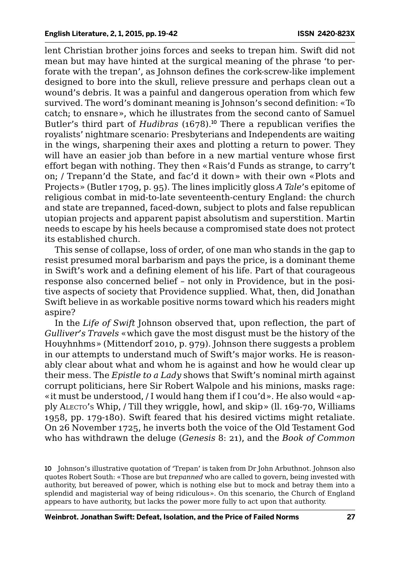lent Christian brother joins forces and seeks to trepan him. Swift did not mean but may have hinted at the surgical meaning of the phrase 'to perforate with the trepan', as Johnson defines the cork-screw-like implement designed to bore into the skull, relieve pressure and perhaps clean out a wound's debris. It was a painful and dangerous operation from which few survived. The word's dominant meaning is Johnson's second definition: «To catch; to ensnare», which he illustrates from the second canto of Samuel Butler's third part of *Hudibras* (1678).<sup>10</sup> There a republican verifies the royalists' nightmare scenario: Presbyterians and Independents are waiting in the wings, sharpening their axes and plotting a return to power. They will have an easier job than before in a new martial venture whose first effort began with nothing. They then «Rais'd Funds as strange, to carry't on; / Trepann'd the State, and fac'd it down» with their own «Plots and Projects» (Butler 1709, p. 95). The lines implicitly gloss *A Tale*'s epitome of religious combat in mid-to-late seventeenth-century England: the church and state are trepanned, faced-down, subject to plots and false republican utopian projects and apparent papist absolutism and superstition. Martin needs to escape by his heels because a compromised state does not protect its established church.

This sense of collapse, loss of order, of one man who stands in the gap to resist presumed moral barbarism and pays the price, is a dominant theme in Swift's work and a defining element of his life. Part of that courageous response also concerned belief – not only in Providence, but in the positive aspects of society that Providence supplied. What, then, did Jonathan Swift believe in as workable positive norms toward which his readers might aspire?

In the *Life of Swift* Johnson observed that, upon reflection, the part of *Gulliver's Travels* «which gave the most disgust must be the history of the Houyhnhms» (Mittendorf 2010, p. 979). Johnson there suggests a problem in our attempts to understand much of Swift's major works. He is reasonably clear about what and whom he is against and how he would clear up their mess. The *Epistle to a Lady* shows that Swift's nominal mirth against corrupt politicians, here Sir Robert Walpole and his minions, masks rage: «it must be understood, / I would hang them if I cou'd». He also would «apply Alecto's Whip, / Till they wriggle, howl, and skip» (ll. 169-70, Williams 1958, pp. 179-180). Swift feared that his desired victims might retaliate. On 26 November 1725, he inverts both the voice of the Old Testament God who has withdrawn the deluge (*Genesis* 8: 21), and the *Book of Common* 

10 Johnson's illustrative quotation of 'Trepan' is taken from Dr John Arbuthnot. Johnson also quotes Robert South: «Those are but *trepanned* who are called to govern, being invested with authority, but bereaved of power, which is nothing else but to mock and betray them into a splendid and magisterial way of being ridiculous». On this scenario, the Church of England appears to have authority, but lacks the power more fully to act upon that authority.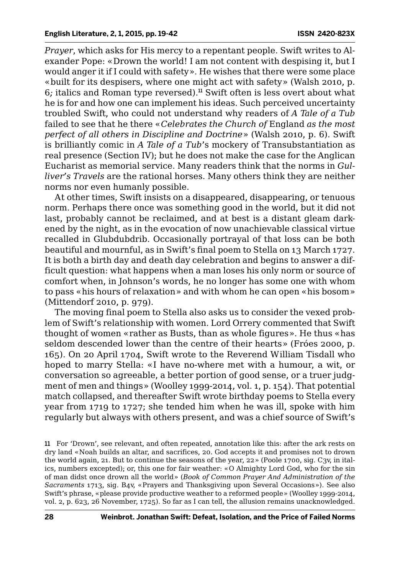*Prayer*, which asks for His mercy to a repentant people. Swift writes to Alexander Pope: «Drown the world! I am not content with despising it, but I would anger it if I could with safety». He wishes that there were some place «built for its despisers, where one might act with safety» (Walsh 2010, p. 6*;* italics and Roman type reversed).<sup>11</sup> Swift often is less overt about what he is for and how one can implement his ideas. Such perceived uncertainty troubled Swift, who could not understand why readers of *A Tale of a Tub* failed to see that he there «*Celebrates the Church of* England *as the most perfect of all others in Discipline and Doctrine*» (Walsh 2010, p. 6). Swift is brilliantly comic in *A Tale of a Tub*'s mockery of Transubstantiation as real presence (Section IV); but he does not make the case for the Anglican Eucharist as memorial service. Many readers think that the norms in *Gulliver's Travels* are the rational horses. Many others think they are neither norms nor even humanly possible.

At other times, Swift insists on a disappeared, disappearing, or tenuous norm. Perhaps there once was something good in the world, but it did not last, probably cannot be reclaimed, and at best is a distant gleam darkened by the night, as in the evocation of now unachievable classical virtue recalled in Glubdubdrib. Occasionally portrayal of that loss can be both beautiful and mournful, as in Swift's final poem to Stella on 13 March 1727. It is both a birth day and death day celebration and begins to answer a difficult question: what happens when a man loses his only norm or source of comfort when, in Johnson's words, he no longer has some one with whom to pass «his hours of relaxation» and with whom he can open «his bosom» (Mittendorf 2010, p. 979).

The moving final poem to Stella also asks us to consider the vexed problem of Swift's relationship with women. Lord Orrery commented that Swift thought of women «rather as Busts, than as whole figures». He thus «has seldom descended lower than the centre of their hearts» (Fróes 2000, p. 165). On 20 April 1704, Swift wrote to the Reverend William Tisdall who hoped to marry Stella: «I have no-where met with a humour, a wit, or conversation so agreeable, a better portion of good sense, or a truer judgment of men and things» (Woolley 1999-2014, vol. 1, p. 154). That potential match collapsed, and thereafter Swift wrote birthday poems to Stella every year from 1719 to 1727; she tended him when he was ill, spoke with him regularly but always with others present, and was a chief source of Swift's

11 For 'Drown', see relevant, and often repeated, annotation like this: after the ark rests on dry land «Noah builds an altar, and sacrifices, 20. God accepts it and promises not to drown the world again, 21. But to continue the seasons of the year, 22» (Poole 1700, sig. C3v, in italics, numbers excepted); or, this one for fair weather: «O Almighty Lord God, who for the sin of man didst once drown all the world» (*Book of Common Prayer And Administration of the Sacraments* 1713, sig. B4v, «Prayers and Thanksgiving upon Several Occasions»). See also Swift's phrase, «please provide productive weather to a reformed people» (Woolley 1999-2014, vol. 2, p. 623, 26 November, 1725). So far as I can tell, the allusion remains unacknowledged.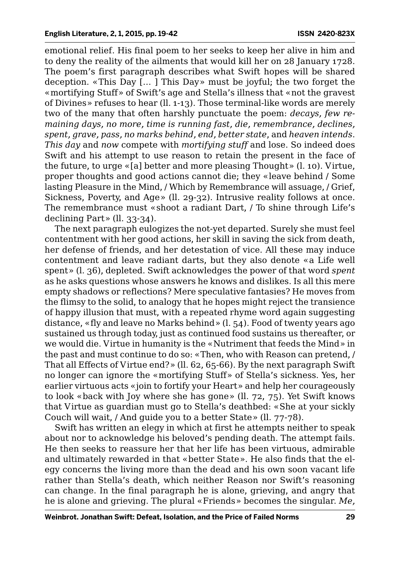emotional relief. His final poem to her seeks to keep her alive in him and to deny the reality of the ailments that would kill her on 28 January 1728. The poem's first paragraph describes what Swift hopes will be shared deception. «This Day [… ] This Day» must be joyful; the two forget the «mortifying Stuff» of Swift's age and Stella's illness that «not the gravest of Divines» refuses to hear (ll. 1-13). Those terminal-like words are merely two of the many that often harshly punctuate the poem: *decays, few remaining days, no more, time is running fast, die, remembrance, declines, spent, grave, pass, no marks behind, end, better state*, and *heaven intends*. *This day* and *now* compete with *mortifying stuff* and lose. So indeed does Swift and his attempt to use reason to retain the present in the face of the future, to urge «[a] better and more pleasing Thought» (l. 10). Virtue, proper thoughts and good actions cannot die; they «leave behind / Some lasting Pleasure in the Mind, / Which by Remembrance will assuage, / Grief, Sickness, Poverty, and Age» (ll. 29-32). Intrusive reality follows at once. The remembrance must «shoot a radiant Dart, / To shine through Life's declining Part» (ll. 33-34).

The next paragraph eulogizes the not-yet departed. Surely she must feel contentment with her good actions, her skill in saving the sick from death, her defense of friends, and her detestation of vice. All these may induce contentment and leave radiant darts, but they also denote «a Life well spent» (l. 36), depleted. Swift acknowledges the power of that word *spent* as he asks questions whose answers he knows and dislikes. Is all this mere empty shadows or reflections? Mere speculative fantasies? He moves from the flimsy to the solid, to analogy that he hopes might reject the transience of happy illusion that must, with a repeated rhyme word again suggesting distance, «fly and leave no Marks behind» (l. 54). Food of twenty years ago sustained us through today, just as continued food sustains us thereafter, or we would die. Virtue in humanity is the «Nutriment that feeds the Mind» in the past and must continue to do so: «Then, who with Reason can pretend, / That all Effects of Virtue end?» (ll. 62, 65-66). By the next paragraph Swift no longer can ignore the «mortifying Stuff» of Stella's sickness. Yes, her earlier virtuous acts «join to fortify your Heart» and help her courageously to look «back with Joy where she has gone» (ll. 72, 75). Yet Swift knows that Virtue as guardian must go to Stella's deathbed: «She at your sickly Couch will wait, / And guide you to a better State» (ll. 77-78).

Swift has written an elegy in which at first he attempts neither to speak about nor to acknowledge his beloved's pending death. The attempt fails. He then seeks to reassure her that her life has been virtuous, admirable and ultimately rewarded in that «better State». He also finds that the elegy concerns the living more than the dead and his own soon vacant life rather than Stella's death, which neither Reason nor Swift's reasoning can change. In the final paragraph he is alone, grieving, and angry that he is alone and grieving. The plural «Friends» becomes the singular. *Me,*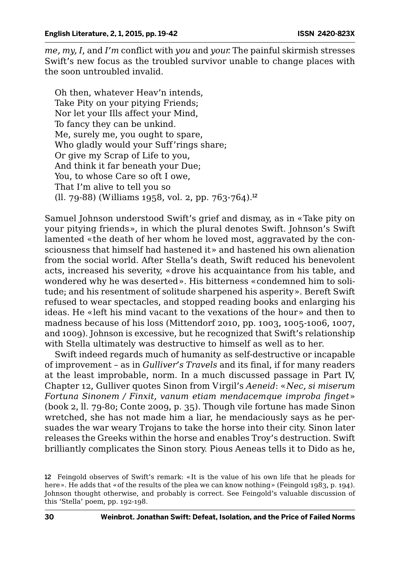*me, my, I*, and *I'm* conflict with *you* and *your.* The painful skirmish stresses Swift's new focus as the troubled survivor unable to change places with the soon untroubled invalid.

Oh then, whatever Heav'n intends, Take Pity on your pitying Friends; Nor let your Ills affect your Mind, To fancy they can be unkind. Me, surely me, you ought to spare, Who gladly would your Suff'rings share; Or give my Scrap of Life to you, And think it far beneath your Due; You, to whose Care so oft I owe, That I'm alive to tell you so (ll. 79-88) (Williams 1958, vol. 2, pp. 763-764).<sup>12</sup>

Samuel Johnson understood Swift's grief and dismay, as in «Take pity on your pitying friends», in which the plural denotes Swift. Johnson's Swift lamented «the death of her whom he loved most, aggravated by the consciousness that himself had hastened it» and hastened his own alienation from the social world. After Stella's death, Swift reduced his benevolent acts, increased his severity, «drove his acquaintance from his table, and wondered why he was deserted». His bitterness «condemned him to solitude; and his resentment of solitude sharpened his asperity». Bereft Swift refused to wear spectacles, and stopped reading books and enlarging his ideas. He «left his mind vacant to the vexations of the hour» and then to madness because of his loss (Mittendorf 2010, pp. 1003, 1005-1006, 1007, and 1009). Johnson is excessive, but he recognized that Swift's relationship with Stella ultimately was destructive to himself as well as to her.

Swift indeed regards much of humanity as self-destructive or incapable of improvement – as in *Gulliver's Travels* and its final, if for many readers at the least improbable, norm. In a much discussed passage in Part IV, Chapter 12, Gulliver quotes Sinon from Virgil's *Aeneid*: «*Nec, si miserum Fortuna Sinonem / Finxit, vanum etiam mendacemque improba finget*» (book 2, ll. 79-80; Conte 2009, p. 35). Though vile fortune has made Sinon wretched, she has not made him a liar, he mendaciously says as he persuades the war weary Trojans to take the horse into their city. Sinon later releases the Greeks within the horse and enables Troy's destruction. Swift brilliantly complicates the Sinon story. Pious Aeneas tells it to Dido as he,

<sup>12</sup> Feingold observes of Swift's remark: «It is the value of his own life that he pleads for here». He adds that «of the results of the plea we can know nothing» (Feingold 1983, p. 194). Johnson thought otherwise, and probably is correct. See Feingold's valuable discussion of this 'Stella' poem, pp. 192-198.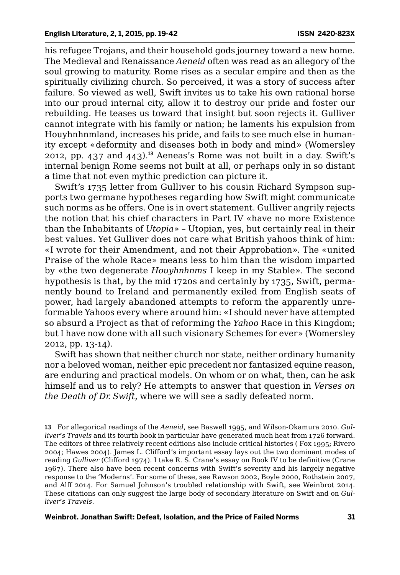his refugee Trojans, and their household gods journey toward a new home. The Medieval and Renaissance *Aeneid* often was read as an allegory of the soul growing to maturity. Rome rises as a secular empire and then as the spiritually civilizing church. So perceived, it was a story of success after failure. So viewed as well, Swift invites us to take his own rational horse into our proud internal city, allow it to destroy our pride and foster our rebuilding. He teases us toward that insight but soon rejects it. Gulliver cannot integrate with his family or nation; he laments his expulsion from Houyhnhnmland, increases his pride, and fails to see much else in humanity except «deformity and diseases both in body and mind» (Womersley 2012, pp.  $437$  and  $443$ ).<sup>13</sup> Aeneas's Rome was not built in a day. Swift's internal benign Rome seems not built at all, or perhaps only in so distant a time that not even mythic prediction can picture it.

Swift's 1735 letter from Gulliver to his cousin Richard Sympson supports two germane hypotheses regarding how Swift might communicate such norms as he offers. One is in overt statement. Gulliver angrily rejects the notion that his chief characters in Part IV «have no more Existence than the Inhabitants of *Utopia*» – Utopian, yes, but certainly real in their best values. Yet Gulliver does not care what British yahoos think of him: «I wrote for their Amendment, and not their Approbation». The «united Praise of the whole Race» means less to him than the wisdom imparted by «the two degenerate *Houyhnhnms* I keep in my Stable». The second hypothesis is that, by the mid 1720s and certainly by 1735, Swift, permanently bound to Ireland and permanently exiled from English seats of power, had largely abandoned attempts to reform the apparently unreformable Yahoos every where around him: «I should never have attempted so absurd a Project as that of reforming the *Yahoo* Race in this Kingdom; but I have now done with all such visionary Schemes for ever» (Womersley 2012, pp. 13-14).

Swift has shown that neither church nor state, neither ordinary humanity nor a beloved woman, neither epic precedent nor fantasized equine reason, are enduring and practical models. On whom or on what, then, can he ask himself and us to rely? He attempts to answer that question in *Verses on the Death of Dr. Swift*, where we will see a sadly defeated norm.

13 For allegorical readings of the *Aeneid*, see Baswell 1995, and Wilson-Okamura 2010. *Gulliver's Travels* and its fourth book in particular have generated much heat from 1726 forward. The editors of three relatively recent editions also include critical histories ( Fox 1995; Rivero 2004; Hawes 2004). James L. Clifford's important essay lays out the two dominant modes of reading *Gulliver* (Clifford 1974). I take R. S. Crane's essay on Book IV to be definitive (Crane 1967). There also have been recent concerns with Swift's severity and his largely negative response to the 'Moderns'. For some of these, see Rawson 2002, Boyle 2000, Rothstein 2007, and Alff 2014. For Samuel Johnson's troubled relationship with Swift, see Weinbrot 2014. These citations can only suggest the large body of secondary literature on Swift and on *Gulliver's Travels.*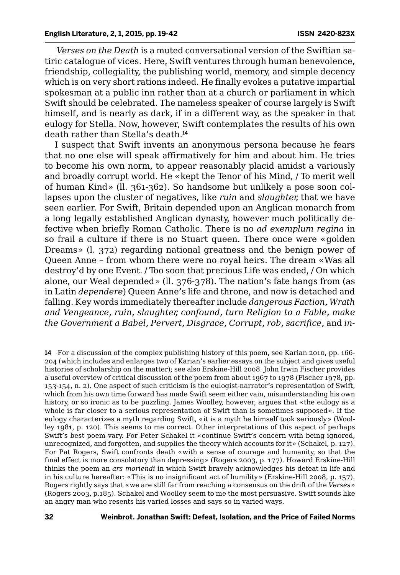*Verses on the Death* is a muted conversational version of the Swiftian satiric catalogue of vices. Here, Swift ventures through human benevolence, friendship, collegiality, the publishing world, memory, and simple decency which is on very short rations indeed. He finally evokes a putative impartial spokesman at a public inn rather than at a church or parliament in which Swift should be celebrated. The nameless speaker of course largely is Swift himself, and is nearly as dark, if in a different way, as the speaker in that eulogy for Stella. Now, however, Swift contemplates the results of his own death rather than Stella's death.<sup>14</sup>

I suspect that Swift invents an anonymous persona because he fears that no one else will speak affirmatively for him and about him. He tries to become his own norm, to appear reasonably placid amidst a variously and broadly corrupt world. He «kept the Tenor of his Mind, / To merit well of human Kind» (ll. 361-362). So handsome but unlikely a pose soon collapses upon the cluster of negatives, like *ruin* and *slaughter,* that we have seen earlier. For Swift, Britain depended upon an Anglican monarch from a long legally established Anglican dynasty, however much politically defective when briefly Roman Catholic. There is no *ad exemplum regina* in so frail a culture if there is no Stuart queen. There once were «golden Dreams» (l. 372) regarding national greatness and the benign power of Queen Anne – from whom there were no royal heirs. The dream «Was all destroy'd by one Event. / Too soon that precious Life was ended, / On which alone, our Weal depended» (ll. 376-378). The nation's fate hangs from (as in Latin *dependere*) Queen Anne's life and throne, and now is detached and falling. Key words immediately thereafter include *dangerous Faction, Wrath and Vengeance, ruin, slaughter, confound, turn Religion to a Fable, make the Government a Babel, Pervert, Disgrace, Corrupt, rob, sacrifice,* and *in-*

14 For a discussion of the complex publishing history of this poem, see Karian 2010, pp. 166- 204 (which includes and enlarges two of Karian's earlier essays on the subject and gives useful histories of scholarship on the matter); see also Erskine-Hill 2008. John Irwin Fischer provides a useful overview of critical discussion of the poem from about 1967 to 1978 (Fischer 1978, pp. 153-154, n. 2). One aspect of such criticism is the eulogist-narrator's representation of Swift, which from his own time forward has made Swift seem either vain, misunderstanding his own history, or so ironic as to be puzzling. James Woolley, however, argues that «the eulogy as a whole is far closer to a serious representation of Swift than is sometimes supposed». If the eulogy characterizes a myth regarding Swift, «it is a myth he himself took seriously» (Woolley 1981, p. 120). This seems to me correct. Other interpretations of this aspect of perhaps Swift's best poem vary. For Peter Schakel it «continue Swift's concern with being ignored, unrecognized, and forgotten, and supplies the theory which accounts for it» (Schakel, p. 127). For Pat Rogers, Swift confronts death «with a sense of courage and humanity, so that the final effect is more consolatory than depressing» (Rogers 2003, p. 177). Howard Erskine-Hill thinks the poem an *ars moriendi* in which Swift bravely acknowledges his defeat in life and in his culture hereafter: «This is no insignificant act of humility» (Erskine-Hill 2008, p. 157). Rogers rightly says that «we are still far from reaching a consensus on the drift of the *Verses*» (Rogers 2003, p.185). Schakel and Woolley seem to me the most persuasive. Swift sounds like an angry man who resents his varied losses and says so in varied ways.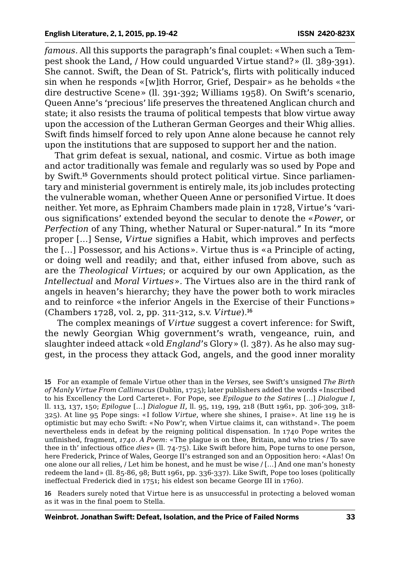*famous.* All this supports the paragraph's final couplet: «When such a Tempest shook the Land, / How could unguarded Virtue stand?» (ll. 389-391). She cannot. Swift, the Dean of St. Patrick's, flirts with politically induced sin when he responds «[w]ith Horror, Grief, Despair» as he beholds «the dire destructive Scene» (ll. 391-392; Williams 1958). On Swift's scenario, Queen Anne's 'precious' life preserves the threatened Anglican church and state; it also resists the trauma of political tempests that blow virtue away upon the accession of the Lutheran German Georges and their Whig allies. Swift finds himself forced to rely upon Anne alone because he cannot rely upon the institutions that are supposed to support her and the nation.

That grim defeat is sexual, national, and cosmic. Virtue as both image and actor traditionally was female and regularly was so used by Pope and by Swift.15 Governments should protect political virtue. Since parliamentary and ministerial government is entirely male, its job includes protecting the vulnerable woman, whether Queen Anne or personified Virtue. It does neither. Yet more, as Ephraim Chambers made plain in 1728, Virtue's 'various significations' extended beyond the secular to denote the «*Power*, or *Perfection* of any Thing, whether Natural or Super-natural." In its "more proper […] Sense, *Virtue* signifies a Habit, which improves and perfects the […] Possessor, and his Actions». Virtue thus is «a Principle of acting, or doing well and readily; and that, either infused from above, such as are the *Theological Virtues*; or acquired by our own Application, as the *Intellectual* and *Moral Virtues*»*.* The Virtues also are in the third rank of angels in heaven's hierarchy; they have the power both to work miracles and to reinforce «the inferior Angels in the Exercise of their Functions» (Chambers 1728, vol. 2, pp. 311-312, s.v. *Virtue*).<sup>16</sup>

 The complex meanings of *Virtue* suggest a covert inference: for Swift, the newly Georgian Whig government's wrath, vengeance, ruin, and slaughter indeed attack «old *England*'s Glory» (l. 387). As he also may suggest, in the process they attack God, angels, and the good inner morality

16 Readers surely noted that Virtue here is as unsuccessful in protecting a beloved woman as it was in the final poem to Stella.

<sup>15</sup> For an example of female Virtue other than in the *Verses*, see Swift's unsigned *The Birth of Manly Virtue From Callimacus* (Dublin, 1725); later publishers added the words «Inscribed to his Excellency the Lord Carteret». For Pope, see *Epilogue to the Satires* [*…*] *Dialogue I*, ll. 113, 137, 150; *Epilogue* [*…*] *Dialogue II*, ll. 95, 119, 199, 218 (Butt 1961, pp. 306-309, 318- 325). At line 95 Pope sings: «I follow *Virtue*, where she shines, I praise». At line 119 he is optimistic but may echo Swift: «No Pow'r, when Virtue claims it, can withstand». The poem nevertheless ends in defeat by the reigning political dispensation. In 1740 Pope writes the unfinished, fragment, *1740. A Poem*: «The plague is on thee, Britain, and who tries / To save thee in th' infectious office *dies*» (ll. 74-75). Like Swift before him, Pope turns to one person, here Frederick, Prince of Wales, George II's estranged son and an Opposition hero: «Alas! On one alone our all relies, / Let him be honest, and he must be wise / […] And one man's honesty redeem the land» (ll. 85-86, 98; Butt 1961, pp. 336-337). Like Swift, Pope too loses (politically ineffectual Frederick died in 1751; his eldest son became George III in 1760).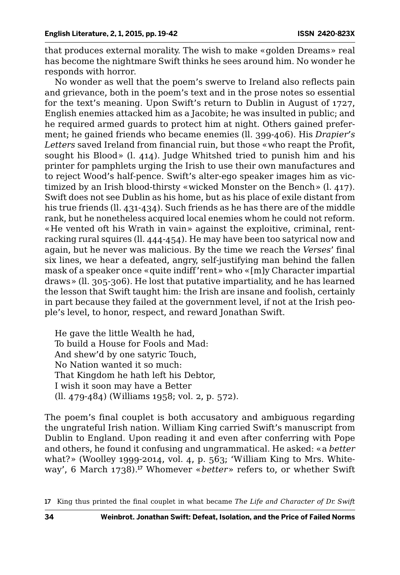that produces external morality. The wish to make «golden Dreams» real has become the nightmare Swift thinks he sees around him. No wonder he responds with horror.

No wonder as well that the poem's swerve to Ireland also reflects pain and grievance, both in the poem's text and in the prose notes so essential for the text's meaning. Upon Swift's return to Dublin in August of 1727, English enemies attacked him as a Jacobite; he was insulted in public; and he required armed guards to protect him at night. Others gained preferment; he gained friends who became enemies (ll. 399-406). His *Drapier's Letters* saved Ireland from financial ruin, but those «who reapt the Profit, sought his Blood» (l. 414). Judge Whitshed tried to punish him and his printer for pamphlets urging the Irish to use their own manufactures and to reject Wood's half-pence. Swift's alter-ego speaker images him as victimized by an Irish blood-thirsty «wicked Monster on the Bench» (l. 417). Swift does not see Dublin as his home, but as his place of exile distant from his true friends (ll. 431-434). Such friends as he has there are of the middle rank, but he nonetheless acquired local enemies whom he could not reform. «He vented oft his Wrath in vain» against the exploitive, criminal, rentracking rural squires (ll. 444-454). He may have been too satyrical now and again, but he never was malicious. By the time we reach the *Verses*' final six lines, we hear a defeated, angry, self-justifying man behind the fallen mask of a speaker once «quite indiff'rent» who «[m]y Character impartial draws» (ll. 305-306). He lost that putative impartiality, and he has learned the lesson that Swift taught him: the Irish are insane and foolish, certainly in part because they failed at the government level, if not at the Irish people's level, to honor, respect, and reward Jonathan Swift.

He gave the little Wealth he had, To build a House for Fools and Mad: And shew'd by one satyric Touch, No Nation wanted it so much: That Kingdom he hath left his Debtor, I wish it soon may have a Better (ll. 479-484) (Williams 1958; vol. 2, p. 572).

The poem's final couplet is both accusatory and ambiguous regarding the ungrateful Irish nation. William King carried Swift's manuscript from Dublin to England. Upon reading it and even after conferring with Pope and others, he found it confusing and ungrammatical. He asked: «a *better* what?» (Woolley 1999-2014, vol. 4, p. 563; 'William King to Mrs. Whiteway', 6 March 1738).<sup>17</sup> Whomever «*better*» refers to, or whether Swift

<sup>17</sup> King thus printed the final couplet in what became *The Life and Character of Dr. Swift*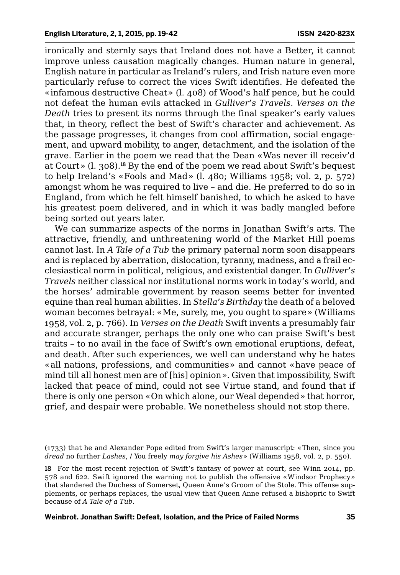ironically and sternly says that Ireland does not have a Better, it cannot improve unless causation magically changes. Human nature in general, English nature in particular as Ireland's rulers, and Irish nature even more particularly refuse to correct the vices Swift identifies. He defeated the «infamous destructive Cheat» (l. 408) of Wood's half pence, but he could not defeat the human evils attacked in *Gulliver's Travels*. *Verses on the Death* tries to present its norms through the final speaker's early values that, in theory, reflect the best of Swift's character and achievement. As the passage progresses, it changes from cool affirmation, social engagement, and upward mobility, to anger, detachment, and the isolation of the grave. Earlier in the poem we read that the Dean «Was never ill receiv'd at Court» (l. 308).<sup>18</sup> By the end of the poem we read about Swift's bequest to help Ireland's «Fools and Mad» (l. 480; Williams 1958; vol. 2, p. 572) amongst whom he was required to live – and die. He preferred to do so in England, from which he felt himself banished, to which he asked to have his greatest poem delivered, and in which it was badly mangled before being sorted out years later.

We can summarize aspects of the norms in Jonathan Swift's arts. The attractive, friendly, and unthreatening world of the Market Hill poems cannot last. In *A Tale of a Tub* the primary paternal norm soon disappears and is replaced by aberration, dislocation, tyranny, madness, and a frail ecclesiastical norm in political, religious, and existential danger. In *Gulliver's Travels* neither classical nor institutional norms work in today's world, and the horses' admirable government by reason seems better for invented equine than real human abilities. In *Stella's Birthday* the death of a beloved woman becomes betrayal: «Me, surely, me, you ought to spare» (Williams 1958, vol. 2, p. 766). In *Verses on the Death* Swift invents a presumably fair and accurate stranger, perhaps the only one who can praise Swift's best traits – to no avail in the face of Swift's own emotional eruptions, defeat, and death. After such experiences, we well can understand why he hates «all nations, professions, and communities» and cannot «have peace of mind till all honest men are of [his] opinion». Given that impossibility, Swift lacked that peace of mind, could not see Virtue stand, and found that if there is only one person «On which alone, our Weal depended» that horror, grief, and despair were probable. We nonetheless should not stop there.

<sup>(1733)</sup> that he and Alexander Pope edited from Swift's larger manuscript: «Then, since you *dread* no further *Lashes*, / You freely *may forgive his Ashes*» (Williams 1958, vol. 2, p. 550).

<sup>18</sup> For the most recent rejection of Swift's fantasy of power at court, see Winn 2014, pp. 578 and 622. Swift ignored the warning not to publish the offensive «Windsor Prophecy» that slandered the Duchess of Somerset, Queen Anne's Groom of the Stole. This offense supplements, or perhaps replaces, the usual view that Queen Anne refused a bishopric to Swift because of *A Tale of a Tub*.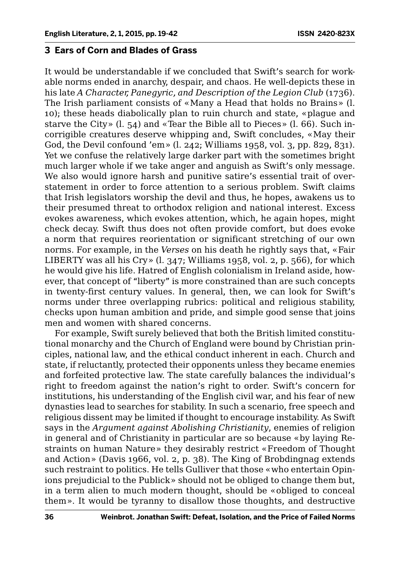#### **3 Ears of Corn and Blades of Grass**

It would be understandable if we concluded that Swift's search for workable norms ended in anarchy, despair, and chaos. He well-depicts these in his late *A Character, Panegyric, and Description of the Legion Club* (1736). The Irish parliament consists of «Many a Head that holds no Brains» (l. 10); these heads diabolically plan to ruin church and state, «plague and starve the City»  $(l, 54)$  and «Tear the Bible all to Pieces»  $(l, 66)$ . Such incorrigible creatures deserve whipping and, Swift concludes, «May their God, the Devil confound 'em» (l. 242; Williams 1958, vol. 3, pp. 829, 831). Yet we confuse the relatively large darker part with the sometimes bright much larger whole if we take anger and anguish as Swift's only message. We also would ignore harsh and punitive satire's essential trait of overstatement in order to force attention to a serious problem. Swift claims that Irish legislators worship the devil and thus, he hopes, awakens us to their presumed threat to orthodox religion and national interest. Excess evokes awareness, which evokes attention, which, he again hopes, might check decay. Swift thus does not often provide comfort, but does evoke a norm that requires reorientation or significant stretching of our own norms. For example, in the *Verses* on his death he rightly says that, «Fair LIBERTY was all his Cry» (l. 347; Williams 1958, vol. 2, p. 566), for which he would give his life. Hatred of English colonialism in Ireland aside, however, that concept of "liberty" is more constrained than are such concepts in twenty-first century values. In general, then, we can look for Swift's norms under three overlapping rubrics: political and religious stability, checks upon human ambition and pride, and simple good sense that joins men and women with shared concerns.

For example, Swift surely believed that both the British limited constitutional monarchy and the Church of England were bound by Christian principles, national law, and the ethical conduct inherent in each. Church and state, if reluctantly, protected their opponents unless they became enemies and forfeited protective law. The state carefully balances the individual's right to freedom against the nation's right to order. Swift's concern for institutions, his understanding of the English civil war, and his fear of new dynasties lead to searches for stability. In such a scenario, free speech and religious dissent may be limited if thought to encourage instability. As Swift says in the *Argument against Abolishing Christianity*, enemies of religion in general and of Christianity in particular are so because «by laying Restraints on human Nature» they desirably restrict «Freedom of Thought and Action» (Davis 1966, vol. 2, p. 38). The King of Brobdingnag extends such restraint to politics. He tells Gulliver that those «who entertain Opinions prejudicial to the Publick» should not be obliged to change them but, in a term alien to much modern thought, should be «obliged to conceal them». It would be tyranny to disallow those thoughts, and destructive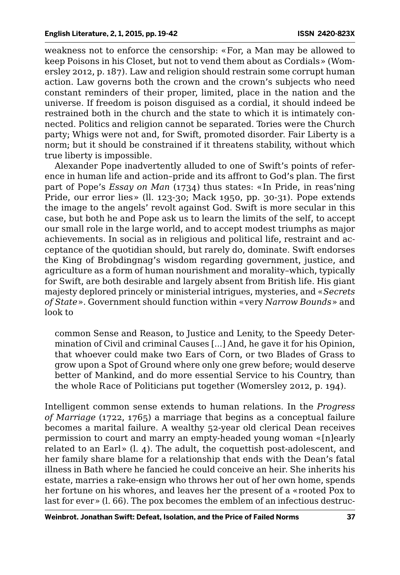weakness not to enforce the censorship: «For, a Man may be allowed to keep Poisons in his Closet, but not to vend them about as Cordials» (Womersley 2012, p. 187). Law and religion should restrain some corrupt human action. Law governs both the crown and the crown's subjects who need constant reminders of their proper, limited, place in the nation and the universe. If freedom is poison disguised as a cordial, it should indeed be restrained both in the church and the state to which it is intimately connected. Politics and religion cannot be separated. Tories were the Church party; Whigs were not and, for Swift, promoted disorder. Fair Liberty is a norm; but it should be constrained if it threatens stability, without which true liberty is impossible.

Alexander Pope inadvertently alluded to one of Swift's points of reference in human life and action–pride and its affront to God's plan. The first part of Pope's *Essay on Man* (1734) thus states: «In Pride, in reas'ning Pride, our error lies» (ll. 123-30; Mack 1950, pp. 30-31). Pope extends the image to the angels' revolt against God. Swift is more secular in this case, but both he and Pope ask us to learn the limits of the self, to accept our small role in the large world, and to accept modest triumphs as major achievements. In social as in religious and political life, restraint and acceptance of the quotidian should, but rarely do, dominate. Swift endorses the King of Brobdingnag's wisdom regarding government, justice, and agriculture as a form of human nourishment and morality–which, typically for Swift, are both desirable and largely absent from British life. His giant majesty deplored princely or ministerial intrigues, mysteries, and «*Secrets of State*»*.* Government should function within «very *Narrow Bounds*» and look to

common Sense and Reason, to Justice and Lenity, to the Speedy Determination of Civil and criminal Causes [...] And, he gave it for his Opinion, that whoever could make two Ears of Corn, or two Blades of Grass to grow upon a Spot of Ground where only one grew before; would deserve better of Mankind, and do more essential Service to his Country, than the whole Race of Politicians put together (Womersley 2012, p. 194).

Intelligent common sense extends to human relations. In the *Progress of Marriage* (1722, 1765) a marriage that begins as a conceptual failure becomes a marital failure. A wealthy 52-year old clerical Dean receives permission to court and marry an empty-headed young woman «[n]early related to an Earl» (l. 4). The adult, the coquettish post-adolescent, and her family share blame for a relationship that ends with the Dean's fatal illness in Bath where he fancied he could conceive an heir. She inherits his estate, marries a rake-ensign who throws her out of her own home, spends her fortune on his whores, and leaves her the present of a «rooted Pox to last for ever» (l. 66). The pox becomes the emblem of an infectious destruc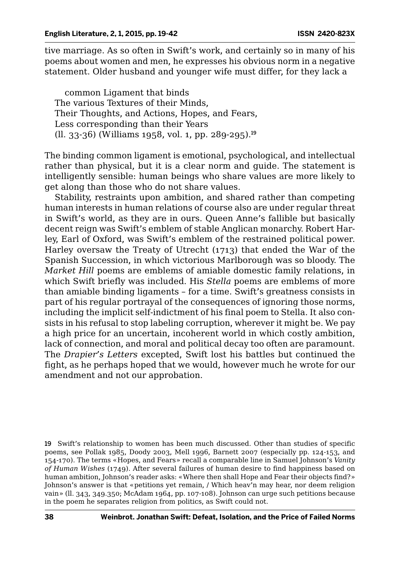tive marriage. As so often in Swift's work, and certainly so in many of his poems about women and men, he expresses his obvious norm in a negative statement. Older husband and younger wife must differ, for they lack a

common Ligament that binds The various Textures of their Minds, Their Thoughts, and Actions, Hopes, and Fears, Less corresponding than their Years  $(11. 33-36)$  (Williams 1958, vol. 1, pp. 289-295).<sup>19</sup>

The binding common ligament is emotional, psychological, and intellectual rather than physical, but it is a clear norm and guide. The statement is intelligently sensible: human beings who share values are more likely to get along than those who do not share values.

Stability, restraints upon ambition, and shared rather than competing human interests in human relations of course also are under regular threat in Swift's world, as they are in ours. Queen Anne's fallible but basically decent reign was Swift's emblem of stable Anglican monarchy. Robert Harley, Earl of Oxford, was Swift's emblem of the restrained political power. Harley oversaw the Treaty of Utrecht (1713) that ended the War of the Spanish Succession, in which victorious Marlborough was so bloody. The *Market Hill* poems are emblems of amiable domestic family relations, in which Swift briefly was included. His *Stella* poems are emblems of more than amiable binding ligaments – for a time. Swift's greatness consists in part of his regular portrayal of the consequences of ignoring those norms, including the implicit self-indictment of his final poem to Stella. It also consists in his refusal to stop labeling corruption, wherever it might be. We pay a high price for an uncertain, incoherent world in which costly ambition, lack of connection, and moral and political decay too often are paramount. The *Drapier's Letters* excepted, Swift lost his battles but continued the fight, as he perhaps hoped that we would, however much he wrote for our amendment and not our approbation.

<sup>19</sup> Swift's relationship to women has been much discussed. Other than studies of specific poems, see Pollak 1985, Doody 2003, Mell 1996, Barnett 2007 (especially pp. 124-153, and 154-170). The terms «Hopes, and Fears» recall a comparable line in Samuel Johnson's *Vanity of Human Wishes* (1749). After several failures of human desire to find happiness based on human ambition, Johnson's reader asks: «Where then shall Hope and Fear their objects find?» Johnson's answer is that «petitions yet remain, / Which heav'n may hear, nor deem religion vain» (ll. 343, 349.350; McAdam 1964, pp. 107-108). Johnson can urge such petitions because in the poem he separates religion from politics, as Swift could not.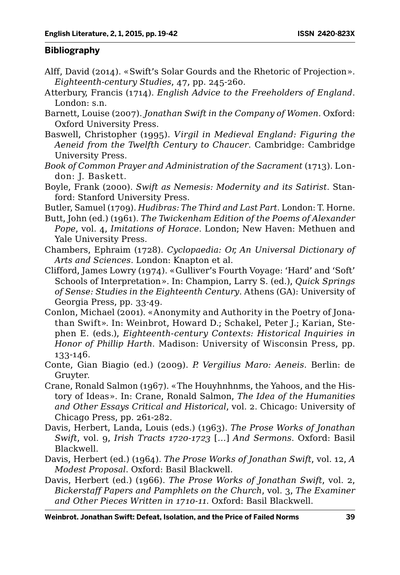#### **Bibliography**

- Alff, David (2014). «Swift's Solar Gourds and the Rhetoric of Projection». *Eighteenth-century Studies*, 47, pp. 245-260.
- Atterbury, Francis (1714). *English Advice to the Freeholders of England*. London: s.n.
- Barnett, Louise (2007). *Jonathan Swift in the Company of Women*. Oxford: Oxford University Press.
- Baswell, Christopher (1995). *Virgil in Medieval England: Figuring the Aeneid from the Twelfth Century to Chaucer*. Cambridge: Cambridge University Press.
- *Book of Common Prayer and Administration of the Sacrament* (1713). London: J. Baskett.
- Boyle, Frank (2000). *Swift as Nemesis: Modernity and its Satirist*. Stanford: Stanford University Press.
- Butler, Samuel (1709). *Hudibras: The Third and Last Part*. London: T. Horne.
- Butt, John (ed.) (1961). *The Twickenham Edition of the Poems of Alexander Pope*, vol. 4, *Imitations of Horace*. London; New Haven: Methuen and Yale University Press.
- Chambers, Ephraim (1728). *Cyclopaedia: Or, An Universal Dictionary of Arts and Sciences*. London: Knapton et al.
- Clifford, James Lowry (1974). «Gulliver's Fourth Voyage: 'Hard' and 'Soft' Schools of Interpretation». In: Champion, Larry S. (ed.), *Quick Springs of Sense: Studies in the Eighteenth Century*. Athens (GA): University of Georgia Press, pp. 33-49.
- Conlon, Michael (2001). «Anonymity and Authority in the Poetry of Jonathan Swift». In: Weinbrot, Howard D.; Schakel, Peter J.; Karian, Stephen E. (eds.), *Eighteenth-century Contexts: Historical Inquiries in Honor of Phillip Harth*. Madison: University of Wisconsin Press, pp. 133-146.
- Conte, Gian Biagio (ed.) (2009). *P. Vergilius Maro: Aeneis*. Berlin: de Gruyter.
- Crane, Ronald Salmon (1967). «The Houyhnhnms, the Yahoos, and the History of Ideas». In: Crane, Ronald Salmon, *The Idea of the Humanities and Other Essays Critical and Historical*, vol. 2. Chicago: University of Chicago Press, pp. 261-282.
- Davis, Herbert, Landa, Louis (eds.) (1963). *The Prose Works of Jonathan Swift*, vol. 9, *Irish Tracts 1720-1723* [*…*] *And Sermons*. Oxford: Basil Blackwell.
- Davis, Herbert (ed.) (1964). *The Prose Works of Jonathan Swift*, vol. 12, *A Modest Proposal*. Oxford: Basil Blackwell.
- Davis, Herbert (ed.) (1966). *The Prose Works of Jonathan Swift*, vol. 2, *Bickerstaff Papers and Pamphlets on the Church*, vol. 3, *The Examiner and Other Pieces Written in 1710-11.* Oxford: Basil Blackwell.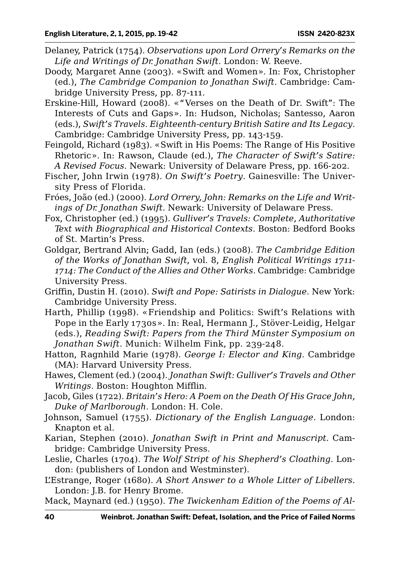- Delaney, Patrick (1754). *Observations upon Lord Orrery's Remarks on the Life and Writings of Dr. Jonathan Swift*. London: W. Reeve.
- Doody, Margaret Anne (2003). «Swift and Women». In: Fox, Christopher (ed.), *The Cambridge Companion to Jonathan Swift*. Cambridge: Cambridge University Press, pp. 87-111.
- Erskine-Hill, Howard (2008). «"Verses on the Death of Dr. Swift": The Interests of Cuts and Gaps». In: Hudson, Nicholas; Santesso, Aaron (eds.), *Swift's Travels. Eighteenth-century British Satire and Its Legacy*. Cambridge: Cambridge University Press, pp. 143-159.
- Feingold, Richard (1983). «Swift in His Poems: The Range of His Positive Rhetoric». In: Rawson, Claude (ed.), *The Character of Swift's Satire: A Revised Focus*. Newark: University of Delaware Press, pp. 166-202.
- Fischer, John Irwin (1978). *On Swift's Poetry*. Gainesville: The University Press of Florida.
- Fróes, João (ed.) (2000). *Lord Orrery, John: Remarks on the Life and Writings of Dr. Jonathan Swift.* Newark: University of Delaware Press.
- Fox, Christopher (ed.) (1995). *Gulliver's Travels: Complete, Authoritative Text with Biographical and Historical Contexts*. Boston: Bedford Books of St. Martin's Press.
- Goldgar, Bertrand Alvin; Gadd, Ian (eds.) (2008). *The Cambridge Edition of the Works of Jonathan Swift*, vol. 8, *English Political Writings 1711- 1714: The Conduct of the Allies and Other Works*. Cambridge: Cambridge University Press.
- Griffin, Dustin H. (2010). *Swift and Pope: Satirists in Dialogue*. New York: Cambridge University Press.
- Harth, Phillip (1998). «Friendship and Politics: Swift's Relations with Pope in the Early 1730s». In: Real, Hermann J., Stöver-Leidig, Helgar (eds.), *Reading Swift: Papers from the Third Münster Symposium on Jonathan Swift*. Munich: Wilhelm Fink, pp. 239-248.
- Hatton, Ragnhild Marie (1978). *George I: Elector and King*. Cambridge (MA): Harvard University Press.
- Hawes, Clement (ed.) (2004). *Jonathan Swift: Gulliver's Travels and Other Writings*. Boston: Houghton Mifflin.
- Jacob, Giles (1722). *Britain's Hero: A Poem on the Death Of His Grace John, Duke of Marlborough*. London: H. Cole.
- Johnson, Samuel (1755). *Dictionary of the English Language*. London: Knapton et al.
- Karian, Stephen (2010). *Jonathan Swift in Print and Manuscript*. Cambridge: Cambridge University Press.
- Leslie, Charles (1704). *The Wolf Stript of his Shepherd's Cloathing*. London: (publishers of London and Westminster).
- L'Estrange, Roger (1680). *A Short Answer to a Whole Litter of Libellers*. London: J.B. for Henry Brome.
- Mack, Maynard (ed.) (1950). *The Twickenham Edition of the Poems of Al-*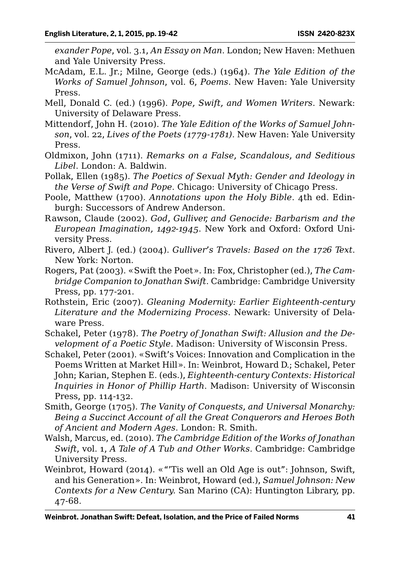*exander Pope*, vol. 3.1, *An Essay on Man*. London; New Haven: Methuen and Yale University Press.

- McAdam, E.L. Jr.; Milne, George (eds.) (1964). *The Yale Edition of the Works of Samuel Johnson*, vol. 6, *Poems*. New Haven: Yale University Press.
- Mell, Donald C. (ed.) (1996). *Pope, Swift, and Women Writers*. Newark: University of Delaware Press.
- Mittendorf, John H. (2010). *The Yale Edition of the Works of Samuel Johnson*, vol. 22, *Lives of the Poets (1779-1781)*. New Haven: Yale University Press.
- Oldmixon, John (1711). *Remarks on a False, Scandalous, and Seditious Libel*. London: A. Baldwin.
- Pollak, Ellen (1985). *The Poetics of Sexual Myth: Gender and Ideology in the Verse of Swift and Pope*. Chicago: University of Chicago Press.
- Poole, Matthew (1700). *Annotations upon the Holy Bible*. 4th ed. Edinburgh: Successors of Andrew Anderson.
- Rawson, Claude (2002). *God, Gulliver, and Genocide: Barbarism and the European Imagination, 1492-1945*. New York and Oxford: Oxford University Press.
- Rivero, Albert J. (ed.) (2004). *Gulliver's Travels: Based on the 1726 Text*. New York: Norton.
- Rogers, Pat (2003). «Swift the Poet». In: Fox, Christopher (ed.), *The Cambridge Companion to Jonathan Swift*. Cambridge: Cambridge University Press, pp. 177-201.
- Rothstein, Eric (2007). *Gleaning Modernity: Earlier Eighteenth-century Literature and the Modernizing Process*. Newark: University of Delaware Press.
- Schakel, Peter (1978). *The Poetry of Jonathan Swift: Allusion and the Development of a Poetic Style.* Madison: University of Wisconsin Press.
- Schakel, Peter (2001). «Swift's Voices: Innovation and Complication in the Poems Written at Market Hill». In: Weinbrot, Howard D.; Schakel, Peter John; Karian, Stephen E. (eds.), *Eighteenth-century Contexts: Historical Inquiries in Honor of Phillip Harth*. Madison: University of Wisconsin Press, pp. 114-132.
- Smith, George (1705). *The Vanity of Conquests, and Universal Monarchy: Being a Succinct Account of all the Great Conquerors and Heroes Both of Ancient and Modern Ages*. London: R. Smith.
- Walsh, Marcus, ed. (2010). *The Cambridge Edition of the Works of Jonathan Swift*, vol. 1, *A Tale of A Tub and Other Works*. Cambridge: Cambridge University Press.
- Weinbrot, Howard (2014). «"'Tis well an Old Age is out": Johnson, Swift, and his Generation». In: Weinbrot, Howard (ed.), *Samuel Johnson: New Contexts for a New Century.* San Marino (CA): Huntington Library, pp. 47-68.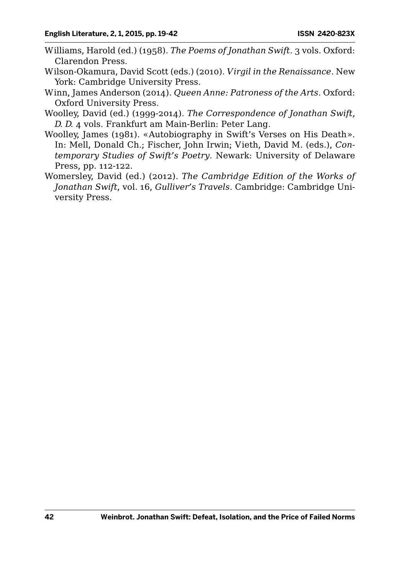- Williams, Harold (ed.) (1958). *The Poems of Jonathan Swift*. 3 vols. Oxford: Clarendon Press.
- Wilson-Okamura, David Scott (eds.) (2010). *Virgil in the Renaissance*. New York: Cambridge University Press.
- Winn, James Anderson (2014). *Queen Anne: Patroness of the Arts*. Oxford: Oxford University Press.
- Woolley, David (ed.) (1999-2014). *The Correspondence of Jonathan Swift, D. D.* 4 vols. Frankfurt am Main-Berlin: Peter Lang.
- Woolley, James (1981). «Autobiography in Swift's Verses on His Death». In: Mell, Donald Ch.; Fischer, John Irwin; Vieth, David M. (eds.), *Contemporary Studies of Swift's Poetry*. Newark: University of Delaware Press, pp. 112-122.
- Womersley, David (ed.) (2012). *The Cambridge Edition of the Works of Jonathan Swift*, vol. 16, *Gulliver's Travels*. Cambridge: Cambridge University Press.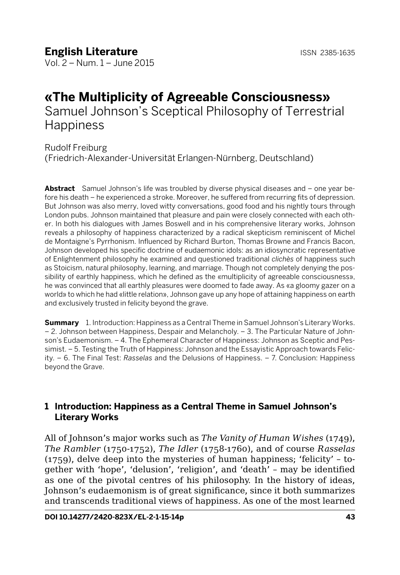Vol. 2 – Num. 1 – June 2015

# **«The Multiplicity of Agreeable Consciousness»** Samuel Johnson's Sceptical Philosophy of Terrestrial

**Happiness** 

Rudolf Freiburg

(Friedrich-Alexander-Universität Erlangen-Nürnberg, Deutschland)

**Abstract** Samuel Johnson's life was troubled by diverse physical diseases and – one year before his death – he experienced a stroke. Moreover, he suffered from recurring fits of depression. But Johnson was also merry, loved witty conversations, good food and his nightly tours through London pubs. Johnson maintained that pleasure and pain were closely connected with each other. In both his dialogues with James Boswell and in his comprehensive literary works, Johnson reveals a philosophy of happiness characterized by a radical skepticism reminiscent of Michel de Montaigne's Pyrrhonism. Influenced by Richard Burton, Thomas Browne and Francis Bacon, Johnson developed his specific doctrine of eudaemonic idols: as an idiosyncratic representative of Enlightenment philosophy he examined and questioned traditional *clichs* of happiness such as Stoicism, natural philosophy, learning, and marriage. Though not completely denying the possibility of earthly happiness, which he defined as the «multiplicity of agreeable consciousness», he was convinced that all earthly pleasures were doomed to fade away. As «a gloomy gazer on a world» to which he had «little relation», Johnson gave up any hope of attaining happiness on earth and exclusively trusted in felicity beyond the grave.

**Summary** 1. Introduction: Happiness as a Central Theme in Samuel Johnson's Literary Works. – 2. Johnson between Happiness, Despair and Melancholy. – 3. The Particular Nature of Johnson's Eudaemonism. – 4. The Ephemeral Character of Happiness: Johnson as Sceptic and Pessimist. – 5. Testing the Truth of Happiness: Johnson and the Essayistic Approach towards Felicity. – 6. The Final Test: *Rasselas* and the Delusions of Happiness. – 7. Conclusion: Happiness beyond the Grave.

# **1 Introduction: Happiness as a Central Theme in Samuel Johnson's Literary Works**

All of Johnson's major works such as *The Vanity of Human Wishes* (1749), *The Rambler* (1750-1752), *The Idler* (1758-1760), and of course *Rasselas* (1759), delve deep into the mysteries of human happiness; 'felicity' – together with 'hope', 'delusion', 'religion', and 'death' – may be identified as one of the pivotal centres of his philosophy. In the history of ideas, Johnson's eudaemonism is of great significance, since it both summarizes and transcends traditional views of happiness. As one of the most learned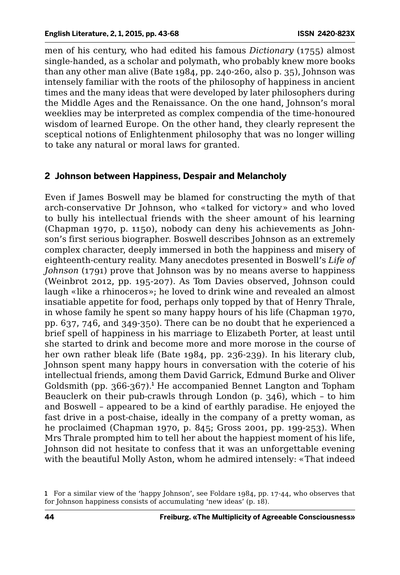men of his century, who had edited his famous *Dictionary* (1755) almost single-handed, as a scholar and polymath, who probably knew more books than any other man alive (Bate 1984, pp. 240-260, also p. 35), Johnson was intensely familiar with the roots of the philosophy of happiness in ancient times and the many ideas that were developed by later philosophers during the Middle Ages and the Renaissance. On the one hand, Johnson's moral weeklies may be interpreted as complex compendia of the time-honoured wisdom of learned Europe. On the other hand, they clearly represent the sceptical notions of Enlightenment philosophy that was no longer willing to take any natural or moral laws for granted.

### **2 Johnson between Happiness, Despair and Melancholy**

Even if James Boswell may be blamed for constructing the myth of that arch-conservative Dr Johnson, who «talked for victory» and who loved to bully his intellectual friends with the sheer amount of his learning (Chapman 1970, p. 1150), nobody can deny his achievements as Johnson's first serious biographer. Boswell describes Johnson as an extremely complex character, deeply immersed in both the happiness and misery of eighteenth-century reality. Many anecdotes presented in Boswell's *Life of Johnson* (1791) prove that Johnson was by no means averse to happiness (Weinbrot 2012, pp. 195-207). As Tom Davies observed, Johnson could laugh «like a rhinoceros»; he loved to drink wine and revealed an almost insatiable appetite for food, perhaps only topped by that of Henry Thrale, in whose family he spent so many happy hours of his life (Chapman 1970, pp. 637, 746, and 349-350). There can be no doubt that he experienced a brief spell of happiness in his marriage to Elizabeth Porter, at least until she started to drink and become more and more morose in the course of her own rather bleak life (Bate 1984, pp. 236-239). In his literary club, Johnson spent many happy hours in conversation with the coterie of his intellectual friends, among them David Garrick, Edmund Burke and Oliver Goldsmith (pp. 366-367).<sup>1</sup> He accompanied Bennet Langton and Topham Beauclerk on their pub-crawls through London (p. 346), which – to him and Boswell – appeared to be a kind of earthly paradise. He enjoyed the fast drive in a post-chaise, ideally in the company of a pretty woman, as he proclaimed (Chapman 1970, p. 845; Gross 2001, pp. 199-253). When Mrs Thrale prompted him to tell her about the happiest moment of his life, Johnson did not hesitate to confess that it was an unforgettable evening with the beautiful Molly Aston, whom he admired intensely: «That indeed

<sup>1</sup> For a similar view of the 'happy Johnson', see Foldare 1984, pp. 17-44, who observes that for Johnson happiness consists of accumulating 'new ideas' (p. 18).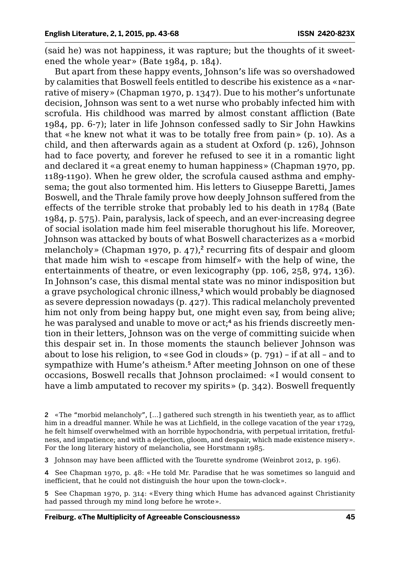(said he) was not happiness, it was rapture; but the thoughts of it sweetened the whole year» (Bate 1984, p. 184).

But apart from these happy events, Johnson's life was so overshadowed by calamities that Boswell feels entitled to describe his existence as a «narrative of misery» (Chapman 1970, p. 1347). Due to his mother's unfortunate decision, Johnson was sent to a wet nurse who probably infected him with scrofula. His childhood was marred by almost constant affliction (Bate 1984, pp. 6-7); later in life Johnson confessed sadly to Sir John Hawkins that «he knew not what it was to be totally free from pain» (p. 10). As a child, and then afterwards again as a student at Oxford (p. 126), Johnson had to face poverty, and forever he refused to see it in a romantic light and declared it «a great enemy to human happiness» (Chapman 1970, pp. 1189-1190). When he grew older, the scrofula caused asthma and emphysema; the gout also tormented him. His letters to Giuseppe Baretti, James Boswell, and the Thrale family prove how deeply Johnson suffered from the effects of the terrible stroke that probably led to his death in 1784 (Bate 1984, p. 575). Pain, paralysis, lack of speech, and an ever-increasing degree of social isolation made him feel miserable thorughout his life. Moreover, Johnson was attacked by bouts of what Boswell characterizes as a «morbid melancholy» (Chapman 1970, p. 47),<sup>2</sup> recurring fits of despair and gloom that made him wish to «escape from himself» with the help of wine, the entertainments of theatre, or even lexicography (pp. 106, 258, 974, 136). In Johnson's case, this dismal mental state was no minor indisposition but a grave psychological chronic illness,<sup>3</sup> which would probably be diagnosed as severe depression nowadays (p. 427). This radical melancholy prevented him not only from being happy but, one might even say, from being alive; he was paralysed and unable to move or act;<sup>4</sup> as his friends discreetly mention in their letters, Johnson was on the verge of committing suicide when this despair set in. In those moments the staunch believer Johnson was about to lose his religion, to «see God in clouds» (p. 791) – if at all – and to sympathize with Hume's atheism.<sup>5</sup> After meeting Johnson on one of these occasions, Boswell recalls that Johnson proclaimed: «I would consent to have a limb amputated to recover my spirits» (p. 342). Boswell frequently

2 «The "morbid melancholy", [...] gathered such strength in his twentieth year, as to afflict him in a dreadful manner. While he was at Lichfield, in the college vacation of the year 1729, he felt himself overwhelmed with an horrible hypochondria, with perpetual irritation, fretfulness, and impatience; and with a dejection, gloom, and despair, which made existence misery». For the long literary history of melancholia, see Horstmann 1985.

3 Johnson may have been afflicted with the Tourette syndrome (Weinbrot 2012, p. 196).

4 See Chapman 1970, p. 48: «He told Mr. Paradise that he was sometimes so languid and inefficient, that he could not distinguish the hour upon the town-clock».

5 See Chapman 1970, p. 314: «Every thing which Hume has advanced against Christianity had passed through my mind long before he wrote».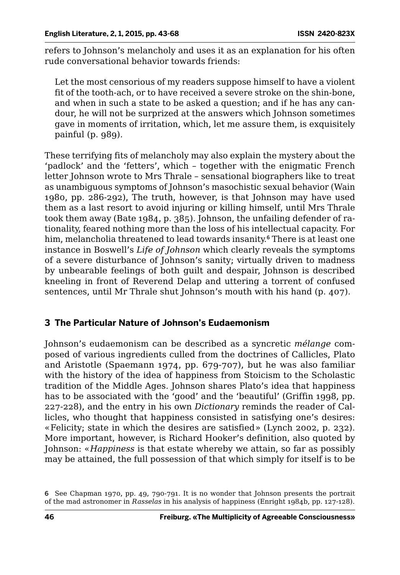refers to Johnson's melancholy and uses it as an explanation for his often rude conversational behavior towards friends:

Let the most censorious of my readers suppose himself to have a violent fit of the tooth-ach, or to have received a severe stroke on the shin-bone, and when in such a state to be asked a question; and if he has any candour, he will not be surprized at the answers which Johnson sometimes gave in moments of irritation, which, let me assure them, is exquisitely painful (p. 989).

These terrifying fits of melancholy may also explain the mystery about the 'padlock' and the 'fetters', which – together with the enigmatic French letter Johnson wrote to Mrs Thrale – sensational biographers like to treat as unambiguous symptoms of Johnson's masochistic sexual behavior (Wain 1980, pp. 286-292), The truth, however, is that Johnson may have used them as a last resort to avoid injuring or killing himself, until Mrs Thrale took them away (Bate 1984, p. 385). Johnson, the unfailing defender of rationality, feared nothing more than the loss of his intellectual capacity. For him, melancholia threatened to lead towards insanity.<sup>6</sup> There is at least one instance in Boswell's *Life of Johnson* which clearly reveals the symptoms of a severe disturbance of Johnson's sanity; virtually driven to madness by unbearable feelings of both guilt and despair, Johnson is described kneeling in front of Reverend Delap and uttering a torrent of confused sentences, until Mr Thrale shut Johnson's mouth with his hand (p. 407).

## **3 The Particular Nature of Johnson's Eudaemonism**

Johnson's eudaemonism can be described as a syncretic *mélange* composed of various ingredients culled from the doctrines of Callicles, Plato and Aristotle (Spaemann 1974, pp. 679-707), but he was also familiar with the history of the idea of happiness from Stoicism to the Scholastic tradition of the Middle Ages. Johnson shares Plato's idea that happiness has to be associated with the 'good' and the 'beautiful' (Griffin 1998, pp. 227-228), and the entry in his own *Dictionary* reminds the reader of Callicles, who thought that happiness consisted in satisfying one's desires: «Felicity; state in which the desires are satisfied» (Lynch 2002, p. 232). More important, however, is Richard Hooker's definition, also quoted by Johnson: «*Happiness* is that estate whereby we attain, so far as possibly may be attained, the full possession of that which simply for itself is to be

<sup>6</sup> See Chapman 1970, pp. 49, 790-791. It is no wonder that Johnson presents the portrait of the mad astronomer in *Rasselas* in his analysis of happiness (Enright 1984b, pp. 127-128).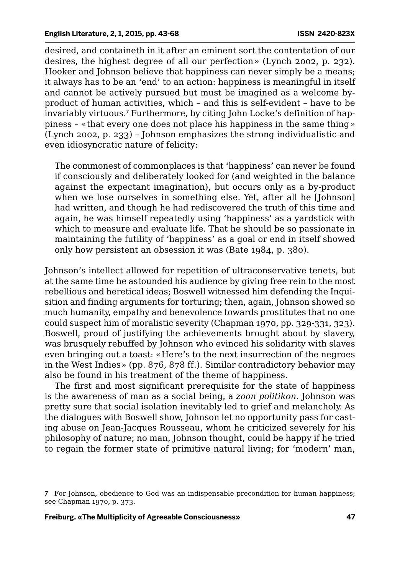desired, and containeth in it after an eminent sort the contentation of our desires, the highest degree of all our perfection» (Lynch 2002, p. 232). Hooker and Johnson believe that happiness can never simply be a means; it always has to be an 'end' to an action: happiness is meaningful in itself and cannot be actively pursued but must be imagined as a welcome byproduct of human activities, which – and this is self-evident – have to be invariably virtuous.<sup>7</sup> Furthermore, by citing John Locke's definition of happiness – «that every one does not place his happiness in the same thing» (Lynch 2002, p. 233) – Johnson emphasizes the strong individualistic and even idiosyncratic nature of felicity:

The commonest of commonplaces is that 'happiness' can never be found if consciously and deliberately looked for (and weighted in the balance against the expectant imagination), but occurs only as a by-product when we lose ourselves in something else. Yet, after all he [Johnson] had written, and though he had rediscovered the truth of this time and again, he was himself repeatedly using 'happiness' as a yardstick with which to measure and evaluate life. That he should be so passionate in maintaining the futility of 'happiness' as a goal or end in itself showed only how persistent an obsession it was (Bate 1984, p. 380).

Johnson's intellect allowed for repetition of ultraconservative tenets, but at the same time he astounded his audience by giving free rein to the most rebellious and heretical ideas; Boswell witnessed him defending the Inquisition and finding arguments for torturing; then, again, Johnson showed so much humanity, empathy and benevolence towards prostitutes that no one could suspect him of moralistic severity (Chapman 1970, pp. 329-331, 323). Boswell, proud of justifying the achievements brought about by slavery, was brusquely rebuffed by Johnson who evinced his solidarity with slaves even bringing out a toast: «Here's to the next insurrection of the negroes in the West Indies» (pp. 876, 878 ff.). Similar contradictory behavior may also be found in his treatment of the theme of happiness.

The first and most significant prerequisite for the state of happiness is the awareness of man as a social being, a *zoon politikon*. Johnson was pretty sure that social isolation inevitably led to grief and melancholy. As the dialogues with Boswell show, Johnson let no opportunity pass for casting abuse on Jean-Jacques Rousseau, whom he criticized severely for his philosophy of nature; no man, Johnson thought, could be happy if he tried to regain the former state of primitive natural living; for 'modern' man,

<sup>7</sup> For Johnson, obedience to God was an indispensable precondition for human happiness; see Chapman 1970, p. 373.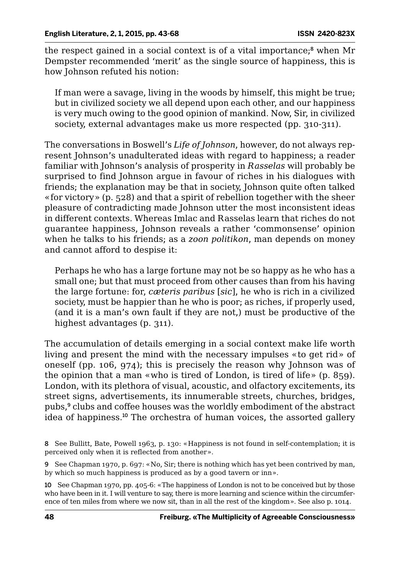the respect gained in a social context is of a vital importance;<sup>8</sup> when Mr Dempster recommended 'merit' as the single source of happiness, this is how Johnson refuted his notion:

If man were a savage, living in the woods by himself, this might be true; but in civilized society we all depend upon each other, and our happiness is very much owing to the good opinion of mankind. Now, Sir, in civilized society, external advantages make us more respected (pp. 310-311).

The conversations in Boswell's *Life of Johnson*, however, do not always represent Johnson's unadulterated ideas with regard to happiness; a reader familiar with Johnson's analysis of prosperity in *Rasselas* will probably be surprised to find Johnson argue in favour of riches in his dialogues with friends; the explanation may be that in society, Johnson quite often talked «for victory» (p. 528) and that a spirit of rebellion together with the sheer pleasure of contradicting made Johnson utter the most inconsistent ideas in different contexts. Whereas Imlac and Rasselas learn that riches do not guarantee happiness, Johnson reveals a rather 'commonsense' opinion when he talks to his friends; as a *zoon politikon*, man depends on money and cannot afford to despise it:

Perhaps he who has a large fortune may not be so happy as he who has a small one; but that must proceed from other causes than from his having the large fortune: for, *cæteris paribus* [*sic*], he who is rich in a civilized society, must be happier than he who is poor; as riches, if properly used, (and it is a man's own fault if they are not,) must be productive of the highest advantages (p. 311).

The accumulation of details emerging in a social context make life worth living and present the mind with the necessary impulses «to get rid» of oneself (pp. 106, 974); this is precisely the reason why Johnson was of the opinion that a man «who is tired of London, is tired of life» (p. 859). London, with its plethora of visual, acoustic, and olfactory excitements, its street signs, advertisements, its innumerable streets, churches, bridges, pubs,<sup>9</sup> clubs and coffee houses was the worldly embodiment of the abstract idea of happiness.<sup>10</sup> The orchestra of human voices, the assorted gallery

<sup>8</sup> See Bullitt, Bate, Powell 1963, p. 130: «Happiness is not found in self-contemplation; it is perceived only when it is reflected from another».

<sup>9</sup> See Chapman 1970, p. 697: «No, Sir; there is nothing which has yet been contrived by man, by which so much happiness is produced as by a good tavern or inn».

<sup>10</sup> See Chapman 1970, pp. 405-6: «The happiness of London is not to be conceived but by those who have been in it. I will venture to say, there is more learning and science within the circumference of ten miles from where we now sit, than in all the rest of the kingdom». See also p. 1014.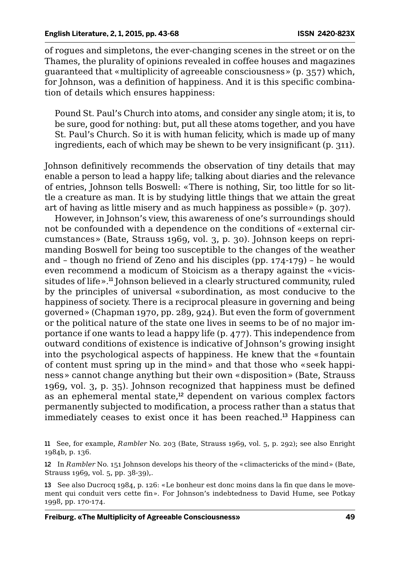of rogues and simpletons, the ever-changing scenes in the street or on the Thames, the plurality of opinions revealed in coffee houses and magazines guaranteed that «multiplicity of agreeable consciousness» (p. 357) which, for Johnson, was a definition of happiness. And it is this specific combination of details which ensures happiness:

Pound St. Paul's Church into atoms, and consider any single atom; it is, to be sure, good for nothing: but, put all these atoms together, and you have St. Paul's Church. So it is with human felicity, which is made up of many ingredients, each of which may be shewn to be very insignificant (p. 311).

Johnson definitively recommends the observation of tiny details that may enable a person to lead a happy life; talking about diaries and the relevance of entries, Johnson tells Boswell: «There is nothing, Sir, too little for so little a creature as man. It is by studying little things that we attain the great art of having as little misery and as much happiness as possible» (p. 307).

However, in Johnson's view, this awareness of one's surroundings should not be confounded with a dependence on the conditions of «external circumstances» (Bate, Strauss 1969, vol. 3, p. 30). Johnson keeps on reprimanding Boswell for being too susceptible to the changes of the weather and – though no friend of Zeno and his disciples (pp. 174-179) – he would even recommend a modicum of Stoicism as a therapy against the «vicissitudes of life».<sup>11</sup> Johnson believed in a clearly structured community, ruled by the principles of universal «subordination, as most conducive to the happiness of society. There is a reciprocal pleasure in governing and being governed» (Chapman 1970, pp. 289, 924). But even the form of government or the political nature of the state one lives in seems to be of no major importance if one wants to lead a happy life (p. 477). This independence from outward conditions of existence is indicative of Johnson's growing insight into the psychological aspects of happiness. He knew that the «fountain of content must spring up in the mind» and that those who «seek happiness» cannot change anything but their own «disposition» (Bate, Strauss 1969, vol. 3, p. 35). Johnson recognized that happiness must be defined as an ephemeral mental state,<sup>12</sup> dependent on various complex factors permanently subjected to modification, a process rather than a status that immediately ceases to exist once it has been reached.<sup>13</sup> Happiness can

11 See, for example, *Rambler* No. 203 (Bate, Strauss 1969, vol. 5, p. 292); see also Enright 1984b, p. 136.

12 In *Rambler* No. 151 Johnson develops his theory of the «climactericks of the mind» (Bate, Strauss 1969, vol. 5, pp. 38-39),.

13 See also Ducrocq 1984, p. 126: «Le bonheur est donc moins dans la fin que dans le movement qui conduit vers cette fin». For Johnson's indebtedness to David Hume, see Potkay 1998, pp. 170-174.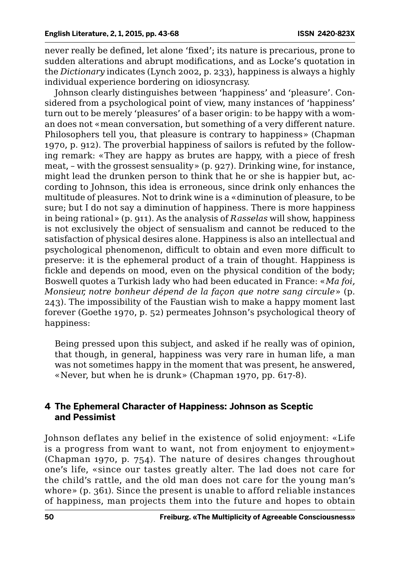never really be defined, let alone 'fixed'; its nature is precarious, prone to sudden alterations and abrupt modifications, and as Locke's quotation in the *Dictionary* indicates (Lynch 2002, p. 233), happiness is always a highly individual experience bordering on idiosyncrasy.

Johnson clearly distinguishes between 'happiness' and 'pleasure'. Considered from a psychological point of view, many instances of 'happiness' turn out to be merely 'pleasures' of a baser origin: to be happy with a woman does not «mean conversation, but something of a very different nature. Philosophers tell you, that pleasure is contrary to happiness» (Chapman 1970, p. 912). The proverbial happiness of sailors is refuted by the following remark: «They are happy as brutes are happy, with a piece of fresh meat, – with the grossest sensuality» (p. 927). Drinking wine, for instance, might lead the drunken person to think that he or she is happier but, according to Johnson, this idea is erroneous, since drink only enhances the multitude of pleasures. Not to drink wine is a «diminution of pleasure, to be sure; but I do not say a diminution of happiness. There is more happiness in being rational» (p. 911). As the analysis of *Rasselas* will show, happiness is not exclusively the object of sensualism and cannot be reduced to the satisfaction of physical desires alone. Happiness is also an intellectual and psychological phenomenon, difficult to obtain and even more difficult to preserve: it is the ephemeral product of a train of thought. Happiness is fickle and depends on mood, even on the physical condition of the body; Boswell quotes a Turkish lady who had been educated in France: «*Ma foi, Monsieur, notre bonheur dépend de la façon que notre sang circule*» (p. 243). The impossibility of the Faustian wish to make a happy moment last forever (Goethe 1970, p. 52) permeates Johnson's psychological theory of happiness:

Being pressed upon this subject, and asked if he really was of opinion, that though, in general, happiness was very rare in human life, a man was not sometimes happy in the moment that was present, he answered, «Never, but when he is drunk» (Chapman 1970, pp. 617-8).

### **4 The Ephemeral Character of Happiness: Johnson as Sceptic and Pessimist**

Johnson deflates any belief in the existence of solid enjoyment: «Life is a progress from want to want, not from enjoyment to enjoyment» (Chapman 1970, p. 754). The nature of desires changes throughout one's life, «since our tastes greatly alter. The lad does not care for the child's rattle, and the old man does not care for the young man's whore» (p. 361). Since the present is unable to afford reliable instances of happiness, man projects them into the future and hopes to obtain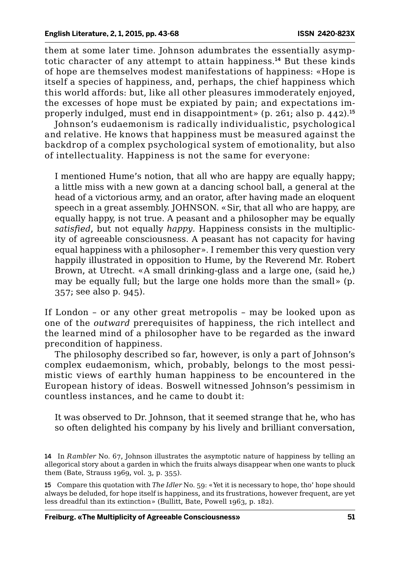them at some later time. Johnson adumbrates the essentially asymptotic character of any attempt to attain happiness.<sup>14</sup> But these kinds of hope are themselves modest manifestations of happiness: «Hope is itself a species of happiness, and, perhaps, the chief happiness which this world affords: but, like all other pleasures immoderately enjoyed, the excesses of hope must be expiated by pain; and expectations improperly indulged, must end in disappointment» (p. 261; also p. 442).<sup>15</sup>

Johnson's eudaemonism is radically individualistic, psychological and relative. He knows that happiness must be measured against the backdrop of a complex psychological system of emotionality, but also of intellectuality. Happiness is not the same for everyone:

I mentioned Hume's notion, that all who are happy are equally happy; a little miss with a new gown at a dancing school ball, a general at the head of a victorious army, and an orator, after having made an eloquent speech in a great assembly. JOHNSON. «Sir, that all who are happy, are equally happy, is not true. A peasant and a philosopher may be equally *satisfied*, but not equally *happy*. Happiness consists in the multiplicity of agreeable consciousness. A peasant has not capacity for having equal happiness with a philosopher». I remember this very question very happily illustrated in opposition to Hume, by the Reverend Mr. Robert Brown, at Utrecht. «A small drinking-glass and a large one, (said he,) may be equally full; but the large one holds more than the small» (p. 357; see also p. 945).

If London – or any other great metropolis – may be looked upon as one of the *outward* prerequisites of happiness, the rich intellect and the learned mind of a philosopher have to be regarded as the inward precondition of happiness.

The philosophy described so far, however, is only a part of Johnson's complex eudaemonism, which, probably, belongs to the most pessimistic views of earthly human happiness to be encountered in the European history of ideas. Boswell witnessed Johnson's pessimism in countless instances, and he came to doubt it:

It was observed to Dr. Johnson, that it seemed strange that he, who has so often delighted his company by his lively and brilliant conversation,

15 Compare this quotation with *The Idler* No. 59: «Yet it is necessary to hope, tho' hope should always be deluded, for hope itself is happiness, and its frustrations, however frequent, are yet less dreadful than its extinction» (Bullitt, Bate, Powell 1963, p. 182).

<sup>14</sup> In *Rambler* No. 67, Johnson illustrates the asymptotic nature of happiness by telling an allegorical story about a garden in which the fruits always disappear when one wants to pluck them (Bate, Strauss 1969, vol. 3, p. 355).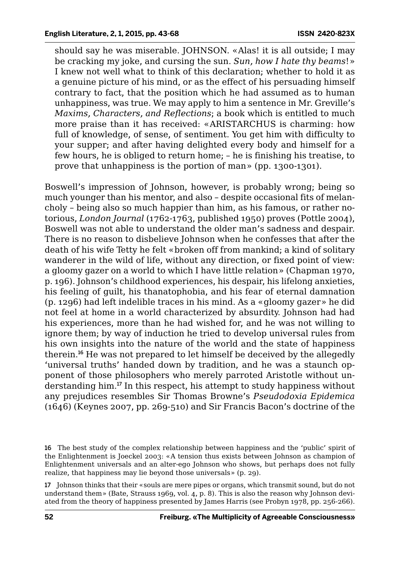should say he was miserable. JOHNSON. «Alas! it is all outside; I may be cracking my joke, and cursing the sun. *Sun, how I hate thy beams*!» I knew not well what to think of this declaration; whether to hold it as a genuine picture of his mind, or as the effect of his persuading himself contrary to fact, that the position which he had assumed as to human unhappiness, was true. We may apply to him a sentence in Mr. Greville's *Maxims, Characters, and Reflections*; a book which is entitled to much more praise than it has received: «ARISTARCHUS is charming: how full of knowledge, of sense, of sentiment. You get him with difficulty to your supper; and after having delighted every body and himself for a few hours, he is obliged to return home; – he is finishing his treatise, to prove that unhappiness is the portion of man» (pp. 1300-1301).

Boswell's impression of Johnson, however, is probably wrong; being so much younger than his mentor, and also – despite occasional fits of melancholy – being also so much happier than him, as his famous, or rather notorious, *London Journal* (1762-1763, published 1950) proves (Pottle 2004), Boswell was not able to understand the older man's sadness and despair. There is no reason to disbelieve Johnson when he confesses that after the death of his wife Tetty he felt «broken off from mankind; a kind of solitary wanderer in the wild of life, without any direction, or fixed point of view: a gloomy gazer on a world to which I have little relation» (Chapman 1970, p. 196). Johnson's childhood experiences, his despair, his lifelong anxieties, his feeling of guilt, his thanatophobia, and his fear of eternal damnation (p. 1296) had left indelible traces in his mind. As a «gloomy gazer» he did not feel at home in a world characterized by absurdity. Johnson had had his experiences, more than he had wished for, and he was not willing to ignore them; by way of induction he tried to develop universal rules from his own insights into the nature of the world and the state of happiness therein.<sup>16</sup> He was not prepared to let himself be deceived by the allegedly 'universal truths' handed down by tradition, and he was a staunch opponent of those philosophers who merely parroted Aristotle without understanding him.<sup>17</sup> In this respect, his attempt to study happiness without any prejudices resembles Sir Thomas Browne's *Pseudodoxia Epidemica* (1646) (Keynes 2007, pp. 269-510) and Sir Francis Bacon's doctrine of the

17 Johnson thinks that their «souls are mere pipes or organs, which transmit sound, but do not understand them» (Bate, Strauss 1969, vol. 4, p. 8). This is also the reason why Johnson deviated from the theory of happiness presented by James Harris (see Probyn 1978, pp. 256-266).

<sup>16</sup> The best study of the complex relationship between happiness and the 'public' spirit of the Enlightenment is Joeckel 2003: «A tension thus exists between Johnson as champion of Enlightenment universals and an alter-ego Johnson who shows, but perhaps does not fully realize, that happiness may lie beyond those universals» (p. 29).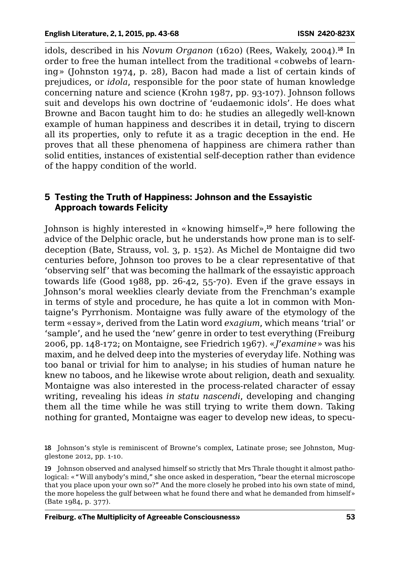idols, described in his *Novum Organon* (1620) (Rees, Wakely, 2004).<sup>18</sup> In order to free the human intellect from the traditional «cobwebs of learning» (Johnston 1974, p. 28), Bacon had made a list of certain kinds of prejudices, or *idola*, responsible for the poor state of human knowledge concerning nature and science (Krohn 1987, pp. 93-107). Johnson follows suit and develops his own doctrine of 'eudaemonic idols'. He does what Browne and Bacon taught him to do: he studies an allegedly well-known example of human happiness and describes it in detail, trying to discern all its properties, only to refute it as a tragic deception in the end. He proves that all these phenomena of happiness are chimera rather than solid entities, instances of existential self-deception rather than evidence of the happy condition of the world.

### **5 Testing the Truth of Happiness: Johnson and the Essayistic Approach towards Felicity**

Johnson is highly interested in «knowing himself»,<sup>19</sup> here following the advice of the Delphic oracle, but he understands how prone man is to selfdeception (Bate, Strauss, vol. 3, p. 152). As Michel de Montaigne did two centuries before, Johnson too proves to be a clear representative of that 'observing self' that was becoming the hallmark of the essayistic approach towards life (Good 1988, pp. 26-42, 55-70). Even if the grave essays in Johnson's moral weeklies clearly deviate from the Frenchman's example in terms of style and procedure, he has quite a lot in common with Montaigne's Pyrrhonism. Montaigne was fully aware of the etymology of the term «essay», derived from the Latin word *exagium*, which means 'trial' or 'sample', and he used the 'new' genre in order to test everything (Freiburg 2006, pp. 148-172; on Montaigne, see Friedrich 1967). «*J'examine*» was his maxim, and he delved deep into the mysteries of everyday life. Nothing was too banal or trivial for him to analyse; in his studies of human nature he knew no taboos, and he likewise wrote about religion, death and sexuality. Montaigne was also interested in the process-related character of essay writing, revealing his ideas *in statu nascendi*, developing and changing them all the time while he was still trying to write them down. Taking nothing for granted, Montaigne was eager to develop new ideas, to specu-

<sup>18</sup> Johnson's style is reminiscent of Browne's complex, Latinate prose; see Johnston, Mugglestone 2012, pp. 1-10.

<sup>19</sup> Johnson observed and analysed himself so strictly that Mrs Thrale thought it almost pathological: «"Will anybody's mind," she once asked in desperation, "bear the eternal microscope that you place upon your own so?" And the more closely he probed into his own state of mind, the more hopeless the gulf between what he found there and what he demanded from himself» (Bate 1984, p. 377).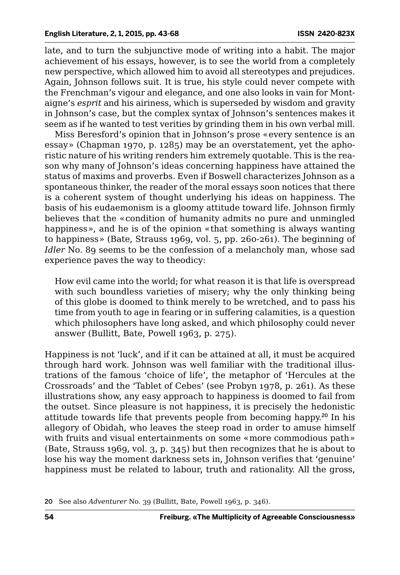late, and to turn the subjunctive mode of writing into a habit. The major achievement of his essays, however, is to see the world from a completely new perspective, which allowed him to avoid all stereotypes and prejudices. Again, Johnson follows suit. It is true, his style could never compete with the Frenchman's vigour and elegance, and one also looks in vain for Montaigne's *esprit* and his airiness, which is superseded by wisdom and gravity in Johnson's case, but the complex syntax of Johnson's sentences makes it seem as if he wanted to test verities by grinding them in his own verbal mill.

Miss Beresford's opinion that in Johnson's prose «every sentence is an essay» (Chapman 1970, p. 1285) may be an overstatement, yet the aphoristic nature of his writing renders him extremely quotable. This is the reason why many of Johnson's ideas concerning happiness have attained the status of maxims and proverbs. Even if Boswell characterizes Johnson as a spontaneous thinker, the reader of the moral essays soon notices that there is a coherent system of thought underlying his ideas on happiness. The basis of his eudaemonism is a gloomy attitude toward life. Johnson firmly believes that the «condition of humanity admits no pure and unmingled happiness», and he is of the opinion «that something is always wanting to happiness» (Bate, Strauss 1969, vol. 5, pp. 260-261). The beginning of *Idler* No. 89 seems to be the confession of a melancholy man, whose sad experience paves the way to theodicy:

How evil came into the world; for what reason it is that life is overspread with such boundless varieties of misery; why the only thinking being of this globe is doomed to think merely to be wretched, and to pass his time from youth to age in fearing or in suffering calamities, is a question which philosophers have long asked, and which philosophy could never answer (Bullitt, Bate, Powell 1963, p. 275).

Happiness is not 'luck', and if it can be attained at all, it must be acquired through hard work. Johnson was well familiar with the traditional illustrations of the famous 'choice of life', the metaphor of 'Hercules at the Crossroads' and the 'Tablet of Cebes' (see Probyn 1978, p. 261). As these illustrations show, any easy approach to happiness is doomed to fail from the outset. Since pleasure is not happiness, it is precisely the hedonistic attitude towards life that prevents people from becoming happy.<sup>20</sup> In his allegory of Obidah, who leaves the steep road in order to amuse himself with fruits and visual entertainments on some «more commodious path» (Bate, Strauss 1969, vol. 3, p. 345) but then recognizes that he is about to lose his way the moment darkness sets in, Johnson verifies that 'genuine' happiness must be related to labour, truth and rationality. All the gross,

<sup>20</sup> See also *Adventurer* No. 39 (Bullitt, Bate, Powell 1963, p. 346).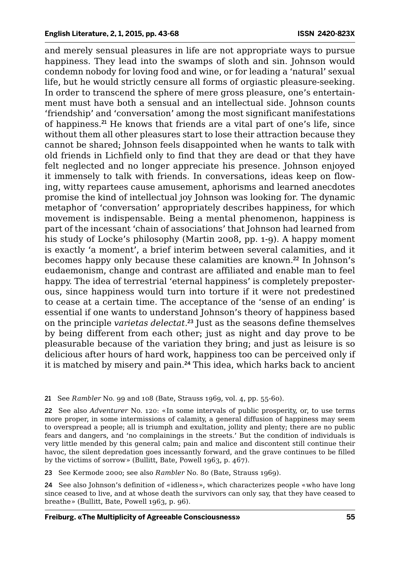and merely sensual pleasures in life are not appropriate ways to pursue happiness. They lead into the swamps of sloth and sin. Johnson would condemn nobody for loving food and wine, or for leading a 'natural' sexual life, but he would strictly censure all forms of orgiastic pleasure-seeking. In order to transcend the sphere of mere gross pleasure, one's entertainment must have both a sensual and an intellectual side. Johnson counts 'friendship' and 'conversation' among the most significant manifestations of happiness.<sup>21</sup> He knows that friends are a vital part of one's life, since without them all other pleasures start to lose their attraction because they cannot be shared; Johnson feels disappointed when he wants to talk with old friends in Lichfield only to find that they are dead or that they have felt neglected and no longer appreciate his presence. Johnson enjoyed it immensely to talk with friends. In conversations, ideas keep on flowing, witty repartees cause amusement, aphorisms and learned anecdotes promise the kind of intellectual joy Johnson was looking for. The dynamic metaphor of 'conversation' appropriately describes happiness, for which movement is indispensable. Being a mental phenomenon, happiness is part of the incessant 'chain of associations' that Johnson had learned from his study of Locke's philosophy (Martin 2008, pp. 1-9). A happy moment is exactly 'a moment', a brief interim between several calamities, and it becomes happy only because these calamities are known.<sup>22</sup> In Johnson's eudaemonism, change and contrast are affiliated and enable man to feel happy. The idea of terrestrial 'eternal happiness' is completely preposterous, since happiness would turn into torture if it were not predestined to cease at a certain time. The acceptance of the 'sense of an ending' is essential if one wants to understand Johnson's theory of happiness based on the principle *varietas delectat*. <sup>23</sup> Just as the seasons define themselves by being different from each other; just as night and day prove to be pleasurable because of the variation they bring; and just as leisure is so delicious after hours of hard work, happiness too can be perceived only if it is matched by misery and pain.<sup>24</sup> This idea, which harks back to ancient

21 See *Rambler* No. 99 and 108 (Bate, Strauss 1969, vol. 4, pp. 55-60).

22 See also *Adventurer* No. 120: «In some intervals of public prosperity, or, to use terms more proper, in some intermissions of calamity, a general diffusion of happiness may seem to overspread a people; all is triumph and exultation, jollity and plenty; there are no public fears and dangers, and 'no complainings in the streets.' But the condition of individuals is very little mended by this general calm; pain and malice and discontent still continue their havoc, the silent depredation goes incessantly forward, and the grave continues to be filled by the victims of sorrow» (Bullitt, Bate, Powell 1963, p. 467).

23 See Kermode 2000; see also *Rambler* No. 80 (Bate, Strauss 1969).

24 See also Johnson's definition of «idleness», which characterizes people «who have long since ceased to live, and at whose death the survivors can only say, that they have ceased to breathe» (Bullitt, Bate, Powell 1963, p. 96).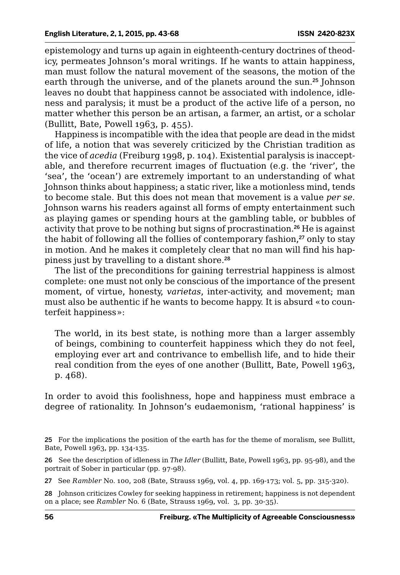epistemology and turns up again in eighteenth-century doctrines of theodicy, permeates Johnson's moral writings. If he wants to attain happiness, man must follow the natural movement of the seasons, the motion of the earth through the universe, and of the planets around the sun.<sup>25</sup> Johnson leaves no doubt that happiness cannot be associated with indolence, idleness and paralysis; it must be a product of the active life of a person, no matter whether this person be an artisan, a farmer, an artist, or a scholar (Bullitt, Bate, Powell 1963, p. 455).

Happiness is incompatible with the idea that people are dead in the midst of life, a notion that was severely criticized by the Christian tradition as the vice of *acedia* (Freiburg 1998, p. 104). Existential paralysis is inacceptable, and therefore recurrent images of fluctuation (e.g. the 'river', the 'sea', the 'ocean') are extremely important to an understanding of what Johnson thinks about happiness; a static river, like a motionless mind, tends to become stale. But this does not mean that movement is a value *per se*. Johnson warns his readers against all forms of empty entertainment such as playing games or spending hours at the gambling table, or bubbles of activity that prove to be nothing but signs of procrastination.<sup>26</sup> He is against the habit of following all the follies of contemporary fashion,<sup>27</sup> only to stay in motion. And he makes it completely clear that no man will find his happiness just by travelling to a distant shore.<sup>28</sup>

The list of the preconditions for gaining terrestrial happiness is almost complete: one must not only be conscious of the importance of the present moment, of virtue, honesty, *varietas*, inter-activity, and movement; man must also be authentic if he wants to become happy. It is absurd «to counterfeit happiness»:

The world, in its best state, is nothing more than a larger assembly of beings, combining to counterfeit happiness which they do not feel, employing ever art and contrivance to embellish life, and to hide their real condition from the eyes of one another (Bullitt, Bate, Powell 1963, p. 468).

In order to avoid this foolishness, hope and happiness must embrace a degree of rationality. In Johnson's eudaemonism, 'rational happiness' is

26 See the description of idleness in *The Idler* (Bullitt, Bate, Powell 1963, pp. 95-98), and the portrait of Sober in particular (pp. 97-98).

27 See *Rambler* No. 100, 208 (Bate, Strauss 1969, vol. 4, pp. 169-173; vol. 5, pp. 315-320).

28 Johnson criticizes Cowley for seeking happiness in retirement; happiness is not dependent on a place; see *Rambler* No. 6 (Bate, Strauss 1969, vol. 3, pp. 30-35).

<sup>25</sup> For the implications the position of the earth has for the theme of moralism, see Bullitt, Bate, Powell 1963, pp. 134-135.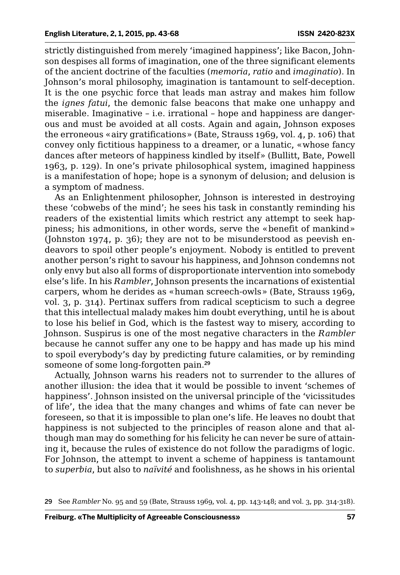strictly distinguished from merely 'imagined happiness'; like Bacon, Johnson despises all forms of imagination, one of the three significant elements of the ancient doctrine of the faculties (*memoria*, *ratio* and *imaginatio*). In Johnson's moral philosophy, imagination is tantamount to self-deception. It is the one psychic force that leads man astray and makes him follow the *ignes fatui*, the demonic false beacons that make one unhappy and miserable. Imaginative – i.e. irrational – hope and happiness are dangerous and must be avoided at all costs. Again and again, Johnson exposes the erroneous «airy gratifications» (Bate, Strauss 1969, vol. 4, p. 106) that convey only fictitious happiness to a dreamer, or a lunatic, «whose fancy dances after meteors of happiness kindled by itself» (Bullitt, Bate, Powell 1963, p. 129). In one's private philosophical system, imagined happiness is a manifestation of hope; hope is a synonym of delusion; and delusion is a symptom of madness.

As an Enlightenment philosopher, Johnson is interested in destroying these 'cobwebs of the mind'; he sees his task in constantly reminding his readers of the existential limits which restrict any attempt to seek happiness; his admonitions, in other words, serve the «benefit of mankind» (Johnston 1974, p. 36); they are not to be misunderstood as peevish endeavors to spoil other people's enjoyment. Nobody is entitled to prevent another person's right to savour his happiness, and Johnson condemns not only envy but also all forms of disproportionate intervention into somebody else's life. In his *Rambler*, Johnson presents the incarnations of existential carpers, whom he derides as «human screech-owls» (Bate, Strauss 1969, vol. 3, p. 314). Pertinax suffers from radical scepticism to such a degree that this intellectual malady makes him doubt everything, until he is about to lose his belief in God, which is the fastest way to misery, according to Johnson. Suspirus is one of the most negative characters in the *Rambler* because he cannot suffer any one to be happy and has made up his mind to spoil everybody's day by predicting future calamities, or by reminding someone of some long-forgotten pain.<sup>29</sup>

Actually, Johnson warns his readers not to surrender to the allures of another illusion: the idea that it would be possible to invent 'schemes of happiness'. Johnson insisted on the universal principle of the 'vicissitudes of life', the idea that the many changes and whims of fate can never be foreseen, so that it is impossible to plan one's life. He leaves no doubt that happiness is not subjected to the principles of reason alone and that although man may do something for his felicity he can never be sure of attaining it, because the rules of existence do not follow the paradigms of logic. For Johnson, the attempt to invent a scheme of happiness is tantamount to *superbia*, but also to *naïvité* and foolishness, as he shows in his oriental

<sup>29</sup> See *Rambler* No. 95 and 59 (Bate, Strauss 1969, vol. 4, pp. 143-148; and vol. 3, pp. 314-318).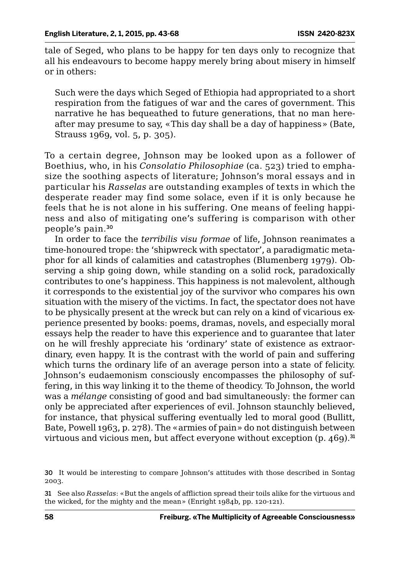tale of Seged, who plans to be happy for ten days only to recognize that all his endeavours to become happy merely bring about misery in himself or in others:

Such were the days which Seged of Ethiopia had appropriated to a short respiration from the fatigues of war and the cares of government. This narrative he has bequeathed to future generations, that no man hereafter may presume to say, «This day shall be a day of happiness» (Bate, Strauss 1969, vol. 5, p. 305).

To a certain degree, Johnson may be looked upon as a follower of Boethius, who, in his *Consolatio Philosophiae* (ca. 523) tried to emphasize the soothing aspects of literature; Johnson's moral essays and in particular his *Rasselas* are outstanding examples of texts in which the desperate reader may find some solace, even if it is only because he feels that he is not alone in his suffering. One means of feeling happiness and also of mitigating one's suffering is comparison with other people's pain.<sup>30</sup>

In order to face the *terribilis visu formae* of life, Johnson reanimates a time-honoured trope: the 'shipwreck with spectator', a paradigmatic metaphor for all kinds of calamities and catastrophes (Blumenberg 1979). Observing a ship going down, while standing on a solid rock, paradoxically contributes to one's happiness. This happiness is not malevolent, although it corresponds to the existential joy of the survivor who compares his own situation with the misery of the victims. In fact, the spectator does not have to be physically present at the wreck but can rely on a kind of vicarious experience presented by books: poems, dramas, novels, and especially moral essays help the reader to have this experience and to guarantee that later on he will freshly appreciate his 'ordinary' state of existence as extraordinary, even happy. It is the contrast with the world of pain and suffering which turns the ordinary life of an average person into a state of felicity. Johnson's eudaemonism consciously encompasses the philosophy of suffering, in this way linking it to the theme of theodicy. To Johnson, the world was a *mélange* consisting of good and bad simultaneously: the former can only be appreciated after experiences of evil. Johnson staunchly believed, for instance, that physical suffering eventually led to moral good (Bullitt, Bate, Powell 1963, p. 278). The «armies of pain» do not distinguish between virtuous and vicious men, but affect everyone without exception  $(p, 469)^{31}$ 

<sup>30</sup> It would be interesting to compare Johnson's attitudes with those described in Sontag 2003.

<sup>31</sup> See also *Rasselas*: «But the angels of affliction spread their toils alike for the virtuous and the wicked, for the mighty and the mean» (Enright 1984b, pp. 120-121).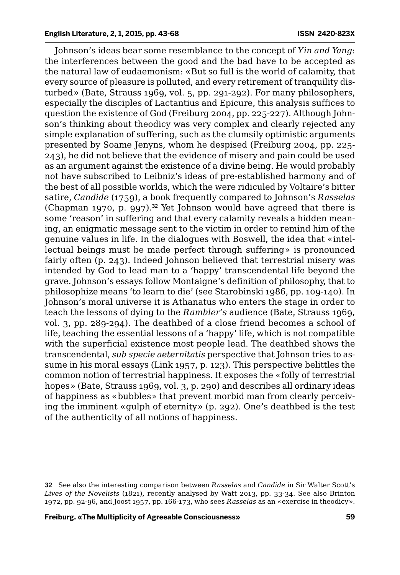Johnson's ideas bear some resemblance to the concept of *Yin and Yang*: the interferences between the good and the bad have to be accepted as the natural law of eudaemonism: «But so full is the world of calamity, that every source of pleasure is polluted, and every retirement of tranquility disturbed» (Bate, Strauss 1969, vol. 5, pp. 291-292). For many philosophers, especially the disciples of Lactantius and Epicure, this analysis suffices to question the existence of God (Freiburg 2004, pp. 225-227). Although Johnson's thinking about theodicy was very complex and clearly rejected any simple explanation of suffering, such as the clumsily optimistic arguments presented by Soame Jenyns, whom he despised (Freiburg 2004, pp. 225- 243), he did not believe that the evidence of misery and pain could be used as an argument against the existence of a divine being. He would probably not have subscribed to Leibniz's ideas of pre-established harmony and of the best of all possible worlds, which the were ridiculed by Voltaire's bitter satire, *Candide* (1759), a book frequently compared to Johnson's *Rasselas* (Chapman 1970, p. 997).<sup>32</sup> Yet Johnson would have agreed that there is some 'reason' in suffering and that every calamity reveals a hidden meaning, an enigmatic message sent to the victim in order to remind him of the genuine values in life. In the dialogues with Boswell, the idea that «intellectual beings must be made perfect through suffering» is pronounced fairly often (p. 243). Indeed Johnson believed that terrestrial misery was intended by God to lead man to a 'happy' transcendental life beyond the grave. Johnson's essays follow Montaigne's definition of philosophy, that to philosophize means 'to learn to die' (see Starobinski 1986, pp. 109-140). In Johnson's moral universe it is Athanatus who enters the stage in order to teach the lessons of dying to the *Rambler's* audience (Bate, Strauss 1969, vol. 3, pp. 289-294). The deathbed of a close friend becomes a school of life, teaching the essential lessons of a 'happy' life, which is not compatible with the superficial existence most people lead. The deathbed shows the transcendental, *sub specie aeternitatis* perspective that Johnson tries to assume in his moral essays (Link 1957, p. 123). This perspective belittles the common notion of terrestrial happiness. It exposes the «folly of terrestrial hopes» (Bate, Strauss 1969, vol. 3, p. 290) and describes all ordinary ideas of happiness as «bubbles» that prevent morbid man from clearly perceiving the imminent «gulph of eternity» (p. 292). One's deathbed is the test of the authenticity of all notions of happiness.

<sup>32</sup> See also the interesting comparison between *Rasselas* and *Candide* in Sir Walter Scott's *Lives of the Novelists* (1821), recently analysed by Watt 2013, pp. 33-34. See also Brinton 1972, pp. 92-96, and Joost 1957, pp. 166-173, who sees *Rasselas* as an «exercise in theodicy».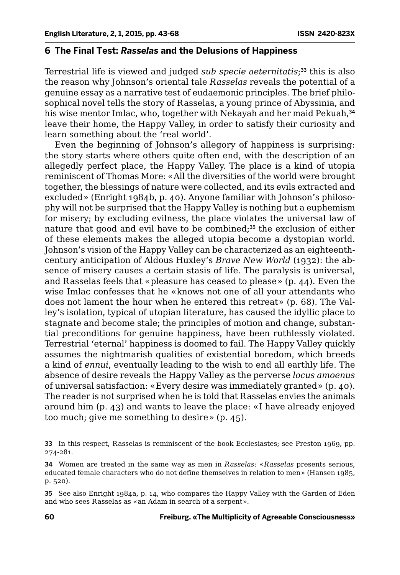#### **6 The Final Test:** *Rasselas* **and the Delusions of Happiness**

Terrestrial life is viewed and judged *sub specie aeternitatis*; <sup>33</sup> this is also the reason why Johnson's oriental tale *Rasselas* reveals the potential of a genuine essay as a narrative test of eudaemonic principles. The brief philosophical novel tells the story of Rasselas, a young prince of Abyssinia, and his wise mentor Imlac, who, together with Nekayah and her maid Pekuah,<sup>34</sup> leave their home, the Happy Valley, in order to satisfy their curiosity and learn something about the 'real world'.

Even the beginning of Johnson's allegory of happiness is surprising: the story starts where others quite often end, with the description of an allegedly perfect place, the Happy Valley. The place is a kind of utopia reminiscent of Thomas More: «All the diversities of the world were brought together, the blessings of nature were collected, and its evils extracted and excluded» (Enright 1984b, p. 40). Anyone familiar with Johnson's philosophy will not be surprised that the Happy Valley is nothing but a euphemism for misery; by excluding evilness, the place violates the universal law of nature that good and evil have to be combined;<sup>35</sup> the exclusion of either of these elements makes the alleged utopia become a dystopian world. Johnson's vision of the Happy Valley can be characterized as an eighteenthcentury anticipation of Aldous Huxley's *Brave New World* (1932): the absence of misery causes a certain stasis of life. The paralysis is universal, and Rasselas feels that «pleasure has ceased to please» (p. 44). Even the wise Imlac confesses that he «knows not one of all your attendants who does not lament the hour when he entered this retreat» (p. 68). The Valley's isolation, typical of utopian literature, has caused the idyllic place to stagnate and become stale; the principles of motion and change, substantial preconditions for genuine happiness, have been ruthlessly violated. Terrestrial 'eternal' happiness is doomed to fail. The Happy Valley quickly assumes the nightmarish qualities of existential boredom, which breeds a kind of *ennui*, eventually leading to the wish to end all earthly life. The absence of desire reveals the Happy Valley as the perverse *locus amoenus* of universal satisfaction: «Every desire was immediately granted» (p. 40). The reader is not surprised when he is told that Rasselas envies the animals around him (p. 43) and wants to leave the place: «I have already enjoyed too much; give me something to desire» (p. 45).

35 See also Enright 1984a, p. 14, who compares the Happy Valley with the Garden of Eden and who sees Rasselas as «an Adam in search of a serpent».

<sup>33</sup> In this respect, Rasselas is reminiscent of the book Ecclesiastes; see Preston 1969, pp. 274-281.

<sup>34</sup> Women are treated in the same way as men in *Rasselas*: «*Rasselas* presents serious, educated female characters who do not define themselves in relation to men» (Hansen 1985, p. 520).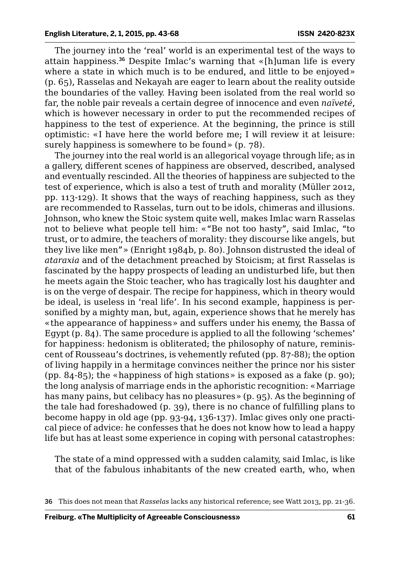The journey into the 'real' world is an experimental test of the ways to attain happiness.<sup>36</sup> Despite Imlac's warning that «[h]uman life is every where a state in which much is to be endured, and little to be enjoyed» (p. 65), Rasselas and Nekayah are eager to learn about the reality outside the boundaries of the valley. Having been isolated from the real world so far, the noble pair reveals a certain degree of innocence and even *naïveté*, which is however necessary in order to put the recommended recipes of happiness to the test of experience. At the beginning, the prince is still optimistic: «I have here the world before me; I will review it at leisure: surely happiness is somewhere to be found» (p. 78).

The journey into the real world is an allegorical voyage through life; as in a gallery, different scenes of happiness are observed, described, analysed and eventually rescinded. All the theories of happiness are subjected to the test of experience, which is also a test of truth and morality (Müller 2012, pp. 113-129). It shows that the ways of reaching happiness, such as they are recommended to Rasselas, turn out to be idols, chimeras and illusions. Johnson, who knew the Stoic system quite well, makes Imlac warn Rasselas not to believe what people tell him: «"Be not too hasty", said Imlac, "to trust, or to admire, the teachers of morality: they discourse like angels, but they live like men"» (Enright 1984b, p. 80). Johnson distrusted the ideal of *ataraxia* and of the detachment preached by Stoicism; at first Rasselas is fascinated by the happy prospects of leading an undisturbed life, but then he meets again the Stoic teacher, who has tragically lost his daughter and is on the verge of despair. The recipe for happiness, which in theory would be ideal, is useless in 'real life'. In his second example, happiness is personified by a mighty man, but, again, experience shows that he merely has «the appearance of happiness» and suffers under his enemy, the Bassa of Egypt (p. 84). The same procedure is applied to all the following 'schemes' for happiness: hedonism is obliterated; the philosophy of nature, reminiscent of Rousseau's doctrines, is vehemently refuted (pp. 87-88); the option of living happily in a hermitage convinces neither the prince nor his sister (pp. 84-85); the «happiness of high stations» is exposed as a fake  $(p, g_0)$ ; the long analysis of marriage ends in the aphoristic recognition: «Marriage has many pains, but celibacy has no pleasures» (p. 95). As the beginning of the tale had foreshadowed (p. 39), there is no chance of fulfilling plans to become happy in old age (pp. 93-94, 136-137). Imlac gives only one practical piece of advice: he confesses that he does not know how to lead a happy life but has at least some experience in coping with personal catastrophes:

The state of a mind oppressed with a sudden calamity, said Imlac, is like that of the fabulous inhabitants of the new created earth, who, when

<sup>36</sup> This does not mean that *Rasselas* lacks any historical reference; see Watt 2013, pp. 21-36.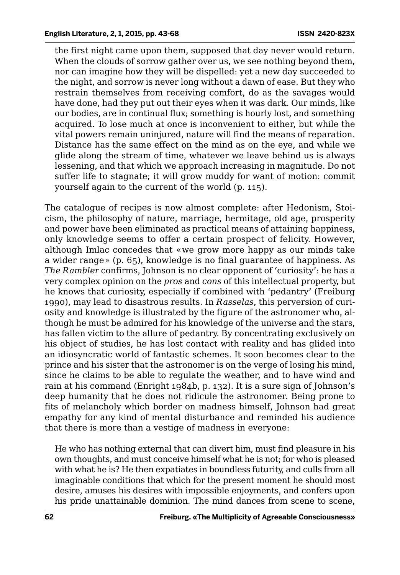the first night came upon them, supposed that day never would return. When the clouds of sorrow gather over us, we see nothing beyond them, nor can imagine how they will be dispelled: yet a new day succeeded to the night, and sorrow is never long without a dawn of ease. But they who restrain themselves from receiving comfort, do as the savages would have done, had they put out their eyes when it was dark. Our minds, like our bodies, are in continual flux; something is hourly lost, and something acquired. To lose much at once is inconvenient to either, but while the vital powers remain uninjured, nature will find the means of reparation. Distance has the same effect on the mind as on the eye, and while we glide along the stream of time, whatever we leave behind us is always lessening, and that which we approach increasing in magnitude. Do not suffer life to stagnate; it will grow muddy for want of motion: commit yourself again to the current of the world (p. 115).

The catalogue of recipes is now almost complete: after Hedonism, Stoicism, the philosophy of nature, marriage, hermitage, old age, prosperity and power have been eliminated as practical means of attaining happiness, only knowledge seems to offer a certain prospect of felicity. However, although Imlac concedes that «we grow more happy as our minds take a wider range» (p. 65), knowledge is no final guarantee of happiness. As *The Rambler* confirms, Johnson is no clear opponent of 'curiosity': he has a very complex opinion on the *pros* and *cons* of this intellectual property, but he knows that curiosity, especially if combined with 'pedantry' (Freiburg 1990), may lead to disastrous results. In *Rasselas*, this perversion of curiosity and knowledge is illustrated by the figure of the astronomer who, although he must be admired for his knowledge of the universe and the stars, has fallen victim to the allure of pedantry. By concentrating exclusively on his object of studies, he has lost contact with reality and has glided into an idiosyncratic world of fantastic schemes. It soon becomes clear to the prince and his sister that the astronomer is on the verge of losing his mind, since he claims to be able to regulate the weather, and to have wind and rain at his command (Enright 1984b, p. 132). It is a sure sign of Johnson's deep humanity that he does not ridicule the astronomer. Being prone to fits of melancholy which border on madness himself, Johnson had great empathy for any kind of mental disturbance and reminded his audience that there is more than a vestige of madness in everyone:

He who has nothing external that can divert him, must find pleasure in his own thoughts, and must conceive himself what he is not; for who is pleased with what he is? He then expatiates in boundless futurity, and culls from all imaginable conditions that which for the present moment he should most desire, amuses his desires with impossible enjoyments, and confers upon his pride unattainable dominion. The mind dances from scene to scene,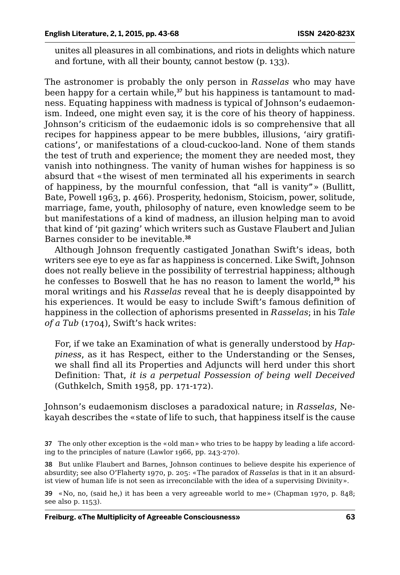unites all pleasures in all combinations, and riots in delights which nature and fortune, with all their bounty, cannot bestow (p. 133).

The astronomer is probably the only person in *Rasselas* who may have been happy for a certain while, $37$  but his happiness is tantamount to madness. Equating happiness with madness is typical of Johnson's eudaemonism. Indeed, one might even say, it is the core of his theory of happiness. Johnson's criticism of the eudaemonic idols is so comprehensive that all recipes for happiness appear to be mere bubbles, illusions, 'airy gratifications', or manifestations of a cloud-cuckoo-land. None of them stands the test of truth and experience; the moment they are needed most, they vanish into nothingness. The vanity of human wishes for happiness is so absurd that «the wisest of men terminated all his experiments in search of happiness, by the mournful confession, that "all is vanity"» (Bullitt, Bate, Powell 1963, p. 466). Prosperity, hedonism, Stoicism, power, solitude, marriage, fame, youth, philosophy of nature, even knowledge seem to be but manifestations of a kind of madness, an illusion helping man to avoid that kind of 'pit gazing' which writers such as Gustave Flaubert and Julian Barnes consider to be inevitable.<sup>38</sup>

Although Johnson frequently castigated Jonathan Swift's ideas, both writers see eye to eye as far as happiness is concerned. Like Swift, Johnson does not really believe in the possibility of terrestrial happiness; although he confesses to Boswell that he has no reason to lament the world,<sup>39</sup> his moral writings and his *Rasselas* reveal that he is deeply disappointed by his experiences. It would be easy to include Swift's famous definition of happiness in the collection of aphorisms presented in *Rasselas*; in his *Tale of a Tub* (1704), Swift's hack writes:

For, if we take an Examination of what is generally understood by *Happiness*, as it has Respect, either to the Understanding or the Senses, we shall find all its Properties and Adjuncts will herd under this short Definition: That, *it is a perpetual Possession of being well Deceived* (Guthkelch, Smith 1958, pp. 171-172).

Johnson's eudaemonism discloses a paradoxical nature; in *Rasselas*, Nekayah describes the «state of life to such, that happiness itself is the cause

38 But unlike Flaubert and Barnes, Johnson continues to believe despite his experience of absurdity; see also O'Flaherty 1970, p. 205: «The paradox of *Rasselas* is that in it an absurdist view of human life is not seen as irreconcilable with the idea of a supervising Divinity».

39 «No, no, (said he,) it has been a very agreeable world to me» (Chapman 1970, p. 848; see also p. 1153).

<sup>37</sup> The only other exception is the «old man» who tries to be happy by leading a life according to the principles of nature (Lawlor 1966, pp. 243-270).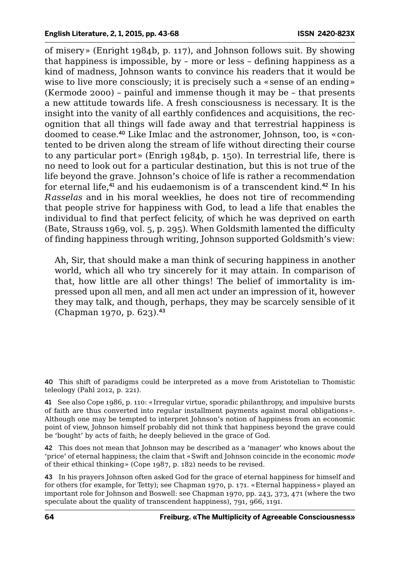of misery» (Enright 1984b, p. 117), and Johnson follows suit. By showing that happiness is impossible, by – more or less – defining happiness as a kind of madness, Johnson wants to convince his readers that it would be wise to live more consciously; it is precisely such a «sense of an ending» (Kermode 2000) – painful and immense though it may be – that presents a new attitude towards life. A fresh consciousness is necessary. It is the insight into the vanity of all earthly confidences and acquisitions, the recognition that all things will fade away and that terrestrial happiness is doomed to cease.40 Like Imlac and the astronomer, Johnson, too, is «contented to be driven along the stream of life without directing their course to any particular port» (Enrigh 1984b, p. 150). In terrestrial life, there is no need to look out for a particular destination, but this is not true of the life beyond the grave. Johnson's choice of life is rather a recommendation for eternal life, $41$  and his eudaemonism is of a transcendent kind, $42$  In his *Rasselas* and in his moral weeklies, he does not tire of recommending that people strive for happiness with God, to lead a life that enables the individual to find that perfect felicity, of which he was deprived on earth (Bate, Strauss 1969, vol. 5, p. 295). When Goldsmith lamented the difficulty of finding happiness through writing, Johnson supported Goldsmith's view:

Ah, Sir, that should make a man think of securing happiness in another world, which all who try sincerely for it may attain. In comparison of that, how little are all other things! The belief of immortality is impressed upon all men, and all men act under an impression of it, however they may talk, and though, perhaps, they may be scarcely sensible of it (Chapman 1970, p. 623).<sup>43</sup>

40 This shift of paradigms could be interpreted as a move from Aristotelian to Thomistic teleology (Pahl 2012, p. 221).

41 See also Cope 1986, p. 110: «Irregular virtue, sporadic philanthropy, and impulsive bursts of faith are thus converted into regular installment payments against moral obligations». Although one may be tempted to interpret Johnson's notion of happiness from an economic point of view, Johnson himself probably did not think that happiness beyond the grave could be 'bought' by acts of faith; he deeply believed in the grace of God.

42 This does not mean that Johnson may be described as a 'manager' who knows about the 'price' of eternal happiness; the claim that «Swift and Johnson coincide in the economic *mode* of their ethical thinking» (Cope 1987, p. 182) needs to be revised.

43 In his prayers Johnson often asked God for the grace of eternal happiness for himself and for others (for example, for Tetty); see Chapman 1970, p. 171. «Eternal happiness» played an important role for Johnson and Boswell: see Chapman 1970, pp. 243, 373, 471 (where the two speculate about the quality of transcendent happiness), 791, 966, 1191.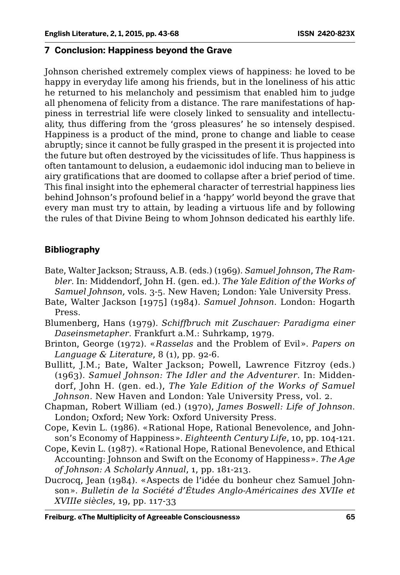#### **7 Conclusion: Happiness beyond the Grave**

Johnson cherished extremely complex views of happiness: he loved to be happy in everyday life among his friends, but in the loneliness of his attic he returned to his melancholy and pessimism that enabled him to judge all phenomena of felicity from a distance. The rare manifestations of happiness in terrestrial life were closely linked to sensuality and intellectuality, thus differing from the 'gross pleasures' he so intensely despised. Happiness is a product of the mind, prone to change and liable to cease abruptly; since it cannot be fully grasped in the present it is projected into the future but often destroyed by the vicissitudes of life. Thus happiness is often tantamount to delusion, a eudaemonic idol inducing man to believe in airy gratifications that are doomed to collapse after a brief period of time. This final insight into the ephemeral character of terrestrial happiness lies behind Johnson's profound belief in a 'happy' world beyond the grave that every man must try to attain, by leading a virtuous life and by following the rules of that Divine Being to whom Johnson dedicated his earthly life.

### **Bibliography**

- Bate, Walter Jackson; Strauss, A.B. (eds.) (1969). *Samuel Johnson*, *The Rambler*. In: Middendorf, John H. (gen. ed.). *The Yale Edition of the Works of Samuel Johnson,* vols. 3-5. New Haven; London: Yale University Press.
- Bate, Walter Jackson [1975] (1984). *Samuel Johnson*. London: Hogarth Press.
- Blumenberg, Hans (1979). *Schiffbruch mit Zuschauer: Paradigma einer Daseinsmetapher*. Frankfurt a.M.: Suhrkamp, 1979.
- Brinton, George (1972). «*Rasselas* and the Problem of Evil». *Papers on Language & Literature*, 8 (1), pp. 92-6.
- Bullitt, J.M.; Bate, Walter Jackson; Powell, Lawrence Fitzroy (eds.) (1963). *Samuel Johnson: The Idler and the Adventurer*. In: Middendorf, John H. (gen. ed.), *The Yale Edition of the Works of Samuel Johnson*. New Haven and London: Yale University Press, vol. 2.
- Chapman, Robert William (ed.) (1970), *James Boswell: Life of Johnson*. London; Oxford; New York: Oxford University Press.
- Cope, Kevin L. (1986). «Rational Hope, Rational Benevolence, and Johnson's Economy of Happiness». *Eighteenth Century Life*, 10, pp. 104-121.
- Cope, Kevin L. (1987). «Rational Hope, Rational Benevolence, and Ethical Accounting: Johnson and Swift on the Economy of Happiness». *The Age of Johnson: A Scholarly Annual*, 1, pp. 181-213.
- Ducrocq, Jean (1984). «Aspects de l'idée du bonheur chez Samuel Johnson». *Bulletin de la Société d'Études Anglo-Américaines des XVIIe et XVIIIe siècles*, 19, pp. 117-33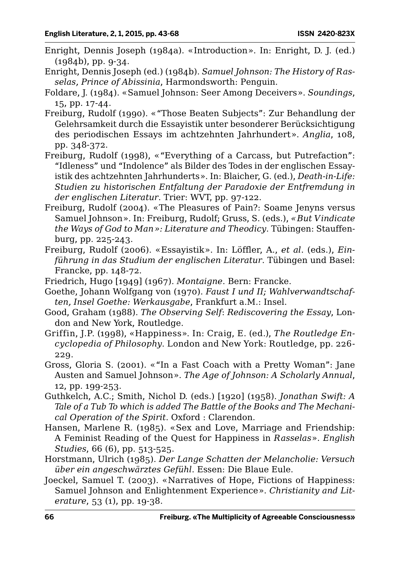- Enright, Dennis Joseph (1984a). «Introduction». In: Enright, D. J. (ed.) (1984b), pp. 9-34.
- Enright, Dennis Joseph (ed.) (1984b). *Samuel Johnson: The History of Rasselas, Prince of Abissinia*, Harmondsworth: Penguin.
- Foldare, J. (1984). «Samuel Johnson: Seer Among Deceivers». *Soundings*, 15, pp. 17-44.
- Freiburg, Rudolf (1990). «"Those Beaten Subjects": Zur Behandlung der Gelehrsamkeit durch die Essayistik unter besonderer Berücksichtigung des periodischen Essays im achtzehnten Jahrhundert». *Anglia*, 108, pp. 348-372.
- Freiburg, Rudolf (1998), «"Everything of a Carcass, but Putrefaction": "Idleness" und "Indolence" als Bilder des Todes in der englischen Essayistik des achtzehnten Jahrhunderts». In: Blaicher, G. (ed.), *Death-in-Life: Studien zu historischen Entfaltung der Paradoxie der Entfremdung in der englischen Literatur*. Trier: WVT, pp. 97-122.
- Freiburg, Rudolf (2004). «The Pleasures of Pain?: Soame Jenyns versus Samuel Johnson». In: Freiburg, Rudolf; Gruss, S. (eds.), *«But Vindicate the Ways of God to Man»: Literature and Theodicy*. Tübingen: Stauffenburg, pp. 225-243.
- Freiburg, Rudolf (2006). «Essayistik». In: Löffler, A., *et al*. (eds.), *Einführung in das Studium der englischen Literatur*. Tübingen und Basel: Francke, pp. 148-72.
- Friedrich, Hugo [1949] (1967). *Montaigne*. Bern: Francke.
- Goethe, Johann Wolfgang von (1970). *Faust I und II; Wahlverwandtschaften, Insel Goethe: Werkausgabe*, Frankfurt a.M.: Insel.
- Good, Graham (1988). *The Observing Self*: *Rediscovering the Essay*, London and New York, Routledge.
- Griffin, J.P. (1998), «Happiness». In: Craig, E. (ed.), *The Routledge Encyclopedia of Philosophy*. London and New York: Routledge, pp. 226- 229.
- Gross, Gloria S. (2001). «"In a Fast Coach with a Pretty Woman": Jane Austen and Samuel Johnson». *The Age of Johnson: A Scholarly Annual*, 12, pp. 199-253.
- Guthkelch, A.C.; Smith, Nichol D. (eds.) [1920] (1958). *Jonathan Swift: A Tale of a Tub To which is added The Battle of the Books and The Mechanical Operation of the Spirit*. Oxford : Clarendon.
- Hansen, Marlene R. (1985). «Sex and Love, Marriage and Friendship: A Feminist Reading of the Quest for Happiness in *Rasselas*». *English Studies*, 66 (6), pp. 513-525.
- Horstmann, Ulrich (1985). *Der Lange Schatten der Melancholie: Versuch über ein angeschwärztes Gefühl*. Essen: Die Blaue Eule.
- Joeckel, Samuel T. (2003). «Narratives of Hope, Fictions of Happiness: Samuel Johnson and Enlightenment Experience». *Christianity and Literature*, 53 (1), pp. 19-38.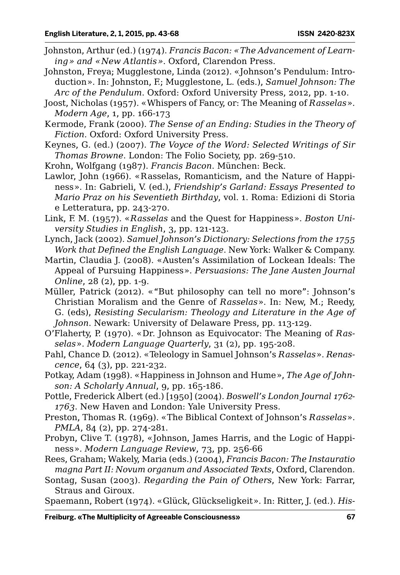- Johnston, Arthur (ed.) (1974). *Francis Bacon: «The Advancement of Learning» and «New Atlantis»*. Oxford, Clarendon Press.
- Johnston, Freya; Mugglestone, Linda (2012). «Johnson's Pendulum: Introduction». In: Johnston, F.; Mugglestone, L. (eds.), *Samuel Johnson: The Arc of the Pendulum*. Oxford: Oxford University Press, 2012, pp. 1-10.
- Joost, Nicholas (1957). «Whispers of Fancy, or: The Meaning of *Rasselas*». *Modern Age*, 1, pp. 166-173
- Kermode, Frank (2000). *The Sense of an Ending: Studies in the Theory of Fiction*. Oxford: Oxford University Press.
- Keynes, G. (ed.) (2007). *The Voyce of the Word: Selected Writings of Sir Thomas Browne*. London: The Folio Society, pp. 269-510.
- Krohn, Wolfgang (1987). *Francis Bacon*. München: Beck.
- Lawlor, John (1966). «Rasselas, Romanticism, and the Nature of Happiness». In: Gabrieli, V. (ed.), *Friendship's Garland: Essays Presented to Mario Praz on his Seventieth Birthday*, vol. 1. Roma: Edizioni di Storia e Letteratura, pp. 243-270.
- Link, F. M. (1957). «*Rasselas* and the Quest for Happiness». *Boston University Studies in English*, 3, pp. 121-123.
- Lynch, Jack (2002). *Samuel Johnson's Dictionary: Selections from the 1755 Work that Defined the English Language*. New York: Walker & Company.
- Martin, Claudia J. (2008). «Austen's Assimilation of Lockean Ideals: The Appeal of Pursuing Happiness». *Persuasions: The Jane Austen Journal Online*, 28 (2), pp. 1-9.
- Müller, Patrick (2012). «"But philosophy can tell no more": Johnson's Christian Moralism and the Genre of *Rasselas*». In: New, M.; Reedy, G. (eds), *Resisting Secularism: Theology and Literature in the Age of Johnson*. Newark: University of Delaware Press, pp. 113-129.
- O'Flaherty, P. (1970). «Dr. Johnson as Equivocator: The Meaning of *Rasselas*». *Modern Language Quarterly*, 31 (2), pp. 195-208.
- Pahl, Chance D. (2012). «Teleology in Samuel Johnson's *Rasselas*». *Renascence*, 64 (3), pp. 221-232.
- Potkay, Adam (1998). «Happiness in Johnson and Hume», *The Age of Johnson: A Scholarly Annual*, 9, pp. 165-186.
- Pottle, Frederick Albert (ed.) [1950] (2004). *Boswell's London Journal 1762- 1763*. New Haven and London: Yale University Press.
- Preston, Thomas R. (1969). «The Biblical Context of Johnson's *Rasselas*». *PMLA*, 84 (2), pp. 274-281.
- Probyn, Clive T. (1978), «Johnson, James Harris, and the Logic of Happiness». *Modern Language Review*, 73, pp. 256-66

Rees, Graham; Wakely, Maria (eds.) (2004), *Francis Bacon: The Instauratio magna Part II: Novum organum and Associated Texts*, Oxford, Clarendon.

Sontag, Susan (2003). *Regarding the Pain of Others*, New York: Farrar, Straus and Giroux.

Spaemann, Robert (1974). «Glück, Glückseligkeit». In: Ritter, J. (ed.). *His-*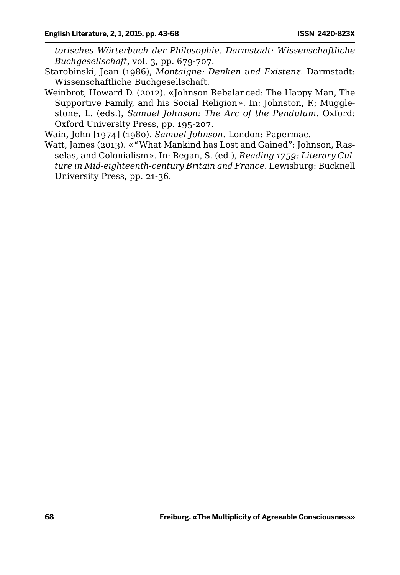*torisches Wörterbuch der Philosophie. Darmstadt: Wissenschaftliche Buchgesellschaft*, vol. 3, pp. 679-707.

- Starobinski, Jean (1986), *Montaigne: Denken und Existenz*. Darmstadt: Wissenschaftliche Buchgesellschaft.
- Weinbrot, Howard D. (2012). «Johnson Rebalanced: The Happy Man, The Supportive Family, and his Social Religion». In: Johnston, F.; Mugglestone, L. (eds.), *Samuel Johnson: The Arc of the Pendulum*. Oxford: Oxford University Press, pp. 195-207.

Wain, John [1974] (1980). *Samuel Johnson*. London: Papermac.

Watt, James (2013). «"What Mankind has Lost and Gained": Johnson, Rasselas, and Colonialism». In: Regan, S. (ed.), *Reading 1759: Literary Culture in Mid-eighteenth-century Britain and France*. Lewisburg: Bucknell University Press, pp. 21-36.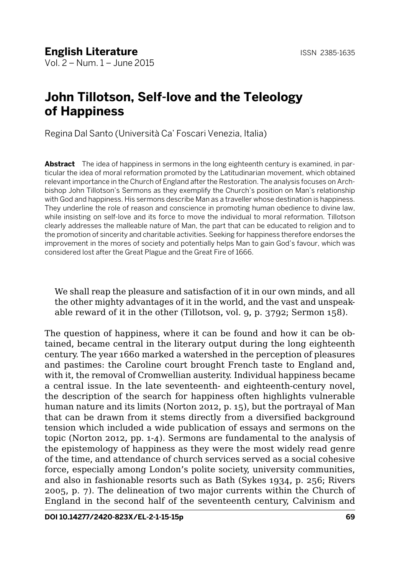# **John Tillotson, Self-love and the Teleology of Happiness**

Regina Dal Santo (Università Ca' Foscari Venezia, Italia)

**Abstract** The idea of happiness in sermons in the long eighteenth century is examined, in particular the idea of moral reformation promoted by the Latitudinarian movement, which obtained relevant importance in the Church of England after the Restoration. The analysis focuses on Archbishop John Tillotson's Sermons as they exemplify the Church's position on Man's relationship with God and happiness. His sermons describe Man as a traveller whose destination is happiness. They underline the role of reason and conscience in promoting human obedience to divine law, while insisting on self-love and its force to move the individual to moral reformation. Tillotson clearly addresses the malleable nature of Man, the part that can be educated to religion and to the promotion of sincerity and charitable activities. Seeking for happiness therefore endorses the improvement in the mores of society and potentially helps Man to gain God's favour, which was considered lost after the Great Plague and the Great Fire of 1666.

We shall reap the pleasure and satisfaction of it in our own minds, and all the other mighty advantages of it in the world, and the vast and unspeakable reward of it in the other (Tillotson, vol. 9, p. 3792; Sermon 158).

The question of happiness, where it can be found and how it can be obtained, became central in the literary output during the long eighteenth century. The year 1660 marked a watershed in the perception of pleasures and pastimes: the Caroline court brought French taste to England and, with it, the removal of Cromwellian austerity. Individual happiness became a central issue. In the late seventeenth- and eighteenth-century novel, the description of the search for happiness often highlights vulnerable human nature and its limits (Norton 2012, p. 15), but the portrayal of Man that can be drawn from it stems directly from a diversified background tension which included a wide publication of essays and sermons on the topic (Norton 2012, pp. 1-4). Sermons are fundamental to the analysis of the epistemology of happiness as they were the most widely read genre of the time, and attendance of church services served as a social cohesive force, especially among London's polite society, university communities, and also in fashionable resorts such as Bath (Sykes 1934, p. 256; Rivers 2005, p. 7). The delineation of two major currents within the Church of England in the second half of the seventeenth century, Calvinism and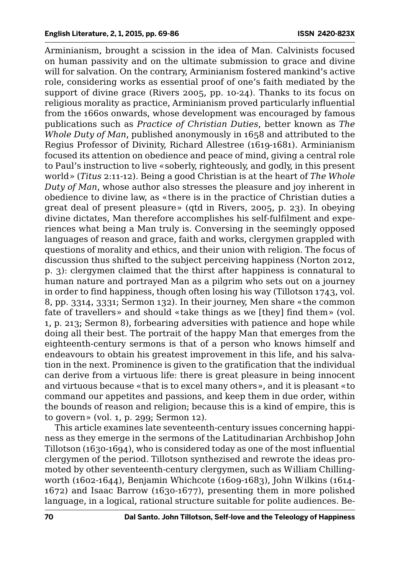Arminianism, brought a scission in the idea of Man. Calvinists focused on human passivity and on the ultimate submission to grace and divine will for salvation. On the contrary, Arminianism fostered mankind's active role, considering works as essential proof of one's faith mediated by the support of divine grace (Rivers 2005, pp. 10-24). Thanks to its focus on religious morality as practice, Arminianism proved particularly influential from the 1660s onwards, whose development was encouraged by famous publications such as *Practice of Christian Duties*, better known as *The Whole Duty of Man*, published anonymously in 1658 and attributed to the Regius Professor of Divinity, Richard Allestree (1619-1681). Arminianism focused its attention on obedience and peace of mind, giving a central role to Paul's instruction to live «soberly, righteously, and godly, in this present world» (*Titus* 2:11-12). Being a good Christian is at the heart of *The Whole Duty of Man*, whose author also stresses the pleasure and joy inherent in obedience to divine law, as «there is in the practice of Christian duties a great deal of present pleasure» (qtd in Rivers, 2005, p. 23). In obeying divine dictates, Man therefore accomplishes his self-fulfilment and experiences what being a Man truly is. Conversing in the seemingly opposed languages of reason and grace, faith and works, clergymen grappled with questions of morality and ethics, and their union with religion. The focus of discussion thus shifted to the subject perceiving happiness (Norton 2012, p. 3): clergymen claimed that the thirst after happiness is connatural to human nature and portrayed Man as a pilgrim who sets out on a journey in order to find happiness, though often losing his way (Tillotson 1743, vol. 8, pp. 3314, 3331; Sermon 132). In their journey, Men share «the common fate of travellers» and should «take things as we [they] find them» (vol. 1, p. 213; Sermon 8), forbearing adversities with patience and hope while doing all their best. The portrait of the happy Man that emerges from the eighteenth-century sermons is that of a person who knows himself and endeavours to obtain his greatest improvement in this life, and his salvation in the next. Prominence is given to the gratification that the individual can derive from a virtuous life: there is great pleasure in being innocent and virtuous because «that is to excel many others», and it is pleasant «to command our appetites and passions, and keep them in due order, within the bounds of reason and religion; because this is a kind of empire, this is to govern» (vol. 1, p. 299; Sermon 12).

This article examines late seventeenth-century issues concerning happiness as they emerge in the sermons of the Latitudinarian Archbishop John Tillotson (1630-1694), who is considered today as one of the most influential clergymen of the period. Tillotson synthezised and rewrote the ideas promoted by other seventeenth-century clergymen, such as William Chillingworth (1602-1644), Benjamin Whichcote (1609-1683), John Wilkins (1614- 1672) and Isaac Barrow (1630-1677), presenting them in more polished language, in a logical, rational structure suitable for polite audiences. Be-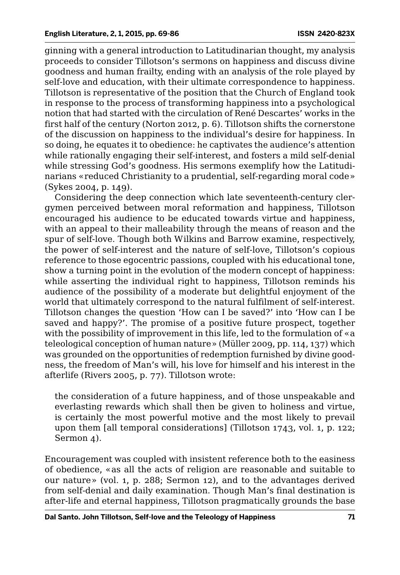ginning with a general introduction to Latitudinarian thought, my analysis proceeds to consider Tillotson's sermons on happiness and discuss divine goodness and human frailty, ending with an analysis of the role played by self-love and education, with their ultimate correspondence to happiness. Tillotson is representative of the position that the Church of England took in response to the process of transforming happiness into a psychological notion that had started with the circulation of René Descartes' works in the first half of the century (Norton 2012, p. 6). Tillotson shifts the cornerstone of the discussion on happiness to the individual's desire for happiness. In so doing, he equates it to obedience: he captivates the audience's attention while rationally engaging their self-interest, and fosters a mild self-denial while stressing God's goodness. His sermons exemplify how the Latitudinarians «reduced Christianity to a prudential, self-regarding moral code» (Sykes 2004, p. 149).

Considering the deep connection which late seventeenth-century clergymen perceived between moral reformation and happiness, Tillotson encouraged his audience to be educated towards virtue and happiness, with an appeal to their malleability through the means of reason and the spur of self-love. Though both Wilkins and Barrow examine, respectively, the power of self-interest and the nature of self-love, Tillotson's copious reference to those egocentric passions, coupled with his educational tone, show a turning point in the evolution of the modern concept of happiness: while asserting the individual right to happiness, Tillotson reminds his audience of the possibility of a moderate but delightful enjoyment of the world that ultimately correspond to the natural fulfilment of self-interest. Tillotson changes the question 'How can I be saved?' into 'How can I be saved and happy?'. The promise of a positive future prospect, together with the possibility of improvement in this life, led to the formulation of «a teleological conception of human nature» (Müller 2009, pp. 114, 137) which was grounded on the opportunities of redemption furnished by divine goodness, the freedom of Man's will, his love for himself and his interest in the afterlife (Rivers 2005, p. 77). Tillotson wrote:

the consideration of a future happiness, and of those unspeakable and everlasting rewards which shall then be given to holiness and virtue, is certainly the most powerful motive and the most likely to prevail upon them [all temporal considerations] (Tillotson 1743, vol. 1, p. 122; Sermon 4).

Encouragement was coupled with insistent reference both to the easiness of obedience, «as all the acts of religion are reasonable and suitable to our nature» (vol. 1, p. 288; Sermon 12), and to the advantages derived from self-denial and daily examination. Though Man's final destination is after-life and eternal happiness, Tillotson pragmatically grounds the base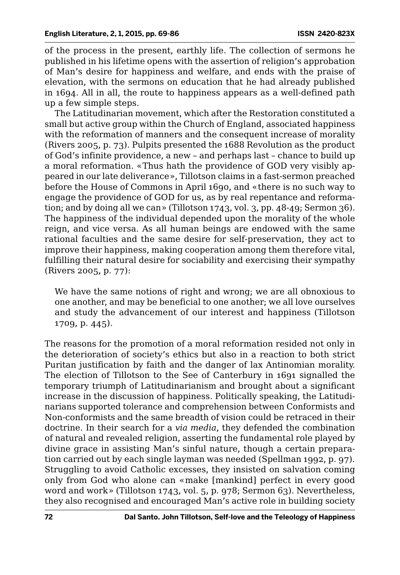of the process in the present, earthly life. The collection of sermons he published in his lifetime opens with the assertion of religion's approbation of Man's desire for happiness and welfare, and ends with the praise of elevation, with the sermons on education that he had already published in 1694. All in all, the route to happiness appears as a well-defined path up a few simple steps.

The Latitudinarian movement, which after the Restoration constituted a small but active group within the Church of England, associated happiness with the reformation of manners and the consequent increase of morality (Rivers 2005, p. 73). Pulpits presented the 1688 Revolution as the product of God's infinite providence, a new – and perhaps last – chance to build up a moral reformation. «Thus hath the providence of GOD very visibly appeared in our late deliverance», Tillotson claims in a fast-sermon preached before the House of Commons in April 1690, and «there is no such way to engage the providence of GOD for us, as by real repentance and reformation; and by doing all we can» (Tillotson 1743, vol. 3, pp. 48-49; Sermon 36). The happiness of the individual depended upon the morality of the whole reign, and vice versa. As all human beings are endowed with the same rational faculties and the same desire for self-preservation, they act to improve their happiness, making cooperation among them therefore vital, fulfilling their natural desire for sociability and exercising their sympathy (Rivers 2005, p. 77):

We have the same notions of right and wrong; we are all obnoxious to one another, and may be beneficial to one another; we all love ourselves and study the advancement of our interest and happiness (Tillotson 1709, p. 445).

The reasons for the promotion of a moral reformation resided not only in the deterioration of society's ethics but also in a reaction to both strict Puritan justification by faith and the danger of lax Antinomian morality. The election of Tillotson to the See of Canterbury in 1691 signalled the temporary triumph of Latitudinarianism and brought about a significant increase in the discussion of happiness. Politically speaking, the Latitudinarians supported tolerance and comprehension between Conformists and Non-conformists and the same breadth of vision could be retraced in their doctrine. In their search for a *via media*, they defended the combination of natural and revealed religion, asserting the fundamental role played by divine grace in assisting Man's sinful nature, though a certain preparation carried out by each single layman was needed (Spellman 1992, p. 97). Struggling to avoid Catholic excesses, they insisted on salvation coming only from God who alone can «make [mankind] perfect in every good word and work» (Tillotson 1743, vol. 5, p. 978; Sermon 63). Nevertheless, they also recognised and encouraged Man's active role in building society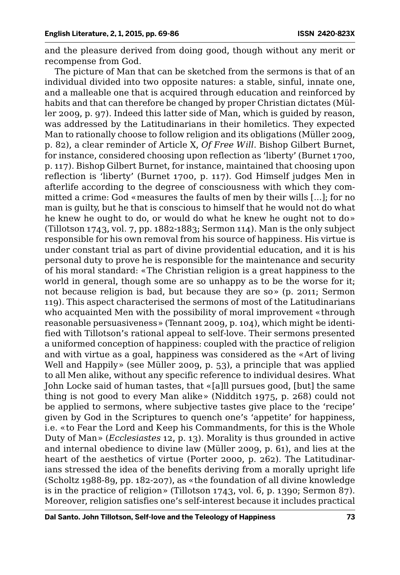and the pleasure derived from doing good, though without any merit or recompense from God.

The picture of Man that can be sketched from the sermons is that of an individual divided into two opposite natures: a stable, sinful, innate one, and a malleable one that is acquired through education and reinforced by habits and that can therefore be changed by proper Christian dictates (Müller 2009, p. 97). Indeed this latter side of Man, which is guided by reason, was addressed by the Latitudinarians in their homiletics. They expected Man to rationally choose to follow religion and its obligations (Müller 2009, p. 82), a clear reminder of Article X, *Of Free Will*. Bishop Gilbert Burnet, for instance, considered choosing upon reflection as 'liberty' (Burnet 1700, p. 117). Bishop Gilbert Burnet, for instance, maintained that choosing upon reflection is 'liberty' (Burnet 1700, p. 117). God Himself judges Men in afterlife according to the degree of consciousness with which they committed a crime: God «measures the faults of men by their wills [...]; for no man is guilty, but he that is conscious to himself that he would not do what he knew he ought to do, or would do what he knew he ought not to do» (Tillotson 1743, vol. 7, pp. 1882-1883; Sermon 114). Man is the only subject responsible for his own removal from his source of happiness. His virtue is under constant trial as part of divine providential education, and it is his personal duty to prove he is responsible for the maintenance and security of his moral standard: «The Christian religion is a great happiness to the world in general, though some are so unhappy as to be the worse for it; not because religion is bad, but because they are so» (p. 2011; Sermon 119). This aspect characterised the sermons of most of the Latitudinarians who acquainted Men with the possibility of moral improvement «through reasonable persuasiveness» (Tennant 2009, p. 104), which might be identified with Tillotson's rational appeal to self-love. Their sermons presented a uniformed conception of happiness: coupled with the practice of religion and with virtue as a goal, happiness was considered as the «Art of living Well and Happily» (see Müller 2009, p. 53), a principle that was applied to all Men alike, without any specific reference to individual desires. What John Locke said of human tastes, that «[a]ll pursues good, [but] the same thing is not good to every Man alike» (Nidditch 1975, p. 268) could not be applied to sermons, where subjective tastes give place to the 'recipe' given by God in the Scriptures to quench one's 'appetite' for happiness, i.e. «to Fear the Lord and Keep his Commandments, for this is the Whole Duty of Man» (*Ecclesiastes* 12, p. 13). Morality is thus grounded in active and internal obedience to divine law (Müller 2009, p. 61), and lies at the heart of the aesthetics of virtue (Porter 2000, p. 262). The Latitudinarians stressed the idea of the benefits deriving from a morally upright life (Scholtz 1988-89, pp. 182-207), as «the foundation of all divine knowledge is in the practice of religion» (Tillotson 1743, vol. 6, p. 1390; Sermon 87). Moreover, religion satisfies one's self-interest because it includes practical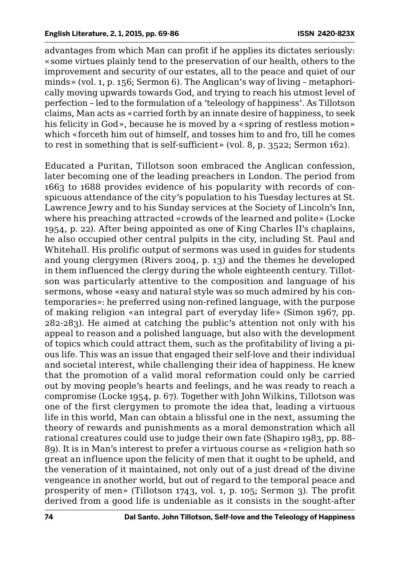advantages from which Man can profit if he applies its dictates seriously: «some virtues plainly tend to the preservation of our health, others to the improvement and security of our estates, all to the peace and quiet of our minds» (vol. 1, p. 156; Sermon 6). The Anglican's way of living – metaphorically moving upwards towards God, and trying to reach his utmost level of perfection – led to the formulation of a 'teleology of happiness'. As Tillotson claims, Man acts as «carried forth by an innate desire of happiness, to seek his felicity in God», because he is moved by a «spring of restless motion» which «forceth him out of himself, and tosses him to and fro, till he comes to rest in something that is self-sufficient» (vol. 8, p. 3522; Sermon 162).

Educated a Puritan, Tillotson soon embraced the Anglican confession, later becoming one of the leading preachers in London. The period from 1663 to 1688 provides evidence of his popularity with records of conspicuous attendance of the city's population to his Tuesday lectures at St. Lawrence Jewry and to his Sunday services at the Society of Lincoln's Inn, where his preaching attracted «crowds of the learned and polite» (Locke 1954, p. 22). After being appointed as one of King Charles II's chaplains, he also occupied other central pulpits in the city, including St. Paul and Whitehall. His prolific output of sermons was used in guides for students and young clergymen (Rivers 2004, p. 13) and the themes he developed in them influenced the clergy during the whole eighteenth century. Tillotson was particularly attentive to the composition and language of his sermons, whose «easy and natural style was so much admired by his contemporaries»: he preferred using non-refined language, with the purpose of making religion «an integral part of everyday life» (Simon 1967, pp. 282-283). He aimed at catching the public's attention not only with his appeal to reason and a polished language, but also with the development of topics which could attract them, such as the profitability of living a pious life. This was an issue that engaged their self-love and their individual and societal interest, while challenging their idea of happiness. He knew that the promotion of a valid moral reformation could only be carried out by moving people's hearts and feelings, and he was ready to reach a compromise (Locke 1954, p. 67). Together with John Wilkins, Tillotson was one of the first clergymen to promote the idea that, leading a virtuous life in this world, Man can obtain a blissful one in the next, assuming the theory of rewards and punishments as a moral demonstration which all rational creatures could use to judge their own fate (Shapiro 1983, pp. 88- 89). It is in Man's interest to prefer a virtuous course as «religion hath so great an influence upon the felicity of men that it ought to be upheld, and the veneration of it maintained, not only out of a just dread of the divine vengeance in another world, but out of regard to the temporal peace and prosperity of men» (Tillotson 1743, vol. 1, p. 105; Sermon 3). The profit derived from a good life is undeniable as it consists in the sought-after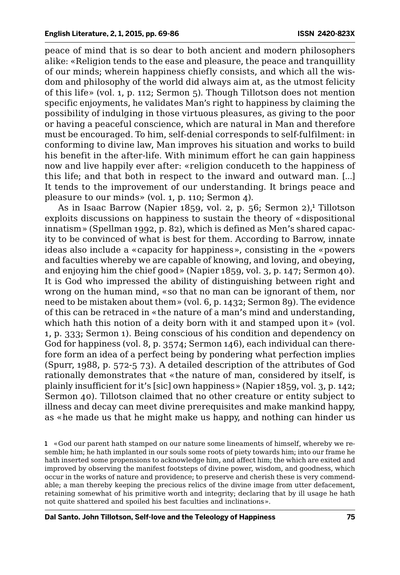peace of mind that is so dear to both ancient and modern philosophers alike: «Religion tends to the ease and pleasure, the peace and tranquillity of our minds; wherein happiness chiefly consists, and which all the wisdom and philosophy of the world did always aim at, as the utmost felicity of this life» (vol. 1, p. 112; Sermon 5). Though Tillotson does not mention specific enjoyments, he validates Man's right to happiness by claiming the possibility of indulging in those virtuous pleasures, as giving to the poor or having a peaceful conscience, which are natural in Man and therefore must be encouraged. To him, self-denial corresponds to self-fulfilment: in conforming to divine law, Man improves his situation and works to build his benefit in the after-life. With minimum effort he can gain happiness now and live happily ever after: «religion conduceth to the happiness of this life; and that both in respect to the inward and outward man. [...] It tends to the improvement of our understanding. It brings peace and pleasure to our minds» (vol. 1, p. 110; Sermon 4).

As in Isaac Barrow (Napier 1859, vol. 2, p. 56; Sermon 2),<sup>1</sup> Tillotson exploits discussions on happiness to sustain the theory of «dispositional innatism» (Spellman 1992, p. 82), which is defined as Men's shared capacity to be convinced of what is best for them. According to Barrow, innate ideas also include a «capacity for happiness», consisting in the «powers and faculties whereby we are capable of knowing, and loving, and obeying, and enjoying him the chief good» (Napier 1859, vol. 3, p. 147; Sermon 40). It is God who impressed the ability of distinguishing between right and wrong on the human mind, «so that no man can be ignorant of them, nor need to be mistaken about them» (vol. 6, p. 1432; Sermon 89). The evidence of this can be retraced in «the nature of a man's mind and understanding, which hath this notion of a deity born with it and stamped upon it» (vol. 1, p. 333; Sermon 1). Being conscious of his condition and dependency on God for happiness (vol. 8, p. 3574; Sermon 146), each individual can therefore form an idea of a perfect being by pondering what perfection implies (Spurr, 1988, p. 572-5 73). A detailed description of the attributes of God rationally demonstrates that «the nature of man, considered by itself, is plainly insufficient for it's [sic] own happiness» (Napier 1859, vol. 3, p. 142; Sermon 40). Tillotson claimed that no other creature or entity subject to illness and decay can meet divine prerequisites and make mankind happy, as «he made us that he might make us happy, and nothing can hinder us

<sup>1</sup> «God our parent hath stamped on our nature some lineaments of himself, whereby we resemble him; he hath implanted in our souls some roots of piety towards him; into our frame he hath inserted some propensions to acknowledge him, and affect him; the which are exited and improved by observing the manifest footsteps of divine power, wisdom, and goodness, which occur in the works of nature and providence; to preserve and cherish these is very commendable; a man thereby keeping the precious relics of the divine image from utter defacement, retaining somewhat of his primitive worth and integrity; declaring that by ill usage he hath not quite shattered and spoiled his best faculties and inclinations».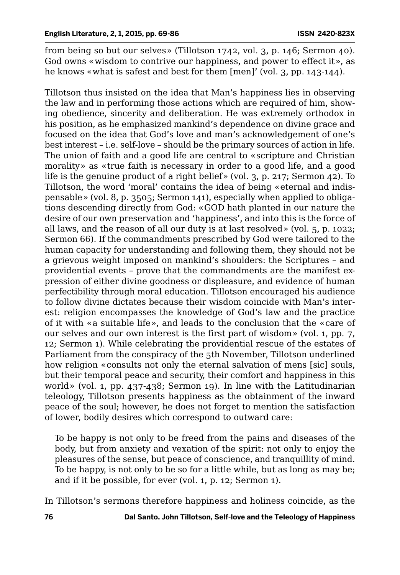from being so but our selves» (Tillotson 1742, vol. 3, p. 146; Sermon 40). God owns «wisdom to contrive our happiness, and power to effect it», as he knows «what is safest and best for them [men]' (vol. 3, pp. 143-144).

Tillotson thus insisted on the idea that Man's happiness lies in observing the law and in performing those actions which are required of him, showing obedience, sincerity and deliberation. He was extremely orthodox in his position, as he emphasized mankind's dependence on divine grace and focused on the idea that God's love and man's acknowledgement of one's best interest – i.e. self-love – should be the primary sources of action in life. The union of faith and a good life are central to «scripture and Christian morality» as «true faith is necessary in order to a good life, and a good life is the genuine product of a right belief» (vol. 3, p. 217; Sermon 42). To Tillotson, the word 'moral' contains the idea of being «eternal and indispensable» (vol. 8, p. 3505; Sermon 141), especially when applied to obligations descending directly from God: «GOD hath planted in our nature the desire of our own preservation and 'happiness', and into this is the force of all laws, and the reason of all our duty is at last resolved» (vol. 5, p. 1022; Sermon 66). If the commandments prescribed by God were tailored to the human capacity for understanding and following them, they should not be a grievous weight imposed on mankind's shoulders: the Scriptures – and providential events – prove that the commandments are the manifest expression of either divine goodness or displeasure, and evidence of human perfectibility through moral education. Tillotson encouraged his audience to follow divine dictates because their wisdom coincide with Man's interest: religion encompasses the knowledge of God's law and the practice of it with «a suitable life», and leads to the conclusion that the «care of our selves and our own interest is the first part of wisdom» (vol. 1, pp. 7, 12; Sermon 1). While celebrating the providential rescue of the estates of Parliament from the conspiracy of the 5th November, Tillotson underlined how religion «consults not only the eternal salvation of mens [sic] souls, but their temporal peace and security, their comfort and happiness in this world» (vol. 1, pp. 437-438; Sermon 19). In line with the Latitudinarian teleology, Tillotson presents happiness as the obtainment of the inward peace of the soul; however, he does not forget to mention the satisfaction of lower, bodily desires which correspond to outward care:

To be happy is not only to be freed from the pains and diseases of the body, but from anxiety and vexation of the spirit: not only to enjoy the pleasures of the sense, but peace of conscience, and tranquillity of mind. To be happy, is not only to be so for a little while, but as long as may be; and if it be possible, for ever (vol. 1, p. 12; Sermon 1).

In Tillotson's sermons therefore happiness and holiness coincide, as the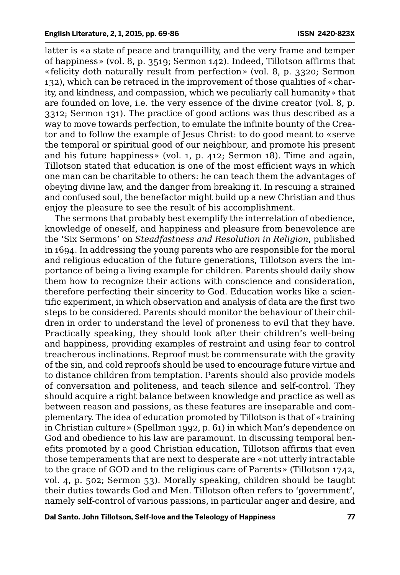latter is «a state of peace and tranquillity, and the very frame and temper of happiness» (vol. 8, p. 3519; Sermon 142). Indeed, Tillotson affirms that «felicity doth naturally result from perfection» (vol. 8, p. 3320; Sermon 132), which can be retraced in the improvement of those qualities of «charity, and kindness, and compassion, which we peculiarly call humanity» that are founded on love, i.e. the very essence of the divine creator (vol. 8, p. 3312; Sermon 131). The practice of good actions was thus described as a way to move towards perfection, to emulate the infinite bounty of the Creator and to follow the example of Jesus Christ: to do good meant to «serve the temporal or spiritual good of our neighbour, and promote his present and his future happiness» (vol. 1, p. 412; Sermon 18). Time and again, Tillotson stated that education is one of the most efficient ways in which one man can be charitable to others: he can teach them the advantages of obeying divine law, and the danger from breaking it. In rescuing a strained and confused soul, the benefactor might build up a new Christian and thus enjoy the pleasure to see the result of his accomplishment.

The sermons that probably best exemplify the interrelation of obedience, knowledge of oneself, and happiness and pleasure from benevolence are the 'Six Sermons' on *Steadfastness and Resolution in Religion*, published in 1694. In addressing the young parents who are responsible for the moral and religious education of the future generations, Tillotson avers the importance of being a living example for children. Parents should daily show them how to recognize their actions with conscience and consideration, therefore perfecting their sincerity to God. Education works like a scientific experiment, in which observation and analysis of data are the first two steps to be considered. Parents should monitor the behaviour of their children in order to understand the level of proneness to evil that they have. Practically speaking, they should look after their children's well-being and happiness, providing examples of restraint and using fear to control treacherous inclinations. Reproof must be commensurate with the gravity of the sin, and cold reproofs should be used to encourage future virtue and to distance children from temptation. Parents should also provide models of conversation and politeness, and teach silence and self-control. They should acquire a right balance between knowledge and practice as well as between reason and passions, as these features are inseparable and complementary. The idea of education promoted by Tillotson is that of «training in Christian culture» (Spellman 1992, p. 61) in which Man's dependence on God and obedience to his law are paramount. In discussing temporal benefits promoted by a good Christian education, Tillotson affirms that even those temperaments that are next to desperate are «not utterly intractable to the grace of GOD and to the religious care of Parents» (Tillotson 1742, vol. 4, p. 502; Sermon 53). Morally speaking, children should be taught their duties towards God and Men. Tillotson often refers to 'government', namely self-control of various passions, in particular anger and desire, and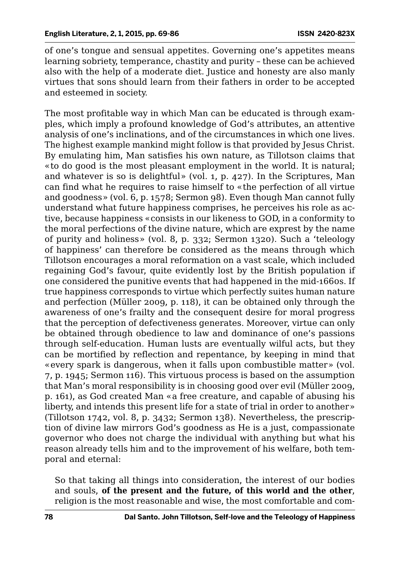of one's tongue and sensual appetites. Governing one's appetites means learning sobriety, temperance, chastity and purity – these can be achieved also with the help of a moderate diet. Justice and honesty are also manly virtues that sons should learn from their fathers in order to be accepted and esteemed in society.

The most profitable way in which Man can be educated is through examples, which imply a profound knowledge of God's attributes, an attentive analysis of one's inclinations, and of the circumstances in which one lives. The highest example mankind might follow is that provided by Jesus Christ. By emulating him, Man satisfies his own nature, as Tillotson claims that «to do good is the most pleasant employment in the world. It is natural; and whatever is so is delightful» (vol. 1, p. 427). In the Scriptures, Man can find what he requires to raise himself to «the perfection of all virtue and goodness» (vol. 6, p. 1578; Sermon 98). Even though Man cannot fully understand what future happiness comprises, he perceives his role as active, because happiness «consists in our likeness to GOD, in a conformity to the moral perfections of the divine nature, which are exprest by the name of purity and holiness» (vol. 8, p. 332; Sermon 1320). Such a 'teleology of happiness' can therefore be considered as the means through which Tillotson encourages a moral reformation on a vast scale, which included regaining God's favour, quite evidently lost by the British population if one considered the punitive events that had happened in the mid-1660s. If true happiness corresponds to virtue which perfectly suites human nature and perfection (Müller 2009, p. 118), it can be obtained only through the awareness of one's frailty and the consequent desire for moral progress that the perception of defectiveness generates. Moreover, virtue can only be obtained through obedience to law and dominance of one's passions through self-education. Human lusts are eventually wilful acts, but they can be mortified by reflection and repentance, by keeping in mind that «every spark is dangerous, when it falls upon combustible matter» (vol. 7, p. 1945; Sermon 116). This virtuous process is based on the assumption that Man's moral responsibility is in choosing good over evil (Müller 2009, p. 161), as God created Man «a free creature, and capable of abusing his liberty, and intends this present life for a state of trial in order to another» (Tillotson 1742, vol. 8, p. 3432; Sermon 138). Nevertheless, the prescription of divine law mirrors God's goodness as He is a just, compassionate governor who does not charge the individual with anything but what his reason already tells him and to the improvement of his welfare, both temporal and eternal:

So that taking all things into consideration, the interest of our bodies and souls, **of the present and the future, of this world and the other**, religion is the most reasonable and wise, the most comfortable and com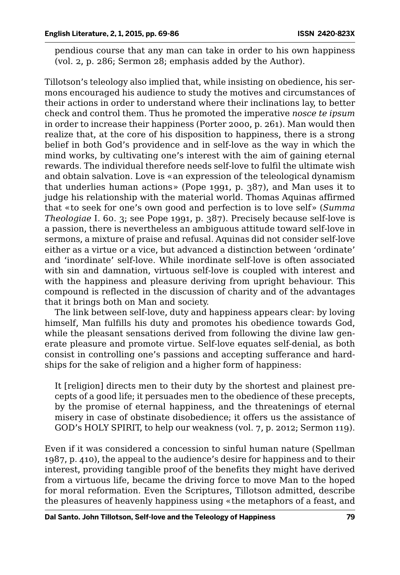pendious course that any man can take in order to his own happiness (vol. 2, p. 286; Sermon 28; emphasis added by the Author).

Tillotson's teleology also implied that, while insisting on obedience, his sermons encouraged his audience to study the motives and circumstances of their actions in order to understand where their inclinations lay, to better check and control them. Thus he promoted the imperative *nosce te ipsum* in order to increase their happiness (Porter 2000, p. 261). Man would then realize that, at the core of his disposition to happiness, there is a strong belief in both God's providence and in self-love as the way in which the mind works, by cultivating one's interest with the aim of gaining eternal rewards. The individual therefore needs self-love to fulfil the ultimate wish and obtain salvation. Love is «an expression of the teleological dynamism that underlies human actions» (Pope 1991, p. 387), and Man uses it to judge his relationship with the material world. Thomas Aquinas affirmed that «to seek for one's own good and perfection is to love self» (*Summa Theologiae* I. 60. 3; see Pope 1991, p. 387). Precisely because self-love is a passion, there is nevertheless an ambiguous attitude toward self-love in sermons, a mixture of praise and refusal. Aquinas did not consider self-love either as a virtue or a vice, but advanced a distinction between 'ordinate' and 'inordinate' self-love. While inordinate self-love is often associated with sin and damnation, virtuous self-love is coupled with interest and with the happiness and pleasure deriving from upright behaviour. This compound is reflected in the discussion of charity and of the advantages that it brings both on Man and society.

The link between self-love, duty and happiness appears clear: by loving himself, Man fulfills his duty and promotes his obedience towards God, while the pleasant sensations derived from following the divine law generate pleasure and promote virtue. Self-love equates self-denial, as both consist in controlling one's passions and accepting sufferance and hardships for the sake of religion and a higher form of happiness:

It [religion] directs men to their duty by the shortest and plainest precepts of a good life; it persuades men to the obedience of these precepts, by the promise of eternal happiness, and the threatenings of eternal misery in case of obstinate disobedience; it offers us the assistance of GOD's HOLY SPIRIT, to help our weakness (vol. 7, p. 2012; Sermon 119).

Even if it was considered a concession to sinful human nature (Spellman 1987, p. 410), the appeal to the audience's desire for happiness and to their interest, providing tangible proof of the benefits they might have derived from a virtuous life, became the driving force to move Man to the hoped for moral reformation. Even the Scriptures, Tillotson admitted, describe the pleasures of heavenly happiness using «the metaphors of a feast, and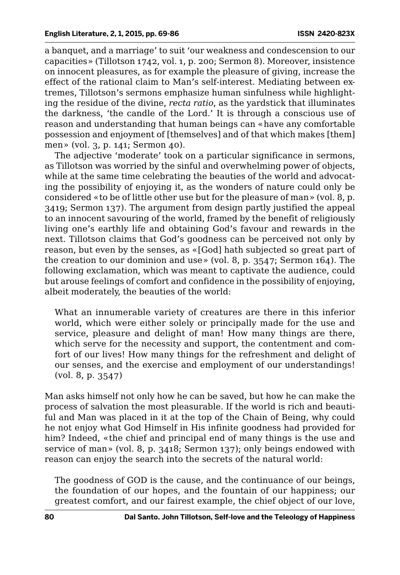a banquet, and a marriage' to suit 'our weakness and condescension to our capacities» (Tillotson 1742, vol. 1, p. 200; Sermon 8). Moreover, insistence on innocent pleasures, as for example the pleasure of giving, increase the effect of the rational claim to Man's self-interest. Mediating between extremes, Tillotson's sermons emphasize human sinfulness while highlighting the residue of the divine, *recta ratio*, as the yardstick that illuminates the darkness, 'the candle of the Lord.' It is through a conscious use of reason and understanding that human beings can «have any comfortable possession and enjoyment of [themselves] and of that which makes [them] men» (vol. 3, p. 141; Sermon 40).

The adjective 'moderate' took on a particular significance in sermons, as Tillotson was worried by the sinful and overwhelming power of objects, while at the same time celebrating the beauties of the world and advocating the possibility of enjoying it, as the wonders of nature could only be considered «to be of little other use but for the pleasure of man» (vol. 8, p. 3419; Sermon 137). The argument from design partly justified the appeal to an innocent savouring of the world, framed by the benefit of religiously living one's earthly life and obtaining God's favour and rewards in the next. Tillotson claims that God's goodness can be perceived not only by reason, but even by the senses, as «[God] hath subjected so great part of the creation to our dominion and use» (vol. 8, p. 3547; Sermon 164). The following exclamation, which was meant to captivate the audience, could but arouse feelings of comfort and confidence in the possibility of enjoying, albeit moderately, the beauties of the world:

What an innumerable variety of creatures are there in this inferior world, which were either solely or principally made for the use and service, pleasure and delight of man! How many things are there, which serve for the necessity and support, the contentment and comfort of our lives! How many things for the refreshment and delight of our senses, and the exercise and employment of our understandings! (vol. 8, p. 3547)

Man asks himself not only how he can be saved, but how he can make the process of salvation the most pleasurable. If the world is rich and beautiful and Man was placed in it at the top of the Chain of Being, why could he not enjoy what God Himself in His infinite goodness had provided for him? Indeed, «the chief and principal end of many things is the use and service of man» (vol. 8, p. 3418; Sermon 137); only beings endowed with reason can enjoy the search into the secrets of the natural world:

The goodness of GOD is the cause, and the continuance of our beings, the foundation of our hopes, and the fountain of our happiness; our greatest comfort, and our fairest example, the chief object of our love,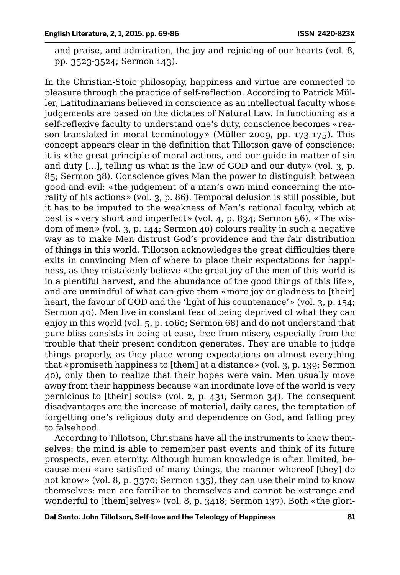and praise, and admiration, the joy and rejoicing of our hearts (vol. 8, pp. 3523-3524; Sermon 143).

In the Christian-Stoic philosophy, happiness and virtue are connected to pleasure through the practice of self-reflection. According to Patrick Müller, Latitudinarians believed in conscience as an intellectual faculty whose judgements are based on the dictates of Natural Law. In functioning as a self-reflexive faculty to understand one's duty, conscience becomes «reason translated in moral terminology» (Müller 2009, pp. 173-175). This concept appears clear in the definition that Tillotson gave of conscience: it is «the great principle of moral actions, and our guide in matter of sin and duty  $[\ldots]$ , telling us what is the law of GOD and our duty» (vol. 3, p. 85; Sermon 38). Conscience gives Man the power to distinguish between good and evil: «the judgement of a man's own mind concerning the morality of his actions» (vol. 3, p. 86). Temporal delusion is still possible, but it has to be imputed to the weakness of Man's rational faculty, which at best is «very short and imperfect» (vol. 4, p. 834; Sermon 56). «The wisdom of men» (vol. 3, p. 144; Sermon 40) colours reality in such a negative way as to make Men distrust God's providence and the fair distribution of things in this world. Tillotson acknowledges the great difficulties there exits in convincing Men of where to place their expectations for happiness, as they mistakenly believe «the great joy of the men of this world is in a plentiful harvest, and the abundance of the good things of this life», and are unmindful of what can give them «more joy or gladness to [their] heart, the favour of GOD and the 'light of his countenance' » (vol. 3, p. 154; Sermon 40). Men live in constant fear of being deprived of what they can enjoy in this world (vol. 5, p. 1060; Sermon 68) and do not understand that pure bliss consists in being at ease, free from misery, especially from the trouble that their present condition generates. They are unable to judge things properly, as they place wrong expectations on almost everything that «promiseth happiness to [them] at a distance» (vol. 3, p. 139; Sermon 40), only then to realize that their hopes were vain. Men usually move away from their happiness because «an inordinate love of the world is very pernicious to [their] souls» (vol. 2, p. 431; Sermon 34). The consequent disadvantages are the increase of material, daily cares, the temptation of forgetting one's religious duty and dependence on God, and falling prey to falsehood.

According to Tillotson, Christians have all the instruments to know themselves: the mind is able to remember past events and think of its future prospects, even eternity. Although human knowledge is often limited, because men «are satisfied of many things, the manner whereof [they] do not know» (vol. 8, p. 3370; Sermon 135), they can use their mind to know themselves: men are familiar to themselves and cannot be «strange and wonderful to [them]selves» (vol. 8, p. 3418; Sermon 137). Both «the glori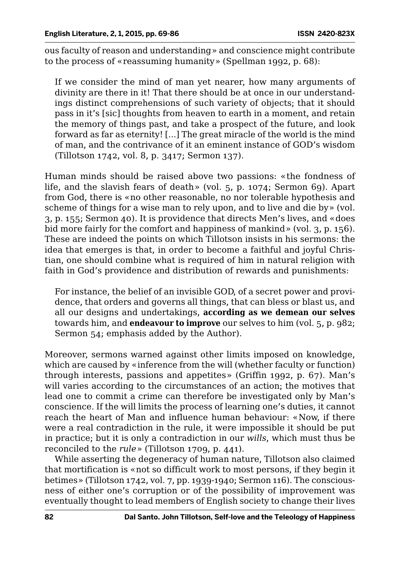ous faculty of reason and understanding» and conscience might contribute to the process of «reassuming humanity» (Spellman 1992, p. 68):

If we consider the mind of man yet nearer, how many arguments of divinity are there in it! That there should be at once in our understandings distinct comprehensions of such variety of objects; that it should pass in it's [sic] thoughts from heaven to earth in a moment, and retain the memory of things past, and take a prospect of the future, and look forward as far as eternity! [...] The great miracle of the world is the mind of man, and the contrivance of it an eminent instance of GOD's wisdom (Tillotson 1742, vol. 8, p. 3417; Sermon 137).

Human minds should be raised above two passions: «the fondness of life, and the slavish fears of death» (vol. 5, p. 1074; Sermon 69). Apart from God, there is «no other reasonable, no nor tolerable hypothesis and scheme of things for a wise man to rely upon, and to live and die by» (vol. 3, p. 155; Sermon 40). It is providence that directs Men's lives, and «does bid more fairly for the comfort and happiness of mankind» (vol. 3, p. 156). These are indeed the points on which Tillotson insists in his sermons: the idea that emerges is that, in order to become a faithful and joyful Christian, one should combine what is required of him in natural religion with faith in God's providence and distribution of rewards and punishments:

For instance, the belief of an invisible GOD, of a secret power and providence, that orders and governs all things, that can bless or blast us, and all our designs and undertakings, **according as we demean our selves**  towards him, and **endeavour to improve** our selves to him (vol. 5, p. 982; Sermon 54; emphasis added by the Author).

Moreover, sermons warned against other limits imposed on knowledge, which are caused by «inference from the will (whether faculty or function) through interests, passions and appetites» (Griffin 1992, p. 67). Man's will varies according to the circumstances of an action; the motives that lead one to commit a crime can therefore be investigated only by Man's conscience. If the will limits the process of learning one's duties, it cannot reach the heart of Man and influence human behaviour: «Now, if there were a real contradiction in the rule, it were impossible it should be put in practice; but it is only a contradiction in our *wills*, which must thus be reconciled to the *rule*» (Tillotson 1709, p. 441).

While asserting the degeneracy of human nature, Tillotson also claimed that mortification is «not so difficult work to most persons, if they begin it betimes» (Tillotson 1742, vol. 7, pp. 1939-1940; Sermon 116). The consciousness of either one's corruption or of the possibility of improvement was eventually thought to lead members of English society to change their lives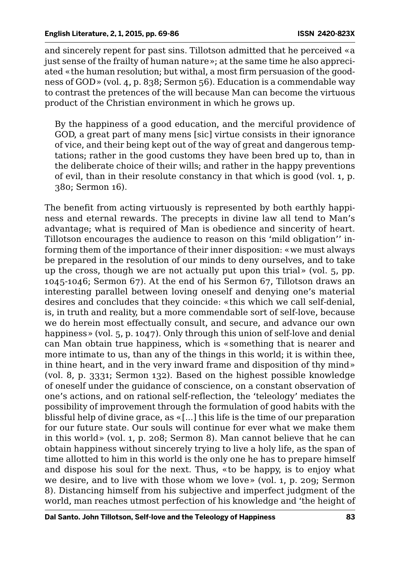and sincerely repent for past sins. Tillotson admitted that he perceived «a just sense of the frailty of human nature»; at the same time he also appreciated «the human resolution; but withal, a most firm persuasion of the goodness of GOD» (vol. 4, p. 838; Sermon 56). Education is a commendable way to contrast the pretences of the will because Man can become the virtuous product of the Christian environment in which he grows up.

By the happiness of a good education, and the merciful providence of GOD, a great part of many mens [sic] virtue consists in their ignorance of vice, and their being kept out of the way of great and dangerous temptations; rather in the good customs they have been bred up to, than in the deliberate choice of their wills; and rather in the happy preventions of evil, than in their resolute constancy in that which is good (vol. 1, p. 380; Sermon 16).

The benefit from acting virtuously is represented by both earthly happiness and eternal rewards. The precepts in divine law all tend to Man's advantage; what is required of Man is obedience and sincerity of heart. Tillotson encourages the audience to reason on this 'mild obligation'' informing them of the importance of their inner disposition: «we must always be prepared in the resolution of our minds to deny ourselves, and to take up the cross, though we are not actually put upon this trial» (vol. 5, pp. 1045-1046; Sermon 67). At the end of his Sermon 67, Tillotson draws an interesting parallel between loving oneself and denying one's material desires and concludes that they coincide: «this which we call self-denial, is, in truth and reality, but a more commendable sort of self-love, because we do herein most effectually consult, and secure, and advance our own happiness» (vol. 5, p. 1047). Only through this union of self-love and denial can Man obtain true happiness, which is «something that is nearer and more intimate to us, than any of the things in this world; it is within thee, in thine heart, and in the very inward frame and disposition of thy mind» (vol. 8, p. 3331; Sermon 132). Based on the highest possible knowledge of oneself under the guidance of conscience, on a constant observation of one's actions, and on rational self-reflection, the 'teleology' mediates the possibility of improvement through the formulation of good habits with the blissful help of divine grace, as «[...] this life is the time of our preparation for our future state. Our souls will continue for ever what we make them in this world» (vol. 1, p. 208; Sermon 8). Man cannot believe that he can obtain happiness without sincerely trying to live a holy life, as the span of time allotted to him in this world is the only one he has to prepare himself and dispose his soul for the next. Thus, «to be happy, is to enjoy what we desire, and to live with those whom we love» (vol. 1, p. 209; Sermon 8). Distancing himself from his subjective and imperfect judgment of the world, man reaches utmost perfection of his knowledge and 'the height of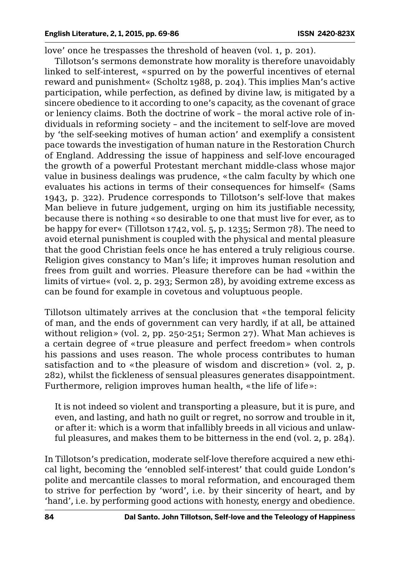love' once he trespasses the threshold of heaven (vol. 1, p. 201).

Tillotson's sermons demonstrate how morality is therefore unavoidably linked to self-interest, «spurred on by the powerful incentives of eternal reward and punishment« (Scholtz 1988, p. 204). This implies Man's active participation, while perfection, as defined by divine law, is mitigated by a sincere obedience to it according to one's capacity, as the covenant of grace or leniency claims. Both the doctrine of work – the moral active role of individuals in reforming society – and the incitement to self-love are moved by 'the self-seeking motives of human action' and exemplify a consistent pace towards the investigation of human nature in the Restoration Church of England. Addressing the issue of happiness and self-love encouraged the growth of a powerful Protestant merchant middle-class whose major value in business dealings was prudence, «the calm faculty by which one evaluates his actions in terms of their consequences for himself« (Sams 1943, p. 322). Prudence corresponds to Tillotson's self-love that makes Man believe in future judgement, urging on him its justifiable necessity, because there is nothing «so desirable to one that must live for ever, as to be happy for ever« (Tillotson 1742, vol. 5, p. 1235; Sermon 78). The need to avoid eternal punishment is coupled with the physical and mental pleasure that the good Christian feels once he has entered a truly religious course. Religion gives constancy to Man's life; it improves human resolution and frees from guilt and worries. Pleasure therefore can be had «within the limits of virtue« (vol. 2, p. 293; Sermon 28), by avoiding extreme excess as can be found for example in covetous and voluptuous people.

Tillotson ultimately arrives at the conclusion that «the temporal felicity of man, and the ends of government can very hardly, if at all, be attained without religion» (vol. 2, pp. 250-251; Sermon 27). What Man achieves is a certain degree of «true pleasure and perfect freedom» when controls his passions and uses reason. The whole process contributes to human satisfaction and to «the pleasure of wisdom and discretion» (vol. 2, p. 282), whilst the fickleness of sensual pleasures generates disappointment. Furthermore, religion improves human health, «the life of life»:

It is not indeed so violent and transporting a pleasure, but it is pure, and even, and lasting, and hath no guilt or regret, no sorrow and trouble in it, or after it: which is a worm that infallibly breeds in all vicious and unlawful pleasures, and makes them to be bitterness in the end (vol. 2, p. 284).

In Tillotson's predication, moderate self-love therefore acquired a new ethical light, becoming the 'ennobled self-interest' that could guide London's polite and mercantile classes to moral reformation, and encouraged them to strive for perfection by 'word', i.e. by their sincerity of heart, and by 'hand', i.e. by performing good actions with honesty, energy and obedience.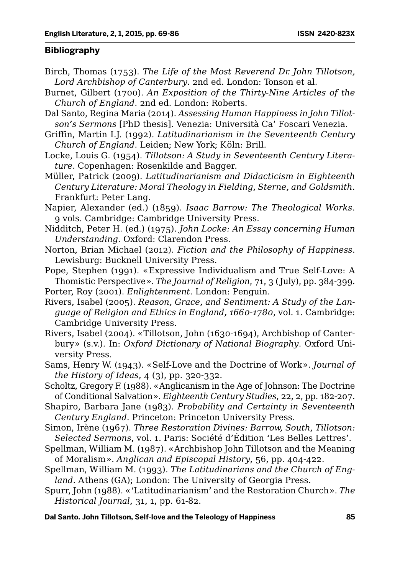#### **Bibliography**

- Birch, Thomas (1753). *The Life of the Most Reverend Dr. John Tillotson, Lord Archbishop of Canterbury*. 2nd ed. London: Tonson et al.
- Burnet, Gilbert (1700). *An Exposition of the Thirty-Nine Articles of the Church of England*. 2nd ed. London: Roberts.
- Dal Santo, Regina Maria (2014). *Assessing Human Happiness in John Tillotson's Sermons* [PhD thesis]. Venezia: Università Ca' Foscari Venezia.
- Griffin, Martin I.J. (1992). *Latitudinarianism in the Seventeenth Century Church of England*. Leiden; New York; Köln: Brill.
- Locke, Louis G. (1954). *Tillotson: A Study in Seventeenth Century Literature*. Copenhagen: Rosenkilde and Bagger.
- Müller, Patrick (2009). *Latitudinarianism and Didacticism in Eighteenth Century Literature: Moral Theology in Fielding, Sterne, and Goldsmith*. Frankfurt: Peter Lang.
- Napier, Alexander (ed.) (1859). *Isaac Barrow: The Theological Works*. 9 vols. Cambridge: Cambridge University Press.
- Nidditch, Peter H. (ed.) (1975). *John Locke: An Essay concerning Human Understanding*. Oxford: Clarendon Press.
- Norton, Brian Michael (2012). *Fiction and the Philosophy of Happiness*. Lewisburg: Bucknell University Press.
- Pope, Stephen (1991). «Expressive Individualism and True Self-Love: A Thomistic Perspective». *The Journal of Religion*, 71, 3 (July), pp. 384-399.
- Porter, Roy (2001). *Enlightenment*. London: Penguin.
- Rivers, Isabel (2005). *Reason, Grace, and Sentiment: A Study of the Language of Religion and Ethics in England, 1660-1780*, vol. 1. Cambridge: Cambridge University Press.
- Rivers, Isabel (2004). «Tillotson, John (1630-1694), Archbishop of Canterbury» (s.v.). In: *Oxford Dictionary of National Biography*. Oxford University Press.
- Sams, Henry W. (1943). «Self-Love and the Doctrine of Work». *Journal of the History of Ideas*, 4 (3), pp. 320-332.
- Scholtz, Gregory F. (1988). «Anglicanism in the Age of Johnson: The Doctrine of Conditional Salvation». *Eighteenth Century Studies*, 22, 2, pp. 182-207.
- Shapiro, Barbara Jane (1983). *Probability and Certainty in Seventeenth Century England*. Princeton: Princeton University Press.
- Simon, Irène (1967). *Three Restoration Divines: Barrow, South, Tillotson: Selected Sermons*, vol. 1. Paris: Société d'Édition 'Les Belles Lettres'.
- Spellman, William M. (1987). «Archbishop John Tillotson and the Meaning of Moralism». *Anglican and Episcopal History*, 56, pp. 404-422.
- Spellman, William M. (1993). *The Latitudinarians and the Church of England*. Athens (GA); London: The University of Georgia Press.
- Spurr, John (1988). «'Latitudinarianism' and the Restoration Church». *The Historical Journal*, 31, 1, pp. 61-82.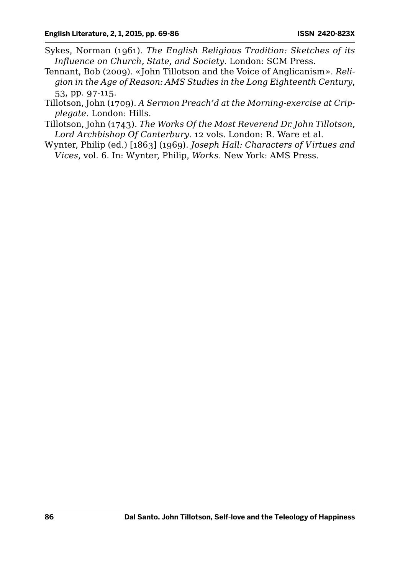- Sykes, Norman (1961). *The English Religious Tradition: Sketches of its Influence on Church, State, and Society*. London: SCM Press.
- Tennant, Bob (2009). «John Tillotson and the Voice of Anglicanism». *Religion in the Age of Reason: AMS Studies in the Long Eighteenth Century*, 53, pp. 97-115.
- Tillotson, John (1709). *A Sermon Preach'd at the Morning-exercise at Cripplegate*. London: Hills.
- Tillotson, John (1743). *The Works Of the Most Reverend Dr. John Tillotson, Lord Archbishop Of Canterbury*. 12 vols. London: R. Ware et al.
- Wynter, Philip (ed.) [1863] (1969). *Joseph Hall: Characters of Virtues and Vices*, vol. 6. In: Wynter, Philip, *Works*. New York: AMS Press.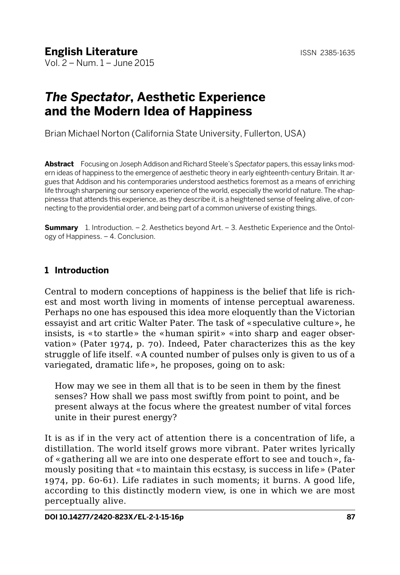# *The Spectator***, Aesthetic Experience and the Modern Idea of Happiness**

Brian Michael Norton (California State University, Fullerton, USA)

**Abstract** Focusing on Joseph Addison and Richard Steele's *Spectator* papers, this essay links modern ideas of happiness to the emergence of aesthetic theory in early eighteenth-century Britain. It argues that Addison and his contemporaries understood aesthetics foremost as a means of enriching life through sharpening our sensory experience of the world, especially the world of nature. The «happiness» that attends this experience, as they describe it, is a heightened sense of feeling alive, of connecting to the providential order, and being part of a common universe of existing things.

**Summary** 1. Introduction. – 2. Aesthetics beyond Art. – 3. Aesthetic Experience and the Ontology of Happiness. – 4. Conclusion.

## **1 Introduction**

Central to modern conceptions of happiness is the belief that life is richest and most worth living in moments of intense perceptual awareness. Perhaps no one has espoused this idea more eloquently than the Victorian essayist and art critic Walter Pater. The task of «speculative culture», he insists, is «to startle» the «human spirit» «into sharp and eager observation» (Pater 1974, p. 70). Indeed, Pater characterizes this as the key struggle of life itself. «A counted number of pulses only is given to us of a variegated, dramatic life», he proposes, going on to ask:

How may we see in them all that is to be seen in them by the finest senses? How shall we pass most swiftly from point to point, and be present always at the focus where the greatest number of vital forces unite in their purest energy?

It is as if in the very act of attention there is a concentration of life, a distillation. The world itself grows more vibrant. Pater writes lyrically of «gathering all we are into one desperate effort to see and touch», famously positing that «to maintain this ecstasy, is success in life» (Pater 1974, pp. 60-61). Life radiates in such moments; it burns. A good life, according to this distinctly modern view, is one in which we are most perceptually alive.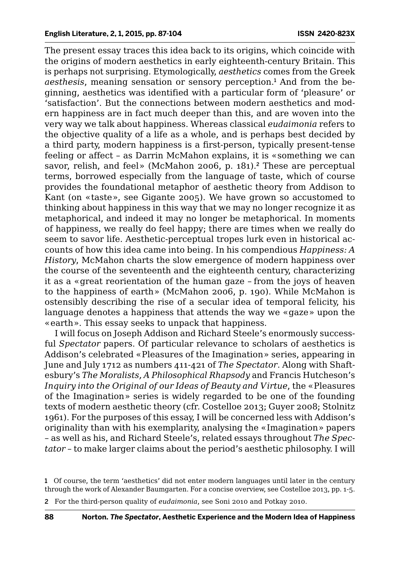The present essay traces this idea back to its origins, which coincide with the origins of modern aesthetics in early eighteenth-century Britain. This is perhaps not surprising. Etymologically, *aesthetics* comes from the Greek aesthesis, meaning sensation or sensory perception.<sup>1</sup> And from the beginning, aesthetics was identified with a particular form of 'pleasure' or 'satisfaction'. But the connections between modern aesthetics and modern happiness are in fact much deeper than this, and are woven into the very way we talk about happiness. Whereas classical *eudaimonia* refers to the objective quality of a life as a whole, and is perhaps best decided by a third party, modern happiness is a first-person, typically present-tense feeling or affect – as Darrin McMahon explains, it is «something we can savor, relish, and feel» (McMahon 2006, p. 181).<sup>2</sup> These are perceptual terms, borrowed especially from the language of taste, which of course provides the foundational metaphor of aesthetic theory from Addison to Kant (on «taste», see Gigante 2005). We have grown so accustomed to thinking about happiness in this way that we may no longer recognize it as metaphorical, and indeed it may no longer be metaphorical. In moments of happiness, we really do feel happy; there are times when we really do seem to savor life. Aesthetic-perceptual tropes lurk even in historical accounts of how this idea came into being. In his compendious *Happiness: A History*, McMahon charts the slow emergence of modern happiness over the course of the seventeenth and the eighteenth century, characterizing it as a «great reorientation of the human gaze – from the joys of heaven to the happiness of earth» (McMahon 2006, p. 190). While McMahon is ostensibly describing the rise of a secular idea of temporal felicity, his language denotes a happiness that attends the way we «gaze» upon the «earth». This essay seeks to unpack that happiness.

I will focus on Joseph Addison and Richard Steele's enormously successful *Spectator* papers. Of particular relevance to scholars of aesthetics is Addison's celebrated «Pleasures of the Imagination» series, appearing in June and July 1712 as numbers 411-421 of *The Spectator*. Along with Shaftesbury's *The Moralists, A Philosophical Rhapsody* and Francis Hutcheson's *Inquiry into the Original of our Ideas of Beauty and Virtue*, the «Pleasures of the Imagination» series is widely regarded to be one of the founding texts of modern aesthetic theory (cfr. Costelloe 2013; Guyer 2008; Stolnitz 1961). For the purposes of this essay, I will be concerned less with Addison's originality than with his exemplarity, analysing the «Imagination» papers – as well as his, and Richard Steele's, related essays throughout *The Spectator* – to make larger claims about the period's aesthetic philosophy. I will

2 For the third-person quality of *eudaimonia*, see Soni 2010 and Potkay 2010.

<sup>1</sup> Of course, the term 'aesthetics' did not enter modern languages until later in the century through the work of Alexander Baumgarten. For a concise overview, see Costelloe 2013, pp. 1-5.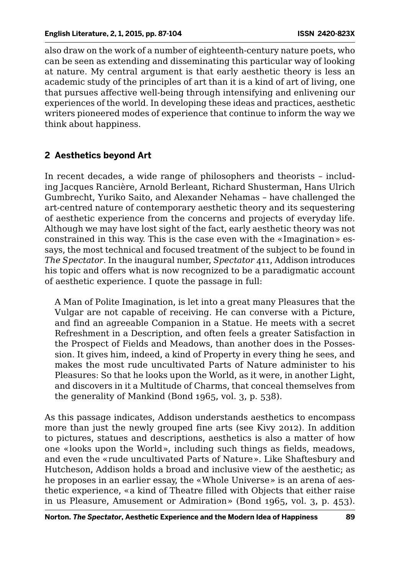also draw on the work of a number of eighteenth-century nature poets, who can be seen as extending and disseminating this particular way of looking at nature. My central argument is that early aesthetic theory is less an academic study of the principles of art than it is a kind of art of living, one that pursues affective well-being through intensifying and enlivening our experiences of the world. In developing these ideas and practices, aesthetic writers pioneered modes of experience that continue to inform the way we think about happiness.

## **2 Aesthetics beyond Art**

In recent decades, a wide range of philosophers and theorists – including Jacques Rancière, Arnold Berleant, Richard Shusterman, Hans Ulrich Gumbrecht, Yuriko Saito, and Alexander Nehamas – have challenged the art-centred nature of contemporary aesthetic theory and its sequestering of aesthetic experience from the concerns and projects of everyday life. Although we may have lost sight of the fact, early aesthetic theory was not constrained in this way. This is the case even with the «Imagination» essays, the most technical and focused treatment of the subject to be found in *The Spectator*. In the inaugural number, *Spectator* 411, Addison introduces his topic and offers what is now recognized to be a paradigmatic account of aesthetic experience. I quote the passage in full:

A Man of Polite Imagination, is let into a great many Pleasures that the Vulgar are not capable of receiving. He can converse with a Picture, and find an agreeable Companion in a Statue. He meets with a secret Refreshment in a Description, and often feels a greater Satisfaction in the Prospect of Fields and Meadows, than another does in the Possession. It gives him, indeed, a kind of Property in every thing he sees, and makes the most rude uncultivated Parts of Nature administer to his Pleasures: So that he looks upon the World, as it were, in another Light, and discovers in it a Multitude of Charms, that conceal themselves from the generality of Mankind (Bond 1965, vol. 3, p. 538).

As this passage indicates, Addison understands aesthetics to encompass more than just the newly grouped fine arts (see Kivy 2012). In addition to pictures, statues and descriptions, aesthetics is also a matter of how one «looks upon the World», including such things as fields, meadows, and even the «rude uncultivated Parts of Nature». Like Shaftesbury and Hutcheson, Addison holds a broad and inclusive view of the aesthetic; as he proposes in an earlier essay, the «Whole Universe» is an arena of aesthetic experience, «a kind of Theatre filled with Objects that either raise in us Pleasure, Amusement or Admiration» (Bond 1965, vol. 3, p. 453).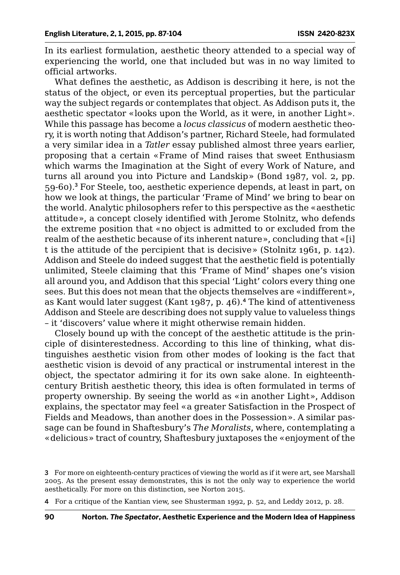In its earliest formulation, aesthetic theory attended to a special way of experiencing the world, one that included but was in no way limited to official artworks.

What defines the aesthetic, as Addison is describing it here, is not the status of the object, or even its perceptual properties, but the particular way the subject regards or contemplates that object. As Addison puts it, the aesthetic spectator «looks upon the World, as it were, in another Light». While this passage has become a *locus classicus* of modern aesthetic theory, it is worth noting that Addison's partner, Richard Steele, had formulated a very similar idea in a *Tatler* essay published almost three years earlier, proposing that a certain «Frame of Mind raises that sweet Enthusiasm which warms the Imagination at the Sight of every Work of Nature, and turns all around you into Picture and Landskip» (Bond 1987, vol. 2, pp. 59-60).<sup>3</sup> For Steele, too, aesthetic experience depends, at least in part, on how we look at things, the particular 'Frame of Mind' we bring to bear on the world. Analytic philosophers refer to this perspective as the «aesthetic attitude», a concept closely identified with Jerome Stolnitz, who defends the extreme position that «no object is admitted to or excluded from the realm of the aesthetic because of its inherent nature», concluding that «[i] t is the attitude of the percipient that is decisive» (Stolnitz 1961, p. 142). Addison and Steele do indeed suggest that the aesthetic field is potentially unlimited, Steele claiming that this 'Frame of Mind' shapes one's vision all around you, and Addison that this special 'Light' colors every thing one sees. But this does not mean that the objects themselves are «indifferent», as Kant would later suggest (Kant 1987, p. 46).<sup>4</sup> The kind of attentiveness Addison and Steele are describing does not supply value to valueless things – it 'discovers' value where it might otherwise remain hidden.

Closely bound up with the concept of the aesthetic attitude is the principle of disinterestedness. According to this line of thinking, what distinguishes aesthetic vision from other modes of looking is the fact that aesthetic vision is devoid of any practical or instrumental interest in the object, the spectator admiring it for its own sake alone. In eighteenthcentury British aesthetic theory, this idea is often formulated in terms of property ownership. By seeing the world as «in another Light», Addison explains, the spectator may feel «a greater Satisfaction in the Prospect of Fields and Meadows, than another does in the Possession». A similar passage can be found in Shaftesbury's *The Moralists*, where, contemplating a «delicious» tract of country, Shaftesbury juxtaposes the «enjoyment of the

4 For a critique of the Kantian view, see Shusterman 1992, p. 52, and Leddy 2012, p. 28.

<sup>3</sup> For more on eighteenth-century practices of viewing the world as if it were art, see Marshall 2005. As the present essay demonstrates, this is not the only way to experience the world aesthetically. For more on this distinction, see Norton 2015.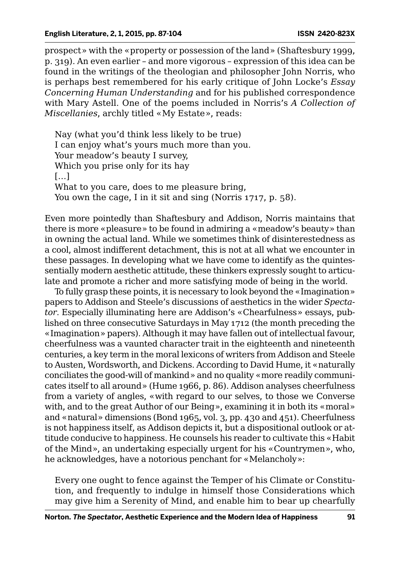prospect» with the «property or possession of the land» (Shaftesbury 1999, p. 319). An even earlier – and more vigorous – expression of this idea can be found in the writings of the theologian and philosopher John Norris, who is perhaps best remembered for his early critique of John Locke's *Essay Concerning Human Understanding* and for his published correspondence with Mary Astell. One of the poems included in Norris's *A Collection of Miscellanies*, archly titled «My Estate», reads:

Nay (what you'd think less likely to be true) I can enjoy what's yours much more than you. Your meadow's beauty I survey, Which you prise only for its hay […] What to you care, does to me pleasure bring, You own the cage, I in it sit and sing (Norris 1717, p. 58).

Even more pointedly than Shaftesbury and Addison, Norris maintains that there is more «pleasure» to be found in admiring a «meadow's beauty» than in owning the actual land. While we sometimes think of disinterestedness as a cool, almost indifferent detachment, this is not at all what we encounter in these passages. In developing what we have come to identify as the quintessentially modern aesthetic attitude, these thinkers expressly sought to articulate and promote a richer and more satisfying mode of being in the world.

To fully grasp these points, it is necessary to look beyond the «Imagination» papers to Addison and Steele's discussions of aesthetics in the wider *Spectator*. Especially illuminating here are Addison's «Chearfulness» essays, published on three consecutive Saturdays in May 1712 (the month preceding the «Imagination» papers). Although it may have fallen out of intellectual favour, cheerfulness was a vaunted character trait in the eighteenth and nineteenth centuries, a key term in the moral lexicons of writers from Addison and Steele to Austen, Wordsworth, and Dickens. According to David Hume, it «naturally conciliates the good-will of mankind» and no quality «more readily communicates itself to all around» (Hume 1966, p. 86). Addison analyses cheerfulness from a variety of angles, «with regard to our selves, to those we Converse with, and to the great Author of our Being», examining it in both its «moral» and «natural» dimensions (Bond 1965, vol. 3, pp. 430 and 451). Cheerfulness is not happiness itself, as Addison depicts it, but a dispositional outlook or attitude conducive to happiness. He counsels his reader to cultivate this «Habit of the Mind», an undertaking especially urgent for his «Countrymen», who, he acknowledges, have a notorious penchant for «Melancholy»:

Every one ought to fence against the Temper of his Climate or Constitution, and frequently to indulge in himself those Considerations which may give him a Serenity of Mind, and enable him to bear up chearfully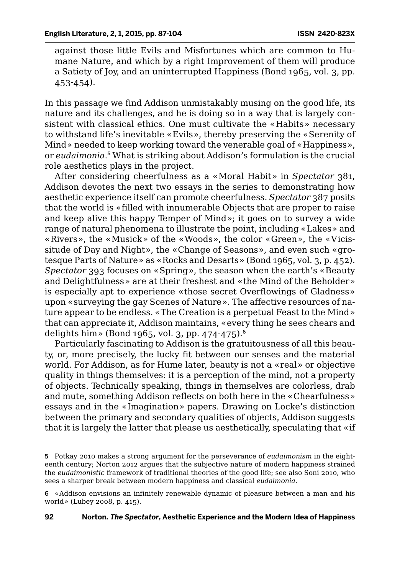against those little Evils and Misfortunes which are common to Humane Nature, and which by a right Improvement of them will produce a Satiety of Joy, and an uninterrupted Happiness (Bond 1965, vol. 3, pp. 453-454).

In this passage we find Addison unmistakably musing on the good life, its nature and its challenges, and he is doing so in a way that is largely consistent with classical ethics. One must cultivate the «Habits» necessary to withstand life's inevitable «Evils», thereby preserving the «Serenity of Mind» needed to keep working toward the venerable goal of «Happiness», or *eudaimonia*. <sup>5</sup> What is striking about Addison's formulation is the crucial role aesthetics plays in the project.

After considering cheerfulness as a «Moral Habit» in *Spectator* 381, Addison devotes the next two essays in the series to demonstrating how aesthetic experience itself can promote cheerfulness. *Spectator* 387 posits that the world is «filled with innumerable Objects that are proper to raise and keep alive this happy Temper of Mind»; it goes on to survey a wide range of natural phenomena to illustrate the point, including «Lakes» and «Rivers», the «Musick» of the «Woods», the color «Green», the «Vicissitude of Day and Night», the «Change of Seasons», and even such «grotesque Parts of Nature» as «Rocks and Desarts» (Bond 1965, vol. 3, p. 452). *Spectator* 393 focuses on «Spring», the season when the earth's «Beauty and Delightfulness» are at their freshest and «the Mind of the Beholder» is especially apt to experience «those secret Overflowings of Gladness» upon «surveying the gay Scenes of Nature». The affective resources of nature appear to be endless. «The Creation is a perpetual Feast to the Mind» that can appreciate it, Addison maintains, «every thing he sees chears and delights him» (Bond 1965, vol. 3, pp. 474-475).<sup>6</sup>

Particularly fascinating to Addison is the gratuitousness of all this beauty, or, more precisely, the lucky fit between our senses and the material world. For Addison, as for Hume later, beauty is not a «real» or objective quality in things themselves: it is a perception of the mind, not a property of objects. Technically speaking, things in themselves are colorless, drab and mute, something Addison reflects on both here in the «Chearfulness» essays and in the «Imagination» papers. Drawing on Locke's distinction between the primary and secondary qualities of objects, Addison suggests that it is largely the latter that please us aesthetically, speculating that «if

6 «Addison envisions an infinitely renewable dynamic of pleasure between a man and his world» (Lubey 2008, p. 415).

<sup>5</sup> Potkay 2010 makes a strong argument for the perseverance of *eudaimonism* in the eighteenth century; Norton 2012 argues that the subjective nature of modern happiness strained the *eudaimonistic* framework of traditional theories of the good life; see also Soni 2010, who sees a sharper break between modern happiness and classical *eudaimonia*.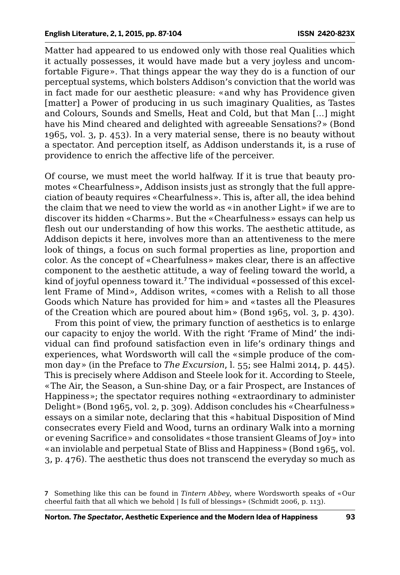Matter had appeared to us endowed only with those real Qualities which it actually possesses, it would have made but a very joyless and uncomfortable Figure». That things appear the way they do is a function of our perceptual systems, which bolsters Addison's conviction that the world was in fact made for our aesthetic pleasure: «and why has Providence given [matter] a Power of producing in us such imaginary Qualities, as Tastes and Colours, Sounds and Smells, Heat and Cold, but that Man […] might have his Mind cheared and delighted with agreeable Sensations?» (Bond 1965, vol. 3, p. 453). In a very material sense, there is no beauty without a spectator. And perception itself, as Addison understands it, is a ruse of providence to enrich the affective life of the perceiver.

Of course, we must meet the world halfway. If it is true that beauty promotes «Chearfulness», Addison insists just as strongly that the full appreciation of beauty requires «Chearfulness». This is, after all, the idea behind the claim that we need to view the world as «in another Light» if we are to discover its hidden «Charms». But the «Chearfulness» essays can help us flesh out our understanding of how this works. The aesthetic attitude, as Addison depicts it here, involves more than an attentiveness to the mere look of things, a focus on such formal properties as line, proportion and color. As the concept of «Chearfulness» makes clear, there is an affective component to the aesthetic attitude, a way of feeling toward the world, a kind of joyful openness toward it.<sup>7</sup> The individual «possessed of this excellent Frame of Mind», Addison writes, «comes with a Relish to all those Goods which Nature has provided for him» and «tastes all the Pleasures of the Creation which are poured about him» (Bond 1965, vol. 3, p. 430).

From this point of view, the primary function of aesthetics is to enlarge our capacity to enjoy the world. With the right 'Frame of Mind' the individual can find profound satisfaction even in life's ordinary things and experiences, what Wordsworth will call the «simple produce of the common day» (in the Preface to *The Excursion*, l. 55; see Halmi 2014, p. 445). This is precisely where Addison and Steele look for it. According to Steele, «The Air, the Season, a Sun-shine Day, or a fair Prospect, are Instances of Happiness»; the spectator requires nothing «extraordinary to administer Delight» (Bond 1965, vol. 2, p. 309). Addison concludes his «Chearfulness» essays on a similar note, declaring that this «habitual Disposition of Mind consecrates every Field and Wood, turns an ordinary Walk into a morning or evening Sacrifice» and consolidates «those transient Gleams of Joy» into «an inviolable and perpetual State of Bliss and Happiness» (Bond 1965, vol. 3, p. 476). The aesthetic thus does not transcend the everyday so much as

<sup>7</sup> Something like this can be found in *Tintern Abbey*, where Wordsworth speaks of «Our cheerful faith that all which we behold | Is full of blessings» (Schmidt 2006, p. 113).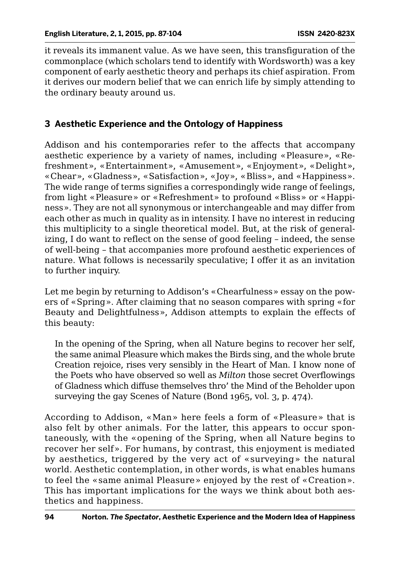it reveals its immanent value. As we have seen, this transfiguration of the commonplace (which scholars tend to identify with Wordsworth) was a key component of early aesthetic theory and perhaps its chief aspiration. From it derives our modern belief that we can enrich life by simply attending to the ordinary beauty around us.

## **3 Aesthetic Experience and the Ontology of Happiness**

Addison and his contemporaries refer to the affects that accompany aesthetic experience by a variety of names, including «Pleasure», «Refreshment», «Entertainment», «Amusement», «Enjoyment», «Delight», «Chear», «Gladness», «Satisfaction», «Joy», «Bliss», and «Happiness». The wide range of terms signifies a correspondingly wide range of feelings, from light «Pleasure» or «Refreshment» to profound «Bliss» or «Happiness». They are not all synonymous or interchangeable and may differ from each other as much in quality as in intensity. I have no interest in reducing this multiplicity to a single theoretical model. But, at the risk of generalizing, I do want to reflect on the sense of good feeling – indeed, the sense of well-being – that accompanies more profound aesthetic experiences of nature. What follows is necessarily speculative; I offer it as an invitation to further inquiry.

Let me begin by returning to Addison's «Chearfulness» essay on the powers of «Spring». After claiming that no season compares with spring «for Beauty and Delightfulness», Addison attempts to explain the effects of this beauty:

In the opening of the Spring, when all Nature begins to recover her self, the same animal Pleasure which makes the Birds sing, and the whole brute Creation rejoice, rises very sensibly in the Heart of Man. I know none of the Poets who have observed so well as *Milton* those secret Overflowings of Gladness which diffuse themselves thro' the Mind of the Beholder upon surveying the gay Scenes of Nature (Bond 1965, vol. 3, p. 474).

According to Addison, «Man» here feels a form of «Pleasure» that is also felt by other animals. For the latter, this appears to occur spontaneously, with the «opening of the Spring, when all Nature begins to recover her self». For humans, by contrast, this enjoyment is mediated by aesthetics, triggered by the very act of «surveying» the natural world. Aesthetic contemplation, in other words, is what enables humans to feel the «same animal Pleasure» enjoyed by the rest of «Creation». This has important implications for the ways we think about both aesthetics and happiness.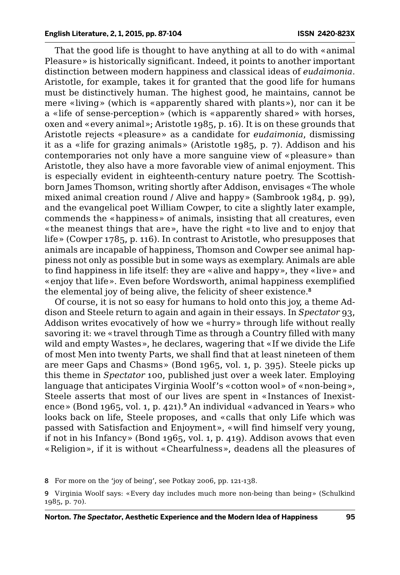That the good life is thought to have anything at all to do with «animal Pleasure» is historically significant. Indeed, it points to another important distinction between modern happiness and classical ideas of *eudaimonia*. Aristotle, for example, takes it for granted that the good life for humans must be distinctively human. The highest good, he maintains, cannot be mere «living» (which is «apparently shared with plants»), nor can it be a «life of sense-perception» (which is «apparently shared» with horses, oxen and «every animal»; Aristotle 1985, p. 16). It is on these grounds that Aristotle rejects «pleasure» as a candidate for *eudaimonia*, dismissing it as a «life for grazing animals» (Aristotle 1985, p. 7). Addison and his contemporaries not only have a more sanguine view of «pleasure» than Aristotle, they also have a more favorable view of animal enjoyment. This is especially evident in eighteenth-century nature poetry. The Scottishborn James Thomson, writing shortly after Addison, envisages «The whole mixed animal creation round / Alive and happy» (Sambrook 1984, p. 99), and the evangelical poet William Cowper, to cite a slightly later example, commends the «happiness» of animals, insisting that all creatures, even «the meanest things that are», have the right «to live and to enjoy that life» (Cowper 1785, p. 116). In contrast to Aristotle, who presupposes that animals are incapable of happiness, Thomson and Cowper see animal happiness not only as possible but in some ways as exemplary. Animals are able to find happiness in life itself: they are «alive and happy», they «live» and «enjoy that life». Even before Wordsworth, animal happiness exemplified the elemental joy of being alive, the felicity of sheer existence.<sup>8</sup>

Of course, it is not so easy for humans to hold onto this joy, a theme Addison and Steele return to again and again in their essays. In *Spectator* 93, Addison writes evocatively of how we «hurry» through life without really savoring it: we «travel through Time as through a Country filled with many wild and empty Wastes», he declares, wagering that «If we divide the Life of most Men into twenty Parts, we shall find that at least nineteen of them are meer Gaps and Chasms» (Bond 1965, vol. 1, p. 395). Steele picks up this theme in *Spectator* 100, published just over a week later. Employing language that anticipates Virginia Woolf's «cotton wool» of «non-being», Steele asserts that most of our lives are spent in «Instances of Inexistence» (Bond 1965, vol. 1, p. 421).<sup>9</sup> An individual «advanced in Years» who looks back on life, Steele proposes, and «calls that only Life which was passed with Satisfaction and Enjoyment», «will find himself very young, if not in his Infancy» (Bond 1965, vol. 1, p. 419). Addison avows that even «Religion», if it is without «Chearfulness», deadens all the pleasures of

8 For more on the 'joy of being', see Potkay 2006, pp. 121-138.

<sup>9</sup> Virginia Woolf says: «Every day includes much more non-being than being» (Schulkind 1985, p. 70).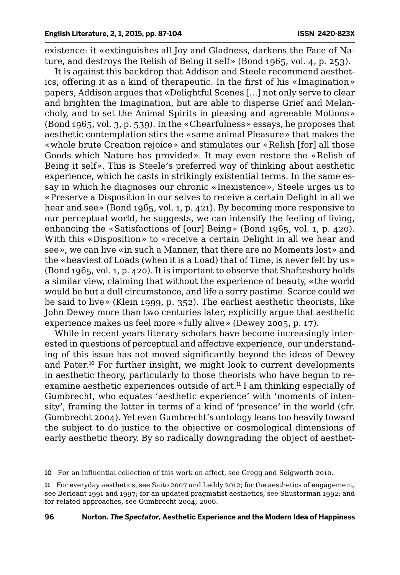existence: it «extinguishes all Joy and Gladness, darkens the Face of Nature, and destroys the Relish of Being it self» (Bond 1965, vol. 4, p. 253).

It is against this backdrop that Addison and Steele recommend aesthetics, offering it as a kind of therapeutic. In the first of his «Imagination» papers, Addison argues that «Delightful Scenes […] not only serve to clear and brighten the Imagination, but are able to disperse Grief and Melancholy, and to set the Animal Spirits in pleasing and agreeable Motions» (Bond 1965, vol. 3, p. 539). In the «Chearfulness» essays, he proposes that aesthetic contemplation stirs the «same animal Pleasure» that makes the «whole brute Creation rejoice» and stimulates our «Relish [for] all those Goods which Nature has provided». It may even restore the «Relish of Being it self». This is Steele's preferred way of thinking about aesthetic experience, which he casts in strikingly existential terms. In the same essay in which he diagnoses our chronic «Inexistence», Steele urges us to «Preserve a Disposition in our selves to receive a certain Delight in all we hear and see» (Bond 1965, vol. 1, p. 421). By becoming more responsive to our perceptual world, he suggests, we can intensify the feeling of living, enhancing the «Satisfactions of [our] Being» (Bond 1965, vol. 1, p. 420). With this «Disposition» to «receive a certain Delight in all we hear and see», we can live «in such a Manner, that there are no Moments lost» and the «heaviest of Loads (when it is a Load) that of Time, is never felt by us» (Bond 1965, vol. 1, p. 420). It is important to observe that Shaftesbury holds a similar view, claiming that without the experience of beauty, «the world would be but a dull circumstance, and life a sorry pastime. Scarce could we be said to live» (Klein 1999, p. 352). The earliest aesthetic theorists, like John Dewey more than two centuries later, explicitly argue that aesthetic experience makes us feel more «fully alive» (Dewey 2005, p. 17).

While in recent years literary scholars have become increasingly interested in questions of perceptual and affective experience, our understanding of this issue has not moved significantly beyond the ideas of Dewey and Pater.<sup>10</sup> For further insight, we might look to current developments in aesthetic theory, particularly to those theorists who have begun to reexamine aesthetic experiences outside of art.<sup>11</sup> I am thinking especially of Gumbrecht, who equates 'aesthetic experience' with 'moments of intensity', framing the latter in terms of a kind of 'presence' in the world (cfr. Gumbrecht 2004). Yet even Gumbrecht's ontology leans too heavily toward the subject to do justice to the objective or cosmological dimensions of early aesthetic theory. By so radically downgrading the object of aesthet-

10 For an influential collection of this work on affect, see Gregg and Seigworth 2010.

11 For everyday aesthetics, see Saito 2007 and Leddy 2012; for the aesthetics of engagement, see Berleant 1991 and 1997; for an updated pragmatist aesthetics, see Shusterman 1992; and for related approaches, see Gumbrecht 2004, 2006.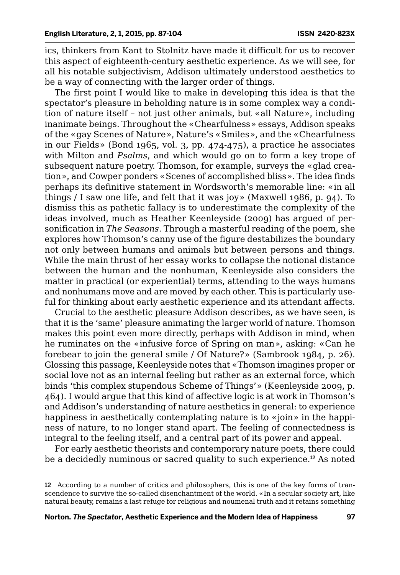ics, thinkers from Kant to Stolnitz have made it difficult for us to recover this aspect of eighteenth-century aesthetic experience. As we will see, for all his notable subjectivism, Addison ultimately understood aesthetics to be a way of connecting with the larger order of things.

The first point I would like to make in developing this idea is that the spectator's pleasure in beholding nature is in some complex way a condition of nature itself – not just other animals, but «all Nature», including inanimate beings. Throughout the «Chearfulness» essays, Addison speaks of the «gay Scenes of Nature», Nature's «Smiles», and the «Chearfulness in our Fields» (Bond 1965, vol. 3, pp. 474-475), a practice he associates with Milton and *Psalms*, and which would go on to form a key trope of subsequent nature poetry. Thomson, for example, surveys the «glad creation», and Cowper ponders «Scenes of accomplished bliss». The idea finds perhaps its definitive statement in Wordsworth's memorable line: «in all things / I saw one life, and felt that it was joy» (Maxwell 1986, p. 94). To dismiss this as pathetic fallacy is to underestimate the complexity of the ideas involved, much as Heather Keenleyside (2009) has argued of personification in *The Seasons*. Through a masterful reading of the poem, she explores how Thomson's canny use of the figure destabilizes the boundary not only between humans and animals but between persons and things. While the main thrust of her essay works to collapse the notional distance between the human and the nonhuman, Keenleyside also considers the matter in practical (or experiential) terms, attending to the ways humans and nonhumans move and are moved by each other. This is particularly useful for thinking about early aesthetic experience and its attendant affects.

Crucial to the aesthetic pleasure Addison describes, as we have seen, is that it is the 'same' pleasure animating the larger world of nature. Thomson makes this point even more directly, perhaps with Addison in mind, when he ruminates on the «infusive force of Spring on man», asking: «Can he forebear to join the general smile / Of Nature?» (Sambrook 1984, p. 26). Glossing this passage, Keenleyside notes that «Thomson imagines proper or social love not as an internal feeling but rather as an external force, which binds 'this complex stupendous Scheme of Things'» (Keenleyside 2009, p. 464). I would argue that this kind of affective logic is at work in Thomson's and Addison's understanding of nature aesthetics in general: to experience happiness in aesthetically contemplating nature is to «join» in the happiness of nature, to no longer stand apart. The feeling of connectedness is integral to the feeling itself, and a central part of its power and appeal.

For early aesthetic theorists and contemporary nature poets, there could be a decidedly numinous or sacred quality to such experience.<sup>12</sup> As noted

<sup>12</sup> According to a number of critics and philosophers, this is one of the key forms of transcendence to survive the so-called disenchantment of the world. «In a secular society art, like natural beauty, remains a last refuge for religious and noumenal truth and it retains something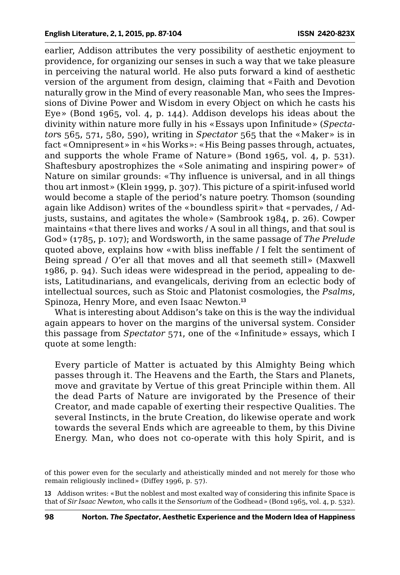earlier, Addison attributes the very possibility of aesthetic enjoyment to providence, for organizing our senses in such a way that we take pleasure in perceiving the natural world. He also puts forward a kind of aesthetic version of the argument from design, claiming that «Faith and Devotion naturally grow in the Mind of every reasonable Man, who sees the Impressions of Divine Power and Wisdom in every Object on which he casts his Eye» (Bond 1965, vol. 4, p. 144). Addison develops his ideas about the divinity within nature more fully in his «Essays upon Infinitude» (*Spectator*s 565, 571, 580, 590), writing in *Spectator* 565 that the «Maker» is in fact «Omnipresent» in «his Works»: «His Being passes through, actuates, and supports the whole Frame of Nature» (Bond 1965, vol. 4, p. 531). Shaftesbury apostrophizes the «Sole animating and inspiring power» of Nature on similar grounds: «Thy influence is universal, and in all things thou art inmost» (Klein 1999, p. 307). This picture of a spirit-infused world would become a staple of the period's nature poetry. Thomson (sounding again like Addison) writes of the «boundless spirit» that «pervades, / Adjusts, sustains, and agitates the whole» (Sambrook 1984, p. 26). Cowper maintains «that there lives and works / A soul in all things, and that soul is God» (1785, p. 107); and Wordsworth, in the same passage of *The Prelude* quoted above, explains how «with bliss ineffable / I felt the sentiment of Being spread / O'er all that moves and all that seemeth still» (Maxwell 1986, p. 94). Such ideas were widespread in the period, appealing to deists, Latitudinarians, and evangelicals, deriving from an eclectic body of intellectual sources, such as Stoic and Platonist cosmologies, the *Psalms*, Spinoza, Henry More, and even Isaac Newton.<sup>13</sup>

What is interesting about Addison's take on this is the way the individual again appears to hover on the margins of the universal system. Consider this passage from *Spectator* 571, one of the «Infinitude» essays, which I quote at some length:

Every particle of Matter is actuated by this Almighty Being which passes through it. The Heavens and the Earth, the Stars and Planets, move and gravitate by Vertue of this great Principle within them. All the dead Parts of Nature are invigorated by the Presence of their Creator, and made capable of exerting their respective Qualities. The several Instincts, in the brute Creation, do likewise operate and work towards the several Ends which are agreeable to them, by this Divine Energy. Man, who does not co-operate with this holy Spirit, and is

of this power even for the secularly and atheistically minded and not merely for those who remain religiously inclined» (Diffey 1996, p. 57).

13 Addison writes: «But the noblest and most exalted way of considering this infinite Space is that of *Sir Isaac Newton*, who calls it the *Sensorium* of the Godhead» (Bond 1965, vol. 4, p. 532).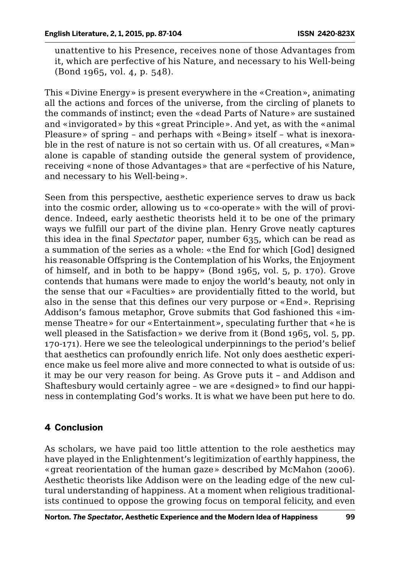unattentive to his Presence, receives none of those Advantages from it, which are perfective of his Nature, and necessary to his Well-being (Bond 1965, vol. 4, p. 548).

This «Divine Energy» is present everywhere in the «Creation», animating all the actions and forces of the universe, from the circling of planets to the commands of instinct; even the «dead Parts of Nature» are sustained and «invigorated» by this «great Principle». And yet, as with the «animal Pleasure» of spring – and perhaps with «Being» itself – what is inexorable in the rest of nature is not so certain with us. Of all creatures, «Man» alone is capable of standing outside the general system of providence, receiving «none of those Advantages» that are «perfective of his Nature, and necessary to his Well-being».

Seen from this perspective, aesthetic experience serves to draw us back into the cosmic order, allowing us to «co-operate» with the will of providence. Indeed, early aesthetic theorists held it to be one of the primary ways we fulfill our part of the divine plan. Henry Grove neatly captures this idea in the final *Spectator* paper, number 635, which can be read as a summation of the series as a whole: «the End for which [God] designed his reasonable Offspring is the Contemplation of his Works, the Enjoyment of himself, and in both to be happy» (Bond 1965, vol. 5, p. 170). Grove contends that humans were made to enjoy the world's beauty, not only in the sense that our «Faculties» are providentially fitted to the world, but also in the sense that this defines our very purpose or «End». Reprising Addison's famous metaphor, Grove submits that God fashioned this «immense Theatre» for our «Entertainment», speculating further that «he is well pleased in the Satisfaction» we derive from it (Bond 1965, vol. 5, pp. 170-171). Here we see the teleological underpinnings to the period's belief that aesthetics can profoundly enrich life. Not only does aesthetic experience make us feel more alive and more connected to what is outside of us: it may be our very reason for being. As Grove puts it – and Addison and Shaftesbury would certainly agree – we are «designed» to find our happiness in contemplating God's works. It is what we have been put here to do.

### **4 Conclusion**

As scholars, we have paid too little attention to the role aesthetics may have played in the Enlightenment's legitimization of earthly happiness, the «great reorientation of the human gaze» described by McMahon (2006). Aesthetic theorists like Addison were on the leading edge of the new cultural understanding of happiness. At a moment when religious traditionalists continued to oppose the growing focus on temporal felicity, and even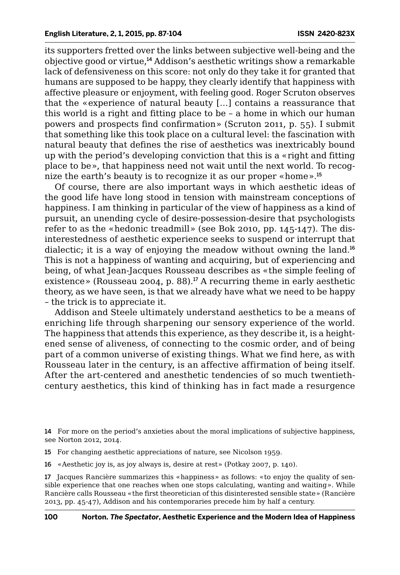its supporters fretted over the links between subjective well-being and the objective good or virtue,<sup>14</sup> Addison's aesthetic writings show a remarkable lack of defensiveness on this score: not only do they take it for granted that humans are supposed to be happy, they clearly identify that happiness with affective pleasure or enjoyment, with feeling good. Roger Scruton observes that the «experience of natural beauty […] contains a reassurance that this world is a right and fitting place to be – a home in which our human powers and prospects find confirmation» (Scruton 2011, p. 55). I submit that something like this took place on a cultural level: the fascination with natural beauty that defines the rise of aesthetics was inextricably bound up with the period's developing conviction that this is a «right and fitting place to be», that happiness need not wait until the next world. To recognize the earth's beauty is to recognize it as our proper «home».<sup>15</sup>

Of course, there are also important ways in which aesthetic ideas of the good life have long stood in tension with mainstream conceptions of happiness. I am thinking in particular of the view of happiness as a kind of pursuit, an unending cycle of desire-possession-desire that psychologists refer to as the «hedonic treadmill» (see Bok 2010, pp. 145-147). The disinterestedness of aesthetic experience seeks to suspend or interrupt that dialectic; it is a way of enjoying the meadow without owning the land.<sup>16</sup> This is not a happiness of wanting and acquiring, but of experiencing and being, of what Jean-Jacques Rousseau describes as «the simple feeling of existence» (Rousseau 2004, p. 88).<sup>17</sup> A recurring theme in early aesthetic theory, as we have seen, is that we already have what we need to be happy – the trick is to appreciate it.

Addison and Steele ultimately understand aesthetics to be a means of enriching life through sharpening our sensory experience of the world. The happiness that attends this experience, as they describe it, is a heightened sense of aliveness, of connecting to the cosmic order, and of being part of a common universe of existing things. What we find here, as with Rousseau later in the century, is an affective affirmation of being itself. After the art-centered and anesthetic tendencies of so much twentiethcentury aesthetics, this kind of thinking has in fact made a resurgence

14 For more on the period's anxieties about the moral implications of subjective happiness, see Norton 2012, 2014.

- 15 For changing aesthetic appreciations of nature, see Nicolson 1959.
- 16 «Aesthetic joy is, as joy always is, desire at rest» (Potkay 2007, p. 140).

17 Jacques Rancière summarizes this «happiness» as follows: «to enjoy the quality of sensible experience that one reaches when one stops calculating, wanting and waiting». While Rancière calls Rousseau «the first theoretician of this disinterested sensible state» (Rancière 2013, pp. 45-47), Addison and his contemporaries precede him by half a century.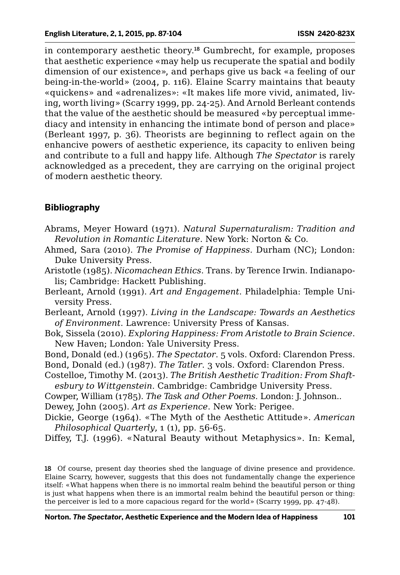in contemporary aesthetic theory.<sup>18</sup> Gumbrecht, for example, proposes that aesthetic experience «may help us recuperate the spatial and bodily dimension of our existence», and perhaps give us back «a feeling of our being-in-the-world» (2004, p. 116). Elaine Scarry maintains that beauty «quickens» and «adrenalizes»: «It makes life more vivid, animated, living, worth living» (Scarry 1999, pp. 24-25). And Arnold Berleant contends that the value of the aesthetic should be measured «by perceptual immediacy and intensity in enhancing the intimate bond of person and place» (Berleant 1997, p. 36). Theorists are beginning to reflect again on the enhancive powers of aesthetic experience, its capacity to enliven being and contribute to a full and happy life. Although *The Spectator* is rarely acknowledged as a precedent, they are carrying on the original project of modern aesthetic theory.

#### **Bibliography**

- Abrams, Meyer Howard (1971). *Natural Supernaturalism: Tradition and Revolution in Romantic Literature*. New York: Norton & Co.
- Ahmed, Sara (2010). *The Promise of Happiness*. Durham (NC); London: Duke University Press.
- Aristotle (1985). *Nicomachean Ethics*. Trans. by Terence Irwin. Indianapolis; Cambridge: Hackett Publishing.
- Berleant, Arnold (1991). *Art and Engagement*. Philadelphia: Temple University Press.
- Berleant, Arnold (1997). *Living in the Landscape: Towards an Aesthetics of Environment*. Lawrence: University Press of Kansas.
- Bok, Sissela (2010). *Exploring Happiness: From Aristotle to Brain Science*. New Haven; London: Yale University Press.
- Bond, Donald (ed.) (1965). *The Spectator*. 5 vols. Oxford: Clarendon Press. Bond, Donald (ed.) (1987). *The Tatler*. 3 vols. Oxford: Clarendon Press.
- Costelloe, Timothy M. (2013). *The British Aesthetic Tradition: From Shaftesbury to Wittgenstein*. Cambridge: Cambridge University Press.
- Cowper, William (1785). *The Task and Other Poems*. London: J. Johnson..
- Dewey, John (2005). *Art as Experience*. New York: Perigee.
- Dickie, George (1964). «The Myth of the Aesthetic Attitude». *American Philosophical Quarterly*, 1 (1), pp. 56-65.
- Diffey, T.J. (1996). «Natural Beauty without Metaphysics». In: Kemal,

18 Of course, present day theories shed the language of divine presence and providence. Elaine Scarry, however, suggests that this does not fundamentally change the experience itself: «What happens when there is no immortal realm behind the beautiful person or thing is just what happens when there is an immortal realm behind the beautiful person or thing: the perceiver is led to a more capacious regard for the world» (Scarry 1999, pp. 47-48).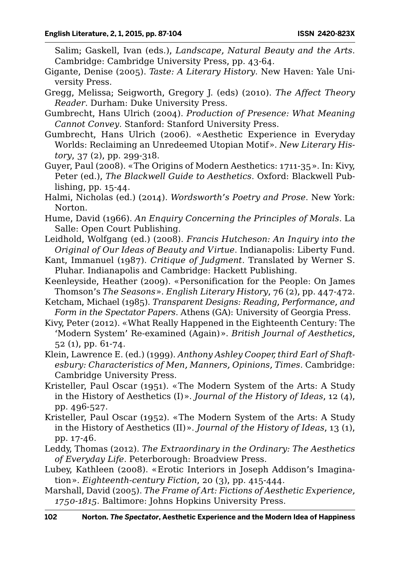Salim; Gaskell, Ivan (eds.), *Landscape, Natural Beauty and the Arts*. Cambridge: Cambridge University Press, pp. 43-64.

- Gigante, Denise (2005). *Taste: A Literary History*. New Haven: Yale University Press.
- Gregg, Melissa; Seigworth, Gregory J. (eds) (2010). *The Affect Theory Reader*. Durham: Duke University Press.
- Gumbrecht, Hans Ulrich (2004). *Production of Presence: What Meaning Cannot Convey*. Stanford: Stanford University Press.
- Gumbrecht, Hans Ulrich (2006). «Aesthetic Experience in Everyday Worlds: Reclaiming an Unredeemed Utopian Motif». *New Literary History*, 37 (2), pp. 299-318.
- Guyer, Paul (2008). «The Origins of Modern Aesthetics: 1711-35». In: Kivy, Peter (ed.), *The Blackwell Guide to Aesthetics*. Oxford: Blackwell Publishing, pp. 15-44.
- Halmi, Nicholas (ed.) (2014). *Wordsworth's Poetry and Prose*. New York: Norton.
- Hume, David (1966). *An Enquiry Concerning the Principles of Morals*. La Salle: Open Court Publishing.
- Leidhold, Wolfgang (ed.) (2008). *Francis Hutcheson: An Inquiry into the Original of Our Ideas of Beauty and Virtue*. Indianapolis: Liberty Fund.
- Kant, Immanuel (1987). *Critique of Judgment*. Translated by Werner S. Pluhar. Indianapolis and Cambridge: Hackett Publishing.
- Keenleyside, Heather (2009). «Personification for the People: On James Thomson's *The Seasons*». *English Literary History*, 76 (2), pp. 447-472.
- Ketcham, Michael (1985). *Transparent Designs: Reading, Performance, and Form in the Spectator Papers*. Athens (GA): University of Georgia Press.
- Kivy, Peter (2012). «What Really Happened in the Eighteenth Century: The 'Modern System' Re-examined (Again)». *British Journal of Aesthetics*, 52 (1), pp. 61-74.
- Klein, Lawrence E. (ed.) (1999). *Anthony Ashley Cooper, third Earl of Shaftesbury: Characteristics of Men, Manners, Opinions, Times*. Cambridge: Cambridge University Press.
- Kristeller, Paul Oscar (1951). «The Modern System of the Arts: A Study in the History of Aesthetics (I)». *Journal of the History of Ideas*, 12 (4), pp. 496-527.
- Kristeller, Paul Oscar (1952). «The Modern System of the Arts: A Study in the History of Aesthetics (II)». *Journal of the History of Ideas*, 13 (1), pp. 17-46.
- Leddy, Thomas (2012). *The Extraordinary in the Ordinary: The Aesthetics of Everyday Life*. Peterborough: Broadview Press.
- Lubey, Kathleen (2008). «Erotic Interiors in Joseph Addison's Imagination». *Eighteenth-century Fiction*, 20 (3), pp. 415-444.
- Marshall, David (2005). *The Frame of Art: Fictions of Aesthetic Experience, 1750-1815*. Baltimore: Johns Hopkins University Press.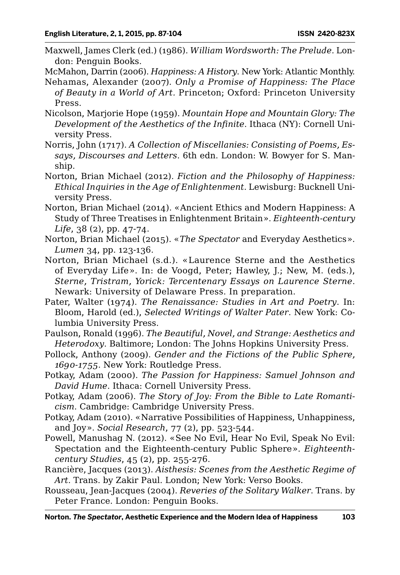Maxwell, James Clerk (ed.) (1986). *William Wordsworth: The Prelude*. London: Penguin Books.

McMahon, Darrin (2006). *Happiness: A History*. New York: Atlantic Monthly.

- Nehamas, Alexander (2007). *Only a Promise of Happiness: The Place of Beauty in a World of Art.* Princeton; Oxford: Princeton University Press.
- Nicolson, Marjorie Hope (1959). *Mountain Hope and Mountain Glory: The Development of the Aesthetics of the Infinite*. Ithaca (NY): Cornell University Press.
- Norris, John (1717). *A Collection of Miscellanies: Consisting of Poems, Essays, Discourses and Letters*. 6th edn. London: W. Bowyer for S. Manship.
- Norton, Brian Michael (2012). *Fiction and the Philosophy of Happiness: Ethical Inquiries in the Age of Enlightenment*. Lewisburg: Bucknell University Press.
- Norton, Brian Michael (2014). «Ancient Ethics and Modern Happiness: A Study of Three Treatises in Enlightenment Britain». *Eighteenth-century Life*, 38 (2), pp. 47-74.
- Norton, Brian Michael (2015). «*The Spectator* and Everyday Aesthetics». *Lumen* 34, pp. 123-136.
- Norton, Brian Michael (s.d.). «Laurence Sterne and the Aesthetics of Everyday Life». In: de Voogd, Peter; Hawley, J.; New, M. (eds.), *Sterne, Tristram, Yorick: Tercentenary Essays on Laurence Sterne*. Newark: University of Delaware Press. In preparation.
- Pater, Walter (1974). *The Renaissance: Studies in Art and Poetry*. In: Bloom, Harold (ed.), *Selected Writings of Walter Pater*. New York: Columbia University Press.
- Paulson, Ronald (1996). *The Beautiful, Novel, and Strange: Aesthetics and Heterodoxy*. Baltimore; London: The Johns Hopkins University Press.
- Pollock, Anthony (2009). *Gender and the Fictions of the Public Sphere, 1690-1755*. New York: Routledge Press.
- Potkay, Adam (2000). *The Passion for Happiness: Samuel Johnson and David Hume*. Ithaca: Cornell University Press.
- Potkay, Adam (2006). *The Story of Joy: From the Bible to Late Romanticism*. Cambridge: Cambridge University Press.
- Potkay, Adam (2010). «Narrative Possibilities of Happiness, Unhappiness, and Joy». *Social Research*, 77 (2), pp. 523-544.
- Powell, Manushag N. (2012). «See No Evil, Hear No Evil, Speak No Evil: Spectation and the Eighteenth-century Public Sphere». *Eighteenthcentury Studies*, 45 (2), pp. 255-276.
- Rancière, Jacques (2013). *Aisthesis: Scenes from the Aesthetic Regime of Art*. Trans. by Zakir Paul. London; New York: Verso Books.
- Rousseau, Jean-Jacques (2004). *Reveries of the Solitary Walker*. Trans. by Peter France. London: Penguin Books.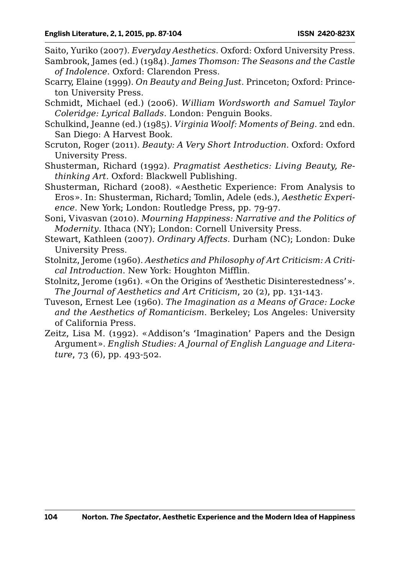Saito, Yuriko (2007). *Everyday Aesthetics*. Oxford: Oxford University Press.

- Sambrook, James (ed.) (1984). *James Thomson: The Seasons and the Castle of Indolence*. Oxford: Clarendon Press.
- Scarry, Elaine (1999). *On Beauty and Being Just*. Princeton; Oxford: Princeton University Press.
- Schmidt, Michael (ed.) (2006). *William Wordsworth and Samuel Taylor Coleridge: Lyrical Ballads*. London: Penguin Books.
- Schulkind, Jeanne (ed.) (1985). *Virginia Woolf: Moments of Being*. 2nd edn. San Diego: A Harvest Book.
- Scruton, Roger (2011). *Beauty: A Very Short Introduction*. Oxford: Oxford University Press.
- Shusterman, Richard (1992). *Pragmatist Aesthetics: Living Beauty, Rethinking Art*. Oxford: Blackwell Publishing.
- Shusterman, Richard (2008). «Aesthetic Experience: From Analysis to Eros». In: Shusterman, Richard; Tomlin, Adele (eds.), *Aesthetic Experience*. New York; London: Routledge Press, pp. 79-97.
- Soni, Vivasvan (2010). *Mourning Happiness: Narrative and the Politics of Modernity*. Ithaca (NY); London: Cornell University Press.
- Stewart, Kathleen (2007). *Ordinary Affects*. Durham (NC); London: Duke University Press.
- Stolnitz, Jerome (1960). *Aesthetics and Philosophy of Art Criticism: A Critical Introduction*. New York: Houghton Mifflin.
- Stolnitz, Jerome (1961). «On the Origins of 'Aesthetic Disinterestedness'». *The Journal of Aesthetics and Art Criticism*, 20 (2), pp. 131-143.
- Tuveson, Ernest Lee (1960). *The Imagination as a Means of Grace: Locke and the Aesthetics of Romanticism*. Berkeley; Los Angeles: University of California Press.
- Zeitz, Lisa M. (1992). «Addison's 'Imagination' Papers and the Design Argument». *English Studies: A Journal of English Language and Literature*, 73 (6), pp. 493-502.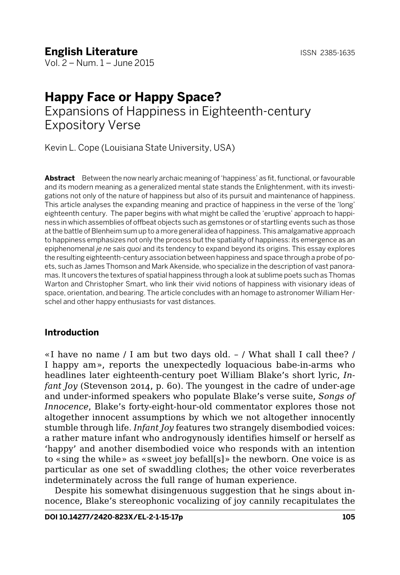## **English Literature ISSN 2385-1635**

Vol. 2 – Num. 1 – June 2015

## **Happy Face or Happy Space?**  Expansions of Happiness in Eighteenth-century Expository Verse

Kevin L. Cope (Louisiana State University, USA)

**Abstract** Between the now nearly archaic meaning of 'happiness' as fit, functional, or favourable and its modern meaning as a generalized mental state stands the Enlightenment, with its investigations not only of the nature of happiness but also of its pursuit and maintenance of happiness. This article analyses the expanding meaning and practice of happiness in the verse of the 'long' eighteenth century. The paper begins with what might be called the 'eruptive' approach to happiness in which assemblies of offbeat objects such as gemstones or of startling events such as those at the battle of Blenheim sum up to a more general idea of happiness. This amalgamative approach to happiness emphasizes not only the process but the spatiality of happiness: its emergence as an epiphenomenal *je ne sais quoi* and its tendency to expand beyond its origins. This essay explores the resulting eighteenth-century association between happiness and space through a probe of poets, such as James Thomson and Mark Akenside, who specialize in the description of vast panoramas. It uncovers the textures of spatial happiness through a look at sublime poets such as Thomas Warton and Christopher Smart, who link their vivid notions of happiness with visionary ideas of space, orientation, and bearing. The article concludes with an homage to astronomer William Herschel and other happy enthusiasts for vast distances.

### **Introduction**

«I have no name / I am but two days old. – / What shall I call thee? / I happy am», reports the unexpectedly loquacious babe-in-arms who headlines later eighteenth-century poet William Blake's short lyric, *Infant Joy* (Stevenson 2014, p. 60). The youngest in the cadre of under-age and under-informed speakers who populate Blake's verse suite, *Songs of Innocence*, Blake's forty-eight-hour-old commentator explores those not altogether innocent assumptions by which we not altogether innocently stumble through life. *Infant Joy* features two strangely disembodied voices: a rather mature infant who androgynously identifies himself or herself as 'happy' and another disembodied voice who responds with an intention to «sing the while» as «sweet joy befall[s]» the newborn. One voice is as particular as one set of swaddling clothes; the other voice reverberates indeterminately across the full range of human experience.

Despite his somewhat disingenuous suggestion that he sings about innocence, Blake's stereophonic vocalizing of joy cannily recapitulates the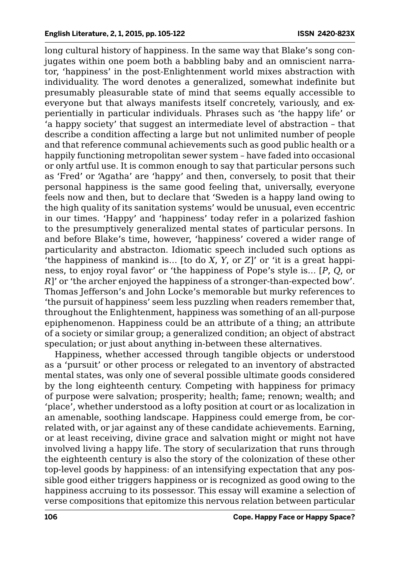long cultural history of happiness. In the same way that Blake's song conjugates within one poem both a babbling baby and an omniscient narrator, 'happiness' in the post-Enlightenment world mixes abstraction with individuality. The word denotes a generalized, somewhat indefinite but presumably pleasurable state of mind that seems equally accessible to everyone but that always manifests itself concretely, variously, and experientially in particular individuals. Phrases such as 'the happy life' or 'a happy society' that suggest an intermediate level of abstraction – that describe a condition affecting a large but not unlimited number of people and that reference communal achievements such as good public health or a happily functioning metropolitan sewer system – have faded into occasional or only artful use. It is common enough to say that particular persons such as 'Fred' or 'Agatha' are 'happy' and then, conversely, to posit that their personal happiness is the same good feeling that, universally, everyone feels now and then, but to declare that 'Sweden is a happy land owing to the high quality of its sanitation systems' would be unusual, even eccentric in our times. 'Happy' and 'happiness' today refer in a polarized fashion to the presumptively generalized mental states of particular persons. In and before Blake's time, however, 'happiness' covered a wider range of particularity and abstracton. Idiomatic speech included such options as 'the happiness of mankind is… [to do *X*, *Y*, or *Z*]' or 'it is a great happiness, to enjoy royal favor' or 'the happiness of Pope's style is… [*P*, *Q*, or *R*]' or 'the archer enjoyed the happiness of a stronger-than-expected bow'. Thomas Jefferson's and John Locke's memorable but murky references to 'the pursuit of happiness' seem less puzzling when readers remember that, throughout the Enlightenment, happiness was something of an all-purpose epiphenomenon. Happiness could be an attribute of a thing; an attribute of a society or similar group; a generalized condition; an object of abstract speculation; or just about anything in-between these alternatives.

Happiness, whether accessed through tangible objects or understood as a 'pursuit' or other process or relegated to an inventory of abstracted mental states, was only one of several possible ultimate goods considered by the long eighteenth century. Competing with happiness for primacy of purpose were salvation; prosperity; health; fame; renown; wealth; and 'place', whether understood as a lofty position at court or as localization in an amenable, soothing landscape. Happiness could emerge from, be correlated with, or jar against any of these candidate achievements. Earning, or at least receiving, divine grace and salvation might or might not have involved living a happy life. The story of secularization that runs through the eighteenth century is also the story of the colonization of these other top-level goods by happiness: of an intensifying expectation that any possible good either triggers happiness or is recognized as good owing to the happiness accruing to its possessor. This essay will examine a selection of verse compositions that epitomize this nervous relation between particular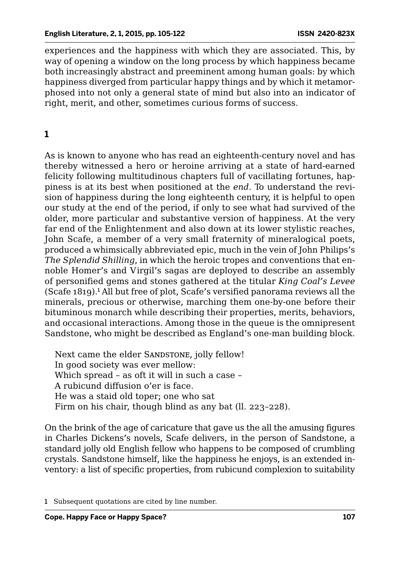experiences and the happiness with which they are associated. This, by way of opening a window on the long process by which happiness became both increasingly abstract and preeminent among human goals: by which happiness diverged from particular happy things and by which it metamorphosed into not only a general state of mind but also into an indicator of right, merit, and other, sometimes curious forms of success.

## **1**

As is known to anyone who has read an eighteenth-century novel and has thereby witnessed a hero or heroine arriving at a state of hard-earned felicity following multitudinous chapters full of vacillating fortunes, happiness is at its best when positioned at the *end*. To understand the revision of happiness during the long eighteenth century, it is helpful to open our study at the end of the period, if only to see what had survived of the older, more particular and substantive version of happiness. At the very far end of the Enlightenment and also down at its lower stylistic reaches, John Scafe, a member of a very small fraternity of mineralogical poets, produced a whimsically abbreviated epic, much in the vein of John Philips's *The Splendid Shilling*, in which the heroic tropes and conventions that ennoble Homer's and Virgil's sagas are deployed to describe an assembly of personified gems and stones gathered at the titular *King Coal's Levee* (Scafe 1819).<sup>1</sup> All but free of plot, Scafe's versified panorama reviews all the minerals, precious or otherwise, marching them one-by-one before their bituminous monarch while describing their properties, merits, behaviors, and occasional interactions. Among those in the queue is the omnipresent Sandstone, who might be described as England's one-man building block.

Next came the elder SANDSTONE, jolly fellow! In good society was ever mellow: Which spread – as oft it will in such a case – A rubicund diffusion o'er is face. He was a staid old toper; one who sat Firm on his chair, though blind as any bat (ll. 223–228).

On the brink of the age of caricature that gave us the all the amusing figures in Charles Dickens's novels, Scafe delivers, in the person of Sandstone, a standard jolly old English fellow who happens to be composed of crumbling crystals. Sandstone himself, like the happiness he enjoys, is an extended inventory: a list of specific properties, from rubicund complexion to suitability

<sup>1</sup> Subsequent quotations are cited by line number.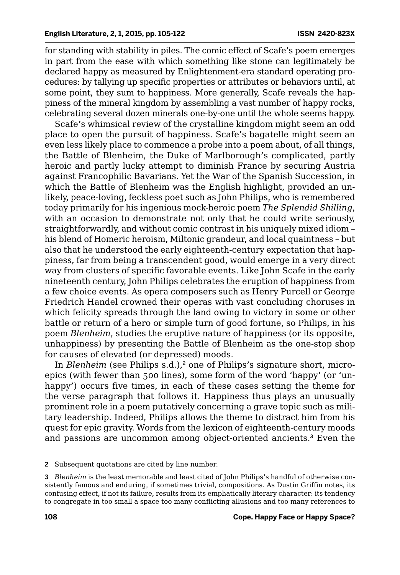for standing with stability in piles. The comic effect of Scafe's poem emerges in part from the ease with which something like stone can legitimately be declared happy as measured by Enlightenment-era standard operating procedures: by tallying up specific properties or attributes or behaviors until, at some point, they sum to happiness. More generally, Scafe reveals the happiness of the mineral kingdom by assembling a vast number of happy rocks, celebrating several dozen minerals one-by-one until the whole seems happy.

Scafe's whimsical review of the crystalline kingdom might seem an odd place to open the pursuit of happiness. Scafe's bagatelle might seem an even less likely place to commence a probe into a poem about, of all things, the Battle of Blenheim, the Duke of Marlborough's complicated, partly heroic and partly lucky attempt to diminish France by securing Austria against Francophilic Bavarians. Yet the War of the Spanish Succession, in which the Battle of Blenheim was the English highlight, provided an unlikely, peace-loving, feckless poet such as John Philips, who is remembered today primarily for his ingenious mock-heroic poem *The Splendid Shilling*, with an occasion to demonstrate not only that he could write seriously, straightforwardly, and without comic contrast in his uniquely mixed idiom – his blend of Homeric heroism, Miltonic grandeur, and local quaintness – but also that he understood the early eighteenth-century expectation that happiness, far from being a transcendent good, would emerge in a very direct way from clusters of specific favorable events. Like John Scafe in the early nineteenth century, John Philips celebrates the eruption of happiness from a few choice events. As opera composers such as Henry Purcell or George Friedrich Handel crowned their operas with vast concluding choruses in which felicity spreads through the land owing to victory in some or other battle or return of a hero or simple turn of good fortune, so Philips, in his poem *Blenheim*, studies the eruptive nature of happiness (or its opposite, unhappiness) by presenting the Battle of Blenheim as the one-stop shop for causes of elevated (or depressed) moods.

In *Blenheim* (see Philips s.d.),<sup>2</sup> one of Philips's signature short, microepics (with fewer than 500 lines), some form of the word 'happy' (or 'unhappy') occurs five times, in each of these cases setting the theme for the verse paragraph that follows it. Happiness thus plays an unusually prominent role in a poem putatively concerning a grave topic such as military leadership. Indeed, Philips allows the theme to distract him from his quest for epic gravity. Words from the lexicon of eighteenth-century moods and passions are uncommon among object-oriented ancients.<sup>3</sup> Even the

2 Subsequent quotations are cited by line number.

3 *Blenheim* is the least memorable and least cited of John Philips's handful of otherwise consistently famous and enduring, if sometimes trivial, compositions. As Dustin Griffin notes, its confusing effect, if not its failure, results from its emphatically literary character: its tendency to congregate in too small a space too many conflicting allusions and too many references to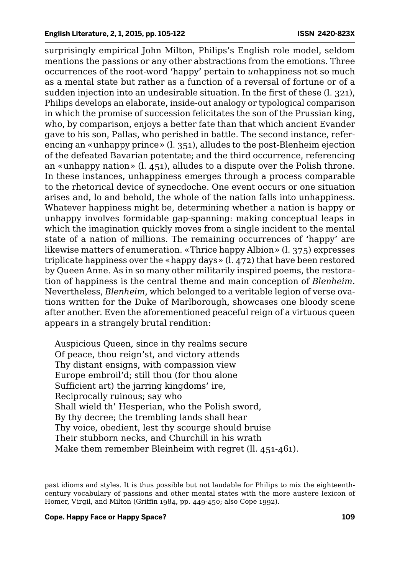surprisingly empirical John Milton, Philips's English role model, seldom mentions the passions or any other abstractions from the emotions. Three occurrences of the root-word 'happy' pertain to *un*happiness not so much as a mental state but rather as a function of a reversal of fortune or of a sudden injection into an undesirable situation. In the first of these (l. 321), Philips develops an elaborate, inside-out analogy or typological comparison in which the promise of succession felicitates the son of the Prussian king, who, by comparison, enjoys a better fate than that which ancient Evander gave to his son, Pallas, who perished in battle. The second instance, referencing an «unhappy prince» (l. 351), alludes to the post-Blenheim ejection of the defeated Bavarian potentate; and the third occurrence, referencing an «unhappy nation» (l. 451), alludes to a dispute over the Polish throne. In these instances, unhappiness emerges through a process comparable to the rhetorical device of synecdoche. One event occurs or one situation arises and, lo and behold, the whole of the nation falls into unhappiness. Whatever happiness might be, determining whether a nation is happy or unhappy involves formidable gap-spanning: making conceptual leaps in which the imagination quickly moves from a single incident to the mental state of a nation of millions. The remaining occurrences of 'happy' are likewise matters of enumeration. «Thrice happy Albion» (l. 375) expresses triplicate happiness over the «happy days» (l. 472) that have been restored by Queen Anne. As in so many other militarily inspired poems, the restoration of happiness is the central theme and main conception of *Blenheim*. Nevertheless, *Blenheim*, which belonged to a veritable legion of verse ovations written for the Duke of Marlborough, showcases one bloody scene after another. Even the aforementioned peaceful reign of a virtuous queen appears in a strangely brutal rendition:

Auspicious Queen, since in thy realms secure Of peace, thou reign'st, and victory attends Thy distant ensigns, with compassion view Europe embroil'd; still thou (for thou alone Sufficient art) the jarring kingdoms' ire, Reciprocally ruinous; say who Shall wield th' Hesperian, who the Polish sword, By thy decree; the trembling lands shall hear Thy voice, obedient, lest thy scourge should bruise Their stubborn necks, and Churchill in his wrath Make them remember Bleinheim with regret (ll. 451-461).

past idioms and styles. It is thus possible but not laudable for Philips to mix the eighteenthcentury vocabulary of passions and other mental states with the more austere lexicon of Homer, Virgil, and Milton (Griffin 1984, pp. 449-450; also Cope 1992).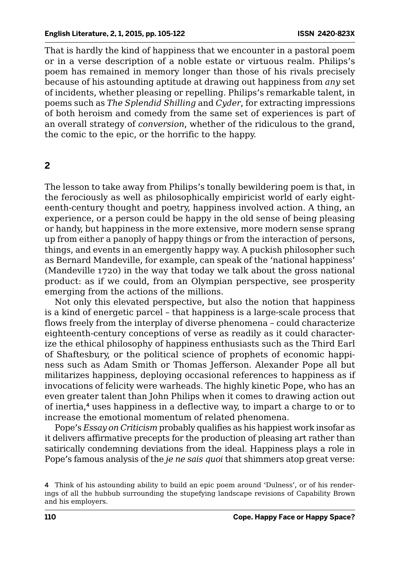That is hardly the kind of happiness that we encounter in a pastoral poem or in a verse description of a noble estate or virtuous realm. Philips's poem has remained in memory longer than those of his rivals precisely because of his astounding aptitude at drawing out happiness from *any* set of incidents, whether pleasing or repelling. Philips's remarkable talent, in poems such as *The Splendid Shilling* and *Cyder*, for extracting impressions of both heroism and comedy from the same set of experiences is part of an overall strategy of *conversion*, whether of the ridiculous to the grand, the comic to the epic, or the horrific to the happy.

#### **2**

The lesson to take away from Philips's tonally bewildering poem is that, in the ferociously as well as philosophically empiricist world of early eighteenth-century thought and poetry, happiness involved action. A thing, an experience, or a person could be happy in the old sense of being pleasing or handy, but happiness in the more extensive, more modern sense sprang up from either a panoply of happy things or from the interaction of persons, things, and events in an emergently happy way. A puckish philosopher such as Bernard Mandeville, for example, can speak of the 'national happiness' (Mandeville 1720) in the way that today we talk about the gross national product: as if we could, from an Olympian perspective, see prosperity emerging from the actions of the millions.

Not only this elevated perspective, but also the notion that happiness is a kind of energetic parcel – that happiness is a large-scale process that flows freely from the interplay of diverse phenomena – could characterize eighteenth-century conceptions of verse as readily as it could characterize the ethical philosophy of happiness enthusiasts such as the Third Earl of Shaftesbury, or the political science of prophets of economic happiness such as Adam Smith or Thomas Jefferson. Alexander Pope all but militarizes happiness, deploying occasional references to happiness as if invocations of felicity were warheads. The highly kinetic Pope, who has an even greater talent than John Philips when it comes to drawing action out of inertia,<sup>4</sup> uses happiness in a deflective way, to impart a charge to or to increase the emotional momentum of related phenomena.

Pope's *Essay on Criticism* probably qualifies as his happiest work insofar as it delivers affirmative precepts for the production of pleasing art rather than satirically condemning deviations from the ideal. Happiness plays a role in Pope's famous analysis of the *je ne sais quoi* that shimmers atop great verse:

<sup>4</sup> Think of his astounding ability to build an epic poem around 'Dulness', or of his renderings of all the hubbub surrounding the stupefying landscape revisions of Capability Brown and his employers.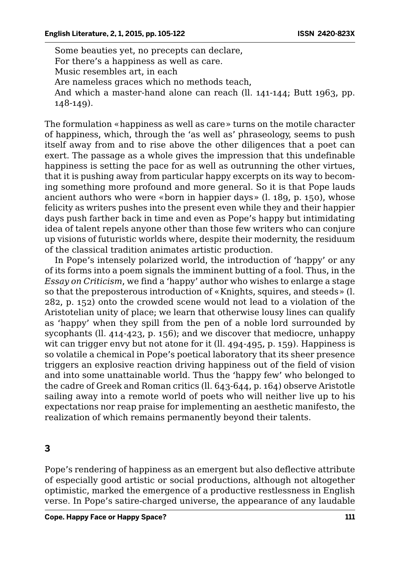Some beauties yet, no precepts can declare, For there's a happiness as well as care. Music resembles art, in each Are nameless graces which no methods teach, And which a master-hand alone can reach (ll. 141-144; Butt 1963, pp.  $148 - 149$ .

The formulation «happiness as well as care» turns on the motile character of happiness, which, through the 'as well as' phraseology, seems to push itself away from and to rise above the other diligences that a poet can exert. The passage as a whole gives the impression that this undefinable happiness is setting the pace for as well as outrunning the other virtues, that it is pushing away from particular happy excerpts on its way to becoming something more profound and more general. So it is that Pope lauds ancient authors who were «born in happier days» (l. 189, p. 150), whose felicity as writers pushes into the present even while they and their happier days push farther back in time and even as Pope's happy but intimidating idea of talent repels anyone other than those few writers who can conjure up visions of futuristic worlds where, despite their modernity, the residuum of the classical tradition animates artistic production.

In Pope's intensely polarized world, the introduction of 'happy' or any of its forms into a poem signals the imminent butting of a fool. Thus, in the *Essay on Criticism*, we find a 'happy' author who wishes to enlarge a stage so that the preposterous introduction of «Knights, squires, and steeds» (l. 282, p. 152) onto the crowded scene would not lead to a violation of the Aristotelian unity of place; we learn that otherwise lousy lines can qualify as 'happy' when they spill from the pen of a noble lord surrounded by sycophants (ll. 414-423, p. 156); and we discover that mediocre, unhappy wit can trigger envy but not atone for it (ll. 494-495, p. 159). Happiness is so volatile a chemical in Pope's poetical laboratory that its sheer presence triggers an explosive reaction driving happiness out of the field of vision and into some unattainable world. Thus the 'happy few' who belonged to the cadre of Greek and Roman critics (ll. 643-644, p. 164) observe Aristotle sailing away into a remote world of poets who will neither live up to his expectations nor reap praise for implementing an aesthetic manifesto, the realization of which remains permanently beyond their talents.

## **3**

Pope's rendering of happiness as an emergent but also deflective attribute of especially good artistic or social productions, although not altogether optimistic, marked the emergence of a productive restlessness in English verse. In Pope's satire-charged universe, the appearance of any laudable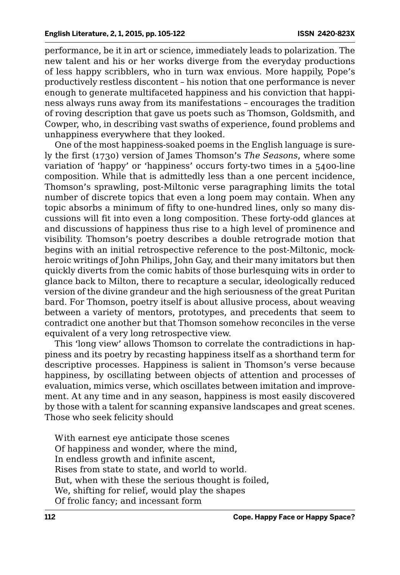performance, be it in art or science, immediately leads to polarization. The new talent and his or her works diverge from the everyday productions of less happy scribblers, who in turn wax envious. More happily, Pope's productively restless discontent – his notion that one performance is never enough to generate multifaceted happiness and his conviction that happiness always runs away from its manifestations – encourages the tradition of roving description that gave us poets such as Thomson, Goldsmith, and Cowper, who, in describing vast swaths of experience, found problems and unhappiness everywhere that they looked.

One of the most happiness-soaked poems in the English language is surely the first (1730) version of James Thomson's *The Seasons*, where some variation of 'happy' or 'happiness' occurs forty-two times in a 5400-line composition. While that is admittedly less than a one percent incidence, Thomson's sprawling, post-Miltonic verse paragraphing limits the total number of discrete topics that even a long poem may contain. When any topic absorbs a minimum of fifty to one-hundred lines, only so many discussions will fit into even a long composition. These forty-odd glances at and discussions of happiness thus rise to a high level of prominence and visibility. Thomson's poetry describes a double retrograde motion that begins with an initial retrospective reference to the post-Miltonic, mockheroic writings of John Philips, John Gay, and their many imitators but then quickly diverts from the comic habits of those burlesquing wits in order to glance back to Milton, there to recapture a secular, ideologically reduced version of the divine grandeur and the high seriousness of the great Puritan bard. For Thomson, poetry itself is about allusive process, about weaving between a variety of mentors, prototypes, and precedents that seem to contradict one another but that Thomson somehow reconciles in the verse equivalent of a very long retrospective view.

This 'long view' allows Thomson to correlate the contradictions in happiness and its poetry by recasting happiness itself as a shorthand term for descriptive processes. Happiness is salient in Thomson's verse because happiness, by oscillating between objects of attention and processes of evaluation, mimics verse, which oscillates between imitation and improvement. At any time and in any season, happiness is most easily discovered by those with a talent for scanning expansive landscapes and great scenes. Those who seek felicity should

With earnest eye anticipate those scenes Of happiness and wonder, where the mind, In endless growth and infinite ascent, Rises from state to state, and world to world. But, when with these the serious thought is foiled, We, shifting for relief, would play the shapes Of frolic fancy; and incessant form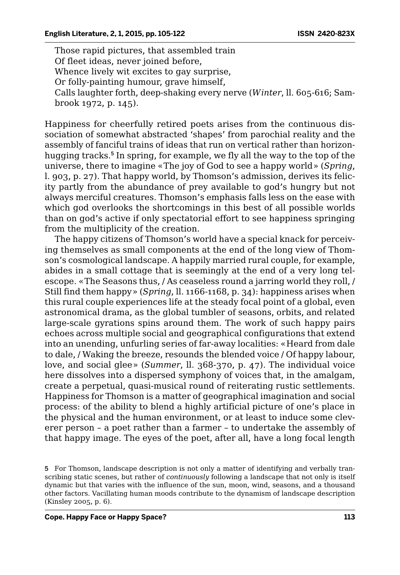Those rapid pictures, that assembled train Of fleet ideas, never joined before, Whence lively wit excites to gay surprise, Or folly-painting humour, grave himself, Calls laughter forth, deep-shaking every nerve (*Winter*, ll. 605-616; Sambrook 1972, p. 145).

Happiness for cheerfully retired poets arises from the continuous dissociation of somewhat abstracted 'shapes' from parochial reality and the assembly of fanciful trains of ideas that run on vertical rather than horizonhugging tracks.<sup>5</sup> In spring, for example, we fly all the way to the top of the universe, there to imagine «The joy of God to see a happy world» (*Spring*, l. 903, p. 27). That happy world, by Thomson's admission, derives its felicity partly from the abundance of prey available to god's hungry but not always merciful creatures. Thomson's emphasis falls less on the ease with which god overlooks the shortcomings in this best of all possible worlds than on god's active if only spectatorial effort to see happiness springing from the multiplicity of the creation.

The happy citizens of Thomson's world have a special knack for perceiving themselves as small components at the end of the long view of Thomson's cosmological landscape. A happily married rural couple, for example, abides in a small cottage that is seemingly at the end of a very long telescope. «The Seasons thus, / As ceaseless round a jarring world they roll, / Still find them happy» (*Spring*, ll. 1166-1168, p. 34): happiness arises when this rural couple experiences life at the steady focal point of a global, even astronomical drama, as the global tumbler of seasons, orbits, and related large-scale gyrations spins around them. The work of such happy pairs echoes across multiple social and geographical configurations that extend into an unending, unfurling series of far-away localities: «Heard from dale to dale, / Waking the breeze, resounds the blended voice / Of happy labour, love, and social glee» (*Summer*, ll. 368-370, p. 47). The individual voice here dissolves into a dispersed symphony of voices that, in the amalgam, create a perpetual, quasi-musical round of reiterating rustic settlements. Happiness for Thomson is a matter of geographical imagination and social process: of the ability to blend a highly artificial picture of one's place in the physical and the human environment, or at least to induce some cleverer person – a poet rather than a farmer – to undertake the assembly of that happy image. The eyes of the poet, after all, have a long focal length

<sup>5</sup> For Thomson, landscape description is not only a matter of identifying and verbally transcribing static scenes, but rather of *continuously* following a landscape that not only is itself dynamic but that varies with the influence of the sun, moon, wind, seasons, and a thousand other factors. Vacillating human moods contribute to the dynamism of landscape description (Kinsley 2005, p. 6).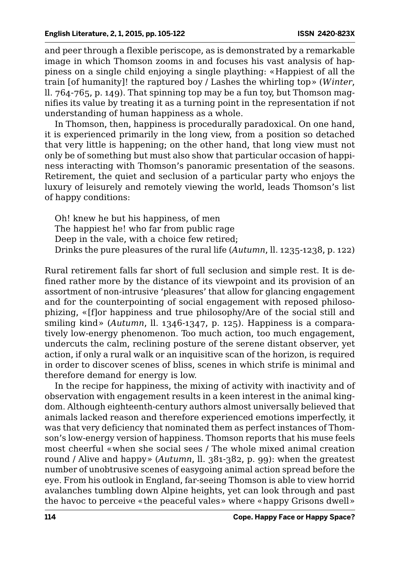and peer through a flexible periscope, as is demonstrated by a remarkable image in which Thomson zooms in and focuses his vast analysis of happiness on a single child enjoying a single plaything: «Happiest of all the train [of humanity]! the raptured boy / Lashes the whirling top» (*Winter*, ll. 764-765, p. 149). That spinning top may be a fun toy, but Thomson magnifies its value by treating it as a turning point in the representation if not understanding of human happiness as a whole.

In Thomson, then, happiness is procedurally paradoxical. On one hand, it is experienced primarily in the long view, from a position so detached that very little is happening; on the other hand, that long view must not only be of something but must also show that particular occasion of happiness interacting with Thomson's panoramic presentation of the seasons. Retirement, the quiet and seclusion of a particular party who enjoys the luxury of leisurely and remotely viewing the world, leads Thomson's list of happy conditions:

Oh! knew he but his happiness, of men The happiest he! who far from public rage Deep in the vale, with a choice few retired; Drinks the pure pleasures of the rural life (*Autumn*, ll. 1235-1238, p. 122)

Rural retirement falls far short of full seclusion and simple rest. It is defined rather more by the distance of its viewpoint and its provision of an assortment of non-intrusive 'pleasures' that allow for glancing engagement and for the counterpointing of social engagement with reposed philosophizing, «[f]or happiness and true philosophy/Are of the social still and smiling kind» (*Autumn*, ll. 1346-1347, p. 125). Happiness is a comparatively low-energy phenomenon. Too much action, too much engagement, undercuts the calm, reclining posture of the serene distant observer, yet action, if only a rural walk or an inquisitive scan of the horizon, is required in order to discover scenes of bliss, scenes in which strife is minimal and therefore demand for energy is low.

In the recipe for happiness, the mixing of activity with inactivity and of observation with engagement results in a keen interest in the animal kingdom. Although eighteenth-century authors almost universally believed that animals lacked reason and therefore experienced emotions imperfectly, it was that very deficiency that nominated them as perfect instances of Thomson's low-energy version of happiness. Thomson reports that his muse feels most cheerful «when she social sees / The whole mixed animal creation round / Alive and happy» (*Autumn*, ll. 381-382, p. 99): when the greatest number of unobtrusive scenes of easygoing animal action spread before the eye. From his outlook in England, far-seeing Thomson is able to view horrid avalanches tumbling down Alpine heights, yet can look through and past the havoc to perceive «the peaceful vales» where «happy Grisons dwell»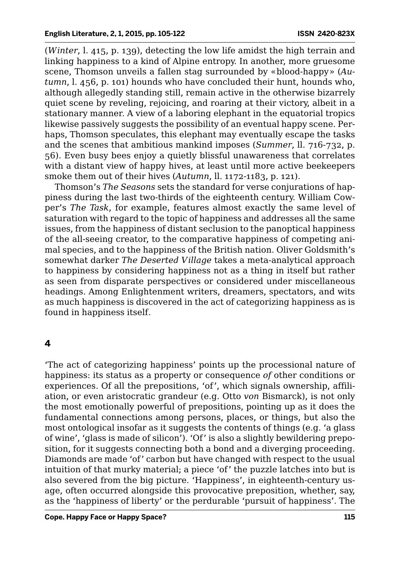(*Winter*, l. 415, p. 139), detecting the low life amidst the high terrain and linking happiness to a kind of Alpine entropy. In another, more gruesome scene, Thomson unveils a fallen stag surrounded by «blood-happy» (*Autumn*, l. 456, p. 101) hounds who have concluded their hunt, hounds who, although allegedly standing still, remain active in the otherwise bizarrely quiet scene by reveling, rejoicing, and roaring at their victory, albeit in a stationary manner. A view of a laboring elephant in the equatorial tropics likewise passively suggests the possibility of an eventual happy scene. Perhaps, Thomson speculates, this elephant may eventually escape the tasks and the scenes that ambitious mankind imposes (*Summer*, ll. 716-732, p. 56). Even busy bees enjoy a quietly blissful unawareness that correlates with a distant view of happy hives, at least until more active beekeepers smoke them out of their hives (*Autumn*, ll. 1172-1183, p. 121).

Thomson's *The Seasons* sets the standard for verse conjurations of happiness during the last two-thirds of the eighteenth century. William Cowper's *The Task*, for example, features almost exactly the same level of saturation with regard to the topic of happiness and addresses all the same issues, from the happiness of distant seclusion to the panoptical happiness of the all-seeing creator, to the comparative happiness of competing animal species, and to the happiness of the British nation. Oliver Goldsmith's somewhat darker *The Deserted Village* takes a meta-analytical approach to happiness by considering happiness not as a thing in itself but rather as seen from disparate perspectives or considered under miscellaneous headings. Among Enlightenment writers, dreamers, spectators, and wits as much happiness is discovered in the act of categorizing happiness as is found in happiness itself.

#### **4**

'The act of categorizing happiness' points up the processional nature of happiness: its status as a property or consequence *of* other conditions or experiences. Of all the prepositions, 'of', which signals ownership, affiliation, or even aristocratic grandeur (e.g. Otto *von* Bismarck), is not only the most emotionally powerful of prepositions, pointing up as it does the fundamental connections among persons, places, or things, but also the most ontological insofar as it suggests the contents of things (e.g. 'a glass of wine', 'glass is made of silicon'). 'Of' is also a slightly bewildering preposition, for it suggests connecting both a bond and a diverging proceeding. Diamonds are made 'of' carbon but have changed with respect to the usual intuition of that murky material; a piece 'of' the puzzle latches into but is also severed from the big picture. 'Happiness', in eighteenth-century usage, often occurred alongside this provocative preposition, whether, say, as the 'happiness of liberty' or the perdurable 'pursuit of happiness'. The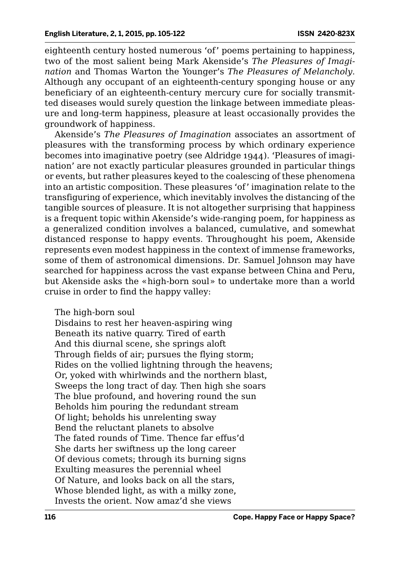eighteenth century hosted numerous 'of' poems pertaining to happiness, two of the most salient being Mark Akenside's *The Pleasures of Imagination* and Thomas Warton the Younger's *The Pleasures of Melancholy*. Although any occupant of an eighteenth-century sponging house or any beneficiary of an eighteenth-century mercury cure for socially transmitted diseases would surely question the linkage between immediate pleasure and long-term happiness, pleasure at least occasionally provides the groundwork of happiness.

Akenside's *The Pleasures of Imagination* associates an assortment of pleasures with the transforming process by which ordinary experience becomes into imaginative poetry (see Aldridge 1944). 'Pleasures of imagination' are not exactly particular pleasures grounded in particular things or events, but rather pleasures keyed to the coalescing of these phenomena into an artistic composition. These pleasures 'of' imagination relate to the transfiguring of experience, which inevitably involves the distancing of the tangible sources of pleasure. It is not altogether surprising that happiness is a frequent topic within Akenside's wide-ranging poem, for happiness as a generalized condition involves a balanced, cumulative, and somewhat distanced response to happy events. Throughought his poem, Akenside represents even modest happiness in the context of immense frameworks, some of them of astronomical dimensions. Dr. Samuel Johnson may have searched for happiness across the vast expanse between China and Peru, but Akenside asks the «high-born soul» to undertake more than a world cruise in order to find the happy valley:

#### The high-born soul

Disdains to rest her heaven-aspiring wing Beneath its native quarry. Tired of earth And this diurnal scene, she springs aloft Through fields of air; pursues the flying storm; Rides on the vollied lightning through the heavens; Or, yoked with whirlwinds and the northern blast, Sweeps the long tract of day. Then high she soars The blue profound, and hovering round the sun Beholds him pouring the redundant stream Of light; beholds his unrelenting sway Bend the reluctant planets to absolve The fated rounds of Time. Thence far effus'd She darts her swiftness up the long career Of devious comets; through its burning signs Exulting measures the perennial wheel Of Nature, and looks back on all the stars, Whose blended light, as with a milky zone, Invests the orient. Now amaz'd she views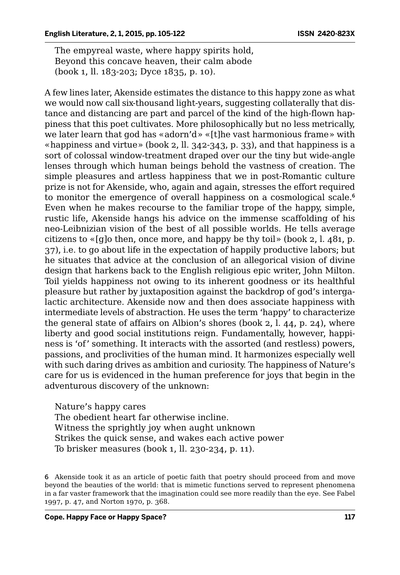The empyreal waste, where happy spirits hold, Beyond this concave heaven, their calm abode (book 1, ll. 183-203; Dyce 1835, p. 10).

A few lines later, Akenside estimates the distance to this happy zone as what we would now call six-thousand light-years, suggesting collaterally that distance and distancing are part and parcel of the kind of the high-flown happiness that this poet cultivates. More philosophically but no less metrically, we later learn that god has «adorn'd» «[t]he vast harmonious frame» with «happiness and virtue» (book 2, ll. 342-343, p. 33), and that happiness is a sort of colossal window-treatment draped over our the tiny but wide-angle lenses through which human beings behold the vastness of creation. The simple pleasures and artless happiness that we in post-Romantic culture prize is not for Akenside, who, again and again, stresses the effort required to monitor the emergence of overall happiness on a cosmological scale.<sup>6</sup> Even when he makes recourse to the familiar trope of the happy, simple, rustic life, Akenside hangs his advice on the immense scaffolding of his neo-Leibnizian vision of the best of all possible worlds. He tells average citizens to  $\langle g \rangle$  then, once more, and happy be thy toil» (book 2, l. 481, p. 37), i.e. to go about life in the expectation of happily productive labors; but he situates that advice at the conclusion of an allegorical vision of divine design that harkens back to the English religious epic writer, John Milton. Toil yields happiness not owing to its inherent goodness or its healthful pleasure but rather by juxtaposition against the backdrop of god's intergalactic architecture. Akenside now and then does associate happiness with intermediate levels of abstraction. He uses the term 'happy' to characterize the general state of affairs on Albion's shores (book 2, l. 44, p. 24), where liberty and good social institutions reign. Fundamentally, however, happiness is 'of' something. It interacts with the assorted (and restless) powers, passions, and proclivities of the human mind. It harmonizes especially well with such daring drives as ambition and curiosity. The happiness of Nature's care for us is evidenced in the human preference for joys that begin in the adventurous discovery of the unknown:

Nature's happy cares The obedient heart far otherwise incline. Witness the sprightly joy when aught unknown Strikes the quick sense, and wakes each active power To brisker measures (book 1, ll. 230-234, p. 11).

6 Akenside took it as an article of poetic faith that poetry should proceed from and move beyond the beauties of the world: that is mimetic functions served to represent phenomena in a far vaster framework that the imagination could see more readily than the eye. See Fabel 1997, p. 47, and Norton 1970, p. 368.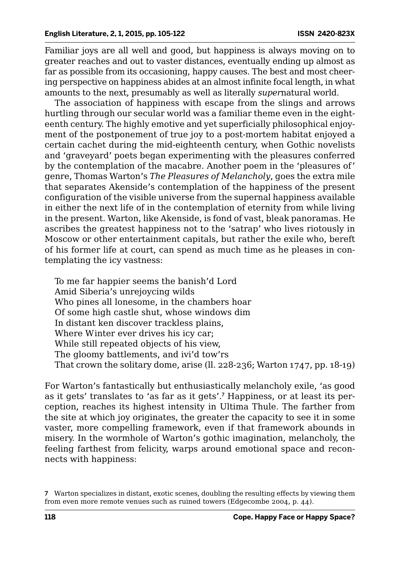Familiar joys are all well and good, but happiness is always moving on to greater reaches and out to vaster distances, eventually ending up almost as far as possible from its occasioning, happy causes. The best and most cheering perspective on happiness abides at an almost infinite focal length, in what amounts to the next, presumably as well as literally *super*natural world.

The association of happiness with escape from the slings and arrows hurtling through our secular world was a familiar theme even in the eighteenth century. The highly emotive and yet superficially philosophical enjoyment of the postponement of true joy to a post-mortem habitat enjoyed a certain cachet during the mid-eighteenth century, when Gothic novelists and 'graveyard' poets began experimenting with the pleasures conferred by the contemplation of the macabre. Another poem in the 'pleasures of' genre, Thomas Warton's *The Pleasures of Melancholy*, goes the extra mile that separates Akenside's contemplation of the happiness of the present configuration of the visible universe from the supernal happiness available in either the next life of in the contemplation of eternity from while living in the present. Warton, like Akenside, is fond of vast, bleak panoramas. He ascribes the greatest happiness not to the 'satrap' who lives riotously in Moscow or other entertainment capitals, but rather the exile who, bereft of his former life at court, can spend as much time as he pleases in contemplating the icy vastness:

To me far happier seems the banish'd Lord Amid Siberia's unrejoycing wilds Who pines all lonesome, in the chambers hoar Of some high castle shut, whose windows dim In distant ken discover trackless plains, Where Winter ever drives his icy car; While still repeated objects of his view, The gloomy battlements, and ivi'd tow'rs That crown the solitary dome, arise (ll. 228-236; Warton 1747, pp. 18-19)

For Warton's fantastically but enthusiastically melancholy exile, 'as good as it gets' translates to 'as far as it gets'.<sup>7</sup> Happiness, or at least its perception, reaches its highest intensity in Ultima Thule. The farther from the site at which joy originates, the greater the capacity to see it in some vaster, more compelling framework, even if that framework abounds in misery. In the wormhole of Warton's gothic imagination, melancholy, the feeling farthest from felicity, warps around emotional space and reconnects with happiness:

<sup>7</sup> Warton specializes in distant, exotic scenes, doubling the resulting effects by viewing them from even more remote venues such as ruined towers (Edgecombe 2004, p. 44).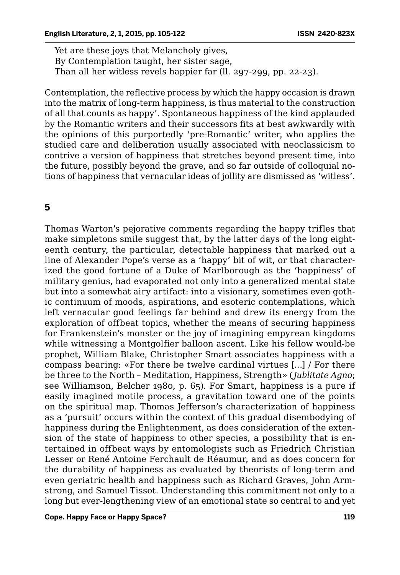Yet are these joys that Melancholy gives, By Contemplation taught, her sister sage, Than all her witless revels happier far (ll. 297-299, pp. 22-23).

Contemplation, the reflective process by which the happy occasion is drawn into the matrix of long-term happiness, is thus material to the construction of all that counts as happy'. Spontaneous happiness of the kind applauded by the Romantic writers and their successors fits at best awkwardly with the opinions of this purportedly 'pre-Romantic' writer, who applies the studied care and deliberation usually associated with neoclassicism to contrive a version of happiness that stretches beyond present time, into the future, possibly beyond the grave, and so far outside of colloquial notions of happiness that vernacular ideas of jollity are dismissed as 'witless'.

# **5**

Thomas Warton's pejorative comments regarding the happy trifles that make simpletons smile suggest that, by the latter days of the long eighteenth century, the particular, detectable happiness that marked out a line of Alexander Pope's verse as a 'happy' bit of wit, or that characterized the good fortune of a Duke of Marlborough as the 'happiness' of military genius, had evaporated not only into a generalized mental state but into a somewhat airy artifact: into a visionary, sometimes even gothic continuum of moods, aspirations, and esoteric contemplations, which left vernacular good feelings far behind and drew its energy from the exploration of offbeat topics, whether the means of securing happiness for Frankenstein's monster or the joy of imagining empyrean kingdoms while witnessing a Montgolfier balloon ascent. Like his fellow would-be prophet, William Blake, Christopher Smart associates happiness with a compass bearing: «For there be twelve cardinal virtues […] / For there be three to the North – Meditation, Happiness, Strength» ( *Jublitate Agno*; see Williamson, Belcher 1980, p. 65). For Smart, happiness is a pure if easily imagined motile process, a gravitation toward one of the points on the spiritual map. Thomas Jefferson's characterization of happiness as a 'pursuit' occurs within the context of this gradual disembodying of happiness during the Enlightenment, as does consideration of the extension of the state of happiness to other species, a possibility that is entertained in offbeat ways by entomologists such as Friedrich Christian Lesser or René Antoine Ferchault de Réaumur, and as does concern for the durability of happiness as evaluated by theorists of long-term and even geriatric health and happiness such as Richard Graves, John Armstrong, and Samuel Tissot. Understanding this commitment not only to a long but ever-lengthening view of an emotional state so central to and yet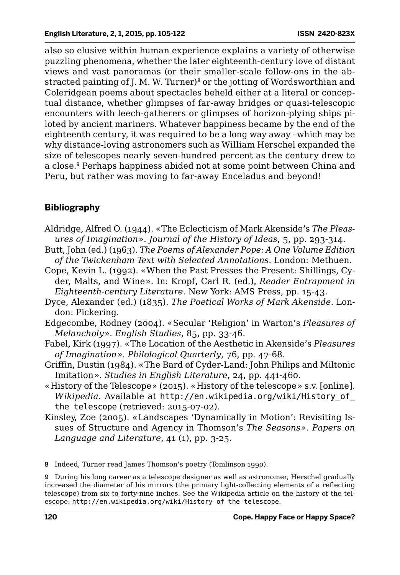also so elusive within human experience explains a variety of otherwise puzzling phenomena, whether the later eighteenth-century love of distant views and vast panoramas (or their smaller-scale follow-ons in the abstracted painting of J. M. W. Turner)<sup>8</sup> or the jotting of Wordsworthian and Coleridgean poems about spectacles beheld either at a literal or conceptual distance, whether glimpses of far-away bridges or quasi-telescopic encounters with leech-gatherers or glimpses of horizon-plying ships piloted by ancient mariners. Whatever happiness became by the end of the eighteenth century, it was required to be a long way away –which may be why distance-loving astronomers such as William Herschel expanded the size of telescopes nearly seven-hundred percent as the century drew to a close.<sup>9</sup> Perhaps happiness abided not at some point between China and Peru, but rather was moving to far-away Enceladus and beyond!

# **Bibliography**

- Aldridge, Alfred O. (1944). «The Eclecticism of Mark Akenside's *The Pleasures of Imagination*». *Journal of the History of Ideas*, 5, pp. 293-314.
- Butt, John (ed.) (1963). *The Poems of Alexander Pope: A One Volume Edition of the Twickenham Text with Selected Annotations*. London: Methuen.
- Cope, Kevin L. (1992). «When the Past Presses the Present: Shillings, Cyder, Malts, and Wine». In: Kropf, Carl R. (ed.), *Reader Entrapment in Eighteenth-century Literature*. New York: AMS Press, pp. 15-43.
- Dyce, Alexander (ed.) (1835). *The Poetical Works of Mark Akenside*. London: Pickering.
- Edgecombe, Rodney (2004). «Secular 'Religion' in Warton's *Pleasures of Melancholy*». *English Studies*, 85, pp. 33-46.
- Fabel, Kirk (1997). «The Location of the Aesthetic in Akenside's *Pleasures of Imagination*». *Philological Quarterly*, 76, pp. 47-68.
- Griffin, Dustin (1984). «The Bard of Cyder-Land: John Philips and Miltonic Imitation». *Studies in English Literature*, 24, pp. 441-460.
- «History of the Telescope» (2015). «History of the telescope» s.v. [online]. *Wikipedia*. Available at http://en.wikipedia.org/wiki/History\_of\_ the\_telescope (retrieved: 2015-07-02).
- Kinsley, Zoe (2005). «Landscapes 'Dynamically in Motion': Revisiting Issues of Structure and Agency in Thomson's *The Seasons*». *Papers on Language and Literature*, 41 (1), pp. 3-25.

8 Indeed, Turner read James Thomson's poetry (Tomlinson 1990).

9 During his long career as a telescope designer as well as astronomer, Herschel gradually increased the diameter of his mirrors (the primary light-collecting elements of a reflecting telescope) from six to forty-nine inches. See the Wikipedia article on the history of the telescope: http://en.wikipedia.org/wiki/History\_of\_the\_telescope.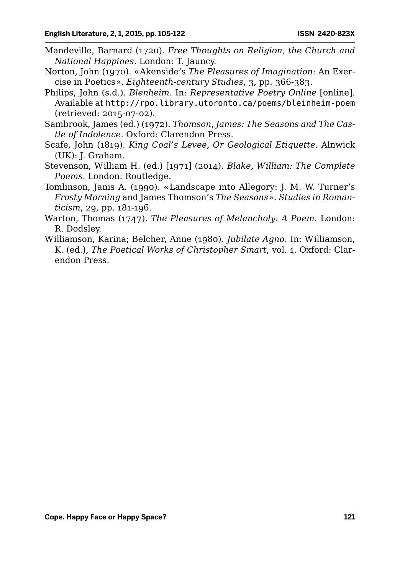- Mandeville, Barnard (1720). *Free Thoughts on Religion, the Church and National Happines*. London: T. Jauncy.
- Norton, John (1970). «Akenside's *The Pleasures of Imagination*: An Exercise in Poetics». *Eighteenth-century Studies*, 3, pp. 366-383.
- Philips, John (s.d.). *Blenheim*. In: *Representative Poetry Online* [online]. Available at http://rpo.library.utoronto.ca/poems/bleinheim-poem (retrieved: 2015-07-02).
- Sambrook, James (ed.) (1972). *Thomson, James: The Seasons and The Castle of Indolence*. Oxford: Clarendon Press.
- Scafe, John (1819). *King Coal's Levee, Or Geological Etiquette*. Alnwick (UK): J. Graham.
- Stevenson, William H. (ed.) [1971] (2014). *Blake, William: The Complete Poems*. London: Routledge.
- Tomlinson, Janis A. (1990). «Landscape into Allegory: J. M. W. Turner's *Frosty Morning* and James Thomson's *The Seasons*». *Studies in Romanticism*, 29, pp. 181-196.
- Warton, Thomas (1747). *The Pleasures of Melancholy: A Poem*. London: R. Dodsley.
- Williamson, Karina; Belcher, Anne (1980). *Jubilate Agno*. In: Williamson, K. (ed.), *The Poetical Works of Christopher Smart*, vol. 1. Oxford: Clarendon Press.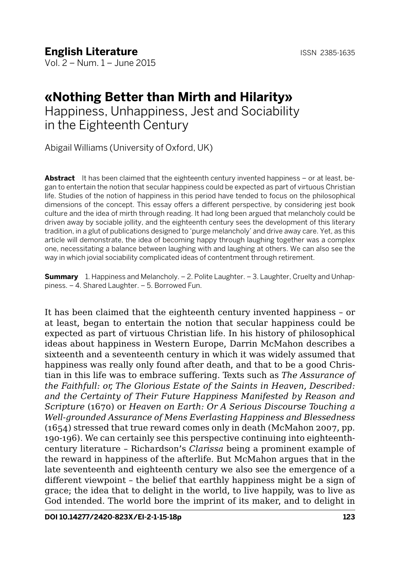# **«Nothing Better than Mirth and Hilarity»**

Happiness, Unhappiness, Jest and Sociability in the Eighteenth Century

Abigail Williams (University of Oxford, UK)

**Abstract** It has been claimed that the eighteenth century invented happiness – or at least, began to entertain the notion that secular happiness could be expected as part of virtuous Christian life. Studies of the notion of happiness in this period have tended to focus on the philosophical dimensions of the concept. This essay offers a different perspective, by considering jest book culture and the idea of mirth through reading. It had long been argued that melancholy could be driven away by sociable jollity, and the eighteenth century sees the development of this literary tradition, in a glut of publications designed to 'purge melancholy' and drive away care. Yet, as this article will demonstrate, the idea of becoming happy through laughing together was a complex one, necessitating a balance between laughing with and laughing at others. We can also see the way in which jovial sociability complicated ideas of contentment through retirement.

**Summary** 1. Happiness and Melancholy. – 2. Polite Laughter. – 3. Laughter, Cruelty and Unhappiness. – 4. Shared Laughter. – 5. Borrowed Fun.

It has been claimed that the eighteenth century invented happiness – or at least, began to entertain the notion that secular happiness could be expected as part of virtuous Christian life. In his history of philosophical ideas about happiness in Western Europe, Darrin McMahon describes a sixteenth and a seventeenth century in which it was widely assumed that happiness was really only found after death, and that to be a good Christian in this life was to embrace suffering. Texts such as *The Assurance of the Faithfull: or, The Glorious Estate of the Saints in Heaven, Described: and the Certainty of Their Future Happiness Manifested by Reason and Scripture* (1670) or *Heaven on Earth: Or A Serious Discourse Touching a Well-grounded Assurance of Mens Everlasting Happiness and Blessedness* (1654) stressed that true reward comes only in death (McMahon 2007, pp. 190-196). We can certainly see this perspective continuing into eighteenthcentury literature – Richardson's *Clarissa* being a prominent example of the reward in happiness of the afterlife. But McMahon argues that in the late seventeenth and eighteenth century we also see the emergence of a different viewpoint – the belief that earthly happiness might be a sign of grace; the idea that to delight in the world, to live happily, was to live as God intended. The world bore the imprint of its maker, and to delight in

**DOI 10.14277/2420-823X/El-2-1-15-18p 123**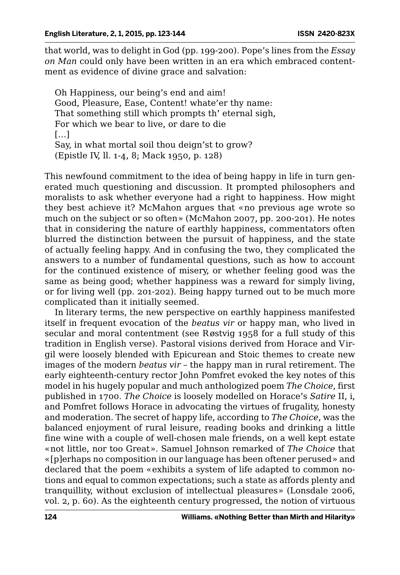that world, was to delight in God (pp. 199-200). Pope's lines from the *Essay on Man* could only have been written in an era which embraced contentment as evidence of divine grace and salvation:

Oh Happiness, our being's end and aim! Good, Pleasure, Ease, Content! whate'er thy name: That something still which prompts th' eternal sigh, For which we bear to live, or dare to die […] Say, in what mortal soil thou deign'st to grow? (Epistle IV, ll. 1-4, 8; Mack 1950, p. 128)

This newfound commitment to the idea of being happy in life in turn generated much questioning and discussion. It prompted philosophers and moralists to ask whether everyone had a right to happiness. How might they best achieve it? McMahon argues that «no previous age wrote so much on the subject or so often» (McMahon 2007, pp. 200-201). He notes that in considering the nature of earthly happiness, commentators often blurred the distinction between the pursuit of happiness, and the state of actually feeling happy. And in confusing the two, they complicated the answers to a number of fundamental questions, such as how to account for the continued existence of misery, or whether feeling good was the same as being good; whether happiness was a reward for simply living, or for living well (pp. 201-202). Being happy turned out to be much more complicated than it initially seemed.

In literary terms, the new perspective on earthly happiness manifested itself in frequent evocation of the *beatus vir* or happy man, who lived in secular and moral contentment (see Røstvig 1958 for a full study of this tradition in English verse). Pastoral visions derived from Horace and Virgil were loosely blended with Epicurean and Stoic themes to create new images of the modern *beatus vir* – the happy man in rural retirement. The early eighteenth-century rector John Pomfret evoked the key notes of this model in his hugely popular and much anthologized poem *The Choice*, first published in 1700. *The Choice* is loosely modelled on Horace's *Satire* II, i, and Pomfret follows Horace in advocating the virtues of frugality, honesty and moderation. The secret of happy life, according to *The Choice,* was the balanced enjoyment of rural leisure, reading books and drinking a little fine wine with a couple of well-chosen male friends, on a well kept estate «not little, nor too Great». Samuel Johnson remarked of *The Choice* that «[p]erhaps no composition in our language has been oftener perused» and declared that the poem «exhibits a system of life adapted to common notions and equal to common expectations; such a state as affords plenty and tranquillity, without exclusion of intellectual pleasures» (Lonsdale 2006, vol. 2, p. 60). As the eighteenth century progressed, the notion of virtuous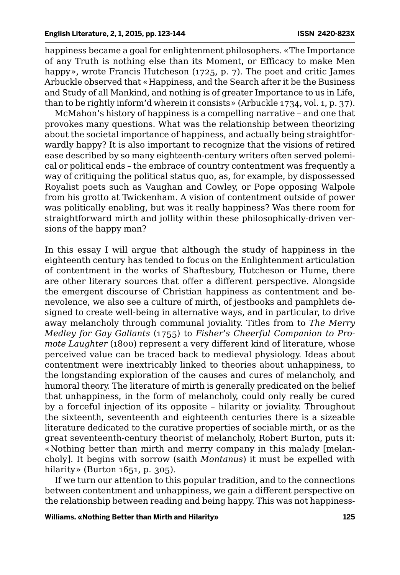happiness became a goal for enlightenment philosophers. «The Importance of any Truth is nothing else than its Moment, or Efficacy to make Men happy», wrote Francis Hutcheson (1725, p. 7). The poet and critic James Arbuckle observed that «Happiness, and the Search after it be the Business and Study of all Mankind, and nothing is of greater Importance to us in Life, than to be rightly inform'd wherein it consists» (Arbuckle 1734, vol. 1, p. 37).

McMahon's history of happiness is a compelling narrative – and one that provokes many questions. What was the relationship between theorizing about the societal importance of happiness, and actually being straightforwardly happy? It is also important to recognize that the visions of retired ease described by so many eighteenth-century writers often served polemical or political ends – the embrace of country contentment was frequently a way of critiquing the political status quo, as, for example, by dispossessed Royalist poets such as Vaughan and Cowley, or Pope opposing Walpole from his grotto at Twickenham. A vision of contentment outside of power was politically enabling, but was it really happiness? Was there room for straightforward mirth and jollity within these philosophically-driven versions of the happy man?

In this essay I will argue that although the study of happiness in the eighteenth century has tended to focus on the Enlightenment articulation of contentment in the works of Shaftesbury, Hutcheson or Hume, there are other literary sources that offer a different perspective. Alongside the emergent discourse of Christian happiness as contentment and benevolence, we also see a culture of mirth, of jestbooks and pamphlets designed to create well-being in alternative ways, and in particular, to drive away melancholy through communal joviality. Titles from to *The Merry Medley for Gay Gallants* (1755) to *Fisher's Cheerful Companion to Promote Laughter* (1800) represent a very different kind of literature, whose perceived value can be traced back to medieval physiology. Ideas about contentment were inextricably linked to theories about unhappiness, to the longstanding exploration of the causes and cures of melancholy, and humoral theory. The literature of mirth is generally predicated on the belief that unhappiness, in the form of melancholy, could only really be cured by a forceful injection of its opposite – hilarity or joviality. Throughout the sixteenth, seventeenth and eighteenth centuries there is a sizeable literature dedicated to the curative properties of sociable mirth, or as the great seventeenth-century theorist of melancholy, Robert Burton, puts it: «Nothing better than mirth and merry company in this malady [melancholy]. It begins with sorrow (saith *Montanus*) it must be expelled with hilarity» (Burton 1651, p. 305).

If we turn our attention to this popular tradition, and to the connections between contentment and unhappiness, we gain a different perspective on the relationship between reading and being happy. This was not happiness-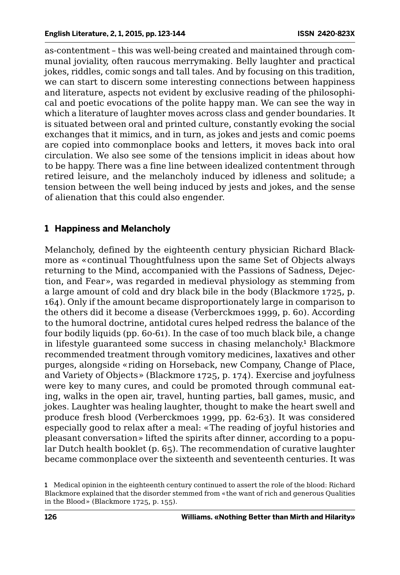as-contentment – this was well-being created and maintained through communal joviality, often raucous merrymaking. Belly laughter and practical jokes, riddles, comic songs and tall tales. And by focusing on this tradition, we can start to discern some interesting connections between happiness and literature, aspects not evident by exclusive reading of the philosophical and poetic evocations of the polite happy man. We can see the way in which a literature of laughter moves across class and gender boundaries. It is situated between oral and printed culture, constantly evoking the social exchanges that it mimics, and in turn, as jokes and jests and comic poems are copied into commonplace books and letters, it moves back into oral circulation. We also see some of the tensions implicit in ideas about how to be happy. There was a fine line between idealized contentment through retired leisure, and the melancholy induced by idleness and solitude; a tension between the well being induced by jests and jokes, and the sense of alienation that this could also engender.

# **1 Happiness and Melancholy**

Melancholy, defined by the eighteenth century physician Richard Blackmore as «continual Thoughtfulness upon the same Set of Objects always returning to the Mind, accompanied with the Passions of Sadness, Dejection, and Fear», was regarded in medieval physiology as stemming from a large amount of cold and dry black bile in the body (Blackmore 1725, p. 164). Only if the amount became disproportionately large in comparison to the others did it become a disease (Verberckmoes 1999, p. 60). According to the humoral doctrine, antidotal cures helped redress the balance of the four bodily liquids (pp. 60-61). In the case of too much black bile, a change in lifestyle guaranteed some success in chasing melancholy.<sup>1</sup> Blackmore recommended treatment through vomitory medicines, laxatives and other purges, alongside «riding on Horseback, new Company, Change of Place, and Variety of Objects» (Blackmore 1725, p. 174). Exercise and joyfulness were key to many cures, and could be promoted through communal eating, walks in the open air, travel, hunting parties, ball games, music, and jokes. Laughter was healing laughter, thought to make the heart swell and produce fresh blood (Verberckmoes 1999, pp. 62-63). It was considered especially good to relax after a meal: «The reading of joyful histories and pleasant conversation» lifted the spirits after dinner, according to a popular Dutch health booklet (p. 65). The recommendation of curative laughter became commonplace over the sixteenth and seventeenth centuries. It was

<sup>1</sup> Medical opinion in the eighteenth century continued to assert the role of the blood: Richard Blackmore explained that the disorder stemmed from «the want of rich and generous Qualities in the Blood» (Blackmore 1725, p. 155).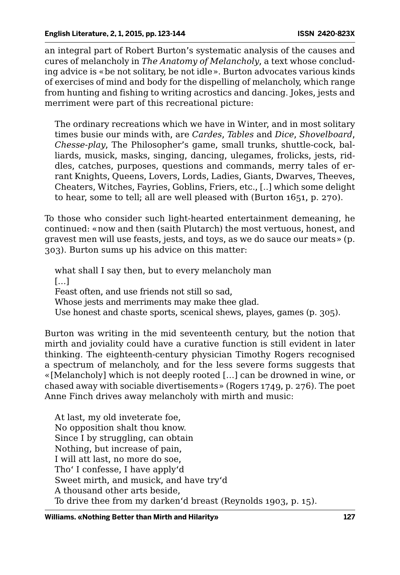an integral part of Robert Burton's systematic analysis of the causes and cures of melancholy in *The Anatomy of Melancholy*, a text whose concluding advice is «be not solitary, be not idle». Burton advocates various kinds of exercises of mind and body for the dispelling of melancholy, which range from hunting and fishing to writing acrostics and dancing. Jokes, jests and merriment were part of this recreational picture:

The ordinary recreations which we have in Winter, and in most solitary times busie our minds with, are *Cardes*, *Tables* and *Dice*, *Shovelboard*, *Chesse-play*, The Philosopher's game, small trunks, shuttle-cock, balliards, musick, masks, singing, dancing, ulegames, frolicks, jests, riddles, catches, purposes, questions and commands, merry tales of errant Knights, Queens, Lovers, Lords, Ladies, Giants, Dwarves, Theeves, Cheaters, Witches, Fayries, Goblins, Friers, etc., [..] which some delight to hear, some to tell; all are well pleased with (Burton 1651, p. 270).

To those who consider such light-hearted entertainment demeaning, he continued: «now and then (saith Plutarch) the most vertuous, honest, and gravest men will use feasts, jests, and toys, as we do sauce our meats» (p. 303). Burton sums up his advice on this matter:

what shall I say then, but to every melancholy man  $[...]$ Feast often, and use friends not still so sad, Whose jests and merriments may make thee glad. Use honest and chaste sports, scenical shews, playes, games (p. 305).

Burton was writing in the mid seventeenth century, but the notion that mirth and joviality could have a curative function is still evident in later thinking. The eighteenth-century physician Timothy Rogers recognised a spectrum of melancholy, and for the less severe forms suggests that «[Melancholy] which is not deeply rooted […] can be drowned in wine, or chased away with sociable divertisements» (Rogers 1749, p. 276). The poet Anne Finch drives away melancholy with mirth and music:

At last, my old inveterate foe, No opposition shalt thou know. Since I by struggling, can obtain Nothing, but increase of pain, I will att last, no more do soe, Tho' I confesse, I have apply'd Sweet mirth, and musick, and have try'd A thousand other arts beside, To drive thee from my darken'd breast (Reynolds 1903, p. 15).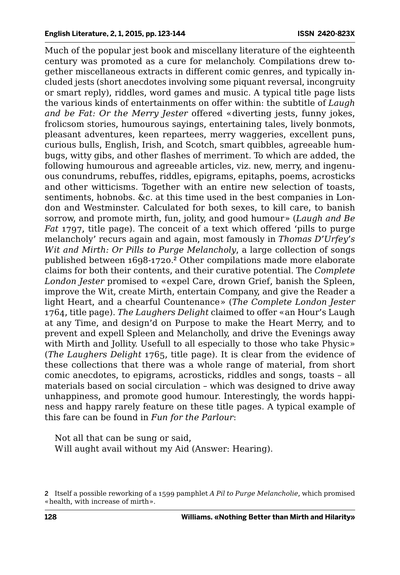Much of the popular jest book and miscellany literature of the eighteenth century was promoted as a cure for melancholy. Compilations drew together miscellaneous extracts in different comic genres, and typically included jests (short anecdotes involving some piquant reversal, incongruity or smart reply), riddles, word games and music. A typical title page lists the various kinds of entertainments on offer within: the subtitle of *Laugh and be Fat: Or the Merry Jester* offered «diverting jests, funny jokes, frolicsom stories, humourous sayings, entertaining tales, lively bonmots, pleasant adventures, keen repartees, merry waggeries, excellent puns, curious bulls, English, Irish, and Scotch, smart quibbles, agreeable humbugs, witty gibs, and other flashes of merriment. To which are added, the following humourous and agreeable articles, viz. new, merry, and ingenuous conundrums, rebuffes, riddles, epigrams, epitaphs, poems, acrosticks and other witticisms. Together with an entire new selection of toasts, sentiments, hobnobs. &c. at this time used in the best companies in London and Westminster. Calculated for both sexes, to kill care, to banish sorrow, and promote mirth, fun, jolity, and good humour» (*Laugh and Be Fat* 1797, title page). The conceit of a text which offered 'pills to purge melancholy' recurs again and again, most famously in *Thomas D'Urfey's Wit and Mirth: Or Pills to Purge Melancholy*, a large collection of songs published between 1698-1720.<sup>2</sup> Other compilations made more elaborate claims for both their contents, and their curative potential. The *Complete London Jester* promised to «expel Care, drown Grief, banish the Spleen, improve the Wit, create Mirth, entertain Company, and give the Reader a light Heart, and a chearful Countenance» (*The Complete London Jester* 1764, title page). *The Laughers Delight* claimed to offer «an Hour's Laugh at any Time, and design'd on Purpose to make the Heart Merry, and to prevent and expell Spleen and Melancholly, and drive the Evenings away with Mirth and Jollity. Usefull to all especially to those who take Physic» (*The Laughers Delight* 1765, title page). It is clear from the evidence of these collections that there was a whole range of material, from short comic anecdotes, to epigrams, acrosticks, riddles and songs, toasts – all materials based on social circulation – which was designed to drive away unhappiness, and promote good humour. Interestingly, the words happiness and happy rarely feature on these title pages. A typical example of this fare can be found in *Fun for the Parlour*:

Not all that can be sung or said, Will aught avail without my Aid (Answer: Hearing).

<sup>2</sup> Itself a possible reworking of a 1599 pamphlet *A Pil to Purge Melancholie*, which promised «health, with increase of mirth».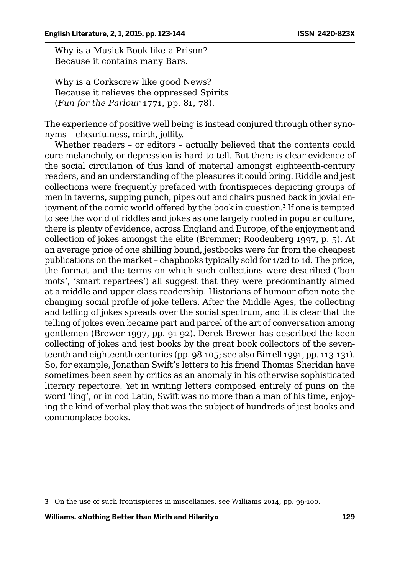Why is a Musick-Book like a Prison? Because it contains many Bars.

Why is a Corkscrew like good News? Because it relieves the oppressed Spirits (*Fun for the Parlour* 1771, pp. 81, 78).

The experience of positive well being is instead conjured through other synonyms – chearfulness, mirth, jollity.

Whether readers – or editors – actually believed that the contents could cure melancholy, or depression is hard to tell. But there is clear evidence of the social circulation of this kind of material amongst eighteenth-century readers, and an understanding of the pleasures it could bring. Riddle and jest collections were frequently prefaced with frontispieces depicting groups of men in taverns, supping punch, pipes out and chairs pushed back in jovial enjoyment of the comic world offered by the book in question.<sup>3</sup> If one is tempted to see the world of riddles and jokes as one largely rooted in popular culture, there is plenty of evidence, across England and Europe, of the enjoyment and collection of jokes amongst the elite (Bremmer; Roodenberg 1997, p. 5). At an average price of one shilling bound, jestbooks were far from the cheapest publications on the market – chapbooks typically sold for 1/2d to 1d. The price, the format and the terms on which such collections were described ('bon mots', 'smart repartees') all suggest that they were predominantly aimed at a middle and upper class readership. Historians of humour often note the changing social profile of joke tellers. After the Middle Ages, the collecting and telling of jokes spreads over the social spectrum, and it is clear that the telling of jokes even became part and parcel of the art of conversation among gentlemen (Brewer 1997, pp. 91-92). Derek Brewer has described the keen collecting of jokes and jest books by the great book collectors of the seventeenth and eighteenth centuries (pp. 98-105; see also Birrell 1991, pp. 113-131). So, for example, Jonathan Swift's letters to his friend Thomas Sheridan have sometimes been seen by critics as an anomaly in his otherwise sophisticated literary repertoire. Yet in writing letters composed entirely of puns on the word 'ling', or in cod Latin, Swift was no more than a man of his time, enjoying the kind of verbal play that was the subject of hundreds of jest books and commonplace books.

<sup>3</sup> On the use of such frontispieces in miscellanies, see Williams 2014, pp. 99-100.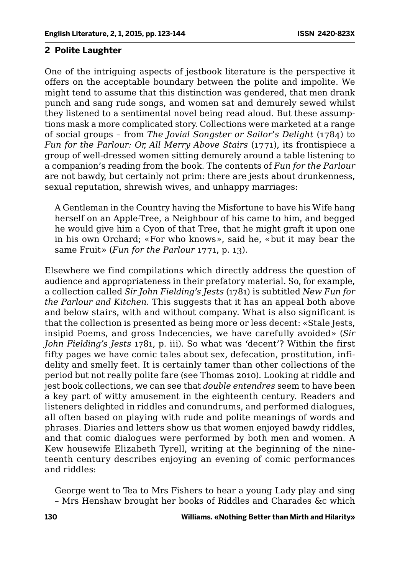#### **2 Polite Laughter**

One of the intriguing aspects of jestbook literature is the perspective it offers on the acceptable boundary between the polite and impolite. We might tend to assume that this distinction was gendered, that men drank punch and sang rude songs, and women sat and demurely sewed whilst they listened to a sentimental novel being read aloud. But these assumptions mask a more complicated story. Collections were marketed at a range of social groups – from *The Jovial Songster or Sailor's Delight* (1784) to *Fun for the Parlour: Or, All Merry Above Stairs* (1771), its frontispiece a group of well-dressed women sitting demurely around a table listening to a companion's reading from the book. The contents of *Fun for the Parlour* are not bawdy, but certainly not prim: there are jests about drunkenness, sexual reputation, shrewish wives, and unhappy marriages:

A Gentleman in the Country having the Misfortune to have his Wife hang herself on an Apple-Tree, a Neighbour of his came to him, and begged he would give him a Cyon of that Tree, that he might graft it upon one in his own Orchard; «For who knows», said he, «but it may bear the same Fruit» (*Fun for the Parlour* 1771, p. 13).

Elsewhere we find compilations which directly address the question of audience and appropriateness in their prefatory material. So, for example, a collection called *Sir John Fielding's Jests* (1781) is subtitled *New Fun for the Parlour and Kitchen*. This suggests that it has an appeal both above and below stairs, with and without company. What is also significant is that the collection is presented as being more or less decent: «Stale Jests, insipid Poems, and gross Indecencies, we have carefully avoided» (*Sir John Fielding's Jests* 1781, p. iii). So what was 'decent'? Within the first fifty pages we have comic tales about sex, defecation, prostitution, infidelity and smelly feet. It is certainly tamer than other collections of the period but not really polite fare (see Thomas 2010). Looking at riddle and jest book collections, we can see that *double entendres* seem to have been a key part of witty amusement in the eighteenth century. Readers and listeners delighted in riddles and conundrums, and performed dialogues, all often based on playing with rude and polite meanings of words and phrases. Diaries and letters show us that women enjoyed bawdy riddles, and that comic dialogues were performed by both men and women. A Kew housewife Elizabeth Tyrell, writing at the beginning of the nineteenth century describes enjoying an evening of comic performances and riddles:

George went to Tea to Mrs Fishers to hear a young Lady play and sing – Mrs Henshaw brought her books of Riddles and Charades &c which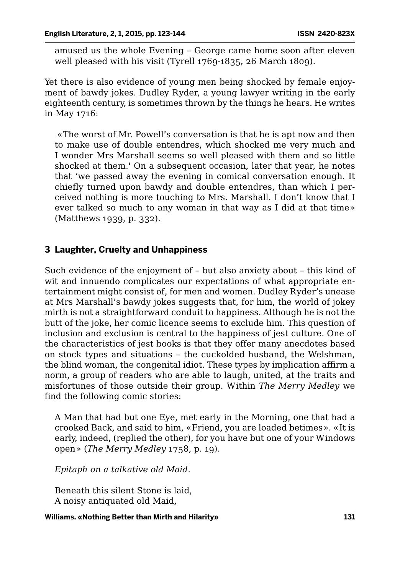amused us the whole Evening – George came home soon after eleven well pleased with his visit (Tyrell 1769-1835, 26 March 1809).

Yet there is also evidence of young men being shocked by female enjoyment of bawdy jokes. Dudley Ryder, a young lawyer writing in the early eighteenth century, is sometimes thrown by the things he hears. He writes in May 1716:

 «The worst of Mr. Powell's conversation is that he is apt now and then to make use of double entendres, which shocked me very much and I wonder Mrs Marshall seems so well pleased with them and so little shocked at them.' On a subsequent occasion, later that year, he notes that 'we passed away the evening in comical conversation enough. It chiefly turned upon bawdy and double entendres, than which I perceived nothing is more touching to Mrs. Marshall. I don't know that I ever talked so much to any woman in that way as I did at that time» (Matthews 1939, p. 332).

#### **3 Laughter, Cruelty and Unhappiness**

Such evidence of the enjoyment of – but also anxiety about – this kind of wit and innuendo complicates our expectations of what appropriate entertainment might consist of, for men and women. Dudley Ryder's unease at Mrs Marshall's bawdy jokes suggests that, for him, the world of jokey mirth is not a straightforward conduit to happiness. Although he is not the butt of the joke, her comic licence seems to exclude him. This question of inclusion and exclusion is central to the happiness of jest culture. One of the characteristics of jest books is that they offer many anecdotes based on stock types and situations – the cuckolded husband, the Welshman, the blind woman, the congenital idiot. These types by implication affirm a norm, a group of readers who are able to laugh, united, at the traits and misfortunes of those outside their group. Within *The Merry Medley* we find the following comic stories:

A Man that had but one Eye, met early in the Morning, one that had a crooked Back, and said to him, «Friend, you are loaded betimes». «It is early, indeed, (replied the other), for you have but one of your Windows open» (*The Merry Medley* 1758, p. 19).

*Epitaph on a talkative old Maid.*

Beneath this silent Stone is laid, A noisy antiquated old Maid,

**Williams. «Nothing Better than Mirth and Hilarity» 131**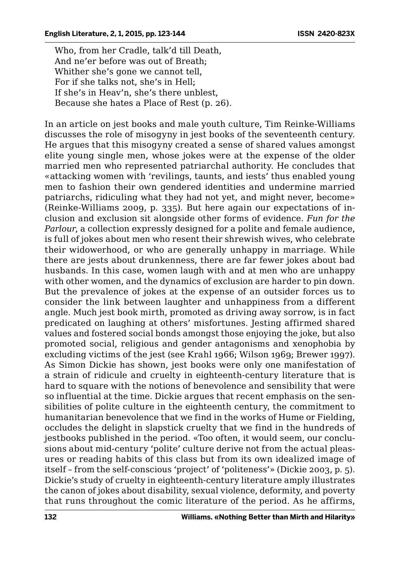Who, from her Cradle, talk'd till Death, And ne'er before was out of Breath; Whither she's gone we cannot tell, For if she talks not, she's in Hell; If she's in Heav'n, she's there unblest, Because she hates a Place of Rest (p. 26).

In an article on jest books and male youth culture, Tim Reinke-Williams discusses the role of misogyny in jest books of the seventeenth century. He argues that this misogyny created a sense of shared values amongst elite young single men, whose jokes were at the expense of the older married men who represented patriarchal authority. He concludes that «attacking women with 'revilings, taunts, and iests' thus enabled young men to fashion their own gendered identities and undermine married patriarchs, ridiculing what they had not yet, and might never, become» (Reinke-Williams 2009, p. 335). But here again our expectations of inclusion and exclusion sit alongside other forms of evidence. *Fun for the Parlour*, a collection expressly designed for a polite and female audience, is full of jokes about men who resent their shrewish wives, who celebrate their widowerhood, or who are generally unhappy in marriage. While there are jests about drunkenness, there are far fewer jokes about bad husbands. In this case, women laugh with and at men who are unhappy with other women, and the dynamics of exclusion are harder to pin down. But the prevalence of jokes at the expense of an outsider forces us to consider the link between laughter and unhappiness from a different angle. Much jest book mirth, promoted as driving away sorrow, is in fact predicated on laughing at others' misfortunes. Jesting affirmed shared values and fostered social bonds amongst those enjoying the joke, but also promoted social, religious and gender antagonisms and xenophobia by excluding victims of the jest (see Krahl 1966; Wilson 1969; Brewer 1997). As Simon Dickie has shown, jest books were only one manifestation of a strain of ridicule and cruelty in eighteenth-century literature that is hard to square with the notions of benevolence and sensibility that were so influential at the time. Dickie argues that recent emphasis on the sensibilities of polite culture in the eighteenth century, the commitment to humanitarian benevolence that we find in the works of Hume or Fielding, occludes the delight in slapstick cruelty that we find in the hundreds of jestbooks published in the period. «Too often, it would seem, our conclusions about mid-century 'polite' culture derive not from the actual pleasures or reading habits of this class but from its own idealized image of itself – from the self-conscious 'project' of 'politeness'» (Dickie 2003, p. 5). Dickie's study of cruelty in eighteenth-century literature amply illustrates the canon of jokes about disability, sexual violence, deformity, and poverty that runs throughout the comic literature of the period. As he affirms,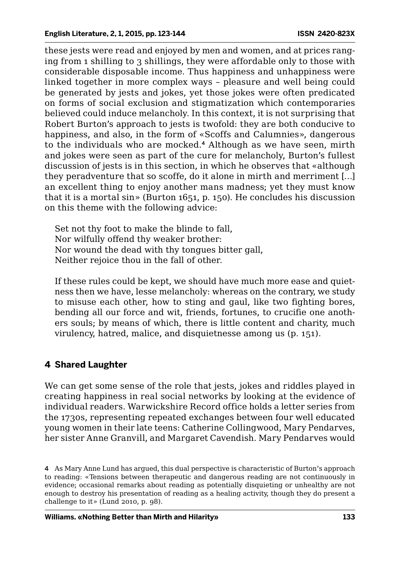these jests were read and enjoyed by men and women, and at prices ranging from 1 shilling to 3 shillings, they were affordable only to those with considerable disposable income. Thus happiness and unhappiness were linked together in more complex ways – pleasure and well being could be generated by jests and jokes, yet those jokes were often predicated on forms of social exclusion and stigmatization which contemporaries believed could induce melancholy. In this context, it is not surprising that Robert Burton's approach to jests is twofold: they are both conducive to happiness, and also, in the form of «Scoffs and Calumnies», dangerous to the individuals who are mocked.<sup>4</sup> Although as we have seen, mirth and jokes were seen as part of the cure for melancholy, Burton's fullest discussion of jests is in this section, in which he observes that «although they peradventure that so scoffe, do it alone in mirth and merriment […] an excellent thing to enjoy another mans madness; yet they must know that it is a mortal sin» (Burton 1651, p. 150). He concludes his discussion on this theme with the following advice:

Set not thy foot to make the blinde to fall, Nor wilfully offend thy weaker brother: Nor wound the dead with thy tongues bitter gall, Neither rejoice thou in the fall of other.

If these rules could be kept, we should have much more ease and quietness then we have, lesse melancholy: whereas on the contrary, we study to misuse each other, how to sting and gaul, like two fighting bores, bending all our force and wit, friends, fortunes, to crucifie one anothers souls; by means of which, there is little content and charity, much virulency, hatred, malice, and disquietnesse among us (p. 151).

# **4 Shared Laughter**

We can get some sense of the role that jests, jokes and riddles played in creating happiness in real social networks by looking at the evidence of individual readers. Warwickshire Record office holds a letter series from the 1730s, representing repeated exchanges between four well educated young women in their late teens: Catherine Collingwood, Mary Pendarves, her sister Anne Granvill, and Margaret Cavendish. Mary Pendarves would

4 As Mary Anne Lund has argued, this dual perspective is characteristic of Burton's approach to reading: «Tensions between therapeutic and dangerous reading are not continuously in evidence; occasional remarks about reading as potentially disquieting or unhealthy are not enough to destroy his presentation of reading as a healing activity, though they do present a challenge to it» (Lund 2010, p. 98).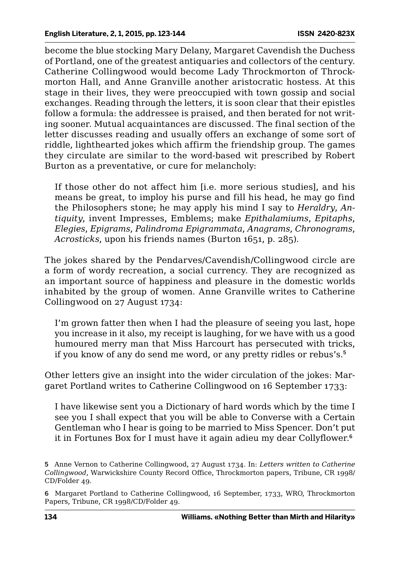become the blue stocking Mary Delany, Margaret Cavendish the Duchess of Portland, one of the greatest antiquaries and collectors of the century. Catherine Collingwood would become Lady Throckmorton of Throckmorton Hall, and Anne Granville another aristocratic hostess. At this stage in their lives, they were preoccupied with town gossip and social exchanges. Reading through the letters, it is soon clear that their epistles follow a formula: the addressee is praised, and then berated for not writing sooner. Mutual acquaintances are discussed. The final section of the letter discusses reading and usually offers an exchange of some sort of riddle, lighthearted jokes which affirm the friendship group. The games they circulate are similar to the word-based wit prescribed by Robert Burton as a preventative, or cure for melancholy:

If those other do not affect him [i.e. more serious studies], and his means be great, to imploy his purse and fill his head, he may go find the Philosophers stone; he may apply his mind I say to *Heraldry*, *Antiquity*, invent Impresses, Emblems; make *Epithalamiums*, *Epitaphs*, *Elegies*, *Epigrams*, *Palindroma Epigrammata*, *Anagrams*, *Chronograms*, *Acrosticks*, upon his friends names (Burton 1651, p. 285).

The jokes shared by the Pendarves/Cavendish/Collingwood circle are a form of wordy recreation, a social currency. They are recognized as an important source of happiness and pleasure in the domestic worlds inhabited by the group of women. Anne Granville writes to Catherine Collingwood on 27 August 1734:

I'm grown fatter then when I had the pleasure of seeing you last, hope you increase in it also, my receipt is laughing, for we have with us a good humoured merry man that Miss Harcourt has persecuted with tricks, if you know of any do send me word, or any pretty ridles or rebus's.<sup>5</sup>

Other letters give an insight into the wider circulation of the jokes: Margaret Portland writes to Catherine Collingwood on 16 September 1733:

I have likewise sent you a Dictionary of hard words which by the time I see you I shall expect that you will be able to Converse with a Certain Gentleman who I hear is going to be married to Miss Spencer. Don't put it in Fortunes Box for I must have it again adieu my dear Collyflower.<sup>6</sup>

6 Margaret Portland to Catherine Collingwood, 16 September, 1733, WRO, Throckmorton Papers, Tribune, CR 1998/CD/Folder 49.

<sup>5</sup> Anne Vernon to Catherine Collingwood, 27 August 1734. In: *Letters written to Catherine Collingwood*, Warwickshire County Record Office, Throckmorton papers, Tribune, CR 1998/ CD/Folder 49.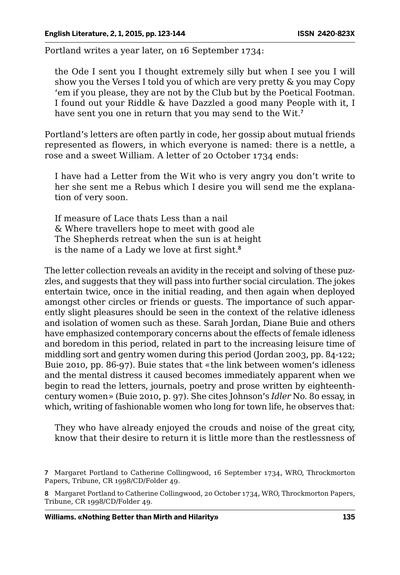Portland writes a year later, on 16 September 1734:

the Ode I sent you I thought extremely silly but when I see you I will show you the Verses I told you of which are very pretty & you may Copy 'em if you please, they are not by the Club but by the Poetical Footman. I found out your Riddle & have Dazzled a good many People with it, I have sent you one in return that you may send to the Wit.<sup>7</sup>

Portland's letters are often partly in code, her gossip about mutual friends represented as flowers, in which everyone is named: there is a nettle, a rose and a sweet William. A letter of 20 October 1734 ends:

I have had a Letter from the Wit who is very angry you don't write to her she sent me a Rebus which I desire you will send me the explanation of very soon.

If measure of Lace thats Less than a nail & Where travellers hope to meet with good ale The Shepherds retreat when the sun is at height is the name of a Lady we love at first sight.<sup>8</sup>

The letter collection reveals an avidity in the receipt and solving of these puzzles, and suggests that they will pass into further social circulation. The jokes entertain twice, once in the initial reading, and then again when deployed amongst other circles or friends or guests. The importance of such apparently slight pleasures should be seen in the context of the relative idleness and isolation of women such as these. Sarah Jordan, Diane Buie and others have emphasized contemporary concerns about the effects of female idleness and boredom in this period, related in part to the increasing leisure time of middling sort and gentry women during this period (Jordan 2003, pp. 84-122; Buie 2010, pp. 86-97). Buie states that «the link between women's idleness and the mental distress it caused becomes immediately apparent when we begin to read the letters, journals, poetry and prose written by eighteenthcentury women» (Buie 2010, p. 97). She cites Johnson's *Idler* No. 80 essay, in which, writing of fashionable women who long for town life, he observes that:

They who have already enjoyed the crouds and noise of the great city, know that their desire to return it is little more than the restlessness of

**Williams. «Nothing Better than Mirth and Hilarity» 135**

<sup>7</sup> Margaret Portland to Catherine Collingwood, 16 September 1734, WRO, Throckmorton Papers, Tribune, CR 1998/CD/Folder 49.

<sup>8</sup> Margaret Portland to Catherine Collingwood, 20 October 1734, WRO, Throckmorton Papers, Tribune, CR 1998/CD/Folder 49.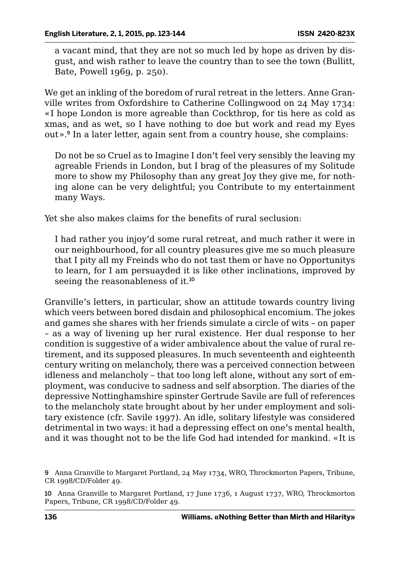a vacant mind, that they are not so much led by hope as driven by disgust, and wish rather to leave the country than to see the town (Bullitt, Bate, Powell 1969, p. 250).

We get an inkling of the boredom of rural retreat in the letters. Anne Granville writes from Oxfordshire to Catherine Collingwood on 24 May 1734: «I hope London is more agreable than Cockthrop, for tis here as cold as xmas, and as wet, so I have nothing to doe but work and read my Eyes out».<sup>9</sup> In a later letter, again sent from a country house, she complains:

Do not be so Cruel as to Imagine I don't feel very sensibly the leaving my agreable Friends in London, but I brag of the pleasures of my Solitude more to show my Philosophy than any great Joy they give me, for nothing alone can be very delightful; you Contribute to my entertainment many Ways.

Yet she also makes claims for the benefits of rural seclusion:

I had rather you injoy'd some rural retreat, and much rather it were in our neighbourhood, for all country pleasures give me so much pleasure that I pity all my Freinds who do not tast them or have no Opportunitys to learn, for I am persuayded it is like other inclinations, improved by seeing the reasonableness of it.<sup>10</sup>

Granville's letters, in particular, show an attitude towards country living which veers between bored disdain and philosophical encomium. The jokes and games she shares with her friends simulate a circle of wits – on paper – as a way of livening up her rural existence. Her dual response to her condition is suggestive of a wider ambivalence about the value of rural retirement, and its supposed pleasures. In much seventeenth and eighteenth century writing on melancholy, there was a perceived connection between idleness and melancholy – that too long left alone, without any sort of employment, was conducive to sadness and self absorption. The diaries of the depressive Nottinghamshire spinster Gertrude Savile are full of references to the melancholy state brought about by her under employment and solitary existence (cfr. Savile 1997). An idle, solitary lifestyle was considered detrimental in two ways: it had a depressing effect on one's mental health, and it was thought not to be the life God had intended for mankind. «It is

<sup>9</sup> Anna Granville to Margaret Portland, 24 May 1734, WRO, Throckmorton Papers, Tribune, CR 1998/CD/Folder 49.

<sup>10</sup> Anna Granville to Margaret Portland, 17 June 1736, 1 August 1737, WRO, Throckmorton Papers, Tribune, CR 1998/CD/Folder 49.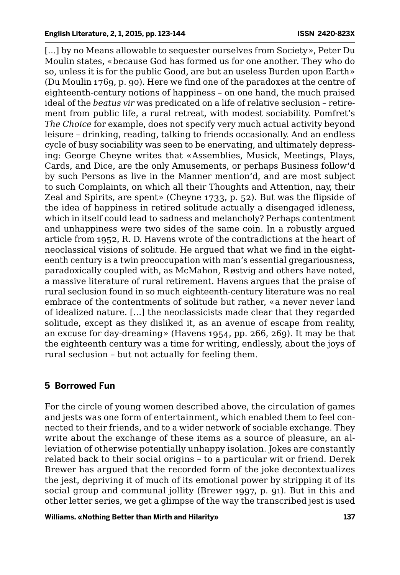[...] by no Means allowable to sequester ourselves from Society», Peter Du Moulin states, «because God has formed us for one another. They who do so, unless it is for the public Good, are but an useless Burden upon Earth» (Du Moulin 1769, p. 90). Here we find one of the paradoxes at the centre of eighteenth-century notions of happiness – on one hand, the much praised ideal of the *beatus vir* was predicated on a life of relative seclusion – retirement from public life, a rural retreat, with modest sociability. Pomfret's *The Choice* for example, does not specify very much actual activity beyond leisure – drinking, reading, talking to friends occasionally. And an endless cycle of busy sociability was seen to be enervating, and ultimately depressing: George Cheyne writes that «Assemblies, Musick, Meetings, Plays, Cards, and Dice, are the only Amusements, or perhaps Business follow'd by such Persons as live in the Manner mention'd, and are most subject to such Complaints, on which all their Thoughts and Attention, nay, their Zeal and Spirits, are spent» (Cheyne 1733, p. 52). But was the flipside of the idea of happiness in retired solitude actually a disengaged idleness, which in itself could lead to sadness and melancholy? Perhaps contentment and unhappiness were two sides of the same coin. In a robustly argued article from 1952, R. D. Havens wrote of the contradictions at the heart of neoclassical visions of solitude. He argued that what we find in the eighteenth century is a twin preoccupation with man's essential gregariousness, paradoxically coupled with, as McMahon, Røstvig and others have noted, a massive literature of rural retirement. Havens argues that the praise of rural seclusion found in so much eighteenth-century literature was no real embrace of the contentments of solitude but rather, «a never never land of idealized nature. […] the neoclassicists made clear that they regarded solitude, except as they disliked it, as an avenue of escape from reality, an excuse for day-dreaming» (Havens 1954, pp. 266, 269). It may be that the eighteenth century was a time for writing, endlessly, about the joys of rural seclusion – but not actually for feeling them.

# **5 Borrowed Fun**

For the circle of young women described above, the circulation of games and jests was one form of entertainment, which enabled them to feel connected to their friends, and to a wider network of sociable exchange. They write about the exchange of these items as a source of pleasure, an alleviation of otherwise potentially unhappy isolation. Jokes are constantly related back to their social origins – to a particular wit or friend. Derek Brewer has argued that the recorded form of the joke decontextualizes the jest, depriving it of much of its emotional power by stripping it of its social group and communal jollity (Brewer 1997, p. 91). But in this and other letter series, we get a glimpse of the way the transcribed jest is used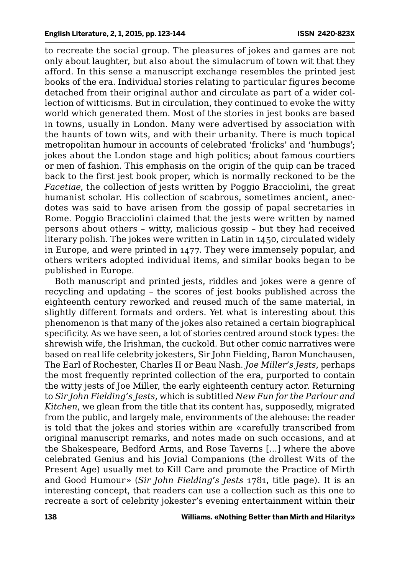to recreate the social group. The pleasures of jokes and games are not only about laughter, but also about the simulacrum of town wit that they afford. In this sense a manuscript exchange resembles the printed jest books of the era. Individual stories relating to particular figures become detached from their original author and circulate as part of a wider collection of witticisms. But in circulation, they continued to evoke the witty world which generated them. Most of the stories in jest books are based in towns, usually in London. Many were advertised by association with the haunts of town wits, and with their urbanity. There is much topical metropolitan humour in accounts of celebrated 'frolicks' and 'humbugs'; jokes about the London stage and high politics; about famous courtiers or men of fashion. This emphasis on the origin of the quip can be traced back to the first jest book proper, which is normally reckoned to be the *Facetiae*, the collection of jests written by Poggio Bracciolini, the great humanist scholar. His collection of scabrous, sometimes ancient, anecdotes was said to have arisen from the gossip of papal secretaries in Rome. Poggio Bracciolini claimed that the jests were written by named persons about others – witty, malicious gossip – but they had received literary polish. The jokes were written in Latin in 1450, circulated widely in Europe, and were printed in 1477. They were immensely popular, and others writers adopted individual items, and similar books began to be published in Europe.

Both manuscript and printed jests, riddles and jokes were a genre of recycling and updating – the scores of jest books published across the eighteenth century reworked and reused much of the same material, in slightly different formats and orders. Yet what is interesting about this phenomenon is that many of the jokes also retained a certain biographical specificity. As we have seen, a lot of stories centred around stock types: the shrewish wife, the Irishman, the cuckold. But other comic narratives were based on real life celebrity jokesters, Sir John Fielding, Baron Munchausen, The Earl of Rochester, Charles II or Beau Nash. *Joe Miller's Jests*, perhaps the most frequently reprinted collection of the era, purported to contain the witty jests of Joe Miller, the early eighteenth century actor. Returning to *Sir John Fielding's Jests,* which is subtitled *New Fun for the Parlour and Kitchen*, we glean from the title that its content has, supposedly, migrated from the public, and largely male, environments of the alehouse: the reader is told that the jokes and stories within are «carefully transcribed from original manuscript remarks, and notes made on such occasions, and at the Shakespeare, Bedford Arms, and Rose Taverns [...] where the above celebrated Genius and his Jovial Companions (the drollest Wits of the Present Age) usually met to Kill Care and promote the Practice of Mirth and Good Humour» (*Sir John Fielding's Jests* 1781, title page). It is an interesting concept, that readers can use a collection such as this one to recreate a sort of celebrity jokester's evening entertainment within their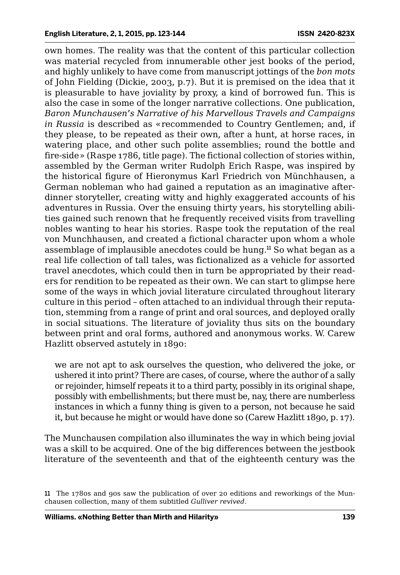own homes. The reality was that the content of this particular collection was material recycled from innumerable other jest books of the period, and highly unlikely to have come from manuscript jottings of the *bon mots* of John Fielding (Dickie, 2003, p.7). But it is premised on the idea that it is pleasurable to have joviality by proxy, a kind of borrowed fun. This is also the case in some of the longer narrative collections. One publication, *Baron Munchausen's Narrative of his Marvellous Travels and Campaigns in Russia* is described as «recommended to Country Gentlemen; and, if they please, to be repeated as their own, after a hunt, at horse races, in watering place, and other such polite assemblies; round the bottle and fire-side» (Raspe 1786, title page). The fictional collection of stories within, assembled by the German writer Rudolph Erich Raspe, was inspired by the historical figure of Hieronymus Karl Friedrich von Münchhausen, a German nobleman who had gained a reputation as an imaginative afterdinner storyteller, creating witty and highly exaggerated accounts of his adventures in Russia. Over the ensuing thirty years, his storytelling abilities gained such renown that he frequently received visits from travelling nobles wanting to hear his stories. Raspe took the reputation of the real von Munchhausen, and created a fictional character upon whom a whole assemblage of implausible anecdotes could be hung.<sup>11</sup> So what began as a real life collection of tall tales, was fictionalized as a vehicle for assorted travel anecdotes, which could then in turn be appropriated by their readers for rendition to be repeated as their own. We can start to glimpse here some of the ways in which jovial literature circulated throughout literary culture in this period – often attached to an individual through their reputation, stemming from a range of print and oral sources, and deployed orally in social situations. The literature of joviality thus sits on the boundary between print and oral forms, authored and anonymous works. W. Carew Hazlitt observed astutely in 1890:

we are not apt to ask ourselves the question, who delivered the joke, or ushered it into print? There are cases, of course, where the author of a sally or rejoinder, himself repeats it to a third party, possibly in its original shape, possibly with embellishments; but there must be, nay, there are numberless instances in which a funny thing is given to a person, not because he said it, but because he might or would have done so (Carew Hazlitt 1890, p. 17).

The Munchausen compilation also illuminates the way in which being jovial was a skill to be acquired. One of the big differences between the jestbook literature of the seventeenth and that of the eighteenth century was the

<sup>11</sup> The 1780s and 90s saw the publication of over 20 editions and reworkings of the Munchausen collection, many of them subtitled *Gulliver revived*.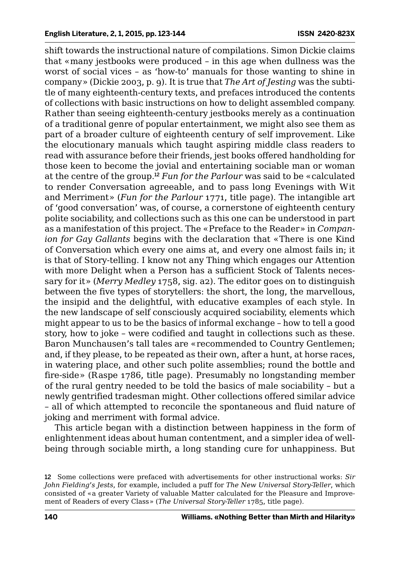shift towards the instructional nature of compilations. Simon Dickie claims that «many jestbooks were produced – in this age when dullness was the worst of social vices – as 'how-to' manuals for those wanting to shine in company» (Dickie 2003, p. 9). It is true that *The Art of Jesting* was the subtitle of many eighteenth-century texts, and prefaces introduced the contents of collections with basic instructions on how to delight assembled company. Rather than seeing eighteenth-century jestbooks merely as a continuation of a traditional genre of popular entertainment, we might also see them as part of a broader culture of eighteenth century of self improvement. Like the elocutionary manuals which taught aspiring middle class readers to read with assurance before their friends, jest books offered handholding for those keen to become the jovial and entertaining sociable man or woman at the centre of the group.<sup>12</sup> *Fun for the Parlour* was said to be «calculated to render Conversation agreeable, and to pass long Evenings with Wit and Merriment» (*Fun for the Parlour* 1771, title page). The intangible art of 'good conversation' was, of course, a cornerstone of eighteenth century polite sociability, and collections such as this one can be understood in part as a manifestation of this project. The «Preface to the Reader» in *Companion for Gay Gallants* begins with the declaration that «There is one Kind of Conversation which every one aims at, and every one almost fails in; it is that of Story-telling. I know not any Thing which engages our Attention with more Delight when a Person has a sufficient Stock of Talents necessary for it» (*Merry Medley* 1758, sig. a2). The editor goes on to distinguish between the five types of storytellers: the short, the long, the marvellous, the insipid and the delightful, with educative examples of each style. In the new landscape of self consciously acquired sociability, elements which might appear to us to be the basics of informal exchange – how to tell a good story, how to joke – were codified and taught in collections such as these. Baron Munchausen's tall tales are «recommended to Country Gentlemen; and, if they please, to be repeated as their own, after a hunt, at horse races, in watering place, and other such polite assemblies; round the bottle and fire-side» (Raspe 1786, title page). Presumably no longstanding member of the rural gentry needed to be told the basics of male sociability – but a newly gentrified tradesman might. Other collections offered similar advice – all of which attempted to reconcile the spontaneous and fluid nature of joking and merriment with formal advice.

This article began with a distinction between happiness in the form of enlightenment ideas about human contentment, and a simpler idea of wellbeing through sociable mirth, a long standing cure for unhappiness. But

<sup>12</sup> Some collections were prefaced with advertisements for other instructional works: *Sir John Fielding's Jests*, for example, included a puff for *The New Universal Story-Teller*, which consisted of «a greater Variety of valuable Matter calculated for the Pleasure and Improvement of Readers of every Class» (*The Universal Story-Teller* 1785, title page).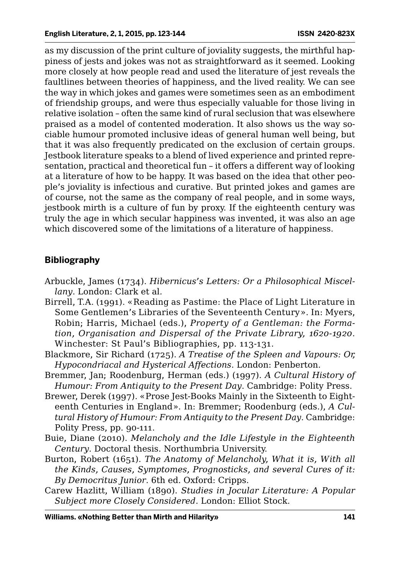as my discussion of the print culture of joviality suggests, the mirthful happiness of jests and jokes was not as straightforward as it seemed. Looking more closely at how people read and used the literature of jest reveals the faultlines between theories of happiness, and the lived reality. We can see the way in which jokes and games were sometimes seen as an embodiment of friendship groups, and were thus especially valuable for those living in relative isolation – often the same kind of rural seclusion that was elsewhere praised as a model of contented moderation. It also shows us the way sociable humour promoted inclusive ideas of general human well being, but that it was also frequently predicated on the exclusion of certain groups. Jestbook literature speaks to a blend of lived experience and printed representation, practical and theoretical fun – it offers a different way of looking at a literature of how to be happy. It was based on the idea that other people's joviality is infectious and curative. But printed jokes and games are of course, not the same as the company of real people, and in some ways, jestbook mirth is a culture of fun by proxy. If the eighteenth century was truly the age in which secular happiness was invented, it was also an age which discovered some of the limitations of a literature of happiness.

## **Bibliography**

- Arbuckle, James (1734). *Hibernicus's Letters: Or a Philosophical Miscellany*. London: Clark et al*.*
- Birrell, T.A. (1991). «Reading as Pastime: the Place of Light Literature in Some Gentlemen's Libraries of the Seventeenth Century». In: Myers, Robin; Harris, Michael (eds.), *Property of a Gentleman: the Formation, Organisation and Dispersal of the Private Library, 1620-1920*. Winchester: St Paul's Bibliographies, pp. 113-131.
- Blackmore, Sir Richard (1725). *A Treatise of the Spleen and Vapours: Or, Hypocondriacal and Hysterical Affections*. London: Penberton.
- Bremmer, Jan; Roodenburg, Herman (eds.) (1997). *A Cultural History of Humour: From Antiquity to the Present Day*. Cambridge: Polity Press.
- Brewer, Derek (1997). «Prose Jest-Books Mainly in the Sixteenth to Eighteenth Centuries in England». In: Bremmer; Roodenburg (eds.), *A Cultural History of Humour: From Antiquity to the Present Day*. Cambridge: Polity Press, pp. 90-111.
- Buie, Diane (2010). *Melancholy and the Idle Lifestyle in the Eighteenth Century*. Doctoral thesis. Northumbria University.
- Burton, Robert (1651). *The Anatomy of Melancholy, What it is, With all the Kinds, Causes, Symptomes, Prognosticks, and several Cures of it: By Democritus Junior*. 6th ed. Oxford: Cripps.
- Carew Hazlitt, William (1890). *Studies in Jocular Literature: A Popular Subject more Closely Considered*. London: Elliot Stock.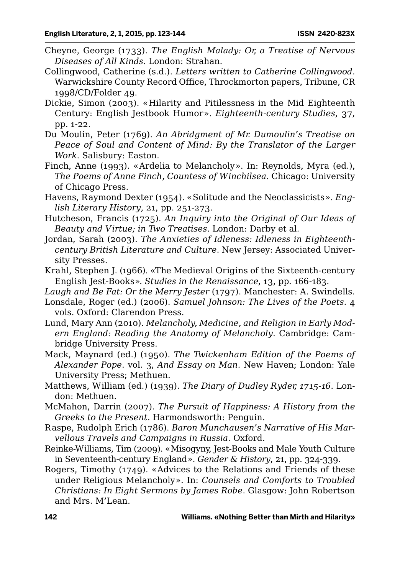- Cheyne, George (1733). *The English Malady: Or, a Treatise of Nervous Diseases of All Kinds*. London: Strahan.
- Collingwood, Catherine (s.d.). *Letters written to Catherine Collingwood*. Warwickshire County Record Office, Throckmorton papers, Tribune, CR 1998/CD/Folder 49.
- Dickie, Simon (2003). «Hilarity and Pitilessness in the Mid Eighteenth Century: English Jestbook Humor». *Eighteenth-century Studies*, 37, pp. 1-22.
- Du Moulin, Peter (1769). *An Abridgment of Mr. Dumoulin's Treatise on Peace of Soul and Content of Mind: By the Translator of the Larger Work*. Salisbury: Easton.
- Finch, Anne (1993). «Ardelia to Melancholy». In: Reynolds, Myra (ed.), *The Poems of Anne Finch, Countess of Winchilsea*. Chicago: University of Chicago Press.
- Havens, Raymond Dexter (1954). «Solitude and the Neoclassicists». *English Literary History*, 21, pp. 251-273.
- Hutcheson, Francis (1725). *An Inquiry into the Original of Our Ideas of Beauty and Virtue; in Two Treatises*. London: Darby et al.
- Jordan, Sarah (2003). *The Anxieties of Idleness: Idleness in Eighteenthcentury British Literature and Culture*. New Jersey: Associated University Presses.
- Krahl, Stephen J. (1966). «The Medieval Origins of the Sixteenth-century English Jest-Books». *Studies in the Renaissance*, 13, pp. 166-183.
- *Laugh and Be Fat: Or the Merry Jester* (1797). Manchester: A. Swindells.
- Lonsdale, Roger (ed.) (2006). *Samuel Johnson: The Lives of the Poets*. 4 vols. Oxford: Clarendon Press.
- Lund, Mary Ann (2010). *Melancholy, Medicine, and Religion in Early Modern England: Reading the Anatomy of Melancholy*. Cambridge: Cambridge University Press.
- Mack, Maynard (ed.) (1950). *The Twickenham Edition of the Poems of Alexander Pope*. vol. 3, *And Essay on Man*. New Haven; London: Yale University Press; Methuen.
- Matthews, William (ed.) (1939). *The Diary of Dudley Ryder, 1715-16*. London: Methuen.
- McMahon, Darrin (2007). *The Pursuit of Happiness: A History from the Greeks to the Present*. Harmondsworth: Penguin.
- Raspe, Rudolph Erich (1786). *Baron Munchausen's Narrative of His Marvellous Travels and Campaigns in Russia*. Oxford.
- Reinke-Williams, Tim (2009). «Misogyny, Jest-Books and Male Youth Culture in Seventeenth-century England». *Gender & History*, 21, pp. 324-339.

Rogers, Timothy (1749). «Advices to the Relations and Friends of these under Religious Melancholy». In: *Counsels and Comforts to Troubled Christians: In Eight Sermons by James Robe*. Glasgow: John Robertson and Mrs. M'Lean.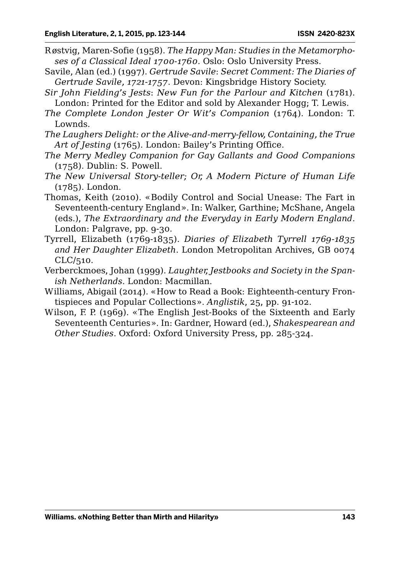- Røstvig, Maren-Sofie (1958). *The Happy Man: Studies in the Metamorphoses of a Classical Ideal 1700-1760*. Oslo: Oslo University Press.
- Savile, Alan (ed.) (1997). *Gertrude Savile*: *Secret Comment: The Diaries of Gertrude Savile, 1721-1757*. Devon: Kingsbridge History Society.
- *Sir John Fielding's Jests*: *New Fun for the Parlour and Kitchen* (1781). London: Printed for the Editor and sold by Alexander Hogg; T. Lewis.
- *The Complete London Jester Or Wit's Companion* (1764). London: T. Lownds.
- *The Laughers Delight: or the Alive-and-merry-fellow, Containing, the True Art of Jesting* (1765). London: Bailey's Printing Office.
- *The Merry Medley Companion for Gay Gallants and Good Companions*  (1758). Dublin: S. Powell.
- *The New Universal Story-teller; Or, A Modern Picture of Human Life* (1785). London.
- Thomas, Keith (2010). «Bodily Control and Social Unease: The Fart in Seventeenth-century England». In: Walker, Garthine; McShane, Angela (eds.), *The Extraordinary and the Everyday in Early Modern England*. London: Palgrave, pp. 9-30.
- Tyrrell, Elizabeth (1769-1835). *Diaries of Elizabeth Tyrrell 1769-1835 and Her Daughter Elizabeth*. London Metropolitan Archives, GB 0074 CLC/510.
- Verberckmoes, Johan (1999). *Laughter, Jestbooks and Society in the Spanish Netherlands*. London: Macmillan.
- Williams, Abigail (2014). «How to Read a Book: Eighteenth-century Frontispieces and Popular Collections». *Anglistik*, 25, pp. 91-102.
- Wilson, F. P. (1969). «The English Jest-Books of the Sixteenth and Early Seventeenth Centuries». In: Gardner, Howard (ed.), *Shakespearean and Other Studies*. Oxford: Oxford University Press, pp. 285-324.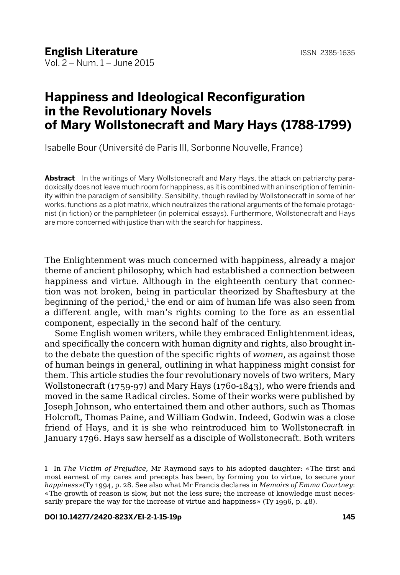## **Happiness and Ideological Reconfiguration in the Revolutionary Novels of Mary Wollstonecraft and Mary Hays (1788-1799)**

Isabelle Bour (Université de Paris III, Sorbonne Nouvelle, France)

**Abstract** In the writings of Mary Wollstonecraft and Mary Hays, the attack on patriarchy paradoxically does not leave much room for happiness, as it is combined with an inscription of femininity within the paradigm of sensibility. Sensibility, though reviled by Wollstonecraft in some of her works, functions as a plot matrix, which neutralizes the rational arguments of the female protagonist (in fiction) or the pamphleteer (in polemical essays). Furthermore, Wollstonecraft and Hays are more concerned with justice than with the search for happiness.

The Enlightenment was much concerned with happiness, already a major theme of ancient philosophy, which had established a connection between happiness and virtue. Although in the eighteenth century that connection was not broken, being in particular theorized by Shaftesbury at the beginning of the period,<sup>1</sup> the end or aim of human life was also seen from a different angle, with man's rights coming to the fore as an essential component, especially in the second half of the century.

Some English women writers, while they embraced Enlightenment ideas, and specifically the concern with human dignity and rights, also brought into the debate the question of the specific rights of *women*, as against those of human beings in general, outlining in what happiness might consist for them. This article studies the four revolutionary novels of two writers, Mary Wollstonecraft (1759-97) and Mary Hays (1760-1843), who were friends and moved in the same Radical circles. Some of their works were published by Joseph Johnson, who entertained them and other authors, such as Thomas Holcroft, Thomas Paine, and William Godwin. Indeed, Godwin was a close friend of Hays, and it is she who reintroduced him to Wollstonecraft in January 1796. Hays saw herself as a disciple of Wollstonecraft. Both writers

<sup>1</sup> In *The Victim of Prejudice*, Mr Raymond says to his adopted daughter: «The first and most earnest of my cares and precepts has been, by forming you to virtue, to secure your *happiness*»(Ty 1994, p. 28. See also what Mr Francis declares in *Memoirs of Emma Courtney*: «The growth of reason is slow, but not the less sure; the increase of knowledge must necessarily prepare the way for the increase of virtue and happiness» (Ty 1996, p. 48).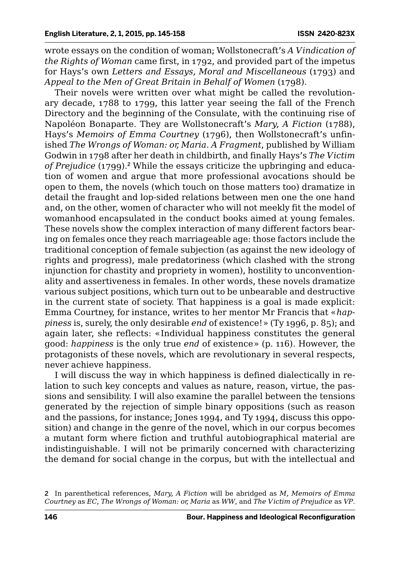wrote essays on the condition of woman; Wollstonecraft's *A Vindication of the Rights of Woman* came first, in 1792, and provided part of the impetus for Hays's own *Letters and Essays, Moral and Miscellaneous* (1793) and *Appeal to the Men of Great Britain in Behalf of Women* (1798).

Their novels were written over what might be called the revolutionary decade, 1788 to 1799, this latter year seeing the fall of the French Directory and the beginning of the Consulate, with the continuing rise of Napoléon Bonaparte. They are Wollstonecraft's *Mary, A Fiction* (1788), Hays's *Memoirs of Emma Courtney* (1796), then Wollstonecraft's unfinished *The Wrongs of Woman: or, Maria. A Fragment*, published by William Godwin in 1798 after her death in childbirth, and finally Hays's *The Victim of Prejudice* (1799).<sup>2</sup> While the essays criticize the upbringing and education of women and argue that more professional avocations should be open to them, the novels (which touch on those matters too) dramatize in detail the fraught and lop-sided relations between men one the one hand and, on the other, women of character who will not meekly fit the model of womanhood encapsulated in the conduct books aimed at young females. These novels show the complex interaction of many different factors bearing on females once they reach marriageable age: those factors include the traditional conception of female subjection (as against the new ideology of rights and progress), male predatoriness (which clashed with the strong injunction for chastity and propriety in women), hostility to unconventionality and assertiveness in females. In other words, these novels dramatize various subject positions, which turn out to be unbearable and destructive in the current state of society. That happiness is a goal is made explicit: Emma Courtney, for instance, writes to her mentor Mr Francis that «*happiness* is, surely, the only desirable *end* of existence!» (Ty 1996, p. 85); and again later, she reflects: «Individual happiness constitutes the general good: *happiness* is the only true *end* of existence» (p. 116). However, the protagonists of these novels, which are revolutionary in several respects, never achieve happiness.

I will discuss the way in which happiness is defined dialectically in relation to such key concepts and values as nature, reason, virtue, the passions and sensibility. I will also examine the parallel between the tensions generated by the rejection of simple binary oppositions (such as reason and the passions, for instance; Jones 1994, and Ty 1994, discuss this opposition) and change in the genre of the novel, which in our corpus becomes a mutant form where fiction and truthful autobiographical material are indistinguishable. I will not be primarily concerned with characterizing the demand for social change in the corpus, but with the intellectual and

<sup>2</sup> In parenthetical references, *Mary, A Fiction* will be abridged as *M, Memoirs of Emma Courtney* as *EC*, *The Wrongs of Woman: or, Maria* as *WW*, and *The Victim of Prejudice* as *VP*.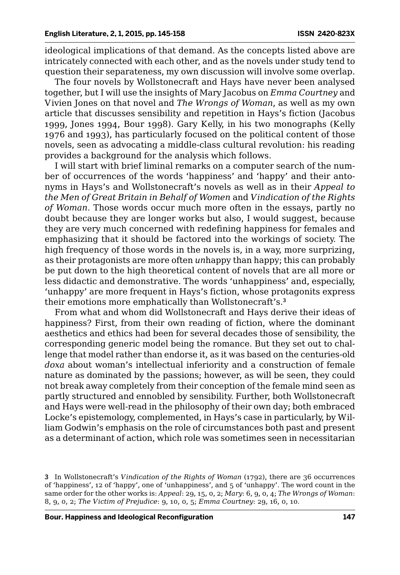ideological implications of that demand. As the concepts listed above are intricately connected with each other, and as the novels under study tend to question their separateness, my own discussion will involve some overlap.

The four novels by Wollstonecraft and Hays have never been analysed together, but I will use the insights of Mary Jacobus on *Emma Courtney* and Vivien Jones on that novel and *The Wrongs of Woman*, as well as my own article that discusses sensibility and repetition in Hays's fiction (Jacobus 1999, Jones 1994, Bour 1998). Gary Kelly, in his two monographs (Kelly 1976 and 1993), has particularly focused on the political content of those novels, seen as advocating a middle-class cultural revolution: his reading provides a background for the analysis which follows.

I will start with brief liminal remarks on a computer search of the number of occurrences of the words 'happiness' and 'happy' and their antonyms in Hays's and Wollstonecraft's novels as well as in their *Appeal to the Men of Great Britain in Behalf of Women* and *Vindication of the Rights of Woman*. Those words occur much more often in the essays, partly no doubt because they are longer works but also, I would suggest, because they are very much concerned with redefining happiness for females and emphasizing that it should be factored into the workings of society. The high frequency of those words in the novels is, in a way, more surprizing, as their protagonists are more often *un*happy than happy; this can probably be put down to the high theoretical content of novels that are all more or less didactic and demonstrative. The words 'unhappiness' and, especially, 'unhappy' are more frequent in Hays's fiction, whose protagonits express their emotions more emphatically than Wollstonecraft's.<sup>3</sup>

From what and whom did Wollstonecraft and Hays derive their ideas of happiness? First, from their own reading of fiction, where the dominant aesthetics and ethics had been for several decades those of sensibility, the corresponding generic model being the romance. But they set out to challenge that model rather than endorse it, as it was based on the centuries-old *doxa* about woman's intellectual inferiority and a construction of female nature as dominated by the passions; however, as will be seen, they could not break away completely from their conception of the female mind seen as partly structured and ennobled by sensibility. Further, both Wollstonecraft and Hays were well-read in the philosophy of their own day; both embraced Locke's epistemology, complemented, in Hays's case in particularly, by William Godwin's emphasis on the role of circumstances both past and present as a determinant of action, which role was sometimes seen in necessitarian

<sup>3</sup> In Wollstonecraft's *Vindication of the Rights of Woman* (1792), there are 36 occurrences of 'happiness', 12 of 'happy', one of 'unhappiness', and 5 of 'unhappy'. The word count in the same order for the other works is: *Appeal*: 29, 15, 0, 2; *Mary*: 6, 9, 0, 4; *The Wrongs of Woman*: 8, 9, 0, 2; *The Victim of Prejudice*: 9, 10, 0, 5; *Emma Courtney*: 29, 16, 0, 10.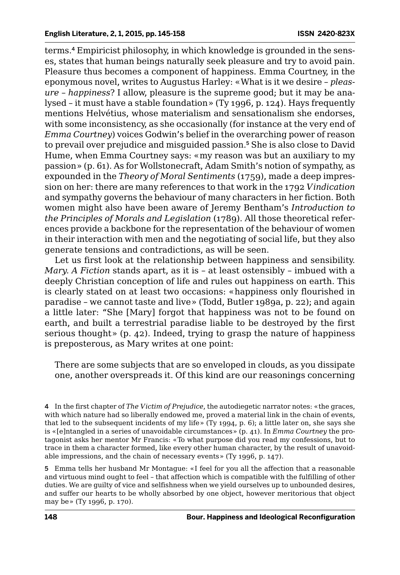terms.4 Empiricist philosophy, in which knowledge is grounded in the senses, states that human beings naturally seek pleasure and try to avoid pain. Pleasure thus becomes a component of happiness. Emma Courtney, in the eponymous novel, writes to Augustus Harley: «What is it we desire – *pleasure* – *happiness*? I allow, pleasure is the supreme good; but it may be analysed – it must have a stable foundation» (Ty 1996, p. 124). Hays frequently mentions Helvétius, whose materialism and sensationalism she endorses, with some inconsistency, as she occasionally (for instance at the very end of *Emma Courtney*) voices Godwin's belief in the overarching power of reason to prevail over prejudice and misguided passion.<sup>5</sup> She is also close to David Hume, when Emma Courtney says: «my reason was but an auxiliary to my passion» (p. 61). As for Wollstonecraft, Adam Smith's notion of sympathy, as expounded in the *Theory of Moral Sentiments* (1759), made a deep impression on her: there are many references to that work in the 1792 *Vindication*  and sympathy governs the behaviour of many characters in her fiction. Both women might also have been aware of Jeremy Bentham's *Introduction to the Principles of Morals and Legislation* (1789). All those theoretical references provide a backbone for the representation of the behaviour of women in their interaction with men and the negotiating of social life, but they also generate tensions and contradictions, as will be seen.

Let us first look at the relationship between happiness and sensibility. *Mary. A Fiction* stands apart, as it is – at least ostensibly – imbued with a deeply Christian conception of life and rules out happiness on earth. This is clearly stated on at least two occasions: «happiness only flourished in paradise – we cannot taste and live» (Todd, Butler 1989a, p. 22); and again a little later: "She [Mary] forgot that happiness was not to be found on earth, and built a terrestrial paradise liable to be destroyed by the first serious thought» (p. 42). Indeed, trying to grasp the nature of happiness is preposterous, as Mary writes at one point:

There are some subjects that are so enveloped in clouds, as you dissipate one, another overspreads it. Of this kind are our reasonings concerning

4 In the first chapter of *The Victim of Prejudice*, the autodiegetic narrator notes: «the graces, with which nature had so liberally endowed me, proved a material link in the chain of events, that led to the subsequent incidents of my life» (Ty 1994, p. 6); a little later on, she says she is «[e]ntangled in a series of unavoidable circumstances» (p. 41). In *Emma Courtney* the protagonist asks her mentor Mr Francis: «To what purpose did you read my confessions, but to trace in them a character formed, like every other human character, by the result of unavoidable impressions, and the chain of necessary events» (Ty 1996, p. 147).

5 Emma tells her husband Mr Montague: «I feel for you all the affection that a reasonable and virtuous mind ought to feel – that affection which is compatible with the fulfilling of other duties. We are guilty of vice and selfishness when we yield ourselves up to unbounded desires, and suffer our hearts to be wholly absorbed by one object, however meritorious that object may be» (Ty 1996, p. 170).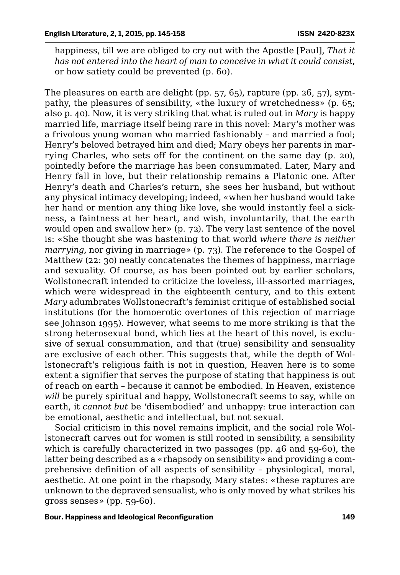happiness, till we are obliged to cry out with the Apostle [Paul], *That it has not entered into the heart of man to conceive in what it could consist*, or how satiety could be prevented (p. 60).

The pleasures on earth are delight (pp. 57, 65), rapture (pp. 26, 57), sympathy, the pleasures of sensibility, «the luxury of wretchedness» (p. 65; also p. 40). Now, it is very striking that what is ruled out in *Mary* is happy married life, marriage itself being rare in this novel: Mary's mother was a frivolous young woman who married fashionably – and married a fool; Henry's beloved betrayed him and died; Mary obeys her parents in marrying Charles, who sets off for the continent on the same day (p. 20), pointedly before the marriage has been consummated. Later, Mary and Henry fall in love, but their relationship remains a Platonic one. After Henry's death and Charles's return, she sees her husband, but without any physical intimacy developing; indeed, «when her husband would take her hand or mention any thing like love, she would instantly feel a sickness, a faintness at her heart, and wish, involuntarily, that the earth would open and swallow her» (p. 72). The very last sentence of the novel is: «She thought she was hastening to that world *where there is neither marrying*, nor giving in marriage» (p. 73). The reference to the Gospel of Matthew (22: 30) neatly concatenates the themes of happiness, marriage and sexuality. Of course, as has been pointed out by earlier scholars, Wollstonecraft intended to criticize the loveless, ill-assorted marriages, which were widespread in the eighteenth century, and to this extent *Mary* adumbrates Wollstonecraft's feminist critique of established social institutions (for the homoerotic overtones of this rejection of marriage see Johnson 1995). However, what seems to me more striking is that the strong heterosexual bond, which lies at the heart of this novel, is exclusive of sexual consummation, and that (true) sensibility and sensuality are exclusive of each other. This suggests that, while the depth of Wollstonecraft's religious faith is not in question, Heaven here is to some extent a signifier that serves the purpose of stating that happiness is out of reach on earth – because it cannot be embodied. In Heaven, existence *will* be purely spiritual and happy, Wollstonecraft seems to say, while on earth, it *cannot but* be 'disembodied' and unhappy: true interaction can be emotional, aesthetic and intellectual, but not sexual.

Social criticism in this novel remains implicit, and the social role Wollstonecraft carves out for women is still rooted in sensibility, a sensibility which is carefully characterized in two passages (pp. 46 and 59-60), the latter being described as a «rhapsody on sensibility» and providing a comprehensive definition of all aspects of sensibility – physiological, moral, aesthetic. At one point in the rhapsody, Mary states: «these raptures are unknown to the depraved sensualist, who is only moved by what strikes his gross senses» (pp. 59-60).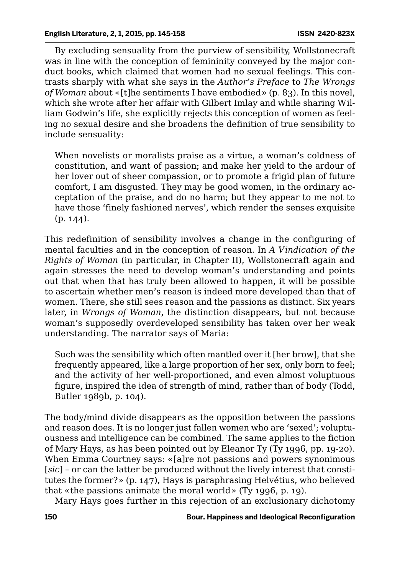By excluding sensuality from the purview of sensibility, Wollstonecraft was in line with the conception of femininity conveyed by the major conduct books, which claimed that women had no sexual feelings. This contrasts sharply with what she says in the *Author's Preface* to *The Wrongs of Woman* about «[t]he sentiments I have embodied» (p. 83). In this novel, which she wrote after her affair with Gilbert Imlay and while sharing William Godwin's life, she explicitly rejects this conception of women as feeling no sexual desire and she broadens the definition of true sensibility to include sensuality:

When novelists or moralists praise as a virtue, a woman's coldness of constitution, and want of passion; and make her yield to the ardour of her lover out of sheer compassion, or to promote a frigid plan of future comfort, I am disgusted. They may be good women, in the ordinary acceptation of the praise, and do no harm; but they appear to me not to have those 'finely fashioned nerves', which render the senses exquisite (p. 144).

This redefinition of sensibility involves a change in the configuring of mental faculties and in the conception of reason. In *A Vindication of the Rights of Woman* (in particular, in Chapter II), Wollstonecraft again and again stresses the need to develop woman's understanding and points out that when that has truly been allowed to happen, it will be possible to ascertain whether men's reason is indeed more developed than that of women. There, she still sees reason and the passions as distinct. Six years later, in *Wrongs of Woman*, the distinction disappears, but not because woman's supposedly overdeveloped sensibility has taken over her weak understanding. The narrator says of Maria:

Such was the sensibility which often mantled over it [her brow], that she frequently appeared, like a large proportion of her sex, only born to feel; and the activity of her well-proportioned, and even almost voluptuous figure, inspired the idea of strength of mind, rather than of body (Todd, Butler 1989b, p. 104).

The body/mind divide disappears as the opposition between the passions and reason does. It is no longer just fallen women who are 'sexed'; voluptuousness and intelligence can be combined. The same applies to the fiction of Mary Hays, as has been pointed out by Eleanor Ty (Ty 1996, pp. 19-20). When Emma Courtney says: «[a]re not passions and powers synonimous [*sic*] – or can the latter be produced without the lively interest that constitutes the former?» (p. 147), Hays is paraphrasing Helvétius, who believed that «the passions animate the moral world» (Ty 1996, p. 19).

Mary Hays goes further in this rejection of an exclusionary dichotomy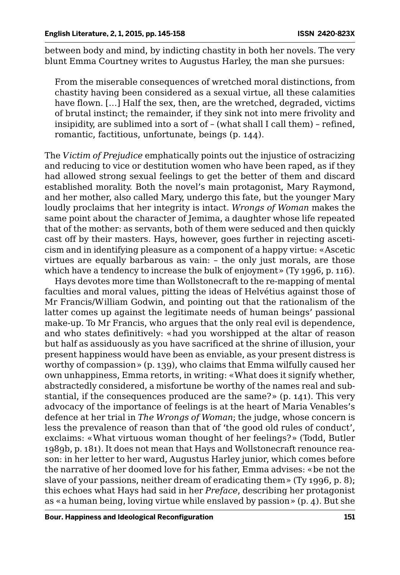between body and mind, by indicting chastity in both her novels. The very blunt Emma Courtney writes to Augustus Harley, the man she pursues:

From the miserable consequences of wretched moral distinctions, from chastity having been considered as a sexual virtue, all these calamities have flown. […] Half the sex, then, are the wretched, degraded, victims of brutal instinct; the remainder, if they sink not into mere frivolity and insipidity, are sublimed into a sort of – (what shall I call them) – refined, romantic, factitious, unfortunate, beings (p. 144).

The *Victim of Prejudice* emphatically points out the injustice of ostracizing and reducing to vice or destitution women who have been raped, as if they had allowed strong sexual feelings to get the better of them and discard established morality. Both the novel's main protagonist, Mary Raymond, and her mother, also called Mary, undergo this fate, but the younger Mary loudly proclaims that her integrity is intact. *Wrongs of Woman* makes the same point about the character of Jemima, a daughter whose life repeated that of the mother: as servants, both of them were seduced and then quickly cast off by their masters. Hays, however, goes further in rejecting asceticism and in identifying pleasure as a component of a happy virtue: «Ascetic virtues are equally barbarous as vain: – the only just morals, are those which have a tendency to increase the bulk of enjoyment» (Ty 1996, p. 116).

Hays devotes more time than Wollstonecraft to the re-mapping of mental faculties and moral values, pitting the ideas of Helvétius against those of Mr Francis/William Godwin, and pointing out that the rationalism of the latter comes up against the legitimate needs of human beings' passional make-up. To Mr Francis, who argues that the only real evil is dependence, and who states definitively: «had you worshipped at the altar of reason but half as assiduously as you have sacrificed at the shrine of illusion, your present happiness would have been as enviable, as your present distress is worthy of compassion» (p. 139), who claims that Emma wilfully caused her own unhappiness, Emma retorts, in writing: «What does it signify whether, abstractedly considered, a misfortune be worthy of the names real and substantial, if the consequences produced are the same?» (p. 141). This very advocacy of the importance of feelings is at the heart of Maria Venables's defence at her trial in *The Wrongs of Woman*; the judge, whose concern is less the prevalence of reason than that of 'the good old rules of conduct', exclaims: «What virtuous woman thought of her feelings?» (Todd, Butler 1989b, p. 181). It does not mean that Hays and Wollstonecraft renounce reason: in her letter to her ward, Augustus Harley junior, which comes before the narrative of her doomed love for his father, Emma advises: «be not the slave of your passions, neither dream of eradicating them» (Ty 1996, p. 8); this echoes what Hays had said in her *Preface*, describing her protagonist as «a human being, loving virtue while enslaved by passion» (p. 4). But she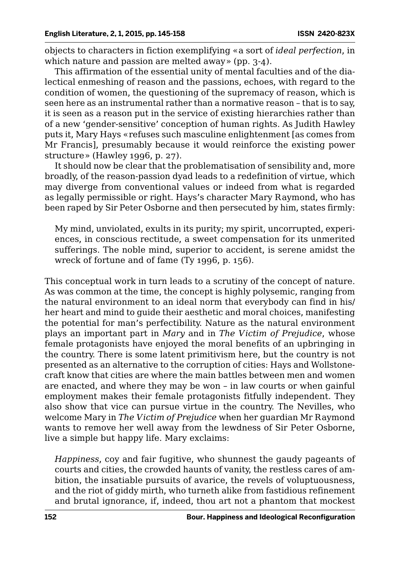objects to characters in fiction exemplifying «a sort of *ideal perfection*, in which nature and passion are melted away» (pp. 3-4).

This affirmation of the essential unity of mental faculties and of the dialectical enmeshing of reason and the passions, echoes, with regard to the condition of women, the questioning of the supremacy of reason, which is seen here as an instrumental rather than a normative reason – that is to say, it is seen as a reason put in the service of existing hierarchies rather than of a new 'gender-sensitive' conception of human rights. As Judith Hawley puts it, Mary Hays «refuses such masculine enlightenment [as comes from Mr Francis], presumably because it would reinforce the existing power structure» (Hawley 1996, p. 27).

It should now be clear that the problematisation of sensibility and, more broadly, of the reason-passion dyad leads to a redefinition of virtue, which may diverge from conventional values or indeed from what is regarded as legally permissible or right. Hays's character Mary Raymond, who has been raped by Sir Peter Osborne and then persecuted by him, states firmly:

My mind, unviolated, exults in its purity; my spirit, uncorrupted, experiences, in conscious rectitude, a sweet compensation for its unmerited sufferings. The noble mind, superior to accident, is serene amidst the wreck of fortune and of fame (Ty 1996, p. 156).

This conceptual work in turn leads to a scrutiny of the concept of nature. As was common at the time, the concept is highly polysemic, ranging from the natural environment to an ideal norm that everybody can find in his/ her heart and mind to guide their aesthetic and moral choices, manifesting the potential for man's perfectibility. Nature as the natural environment plays an important part in *Mary* and in *The Victim of Prejudice*, whose female protagonists have enjoyed the moral benefits of an upbringing in the country. There is some latent primitivism here, but the country is not presented as an alternative to the corruption of cities: Hays and Wollstonecraft know that cities are where the main battles between men and women are enacted, and where they may be won – in law courts or when gainful employment makes their female protagonists fitfully independent. They also show that vice can pursue virtue in the country. The Nevilles, who welcome Mary in *The Victim of Prejudice* when her guardian Mr Raymond wants to remove her well away from the lewdness of Sir Peter Osborne, live a simple but happy life. Mary exclaims:

*Happiness*, coy and fair fugitive, who shunnest the gaudy pageants of courts and cities, the crowded haunts of vanity, the restless cares of ambition, the insatiable pursuits of avarice, the revels of voluptuousness, and the riot of giddy mirth, who turneth alike from fastidious refinement and brutal ignorance, if, indeed, thou art not a phantom that mockest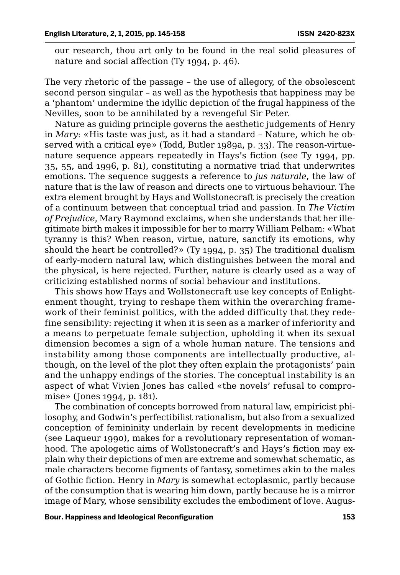our research, thou art only to be found in the real solid pleasures of nature and social affection (Ty 1994, p. 46).

The very rhetoric of the passage – the use of allegory, of the obsolescent second person singular – as well as the hypothesis that happiness may be a 'phantom' undermine the idyllic depiction of the frugal happiness of the Nevilles, soon to be annihilated by a revengeful Sir Peter.

Nature as guiding principle governs the aesthetic judgements of Henry in *Mary*: «His taste was just, as it had a standard – Nature, which he observed with a critical eye» (Todd, Butler 1989a, p. 33). The reason-virtuenature sequence appears repeatedly in Hays's fiction (see Ty 1994, pp. 35, 55, and 1996, p. 81), constituting a normative triad that underwrites emotions. The sequence suggests a reference to *jus naturale*, the law of nature that is the law of reason and directs one to virtuous behaviour. The extra element brought by Hays and Wollstonecraft is precisely the creation of a continuum between that conceptual triad and passion. In *The Victim of Prejudice*, Mary Raymond exclaims, when she understands that her illegitimate birth makes it impossible for her to marry William Pelham: «What tyranny is this? When reason, virtue, nature, sanctify its emotions, why should the heart be controlled?» (Ty 1994, p. 35) The traditional dualism of early-modern natural law, which distinguishes between the moral and the physical, is here rejected. Further, nature is clearly used as a way of criticizing established norms of social behaviour and institutions.

This shows how Hays and Wollstonecraft use key concepts of Enlightenment thought, trying to reshape them within the overarching framework of their feminist politics, with the added difficulty that they redefine sensibility: rejecting it when it is seen as a marker of inferiority and a means to perpetuate female subjection, upholding it when its sexual dimension becomes a sign of a whole human nature. The tensions and instability among those components are intellectually productive, although, on the level of the plot they often explain the protagonists' pain and the unhappy endings of the stories. The conceptual instability is an aspect of what Vivien Jones has called «the novels' refusal to compromise» (Jones 1994, p. 181).

The combination of concepts borrowed from natural law, empiricist philosophy, and Godwin's perfectibilist rationalism, but also from a sexualized conception of femininity underlain by recent developments in medicine (see Laqueur 1990), makes for a revolutionary representation of womanhood. The apologetic aims of Wollstonecraft's and Hays's fiction may explain why their depictions of men are extreme and somewhat schematic, as male characters become figments of fantasy, sometimes akin to the males of Gothic fiction. Henry in *Mary* is somewhat ectoplasmic, partly because of the consumption that is wearing him down, partly because he is a mirror image of Mary, whose sensibility excludes the embodiment of love. Augus-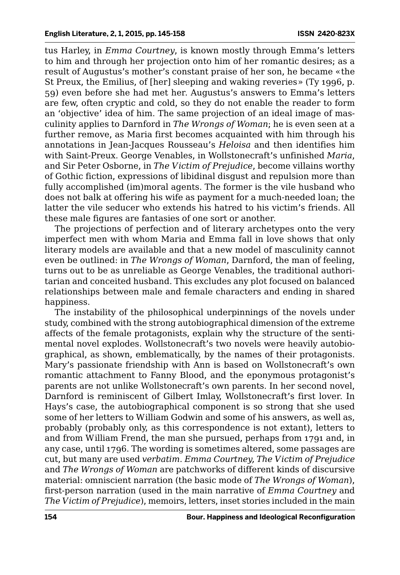tus Harley, in *Emma Courtney*, is known mostly through Emma's letters to him and through her projection onto him of her romantic desires; as a result of Augustus's mother's constant praise of her son, he became «the St Preux, the Emilius, of [her] sleeping and waking reveries» (Ty 1996, p. 59) even before she had met her. Augustus's answers to Emma's letters are few, often cryptic and cold, so they do not enable the reader to form an 'objective' idea of him. The same projection of an ideal image of masculinity applies to Darnford in *The Wrongs of Woman*; he is even seen at a further remove, as Maria first becomes acquainted with him through his annotations in Jean-Jacques Rousseau's *Heloisa* and then identifies him with Saint-Preux. George Venables, in Wollstonecraft's unfinished *Maria*, and Sir Peter Osborne, in *The Victim of Prejudice*, become villains worthy of Gothic fiction, expressions of libidinal disgust and repulsion more than fully accomplished (im)moral agents. The former is the vile husband who does not balk at offering his wife as payment for a much-needed loan; the latter the vile seducer who extends his hatred to his victim's friends. All these male figures are fantasies of one sort or another.

The projections of perfection and of literary archetypes onto the very imperfect men with whom Maria and Emma fall in love shows that only literary models are available and that a new model of masculinity cannot even be outlined: in *The Wrongs of Woman*, Darnford, the man of feeling, turns out to be as unreliable as George Venables, the traditional authoritarian and conceited husband. This excludes any plot focused on balanced relationships between male and female characters and ending in shared happiness.

The instability of the philosophical underpinnings of the novels under study, combined with the strong autobiographical dimension of the extreme affects of the female protagonists, explain why the structure of the sentimental novel explodes. Wollstonecraft's two novels were heavily autobiographical, as shown, emblematically, by the names of their protagonists. Mary's passionate friendship with Ann is based on Wollstonecraft's own romantic attachment to Fanny Blood, and the eponymous protagonist's parents are not unlike Wollstonecraft's own parents. In her second novel, Darnford is reminiscent of Gilbert Imlay, Wollstonecraft's first lover. In Hays's case, the autobiographical component is so strong that she used some of her letters to William Godwin and some of his answers, as well as, probably (probably only, as this correspondence is not extant), letters to and from William Frend, the man she pursued, perhaps from 1791 and, in any case, until 1796. The wording is sometimes altered, some passages are cut, but many are used *verbatim*. *Emma Courtney, The Victim of Prejudice*  and *The Wrongs of Woman* are patchworks of different kinds of discursive material: omniscient narration (the basic mode of *The Wrongs of Woman*), first-person narration (used in the main narrative of *Emma Courtney* and *The Victim of Prejudice*), memoirs, letters, inset stories included in the main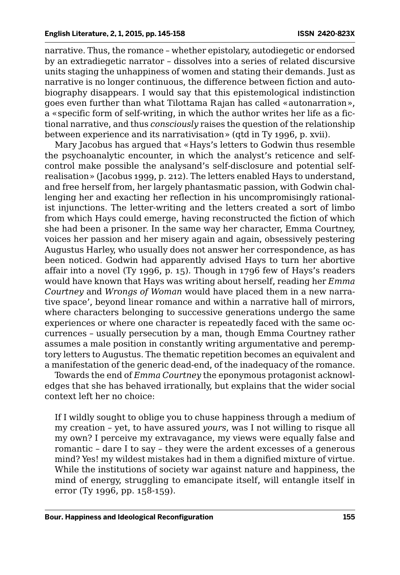narrative. Thus, the romance – whether epistolary, autodiegetic or endorsed by an extradiegetic narrator – dissolves into a series of related discursive units staging the unhappiness of women and stating their demands. Just as narrative is no longer continuous, the difference between fiction and autobiography disappears. I would say that this epistemological indistinction goes even further than what Tilottama Rajan has called «autonarration», a «specific form of self-writing, in which the author writes her life as a fictional narrative, and thus *consciously* raises the question of the relationship between experience and its narrativisation» (qtd in Ty 1996, p. xvii).

Mary Jacobus has argued that «Hays's letters to Godwin thus resemble the psychoanalytic encounter, in which the analyst's reticence and selfcontrol make possible the analysand's self-disclosure and potential selfrealisation» (Jacobus 1999, p. 212). The letters enabled Hays to understand, and free herself from, her largely phantasmatic passion, with Godwin challenging her and exacting her reflection in his uncompromisingly rationalist injunctions. The letter-writing and the letters created a sort of limbo from which Hays could emerge, having reconstructed the fiction of which she had been a prisoner. In the same way her character, Emma Courtney, voices her passion and her misery again and again, obsessively pestering Augustus Harley, who usually does not answer her correspondence, as has been noticed. Godwin had apparently advised Hays to turn her abortive affair into a novel (Ty 1996, p. 15). Though in 1796 few of Hays's readers would have known that Hays was writing about herself, reading her *Emma Courtney* and *Wrongs of Woman* would have placed them in a new narrative space', beyond linear romance and within a narrative hall of mirrors, where characters belonging to successive generations undergo the same experiences or where one character is repeatedly faced with the same occurrences – usually persecution by a man, though Emma Courtney rather assumes a male position in constantly writing argumentative and peremptory letters to Augustus. The thematic repetition becomes an equivalent and a manifestation of the generic dead-end, of the inadequacy of the romance.

Towards the end of *Emma Courtney* the eponymous protagonist acknowledges that she has behaved irrationally, but explains that the wider social context left her no choice:

If I wildly sought to oblige you to chuse happiness through a medium of my creation – yet, to have assured *yours*, was I not willing to risque all my own? I perceive my extravagance, my views were equally false and romantic – dare I to say – they were the ardent excesses of a generous mind? Yes! my wildest mistakes had in them a dignified mixture of virtue. While the institutions of society war against nature and happiness, the mind of energy, struggling to emancipate itself, will entangle itself in error (Ty 1996, pp. 158-159).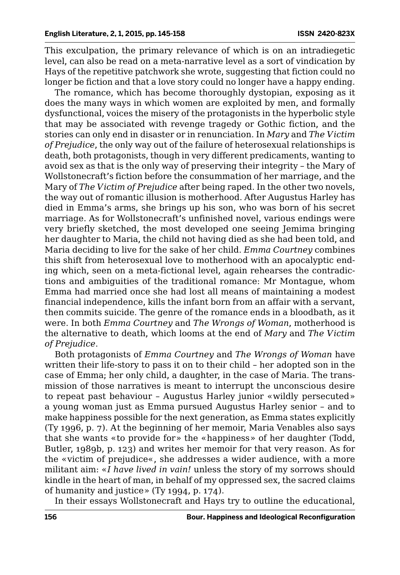This exculpation, the primary relevance of which is on an intradiegetic level, can also be read on a meta-narrative level as a sort of vindication by Hays of the repetitive patchwork she wrote, suggesting that fiction could no longer be fiction and that a love story could no longer have a happy ending.

The romance, which has become thoroughly dystopian, exposing as it does the many ways in which women are exploited by men, and formally dysfunctional, voices the misery of the protagonists in the hyperbolic style that may be associated with revenge tragedy or Gothic fiction, and the stories can only end in disaster or in renunciation. In *Mary* and *The Victim of Prejudice*, the only way out of the failure of heterosexual relationships is death, both protagonists, though in very different predicaments, wanting to avoid sex as that is the only way of preserving their integrity – the Mary of Wollstonecraft's fiction before the consummation of her marriage, and the Mary of *The Victim of Prejudice* after being raped. In the other two novels, the way out of romantic illusion is motherhood. After Augustus Harley has died in Emma's arms, she brings up his son, who was born of his secret marriage. As for Wollstonecraft's unfinished novel, various endings were very briefly sketched, the most developed one seeing Jemima bringing her daughter to Maria, the child not having died as she had been told, and Maria deciding to live for the sake of her child. *Emma Courtney* combines this shift from heterosexual love to motherhood with an apocalyptic ending which, seen on a meta-fictional level, again rehearses the contradictions and ambiguities of the traditional romance: Mr Montague, whom Emma had married once she had lost all means of maintaining a modest financial independence, kills the infant born from an affair with a servant, then commits suicide. The genre of the romance ends in a bloodbath, as it were. In both *Emma Courtney* and *The Wrongs of Woman*, motherhood is the alternative to death, which looms at the end of *Mary* and *The Victim of Prejudice*.

Both protagonists of *Emma Courtney* and *The Wrongs of Woman* have written their life-story to pass it on to their child – her adopted son in the case of Emma; her only child, a daughter, in the case of Maria. The transmission of those narratives is meant to interrupt the unconscious desire to repeat past behaviour – Augustus Harley junior «wildly persecuted» a young woman just as Emma pursued Augustus Harley senior – and to make happiness possible for the next generation, as Emma states explicitly (Ty 1996, p. 7). At the beginning of her memoir, Maria Venables also says that she wants «to provide for» the «happiness» of her daughter (Todd, Butler, 1989b, p. 123) and writes her memoir for that very reason. As for the «victim of prejudice«, she addresses a wider audience, with a more militant aim: «*I have lived in vain!* unless the story of my sorrows should kindle in the heart of man, in behalf of my oppressed sex, the sacred claims of humanity and justice» (Ty 1994, p. 174).

In their essays Wollstonecraft and Hays try to outline the educational,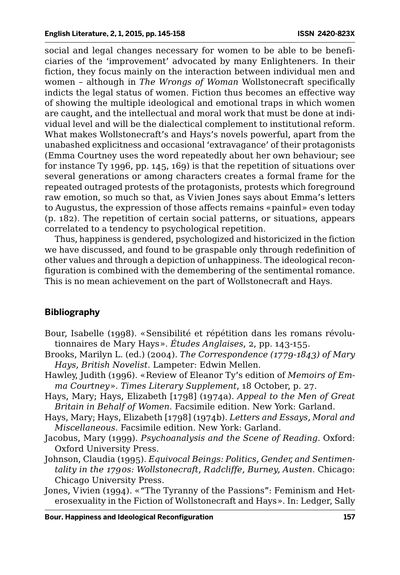social and legal changes necessary for women to be able to be beneficiaries of the 'improvement' advocated by many Enlighteners. In their fiction, they focus mainly on the interaction between individual men and women – although in *The Wrongs of Woman* Wollstonecraft specifically indicts the legal status of women. Fiction thus becomes an effective way of showing the multiple ideological and emotional traps in which women are caught, and the intellectual and moral work that must be done at individual level and will be the dialectical complement to institutional reform. What makes Wollstonecraft's and Hays's novels powerful, apart from the unabashed explicitness and occasional 'extravagance' of their protagonists (Emma Courtney uses the word repeatedly about her own behaviour; see for instance Ty 1996, pp. 145, 169) is that the repetition of situations over several generations or among characters creates a formal frame for the repeated outraged protests of the protagonists, protests which foreground raw emotion, so much so that, as Vivien Jones says about Emma's letters to Augustus, the expression of those affects remains «painful» even today (p. 182). The repetition of certain social patterns, or situations, appears correlated to a tendency to psychological repetition.

Thus, happiness is gendered, psychologized and historicized in the fiction we have discussed, and found to be graspable only through redefinition of other values and through a depiction of unhappiness. The ideological reconfiguration is combined with the demembering of the sentimental romance. This is no mean achievement on the part of Wollstonecraft and Hays.

## **Bibliography**

- Bour, Isabelle (1998). «Sensibilité et répétition dans les romans révolutionnaires de Mary Hays». *Études Anglaises*, 2, pp. 143-155.
- Brooks, Marilyn L. (ed.) (2004). *The Correspondence (1779-1843) of Mary Hays, British Novelist*. Lampeter: Edwin Mellen.
- Hawley, Judith (1996). «Review of Eleanor Ty's edition of *Memoirs of Emma Courtney*». *Times Literary Supplement*, 18 October, p. 27.
- Hays, Mary; Hays, Elizabeth [1798] (1974a). *Appeal to the Men of Great Britain in Behalf of Women*. Facsimile edition. New York: Garland.
- Hays, Mary; Hays, Elizabeth [1798] (1974b). *Letters and Essays, Moral and Miscellaneous*. Facsimile edition. New York: Garland.
- Jacobus, Mary (1999). *Psychoanalysis and the Scene of Reading*. Oxford: Oxford University Press.
- Johnson, Claudia (1995). *Equivocal Beings: Politics, Gender, and Sentimentality in the 1790s: Wollstonecraft, Radcliffe, Burney, Austen*. Chicago: Chicago University Press.
- Jones, Vivien (1994). «"The Tyranny of the Passions": Feminism and Heterosexuality in the Fiction of Wollstonecraft and Hays». In: Ledger, Sally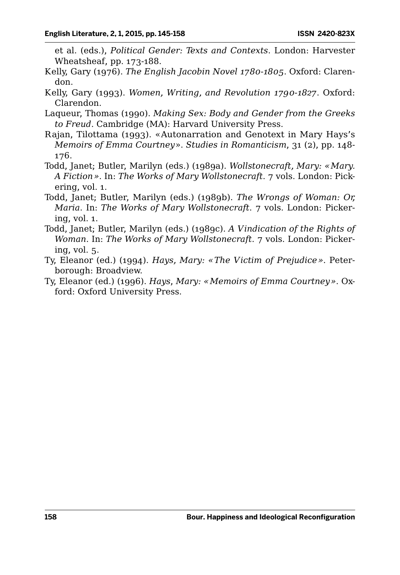et al. (eds.), *Political Gender: Texts and Contexts*. London: Harvester Wheatsheaf, pp. 173-188.

- Kelly, Gary (1976). *The English Jacobin Novel 1780-1805*. Oxford: Clarendon.
- Kelly, Gary (1993). *Women, Writing, and Revolution 1790-1827*. Oxford: Clarendon.
- Laqueur, Thomas (1990). *Making Sex: Body and Gender from the Greeks to Freud*. Cambridge (MA): Harvard University Press.
- Rajan, Tilottama (1993). «Autonarration and Genotext in Mary Hays's *Memoirs of Emma Courtney*». *Studies in Romanticism*, 31 (2), pp. 148- 176.
- Todd, Janet; Butler, Marilyn (eds.) (1989a). *Wollstonecraft, Mary: «Mary. A Fiction»*. In: *The Works of Mary Wollstonecraft*. 7 vols. London: Pickering, vol. 1.
- Todd, Janet; Butler, Marilyn (eds.) (1989b). *The Wrongs of Woman: Or, Maria*. In: *The Works of Mary Wollstonecraft*. 7 vols. London: Pickering, vol. 1.
- Todd, Janet; Butler, Marilyn (eds.) (1989c). *A Vindication of the Rights of Woman*. In: *The Works of Mary Wollstonecraft*. 7 vols. London: Pickering, vol. 5.
- Ty, Eleanor (ed.) (1994). *Hays, Mary: «The Victim of Prejudice»*. Peterborough: Broadview.
- Ty, Eleanor (ed.) (1996). *Hays*, *Mary: «Memoirs of Emma Courtney»*. Oxford: Oxford University Press.